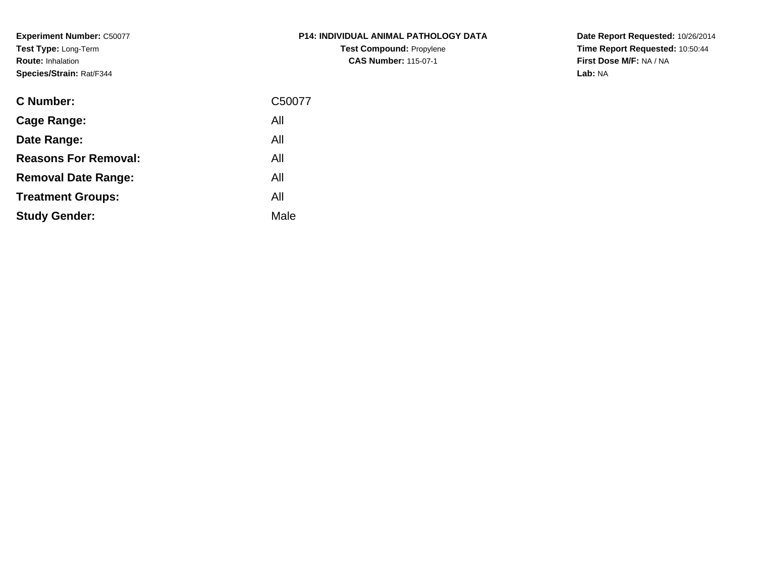**Experiment Number:** C50077**Test Type:** Long-Term**Route:** Inhalation**Species/Strain:** Rat/F344

| <b>P14: INDIVIDUAL ANIMAL PATHOLOGY DATA</b> |
|----------------------------------------------|
| <b>Test Compound: Propylene</b>              |
| <b>CAS Number: 115-07-1</b>                  |

| <b>C</b> Number:            | C50077 |
|-----------------------------|--------|
| Cage Range:                 | All    |
| Date Range:                 | All    |
| <b>Reasons For Removal:</b> | All    |
| <b>Removal Date Range:</b>  | All    |
| <b>Treatment Groups:</b>    | All    |
| <b>Study Gender:</b>        | Male   |
|                             |        |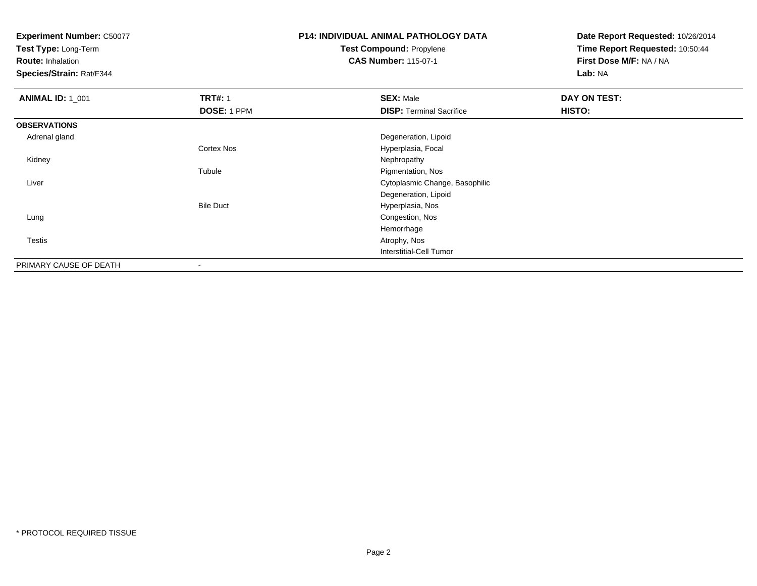**Test Type:** Long-Term

**Route:** Inhalation

**Species/Strain:** Rat/F344

# **P14: INDIVIDUAL ANIMAL PATHOLOGY DATATest Compound:** Propylene

**CAS Number:** 115-07-1

| <b>ANIMAL ID: 1_001</b> | <b>TRT#: 1</b>           | <b>SEX: Male</b>                | DAY ON TEST: |
|-------------------------|--------------------------|---------------------------------|--------------|
|                         | DOSE: 1 PPM              | <b>DISP: Terminal Sacrifice</b> | HISTO:       |
| <b>OBSERVATIONS</b>     |                          |                                 |              |
| Adrenal gland           |                          | Degeneration, Lipoid            |              |
|                         | <b>Cortex Nos</b>        | Hyperplasia, Focal              |              |
| Kidney                  |                          | Nephropathy                     |              |
|                         | Tubule                   | Pigmentation, Nos               |              |
| Liver                   |                          | Cytoplasmic Change, Basophilic  |              |
|                         |                          | Degeneration, Lipoid            |              |
|                         | <b>Bile Duct</b>         | Hyperplasia, Nos                |              |
| Lung                    |                          | Congestion, Nos                 |              |
|                         |                          | Hemorrhage                      |              |
| Testis                  |                          | Atrophy, Nos                    |              |
|                         |                          | Interstitial-Cell Tumor         |              |
| PRIMARY CAUSE OF DEATH  | $\overline{\phantom{a}}$ |                                 |              |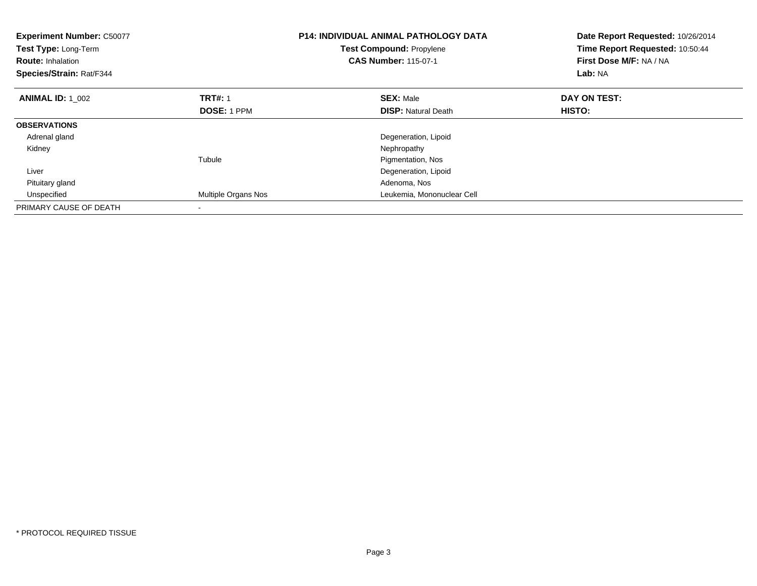| <b>Experiment Number: C50077</b><br><b>Test Type: Long-Term</b><br><b>Route: Inhalation</b><br>Species/Strain: Rat/F344 |                     | <b>P14: INDIVIDUAL ANIMAL PATHOLOGY DATA</b><br>Date Report Requested: 10/26/2014<br>Time Report Requested: 10:50:44<br><b>Test Compound: Propylene</b><br><b>CAS Number: 115-07-1</b><br>First Dose M/F: NA / NA<br>Lab: NA |               |
|-------------------------------------------------------------------------------------------------------------------------|---------------------|------------------------------------------------------------------------------------------------------------------------------------------------------------------------------------------------------------------------------|---------------|
| <b>ANIMAL ID: 1 002</b>                                                                                                 | <b>TRT#: 1</b>      | <b>SEX: Male</b>                                                                                                                                                                                                             | DAY ON TEST:  |
|                                                                                                                         | <b>DOSE: 1 PPM</b>  | <b>DISP:</b> Natural Death                                                                                                                                                                                                   | <b>HISTO:</b> |
| <b>OBSERVATIONS</b>                                                                                                     |                     |                                                                                                                                                                                                                              |               |
| Adrenal gland                                                                                                           |                     | Degeneration, Lipoid                                                                                                                                                                                                         |               |
| Kidney                                                                                                                  |                     | Nephropathy                                                                                                                                                                                                                  |               |
|                                                                                                                         | Tubule              | Pigmentation, Nos                                                                                                                                                                                                            |               |
| Liver                                                                                                                   |                     | Degeneration, Lipoid                                                                                                                                                                                                         |               |
| Pituitary gland                                                                                                         |                     | Adenoma, Nos                                                                                                                                                                                                                 |               |
| Unspecified                                                                                                             | Multiple Organs Nos | Leukemia, Mononuclear Cell                                                                                                                                                                                                   |               |
| PRIMARY CAUSE OF DEATH                                                                                                  |                     |                                                                                                                                                                                                                              |               |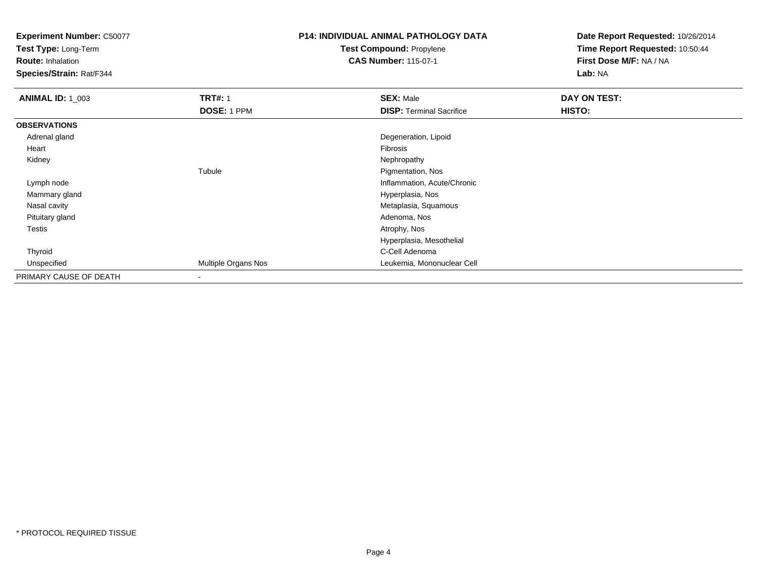**Test Type:** Long-Term

**Route:** Inhalation

**Species/Strain:** Rat/F344

# **P14: INDIVIDUAL ANIMAL PATHOLOGY DATATest Compound:** Propylene

**CAS Number:** 115-07-1

| <b>ANIMAL ID: 1_003</b> | <b>TRT#: 1</b>           | <b>SEX: Male</b>                | DAY ON TEST: |
|-------------------------|--------------------------|---------------------------------|--------------|
|                         | DOSE: 1 PPM              | <b>DISP: Terminal Sacrifice</b> | HISTO:       |
| <b>OBSERVATIONS</b>     |                          |                                 |              |
| Adrenal gland           |                          | Degeneration, Lipoid            |              |
| Heart                   |                          | Fibrosis                        |              |
| Kidney                  |                          | Nephropathy                     |              |
|                         | Tubule                   | Pigmentation, Nos               |              |
| Lymph node              |                          | Inflammation, Acute/Chronic     |              |
| Mammary gland           |                          | Hyperplasia, Nos                |              |
| Nasal cavity            |                          | Metaplasia, Squamous            |              |
| Pituitary gland         |                          | Adenoma, Nos                    |              |
| Testis                  |                          | Atrophy, Nos                    |              |
|                         |                          | Hyperplasia, Mesothelial        |              |
| Thyroid                 |                          | C-Cell Adenoma                  |              |
| Unspecified             | Multiple Organs Nos      | Leukemia, Mononuclear Cell      |              |
| PRIMARY CAUSE OF DEATH  | $\overline{\phantom{a}}$ |                                 |              |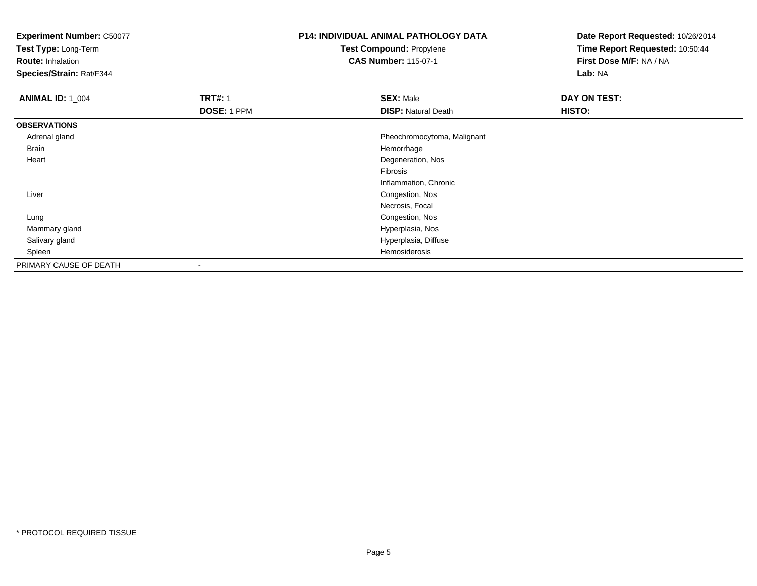**Test Type:** Long-Term

**Route:** Inhalation

**Species/Strain:** Rat/F344

# **P14: INDIVIDUAL ANIMAL PATHOLOGY DATATest Compound:** Propylene

**CAS Number:** 115-07-1

| <b>ANIMAL ID: 1_004</b> | <b>TRT#: 1</b><br>DOSE: 1 PPM | <b>SEX: Male</b><br><b>DISP: Natural Death</b> | DAY ON TEST:<br>HISTO: |
|-------------------------|-------------------------------|------------------------------------------------|------------------------|
| <b>OBSERVATIONS</b>     |                               |                                                |                        |
|                         |                               |                                                |                        |
| Adrenal gland           |                               | Pheochromocytoma, Malignant                    |                        |
| Brain                   |                               | Hemorrhage                                     |                        |
| Heart                   |                               | Degeneration, Nos                              |                        |
|                         |                               | Fibrosis                                       |                        |
|                         |                               | Inflammation, Chronic                          |                        |
| Liver                   |                               | Congestion, Nos                                |                        |
|                         |                               | Necrosis, Focal                                |                        |
| Lung                    |                               | Congestion, Nos                                |                        |
| Mammary gland           |                               | Hyperplasia, Nos                               |                        |
| Salivary gland          |                               | Hyperplasia, Diffuse                           |                        |
| Spleen                  |                               | Hemosiderosis                                  |                        |
| PRIMARY CAUSE OF DEATH  | $\,$                          |                                                |                        |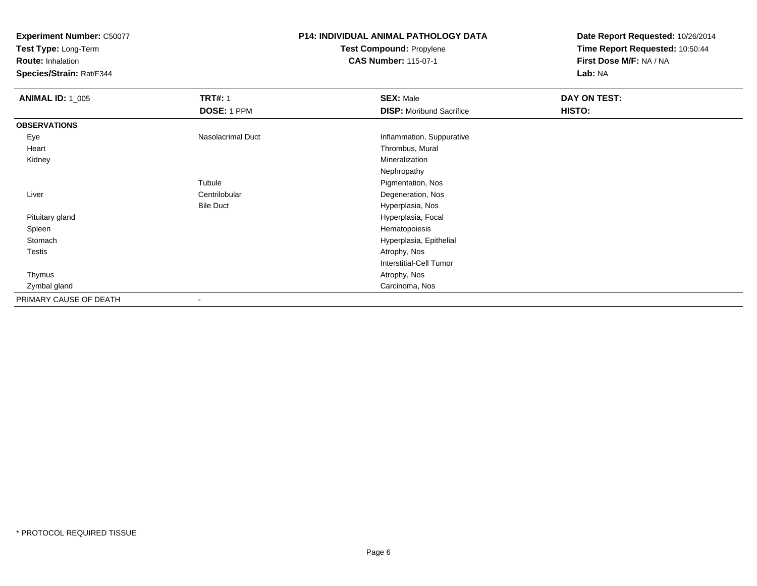**Test Type:** Long-Term

**Route:** Inhalation

**Species/Strain:** Rat/F344

# **P14: INDIVIDUAL ANIMAL PATHOLOGY DATATest Compound:** Propylene

**CAS Number:** 115-07-1

| <b>ANIMAL ID: 1_005</b> | <b>TRT#: 1</b>    | <b>SEX: Male</b>                | DAY ON TEST: |  |
|-------------------------|-------------------|---------------------------------|--------------|--|
|                         | DOSE: 1 PPM       | <b>DISP:</b> Moribund Sacrifice | HISTO:       |  |
| <b>OBSERVATIONS</b>     |                   |                                 |              |  |
| Eye                     | Nasolacrimal Duct | Inflammation, Suppurative       |              |  |
| Heart                   |                   | Thrombus, Mural                 |              |  |
| Kidney                  |                   | Mineralization                  |              |  |
|                         |                   | Nephropathy                     |              |  |
|                         | Tubule            | Pigmentation, Nos               |              |  |
| Liver                   | Centrilobular     | Degeneration, Nos               |              |  |
|                         | <b>Bile Duct</b>  | Hyperplasia, Nos                |              |  |
| Pituitary gland         |                   | Hyperplasia, Focal              |              |  |
| Spleen                  |                   | Hematopoiesis                   |              |  |
| Stomach                 |                   | Hyperplasia, Epithelial         |              |  |
| Testis                  |                   | Atrophy, Nos                    |              |  |
|                         |                   | <b>Interstitial-Cell Tumor</b>  |              |  |
| Thymus                  |                   | Atrophy, Nos                    |              |  |
| Zymbal gland            |                   | Carcinoma, Nos                  |              |  |
| PRIMARY CAUSE OF DEATH  | $\blacksquare$    |                                 |              |  |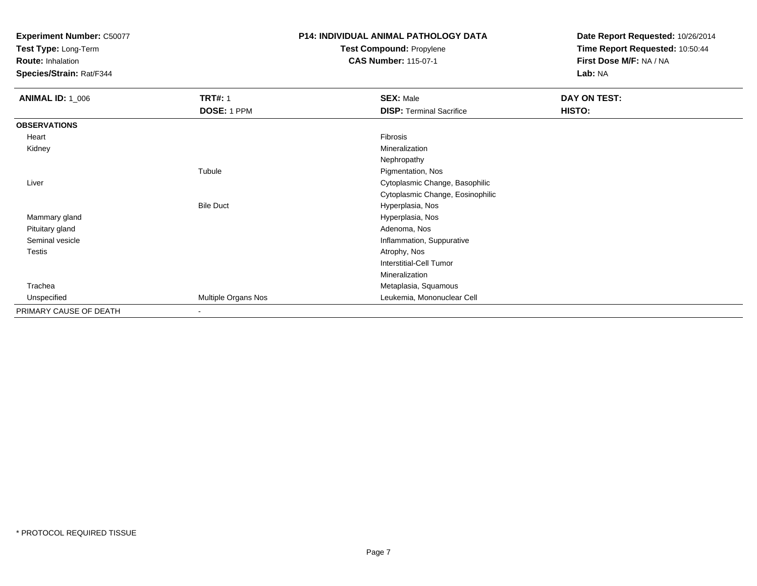**Test Type:** Long-Term

**Route:** Inhalation

**Species/Strain:** Rat/F344

## **P14: INDIVIDUAL ANIMAL PATHOLOGY DATATest Compound:** Propylene

**CAS Number:** 115-07-1

| <b>ANIMAL ID: 1_006</b> | <b>TRT#: 1</b>      | <b>SEX: Male</b>                 | DAY ON TEST: |  |
|-------------------------|---------------------|----------------------------------|--------------|--|
|                         | DOSE: 1 PPM         | <b>DISP: Terminal Sacrifice</b>  | HISTO:       |  |
| <b>OBSERVATIONS</b>     |                     |                                  |              |  |
| Heart                   |                     | Fibrosis                         |              |  |
| Kidney                  |                     | Mineralization                   |              |  |
|                         |                     | Nephropathy                      |              |  |
|                         | Tubule              | Pigmentation, Nos                |              |  |
| Liver                   |                     | Cytoplasmic Change, Basophilic   |              |  |
|                         |                     | Cytoplasmic Change, Eosinophilic |              |  |
|                         | <b>Bile Duct</b>    | Hyperplasia, Nos                 |              |  |
| Mammary gland           |                     | Hyperplasia, Nos                 |              |  |
| Pituitary gland         |                     | Adenoma, Nos                     |              |  |
| Seminal vesicle         |                     | Inflammation, Suppurative        |              |  |
| <b>Testis</b>           |                     | Atrophy, Nos                     |              |  |
|                         |                     | <b>Interstitial-Cell Tumor</b>   |              |  |
|                         |                     | Mineralization                   |              |  |
| Trachea                 |                     | Metaplasia, Squamous             |              |  |
| Unspecified             | Multiple Organs Nos | Leukemia, Mononuclear Cell       |              |  |
| PRIMARY CAUSE OF DEATH  | $\blacksquare$      |                                  |              |  |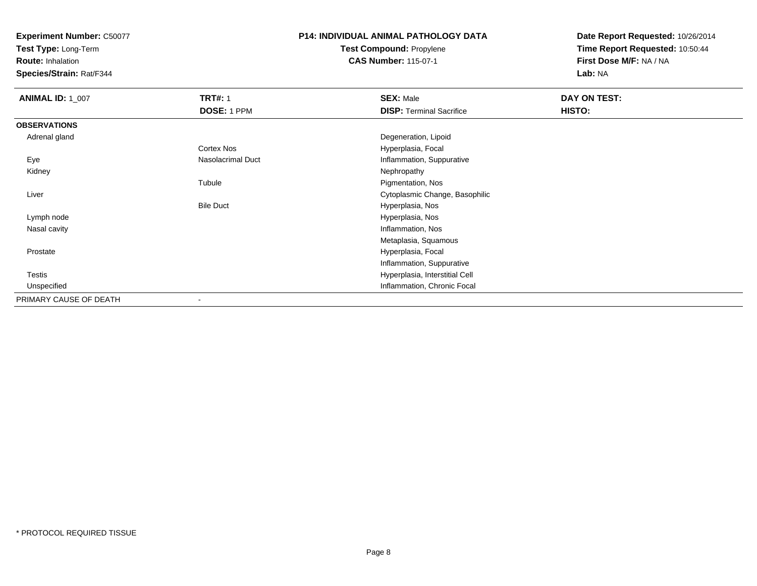**Test Type:** Long-Term

**Route:** Inhalation

**Species/Strain:** Rat/F344

## **P14: INDIVIDUAL ANIMAL PATHOLOGY DATATest Compound:** Propylene

**CAS Number:** 115-07-1

| <b>ANIMAL ID: 1_007</b> | <b>TRT#: 1</b>    | <b>SEX: Male</b>                | DAY ON TEST: |
|-------------------------|-------------------|---------------------------------|--------------|
|                         | DOSE: 1 PPM       | <b>DISP: Terminal Sacrifice</b> | HISTO:       |
| <b>OBSERVATIONS</b>     |                   |                                 |              |
| Adrenal gland           |                   | Degeneration, Lipoid            |              |
|                         | Cortex Nos        | Hyperplasia, Focal              |              |
| Eye                     | Nasolacrimal Duct | Inflammation, Suppurative       |              |
| Kidney                  |                   | Nephropathy                     |              |
|                         | Tubule            | Pigmentation, Nos               |              |
| Liver                   |                   | Cytoplasmic Change, Basophilic  |              |
|                         | <b>Bile Duct</b>  | Hyperplasia, Nos                |              |
| Lymph node              |                   | Hyperplasia, Nos                |              |
| Nasal cavity            |                   | Inflammation, Nos               |              |
|                         |                   | Metaplasia, Squamous            |              |
| Prostate                |                   | Hyperplasia, Focal              |              |
|                         |                   | Inflammation, Suppurative       |              |
| Testis                  |                   | Hyperplasia, Interstitial Cell  |              |
| Unspecified             |                   | Inflammation, Chronic Focal     |              |
| PRIMARY CAUSE OF DEATH  | ۰                 |                                 |              |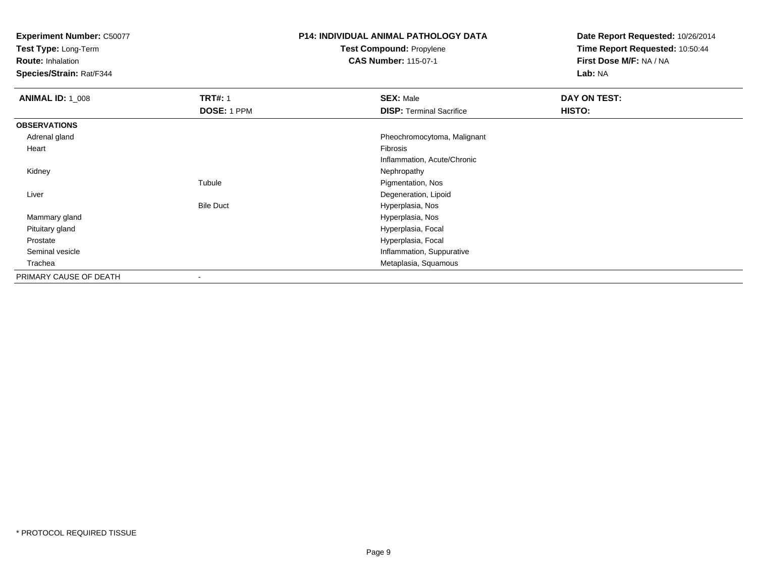**Test Type:** Long-Term

**Route:** Inhalation

**Species/Strain:** Rat/F344

## **P14: INDIVIDUAL ANIMAL PATHOLOGY DATATest Compound:** Propylene

**CAS Number:** 115-07-1

| <b>ANIMAL ID: 1_008</b> | <b>TRT#: 1</b>   | <b>SEX: Male</b>                | DAY ON TEST: |
|-------------------------|------------------|---------------------------------|--------------|
|                         | DOSE: 1 PPM      | <b>DISP: Terminal Sacrifice</b> | HISTO:       |
| <b>OBSERVATIONS</b>     |                  |                                 |              |
| Adrenal gland           |                  | Pheochromocytoma, Malignant     |              |
| Heart                   |                  | Fibrosis                        |              |
|                         |                  | Inflammation, Acute/Chronic     |              |
| Kidney                  |                  | Nephropathy                     |              |
|                         | Tubule           | Pigmentation, Nos               |              |
| Liver                   |                  | Degeneration, Lipoid            |              |
|                         | <b>Bile Duct</b> | Hyperplasia, Nos                |              |
| Mammary gland           |                  | Hyperplasia, Nos                |              |
| Pituitary gland         |                  | Hyperplasia, Focal              |              |
| Prostate                |                  | Hyperplasia, Focal              |              |
| Seminal vesicle         |                  | Inflammation, Suppurative       |              |
| Trachea                 |                  | Metaplasia, Squamous            |              |
| PRIMARY CAUSE OF DEATH  |                  |                                 |              |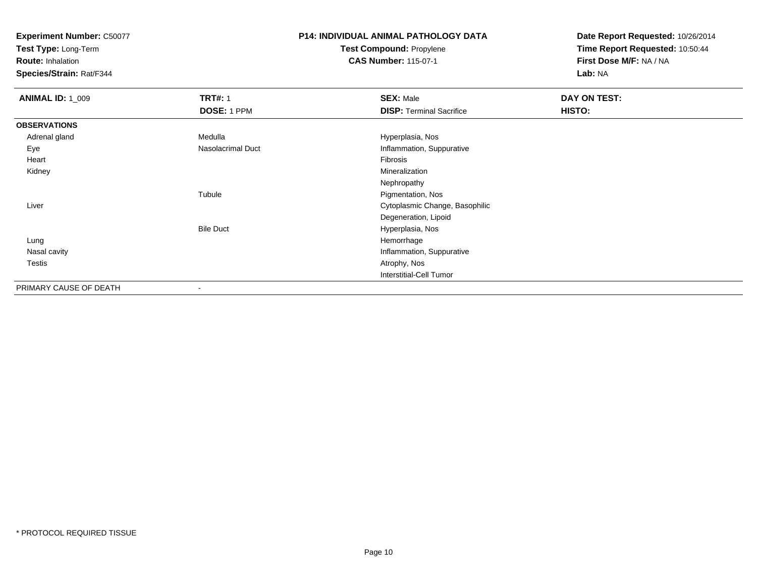**Test Type:** Long-Term

**Route:** Inhalation

**Species/Strain:** Rat/F344

# **P14: INDIVIDUAL ANIMAL PATHOLOGY DATATest Compound:** Propylene

**CAS Number:** 115-07-1

| <b>ANIMAL ID: 1_009</b> | <b>TRT#: 1</b><br>DOSE: 1 PPM | <b>SEX: Male</b><br><b>DISP: Terminal Sacrifice</b> | DAY ON TEST:<br>HISTO: |
|-------------------------|-------------------------------|-----------------------------------------------------|------------------------|
| <b>OBSERVATIONS</b>     |                               |                                                     |                        |
| Adrenal gland           | Medulla                       | Hyperplasia, Nos                                    |                        |
| Eye                     | Nasolacrimal Duct             | Inflammation, Suppurative                           |                        |
| Heart                   |                               | Fibrosis                                            |                        |
| Kidney                  |                               | Mineralization                                      |                        |
|                         |                               | Nephropathy                                         |                        |
|                         | Tubule                        | Pigmentation, Nos                                   |                        |
| Liver                   |                               | Cytoplasmic Change, Basophilic                      |                        |
|                         |                               | Degeneration, Lipoid                                |                        |
|                         | <b>Bile Duct</b>              | Hyperplasia, Nos                                    |                        |
| Lung                    |                               | Hemorrhage                                          |                        |
| Nasal cavity            |                               | Inflammation, Suppurative                           |                        |
| Testis                  |                               | Atrophy, Nos                                        |                        |
|                         |                               | Interstitial-Cell Tumor                             |                        |
| PRIMARY CAUSE OF DEATH  | $\overline{\phantom{a}}$      |                                                     |                        |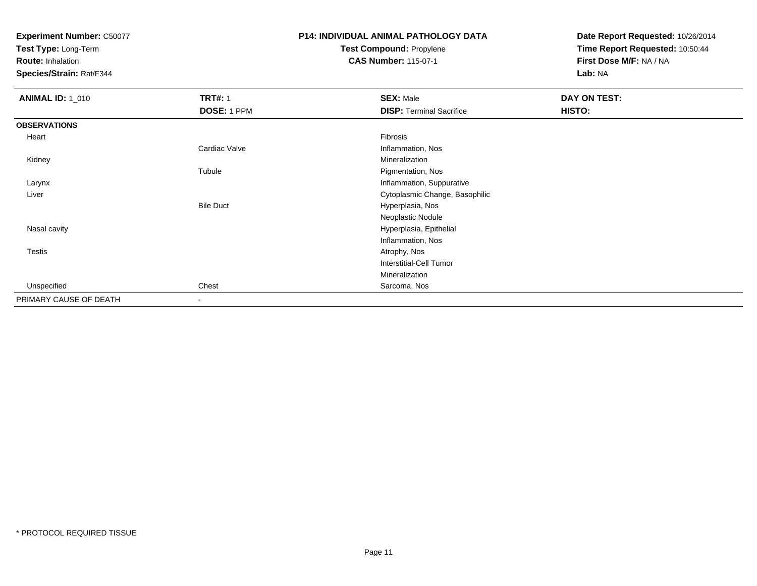**Test Type:** Long-Term

**Route:** Inhalation

**Species/Strain:** Rat/F344

## **P14: INDIVIDUAL ANIMAL PATHOLOGY DATATest Compound:** Propylene

**CAS Number:** 115-07-1

| <b>ANIMAL ID: 1_010</b> | <b>TRT#: 1</b>   | <b>SEX: Male</b>                | DAY ON TEST: |
|-------------------------|------------------|---------------------------------|--------------|
|                         | DOSE: 1 PPM      | <b>DISP: Terminal Sacrifice</b> | HISTO:       |
| <b>OBSERVATIONS</b>     |                  |                                 |              |
| Heart                   |                  | Fibrosis                        |              |
|                         | Cardiac Valve    | Inflammation, Nos               |              |
| Kidney                  |                  | Mineralization                  |              |
|                         | Tubule           | Pigmentation, Nos               |              |
| Larynx                  |                  | Inflammation, Suppurative       |              |
| Liver                   |                  | Cytoplasmic Change, Basophilic  |              |
|                         | <b>Bile Duct</b> | Hyperplasia, Nos                |              |
|                         |                  | Neoplastic Nodule               |              |
| Nasal cavity            |                  | Hyperplasia, Epithelial         |              |
|                         |                  | Inflammation, Nos               |              |
| Testis                  |                  | Atrophy, Nos                    |              |
|                         |                  | <b>Interstitial-Cell Tumor</b>  |              |
|                         |                  | Mineralization                  |              |
| Unspecified             | Chest            | Sarcoma, Nos                    |              |
| PRIMARY CAUSE OF DEATH  | $\sim$           |                                 |              |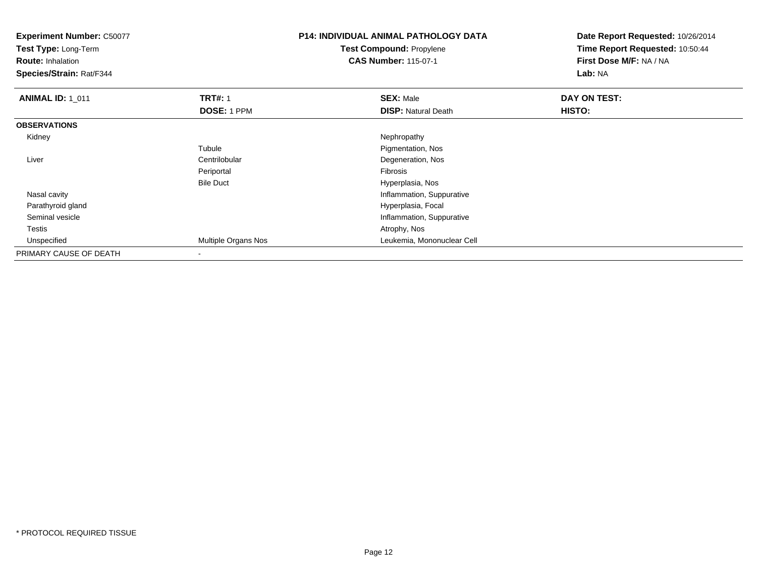**Test Type:** Long-Term

**Route:** Inhalation

**Species/Strain:** Rat/F344

### **P14: INDIVIDUAL ANIMAL PATHOLOGY DATATest Compound:** Propylene**CAS Number:** 115-07-1

| <b>ANIMAL ID: 1_011</b> | <b>TRT#: 1</b>             | <b>SEX: Male</b>           | DAY ON TEST: |  |
|-------------------------|----------------------------|----------------------------|--------------|--|
|                         | DOSE: 1 PPM                | <b>DISP: Natural Death</b> | HISTO:       |  |
| <b>OBSERVATIONS</b>     |                            |                            |              |  |
| Kidney                  |                            | Nephropathy                |              |  |
|                         | Tubule                     | Pigmentation, Nos          |              |  |
| Liver                   | Centrilobular              | Degeneration, Nos          |              |  |
|                         | Periportal                 | Fibrosis                   |              |  |
|                         | <b>Bile Duct</b>           | Hyperplasia, Nos           |              |  |
| Nasal cavity            |                            | Inflammation, Suppurative  |              |  |
| Parathyroid gland       |                            | Hyperplasia, Focal         |              |  |
| Seminal vesicle         |                            | Inflammation, Suppurative  |              |  |
| Testis                  |                            | Atrophy, Nos               |              |  |
| Unspecified             | <b>Multiple Organs Nos</b> | Leukemia, Mononuclear Cell |              |  |
| PRIMARY CAUSE OF DEATH  |                            |                            |              |  |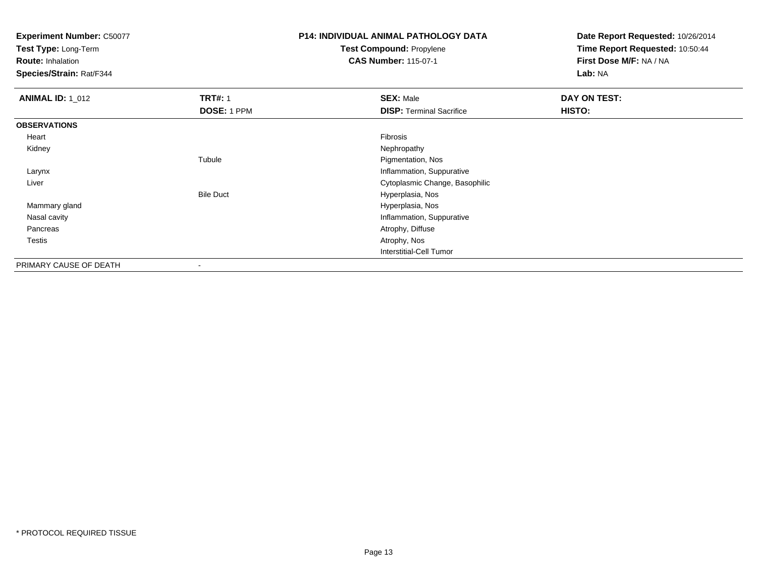**Test Type:** Long-Term

**Route:** Inhalation

**Species/Strain:** Rat/F344

## **P14: INDIVIDUAL ANIMAL PATHOLOGY DATATest Compound:** Propylene

**CAS Number:** 115-07-1

| <b>ANIMAL ID: 1_012</b> | <b>TRT#: 1</b>   | <b>SEX: Male</b>                | DAY ON TEST: |  |
|-------------------------|------------------|---------------------------------|--------------|--|
|                         | DOSE: 1 PPM      | <b>DISP: Terminal Sacrifice</b> | HISTO:       |  |
| <b>OBSERVATIONS</b>     |                  |                                 |              |  |
| Heart                   |                  | Fibrosis                        |              |  |
| Kidney                  |                  | Nephropathy                     |              |  |
|                         | Tubule           | Pigmentation, Nos               |              |  |
| Larynx                  |                  | Inflammation, Suppurative       |              |  |
| Liver                   |                  | Cytoplasmic Change, Basophilic  |              |  |
|                         | <b>Bile Duct</b> | Hyperplasia, Nos                |              |  |
| Mammary gland           |                  | Hyperplasia, Nos                |              |  |
| Nasal cavity            |                  | Inflammation, Suppurative       |              |  |
| Pancreas                |                  | Atrophy, Diffuse                |              |  |
| Testis                  |                  | Atrophy, Nos                    |              |  |
|                         |                  | Interstitial-Cell Tumor         |              |  |
| PRIMARY CAUSE OF DEATH  | $\blacksquare$   |                                 |              |  |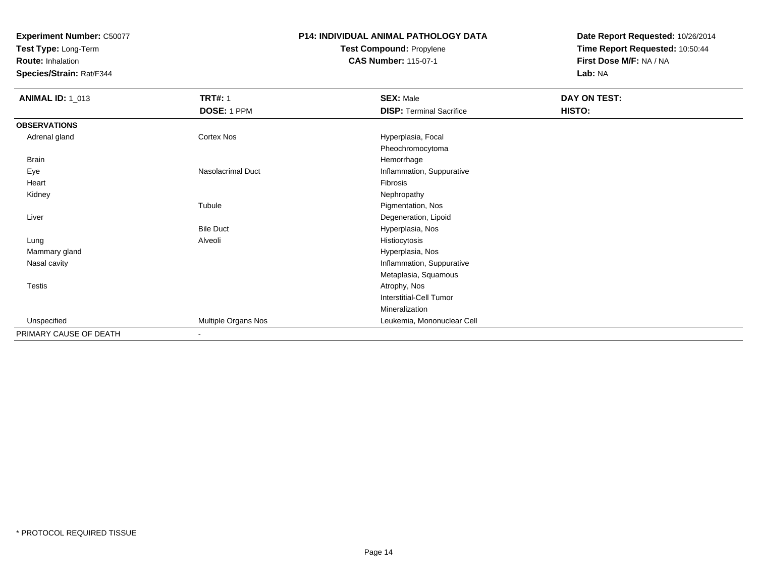**Test Type:** Long-Term

**Route:** Inhalation

**Species/Strain:** Rat/F344

### **P14: INDIVIDUAL ANIMAL PATHOLOGY DATATest Compound:** Propylene**CAS Number:** 115-07-1

| <b>ANIMAL ID: 1_013</b> | <b>TRT#: 1</b>      | <b>SEX: Male</b>                | DAY ON TEST: |  |
|-------------------------|---------------------|---------------------------------|--------------|--|
|                         | DOSE: 1 PPM         | <b>DISP: Terminal Sacrifice</b> | HISTO:       |  |
| <b>OBSERVATIONS</b>     |                     |                                 |              |  |
| Adrenal gland           | Cortex Nos          | Hyperplasia, Focal              |              |  |
|                         |                     | Pheochromocytoma                |              |  |
| Brain                   |                     | Hemorrhage                      |              |  |
| Eye                     | Nasolacrimal Duct   | Inflammation, Suppurative       |              |  |
| Heart                   |                     | Fibrosis                        |              |  |
| Kidney                  |                     | Nephropathy                     |              |  |
|                         | Tubule              | Pigmentation, Nos               |              |  |
| Liver                   |                     | Degeneration, Lipoid            |              |  |
|                         | <b>Bile Duct</b>    | Hyperplasia, Nos                |              |  |
| Lung                    | Alveoli             | Histiocytosis                   |              |  |
| Mammary gland           |                     | Hyperplasia, Nos                |              |  |
| Nasal cavity            |                     | Inflammation, Suppurative       |              |  |
|                         |                     | Metaplasia, Squamous            |              |  |
| Testis                  |                     | Atrophy, Nos                    |              |  |
|                         |                     | Interstitial-Cell Tumor         |              |  |
|                         |                     | Mineralization                  |              |  |
| Unspecified             | Multiple Organs Nos | Leukemia, Mononuclear Cell      |              |  |
| PRIMARY CAUSE OF DEATH  | $\sim$              |                                 |              |  |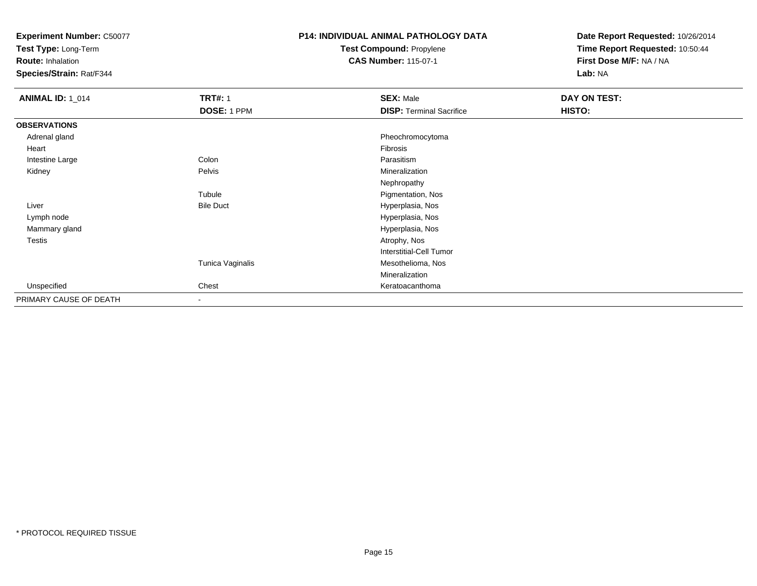**Test Type:** Long-Term

**Route:** Inhalation

**Species/Strain:** Rat/F344

### **P14: INDIVIDUAL ANIMAL PATHOLOGY DATATest Compound:** Propylene**CAS Number:** 115-07-1

| <b>ANIMAL ID: 1_014</b> | <b>TRT#: 1</b>   | <b>SEX: Male</b>                | DAY ON TEST: |  |
|-------------------------|------------------|---------------------------------|--------------|--|
|                         | DOSE: 1 PPM      | <b>DISP: Terminal Sacrifice</b> | HISTO:       |  |
| <b>OBSERVATIONS</b>     |                  |                                 |              |  |
| Adrenal gland           |                  | Pheochromocytoma                |              |  |
| Heart                   |                  | Fibrosis                        |              |  |
| Intestine Large         | Colon            | Parasitism                      |              |  |
| Kidney                  | Pelvis           | Mineralization                  |              |  |
|                         |                  | Nephropathy                     |              |  |
|                         | Tubule           | Pigmentation, Nos               |              |  |
| Liver                   | <b>Bile Duct</b> | Hyperplasia, Nos                |              |  |
| Lymph node              |                  | Hyperplasia, Nos                |              |  |
| Mammary gland           |                  | Hyperplasia, Nos                |              |  |
| Testis                  |                  | Atrophy, Nos                    |              |  |
|                         |                  | <b>Interstitial-Cell Tumor</b>  |              |  |
|                         | Tunica Vaginalis | Mesothelioma, Nos               |              |  |
|                         |                  | Mineralization                  |              |  |
| Unspecified             | Chest            | Keratoacanthoma                 |              |  |
| PRIMARY CAUSE OF DEATH  | $\,$ $\,$        |                                 |              |  |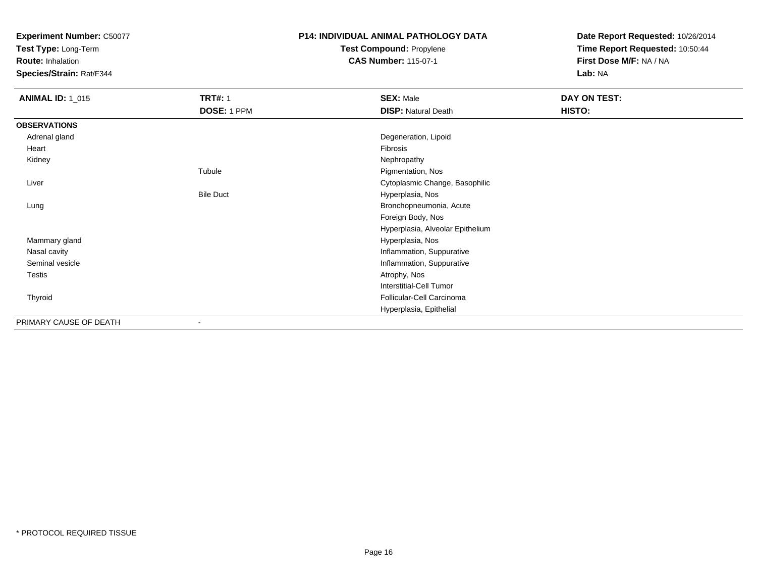**Test Type:** Long-Term

**Route:** Inhalation

**Species/Strain:** Rat/F344

# **P14: INDIVIDUAL ANIMAL PATHOLOGY DATATest Compound:** Propylene

**CAS Number:** 115-07-1

| <b>ANIMAL ID: 1_015</b> | <b>TRT#: 1</b><br>DOSE: 1 PPM | <b>SEX: Male</b><br><b>DISP: Natural Death</b> | DAY ON TEST:<br>HISTO: |  |
|-------------------------|-------------------------------|------------------------------------------------|------------------------|--|
| <b>OBSERVATIONS</b>     |                               |                                                |                        |  |
| Adrenal gland           |                               | Degeneration, Lipoid                           |                        |  |
| Heart                   |                               | Fibrosis                                       |                        |  |
| Kidney                  |                               | Nephropathy                                    |                        |  |
|                         | Tubule                        | Pigmentation, Nos                              |                        |  |
| Liver                   |                               | Cytoplasmic Change, Basophilic                 |                        |  |
|                         | <b>Bile Duct</b>              | Hyperplasia, Nos                               |                        |  |
| Lung                    |                               | Bronchopneumonia, Acute                        |                        |  |
|                         |                               | Foreign Body, Nos                              |                        |  |
|                         |                               | Hyperplasia, Alveolar Epithelium               |                        |  |
| Mammary gland           |                               | Hyperplasia, Nos                               |                        |  |
| Nasal cavity            |                               | Inflammation, Suppurative                      |                        |  |
| Seminal vesicle         |                               | Inflammation, Suppurative                      |                        |  |
| Testis                  |                               | Atrophy, Nos                                   |                        |  |
|                         |                               | Interstitial-Cell Tumor                        |                        |  |
| Thyroid                 |                               | Follicular-Cell Carcinoma                      |                        |  |
|                         |                               | Hyperplasia, Epithelial                        |                        |  |
| PRIMARY CAUSE OF DEATH  | ۰                             |                                                |                        |  |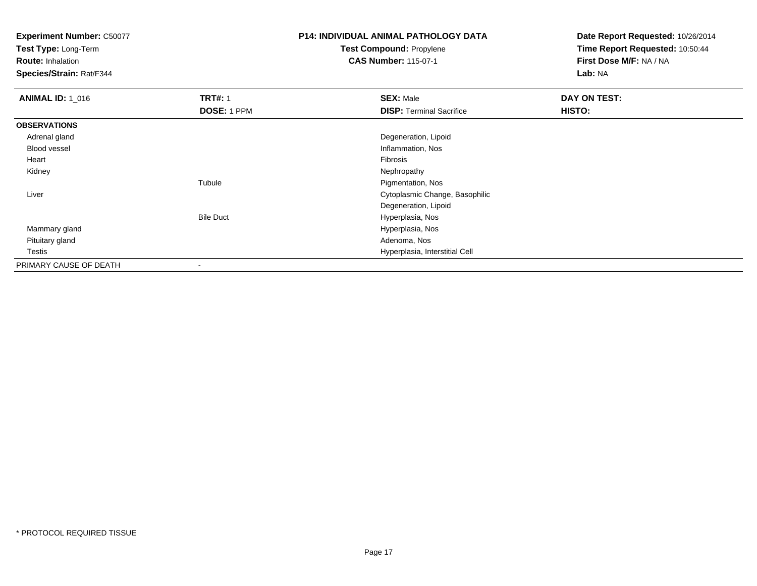**Test Type:** Long-Term

**Route:** Inhalation

**Species/Strain:** Rat/F344

# **P14: INDIVIDUAL ANIMAL PATHOLOGY DATATest Compound:** Propylene

**CAS Number:** 115-07-1

| <b>ANIMAL ID: 1_016</b> | <b>TRT#: 1</b>   | <b>SEX: Male</b>                | DAY ON TEST: |  |
|-------------------------|------------------|---------------------------------|--------------|--|
|                         | DOSE: 1 PPM      | <b>DISP: Terminal Sacrifice</b> | HISTO:       |  |
| <b>OBSERVATIONS</b>     |                  |                                 |              |  |
| Adrenal gland           |                  | Degeneration, Lipoid            |              |  |
| Blood vessel            |                  | Inflammation, Nos               |              |  |
| Heart                   |                  | Fibrosis                        |              |  |
| Kidney                  |                  | Nephropathy                     |              |  |
|                         | Tubule           | Pigmentation, Nos               |              |  |
| Liver                   |                  | Cytoplasmic Change, Basophilic  |              |  |
|                         |                  | Degeneration, Lipoid            |              |  |
|                         | <b>Bile Duct</b> | Hyperplasia, Nos                |              |  |
| Mammary gland           |                  | Hyperplasia, Nos                |              |  |
| Pituitary gland         |                  | Adenoma, Nos                    |              |  |
| Testis                  |                  | Hyperplasia, Interstitial Cell  |              |  |
| PRIMARY CAUSE OF DEATH  | $\,$             |                                 |              |  |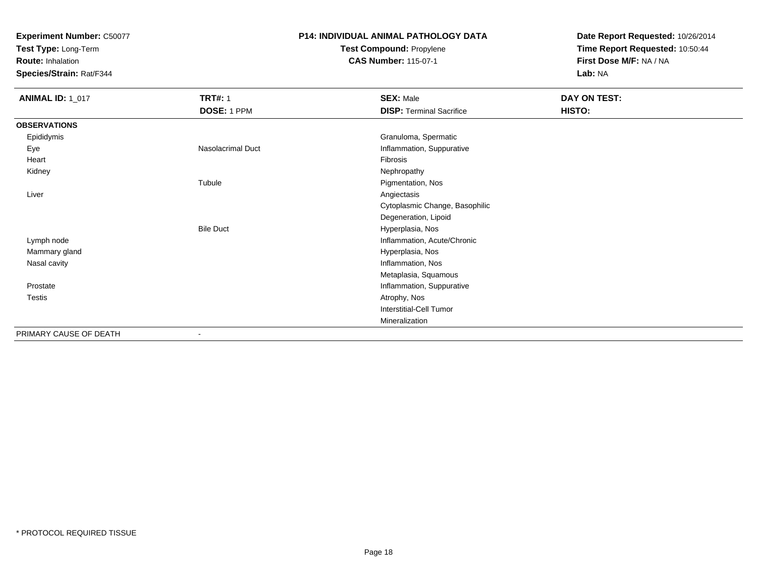**Test Type:** Long-Term

**Route:** Inhalation

**Species/Strain:** Rat/F344

## **P14: INDIVIDUAL ANIMAL PATHOLOGY DATATest Compound:** Propylene

**CAS Number:** 115-07-1

| <b>ANIMAL ID: 1_017</b> | <b>TRT#: 1</b>           | <b>SEX: Male</b>                | DAY ON TEST: |
|-------------------------|--------------------------|---------------------------------|--------------|
|                         | DOSE: 1 PPM              | <b>DISP: Terminal Sacrifice</b> | HISTO:       |
| <b>OBSERVATIONS</b>     |                          |                                 |              |
| Epididymis              |                          | Granuloma, Spermatic            |              |
| Eye                     | <b>Nasolacrimal Duct</b> | Inflammation, Suppurative       |              |
| Heart                   |                          | Fibrosis                        |              |
| Kidney                  |                          | Nephropathy                     |              |
|                         | Tubule                   | Pigmentation, Nos               |              |
| Liver                   |                          | Angiectasis                     |              |
|                         |                          | Cytoplasmic Change, Basophilic  |              |
|                         |                          | Degeneration, Lipoid            |              |
|                         | <b>Bile Duct</b>         | Hyperplasia, Nos                |              |
| Lymph node              |                          | Inflammation, Acute/Chronic     |              |
| Mammary gland           |                          | Hyperplasia, Nos                |              |
| Nasal cavity            |                          | Inflammation, Nos               |              |
|                         |                          | Metaplasia, Squamous            |              |
| Prostate                |                          | Inflammation, Suppurative       |              |
| Testis                  |                          | Atrophy, Nos                    |              |
|                         |                          | Interstitial-Cell Tumor         |              |
|                         |                          | Mineralization                  |              |
| PRIMARY CAUSE OF DEATH  |                          |                                 |              |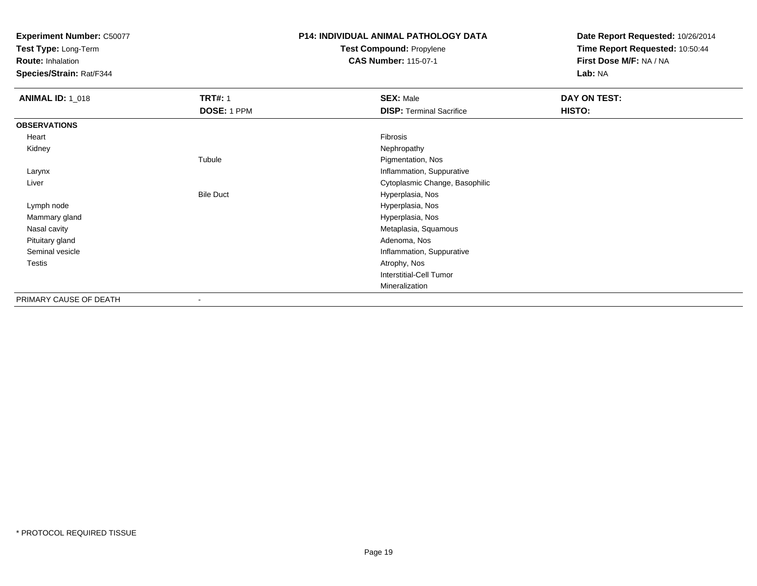**Test Type:** Long-Term

**Route:** Inhalation

**Species/Strain:** Rat/F344

## **P14: INDIVIDUAL ANIMAL PATHOLOGY DATATest Compound:** Propylene

**CAS Number:** 115-07-1

| <b>ANIMAL ID: 1_018</b> | <b>TRT#: 1</b>   | <b>SEX: Male</b>                | DAY ON TEST: |  |
|-------------------------|------------------|---------------------------------|--------------|--|
|                         | DOSE: 1 PPM      | <b>DISP: Terminal Sacrifice</b> | HISTO:       |  |
| <b>OBSERVATIONS</b>     |                  |                                 |              |  |
| Heart                   |                  | Fibrosis                        |              |  |
| Kidney                  |                  | Nephropathy                     |              |  |
|                         | Tubule           | Pigmentation, Nos               |              |  |
| Larynx                  |                  | Inflammation, Suppurative       |              |  |
| Liver                   |                  | Cytoplasmic Change, Basophilic  |              |  |
|                         | <b>Bile Duct</b> | Hyperplasia, Nos                |              |  |
| Lymph node              |                  | Hyperplasia, Nos                |              |  |
| Mammary gland           |                  | Hyperplasia, Nos                |              |  |
| Nasal cavity            |                  | Metaplasia, Squamous            |              |  |
| Pituitary gland         |                  | Adenoma, Nos                    |              |  |
| Seminal vesicle         |                  | Inflammation, Suppurative       |              |  |
| Testis                  |                  | Atrophy, Nos                    |              |  |
|                         |                  | <b>Interstitial-Cell Tumor</b>  |              |  |
|                         |                  | Mineralization                  |              |  |
| PRIMARY CAUSE OF DEATH  | ٠                |                                 |              |  |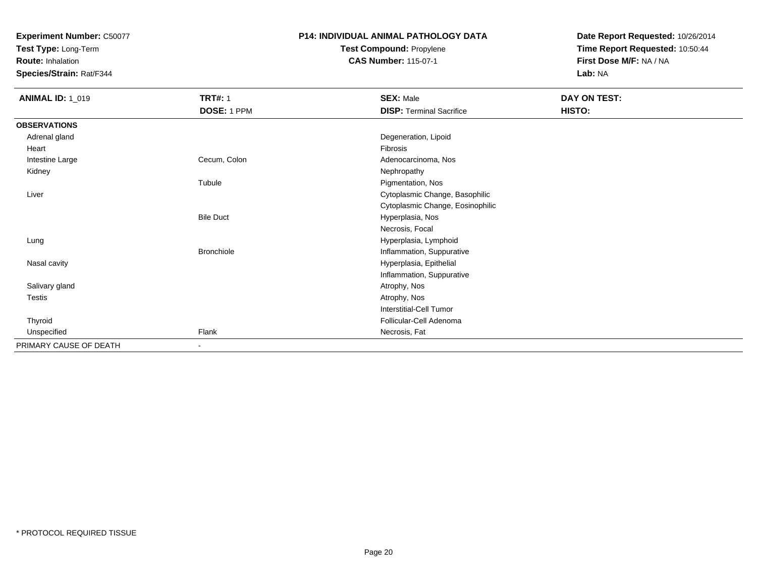**Test Type:** Long-Term

**Route:** Inhalation

**Species/Strain:** Rat/F344

## **P14: INDIVIDUAL ANIMAL PATHOLOGY DATATest Compound:** Propylene

**CAS Number:** 115-07-1

| <b>ANIMAL ID: 1_019</b> | <b>TRT#: 1</b>    | <b>SEX: Male</b>                 | DAY ON TEST: |  |
|-------------------------|-------------------|----------------------------------|--------------|--|
|                         | DOSE: 1 PPM       | <b>DISP: Terminal Sacrifice</b>  | HISTO:       |  |
| <b>OBSERVATIONS</b>     |                   |                                  |              |  |
| Adrenal gland           |                   | Degeneration, Lipoid             |              |  |
| Heart                   |                   | Fibrosis                         |              |  |
| Intestine Large         | Cecum, Colon      | Adenocarcinoma, Nos              |              |  |
| Kidney                  |                   | Nephropathy                      |              |  |
|                         | Tubule            | Pigmentation, Nos                |              |  |
| Liver                   |                   | Cytoplasmic Change, Basophilic   |              |  |
|                         |                   | Cytoplasmic Change, Eosinophilic |              |  |
|                         | <b>Bile Duct</b>  | Hyperplasia, Nos                 |              |  |
|                         |                   | Necrosis, Focal                  |              |  |
| Lung                    |                   | Hyperplasia, Lymphoid            |              |  |
|                         | <b>Bronchiole</b> | Inflammation, Suppurative        |              |  |
| Nasal cavity            |                   | Hyperplasia, Epithelial          |              |  |
|                         |                   | Inflammation, Suppurative        |              |  |
| Salivary gland          |                   | Atrophy, Nos                     |              |  |
| Testis                  |                   | Atrophy, Nos                     |              |  |
|                         |                   | <b>Interstitial-Cell Tumor</b>   |              |  |
| Thyroid                 |                   | Follicular-Cell Adenoma          |              |  |
| Unspecified             | Flank             | Necrosis, Fat                    |              |  |
| PRIMARY CAUSE OF DEATH  | $\sim$            |                                  |              |  |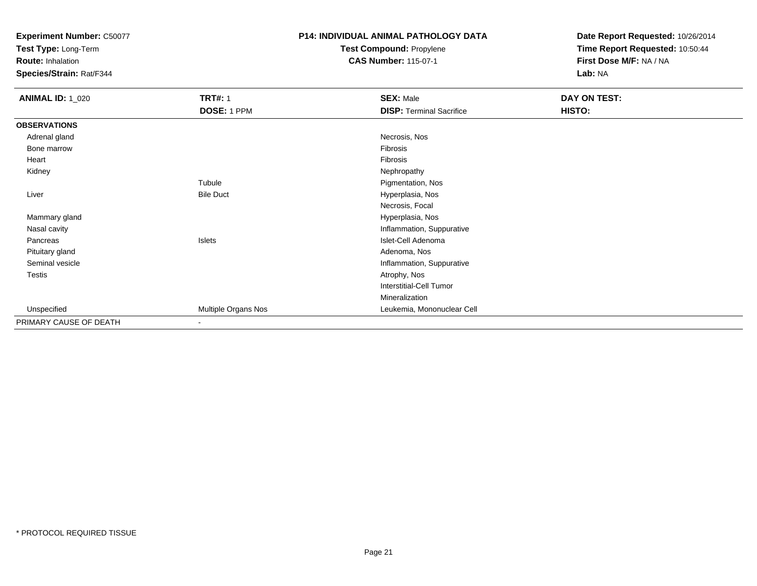**Test Type:** Long-Term

**Route:** Inhalation

**Species/Strain:** Rat/F344

# **P14: INDIVIDUAL ANIMAL PATHOLOGY DATATest Compound:** Propylene

**CAS Number:** 115-07-1

| <b>ANIMAL ID: 1_020</b> | <b>TRT#: 1</b>           | <b>SEX: Male</b>                | DAY ON TEST: |  |
|-------------------------|--------------------------|---------------------------------|--------------|--|
|                         | DOSE: 1 PPM              | <b>DISP: Terminal Sacrifice</b> | HISTO:       |  |
| <b>OBSERVATIONS</b>     |                          |                                 |              |  |
| Adrenal gland           |                          | Necrosis, Nos                   |              |  |
| Bone marrow             |                          | Fibrosis                        |              |  |
| Heart                   |                          | Fibrosis                        |              |  |
| Kidney                  |                          | Nephropathy                     |              |  |
|                         | Tubule                   | Pigmentation, Nos               |              |  |
| Liver                   | <b>Bile Duct</b>         | Hyperplasia, Nos                |              |  |
|                         |                          | Necrosis, Focal                 |              |  |
| Mammary gland           |                          | Hyperplasia, Nos                |              |  |
| Nasal cavity            |                          | Inflammation, Suppurative       |              |  |
| Pancreas                | Islets                   | Islet-Cell Adenoma              |              |  |
| Pituitary gland         |                          | Adenoma, Nos                    |              |  |
| Seminal vesicle         |                          | Inflammation, Suppurative       |              |  |
| Testis                  |                          | Atrophy, Nos                    |              |  |
|                         |                          | <b>Interstitial-Cell Tumor</b>  |              |  |
|                         |                          | Mineralization                  |              |  |
| Unspecified             | Multiple Organs Nos      | Leukemia, Mononuclear Cell      |              |  |
| PRIMARY CAUSE OF DEATH  | $\overline{\phantom{a}}$ |                                 |              |  |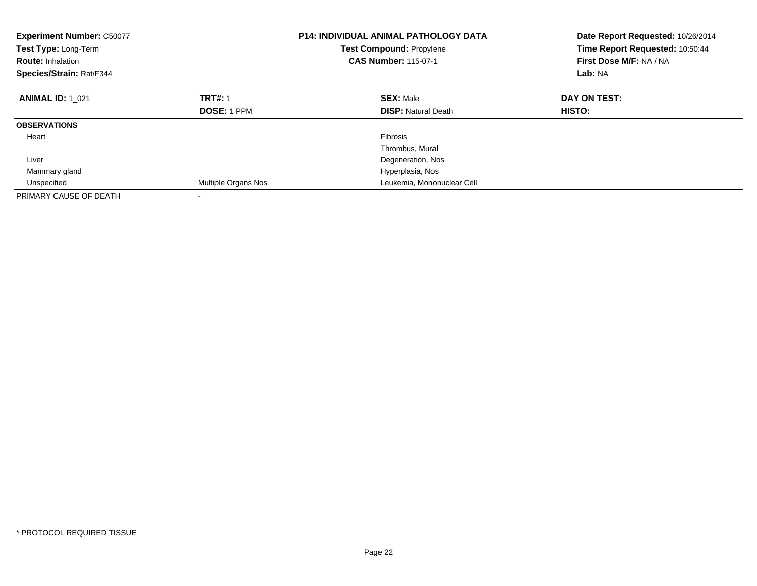| <b>Experiment Number: C50077</b><br>Test Type: Long-Term<br><b>Route: Inhalation</b><br>Species/Strain: Rat/F344 |                     | <b>P14: INDIVIDUAL ANIMAL PATHOLOGY DATA</b><br><b>Test Compound: Propylene</b><br><b>CAS Number: 115-07-1</b> | Date Report Requested: 10/26/2014<br>Time Report Requested: 10:50:44<br>First Dose M/F: NA / NA<br>Lab: NA |
|------------------------------------------------------------------------------------------------------------------|---------------------|----------------------------------------------------------------------------------------------------------------|------------------------------------------------------------------------------------------------------------|
| <b>ANIMAL ID: 1 021</b>                                                                                          | <b>TRT#: 1</b>      | <b>SEX: Male</b>                                                                                               | DAY ON TEST:                                                                                               |
|                                                                                                                  | <b>DOSE: 1 PPM</b>  | <b>DISP:</b> Natural Death                                                                                     | HISTO:                                                                                                     |
| <b>OBSERVATIONS</b>                                                                                              |                     |                                                                                                                |                                                                                                            |
| Heart                                                                                                            |                     | <b>Fibrosis</b>                                                                                                |                                                                                                            |
|                                                                                                                  |                     | Thrombus, Mural                                                                                                |                                                                                                            |
| Liver                                                                                                            |                     | Degeneration, Nos                                                                                              |                                                                                                            |
| Mammary gland                                                                                                    |                     | Hyperplasia, Nos                                                                                               |                                                                                                            |
| Unspecified                                                                                                      | Multiple Organs Nos | Leukemia, Mononuclear Cell                                                                                     |                                                                                                            |
| PRIMARY CAUSE OF DEATH                                                                                           |                     |                                                                                                                |                                                                                                            |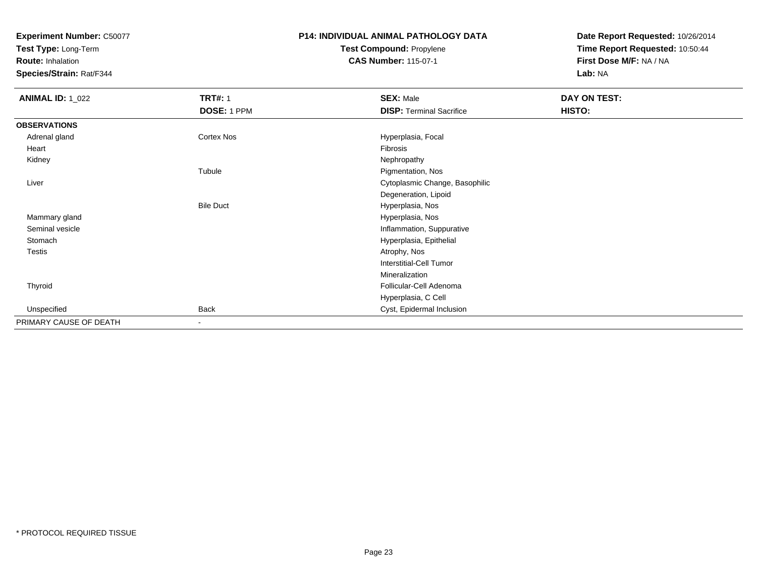**Test Type:** Long-Term

**Route:** Inhalation

**Species/Strain:** Rat/F344

### **P14: INDIVIDUAL ANIMAL PATHOLOGY DATATest Compound:** Propylene**CAS Number:** 115-07-1

| <b>ANIMAL ID: 1_022</b> | <b>TRT#: 1</b>    | <b>SEX: Male</b>                | <b>DAY ON TEST:</b> |  |
|-------------------------|-------------------|---------------------------------|---------------------|--|
|                         | DOSE: 1 PPM       | <b>DISP: Terminal Sacrifice</b> | HISTO:              |  |
| <b>OBSERVATIONS</b>     |                   |                                 |                     |  |
| Adrenal gland           | <b>Cortex Nos</b> | Hyperplasia, Focal              |                     |  |
| Heart                   |                   | Fibrosis                        |                     |  |
| Kidney                  |                   | Nephropathy                     |                     |  |
|                         | Tubule            | Pigmentation, Nos               |                     |  |
| Liver                   |                   | Cytoplasmic Change, Basophilic  |                     |  |
|                         |                   | Degeneration, Lipoid            |                     |  |
|                         | <b>Bile Duct</b>  | Hyperplasia, Nos                |                     |  |
| Mammary gland           |                   | Hyperplasia, Nos                |                     |  |
| Seminal vesicle         |                   | Inflammation, Suppurative       |                     |  |
| Stomach                 |                   | Hyperplasia, Epithelial         |                     |  |
| <b>Testis</b>           |                   | Atrophy, Nos                    |                     |  |
|                         |                   | Interstitial-Cell Tumor         |                     |  |
|                         |                   | Mineralization                  |                     |  |
| Thyroid                 |                   | Follicular-Cell Adenoma         |                     |  |
|                         |                   | Hyperplasia, C Cell             |                     |  |
| Unspecified             | <b>Back</b>       | Cyst, Epidermal Inclusion       |                     |  |
| PRIMARY CAUSE OF DEATH  | $\,$ $\,$         |                                 |                     |  |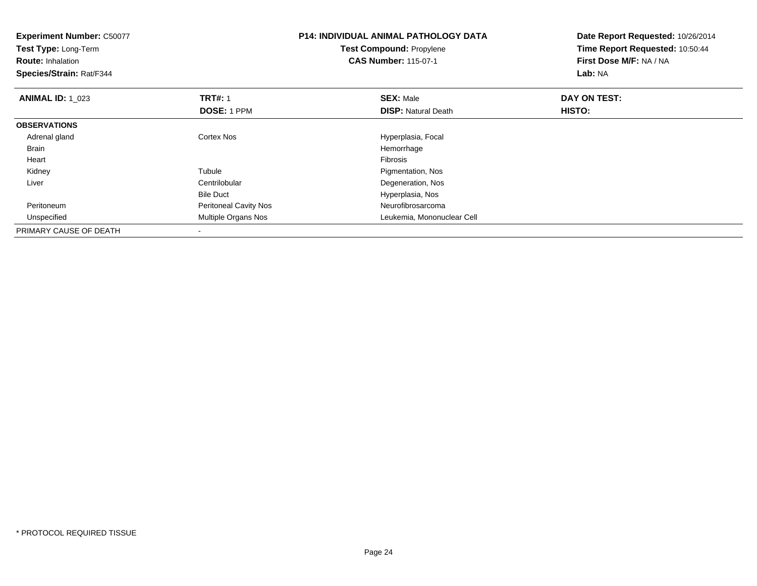| <b>Experiment Number: C50077</b><br>Test Type: Long-Term<br><b>Route: Inhalation</b><br>Species/Strain: Rat/F344 |                              | <b>P14: INDIVIDUAL ANIMAL PATHOLOGY DATA</b><br><b>Test Compound: Propylene</b><br><b>CAS Number: 115-07-1</b> | Date Report Requested: 10/26/2014<br>Time Report Requested: 10:50:44<br>First Dose M/F: NA / NA<br>Lab: NA |
|------------------------------------------------------------------------------------------------------------------|------------------------------|----------------------------------------------------------------------------------------------------------------|------------------------------------------------------------------------------------------------------------|
| <b>ANIMAL ID: 1_023</b>                                                                                          | <b>TRT#: 1</b>               | <b>SEX: Male</b>                                                                                               | DAY ON TEST:                                                                                               |
|                                                                                                                  | <b>DOSE: 1 PPM</b>           | <b>DISP: Natural Death</b>                                                                                     | <b>HISTO:</b>                                                                                              |
| <b>OBSERVATIONS</b>                                                                                              |                              |                                                                                                                |                                                                                                            |
| Adrenal gland                                                                                                    | <b>Cortex Nos</b>            | Hyperplasia, Focal                                                                                             |                                                                                                            |
| <b>Brain</b>                                                                                                     |                              | Hemorrhage                                                                                                     |                                                                                                            |
| Heart                                                                                                            |                              | Fibrosis                                                                                                       |                                                                                                            |
| Kidney                                                                                                           | Tubule                       | Pigmentation, Nos                                                                                              |                                                                                                            |
| Liver                                                                                                            | Centrilobular                | Degeneration, Nos                                                                                              |                                                                                                            |
|                                                                                                                  | <b>Bile Duct</b>             | Hyperplasia, Nos                                                                                               |                                                                                                            |
| Peritoneum                                                                                                       | <b>Peritoneal Cavity Nos</b> | Neurofibrosarcoma                                                                                              |                                                                                                            |
| Unspecified                                                                                                      | Multiple Organs Nos          | Leukemia, Mononuclear Cell                                                                                     |                                                                                                            |
| PRIMARY CAUSE OF DEATH                                                                                           | $\overline{\phantom{a}}$     |                                                                                                                |                                                                                                            |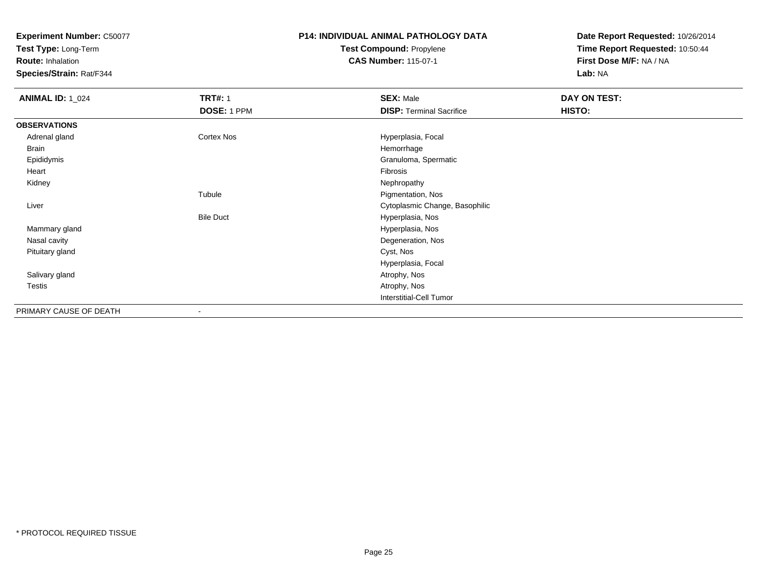**Test Type:** Long-Term

**Route:** Inhalation

**Species/Strain:** Rat/F344

### **P14: INDIVIDUAL ANIMAL PATHOLOGY DATATest Compound:** Propylene**CAS Number:** 115-07-1

| <b>ANIMAL ID: 1_024</b> | <b>TRT#: 1</b>    | <b>SEX: Male</b>                | DAY ON TEST: |  |
|-------------------------|-------------------|---------------------------------|--------------|--|
|                         | DOSE: 1 PPM       | <b>DISP: Terminal Sacrifice</b> | HISTO:       |  |
| <b>OBSERVATIONS</b>     |                   |                                 |              |  |
| Adrenal gland           | <b>Cortex Nos</b> | Hyperplasia, Focal              |              |  |
| <b>Brain</b>            |                   | Hemorrhage                      |              |  |
| Epididymis              |                   | Granuloma, Spermatic            |              |  |
| Heart                   |                   | Fibrosis                        |              |  |
| Kidney                  |                   | Nephropathy                     |              |  |
|                         | Tubule            | Pigmentation, Nos               |              |  |
| Liver                   |                   | Cytoplasmic Change, Basophilic  |              |  |
|                         | <b>Bile Duct</b>  | Hyperplasia, Nos                |              |  |
| Mammary gland           |                   | Hyperplasia, Nos                |              |  |
| Nasal cavity            |                   | Degeneration, Nos               |              |  |
| Pituitary gland         |                   | Cyst, Nos                       |              |  |
|                         |                   | Hyperplasia, Focal              |              |  |
| Salivary gland          |                   | Atrophy, Nos                    |              |  |
| Testis                  |                   | Atrophy, Nos                    |              |  |
|                         |                   | <b>Interstitial-Cell Tumor</b>  |              |  |
| PRIMARY CAUSE OF DEATH  |                   |                                 |              |  |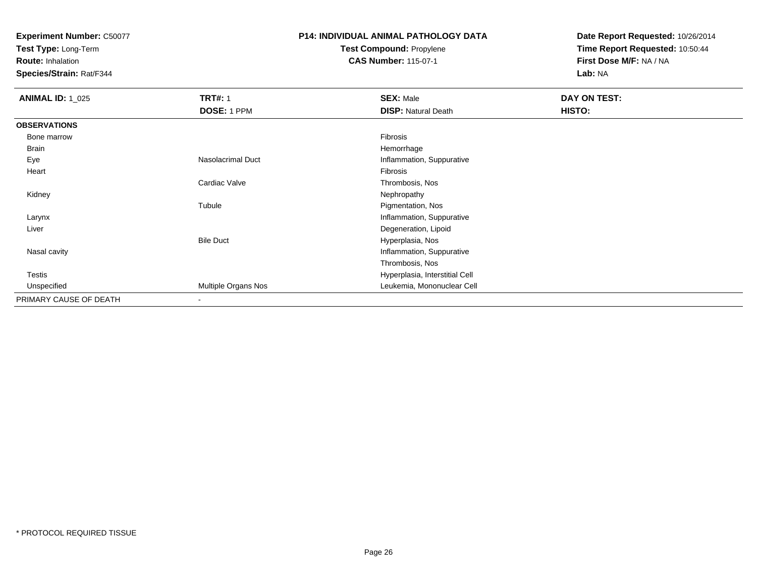**Test Type:** Long-Term

**Route:** Inhalation

**Species/Strain:** Rat/F344

## **P14: INDIVIDUAL ANIMAL PATHOLOGY DATATest Compound:** Propylene

**CAS Number:** 115-07-1

| <b>ANIMAL ID: 1_025</b> | <b>TRT#: 1</b>           | <b>SEX: Male</b>               | DAY ON TEST: |  |
|-------------------------|--------------------------|--------------------------------|--------------|--|
|                         | DOSE: 1 PPM              | <b>DISP: Natural Death</b>     | HISTO:       |  |
| <b>OBSERVATIONS</b>     |                          |                                |              |  |
| Bone marrow             |                          | Fibrosis                       |              |  |
| <b>Brain</b>            |                          | Hemorrhage                     |              |  |
| Eye                     | <b>Nasolacrimal Duct</b> | Inflammation, Suppurative      |              |  |
| Heart                   |                          | Fibrosis                       |              |  |
|                         | Cardiac Valve            | Thrombosis, Nos                |              |  |
| Kidney                  |                          | Nephropathy                    |              |  |
|                         | Tubule                   | Pigmentation, Nos              |              |  |
| Larynx                  |                          | Inflammation, Suppurative      |              |  |
| Liver                   |                          | Degeneration, Lipoid           |              |  |
|                         | <b>Bile Duct</b>         | Hyperplasia, Nos               |              |  |
| Nasal cavity            |                          | Inflammation, Suppurative      |              |  |
|                         |                          | Thrombosis, Nos                |              |  |
| Testis                  |                          | Hyperplasia, Interstitial Cell |              |  |
| Unspecified             | Multiple Organs Nos      | Leukemia, Mononuclear Cell     |              |  |
| PRIMARY CAUSE OF DEATH  | ٠                        |                                |              |  |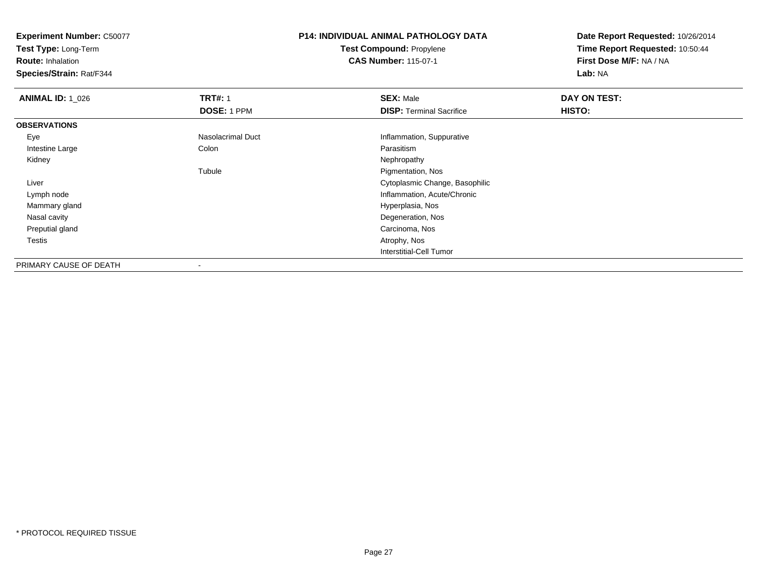**Test Type:** Long-Term

**Route:** Inhalation

**Species/Strain:** Rat/F344

### **P14: INDIVIDUAL ANIMAL PATHOLOGY DATATest Compound:** Propylene**CAS Number:** 115-07-1

| <b>ANIMAL ID: 1 026</b> | <b>TRT#: 1</b>           | <b>SEX: Male</b>                | DAY ON TEST: |  |
|-------------------------|--------------------------|---------------------------------|--------------|--|
|                         | DOSE: 1 PPM              | <b>DISP:</b> Terminal Sacrifice | HISTO:       |  |
| <b>OBSERVATIONS</b>     |                          |                                 |              |  |
| Eye                     | Nasolacrimal Duct        | Inflammation, Suppurative       |              |  |
| Intestine Large         | Colon                    | Parasitism                      |              |  |
| Kidney                  |                          | Nephropathy                     |              |  |
|                         | Tubule                   | Pigmentation, Nos               |              |  |
| Liver                   |                          | Cytoplasmic Change, Basophilic  |              |  |
| Lymph node              |                          | Inflammation, Acute/Chronic     |              |  |
| Mammary gland           |                          | Hyperplasia, Nos                |              |  |
| Nasal cavity            |                          | Degeneration, Nos               |              |  |
| Preputial gland         |                          | Carcinoma, Nos                  |              |  |
| Testis                  |                          | Atrophy, Nos                    |              |  |
|                         |                          | Interstitial-Cell Tumor         |              |  |
| PRIMARY CAUSE OF DEATH  | $\overline{\phantom{a}}$ |                                 |              |  |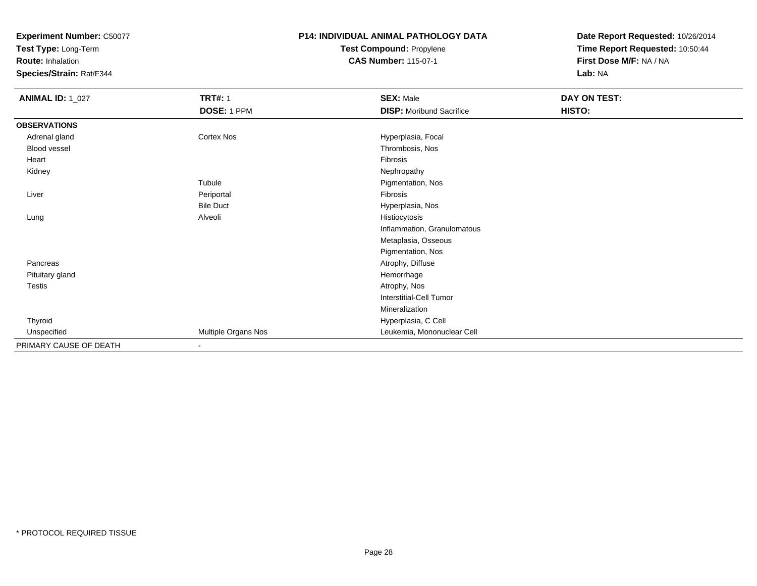**Test Type:** Long-Term

**Route:** Inhalation

**Species/Strain:** Rat/F344

### **P14: INDIVIDUAL ANIMAL PATHOLOGY DATATest Compound:** Propylene**CAS Number:** 115-07-1

| <b>ANIMAL ID: 1_027</b> | <b>TRT#: 1</b>      | <b>SEX: Male</b>                | DAY ON TEST: |  |
|-------------------------|---------------------|---------------------------------|--------------|--|
|                         | DOSE: 1 PPM         | <b>DISP:</b> Moribund Sacrifice | HISTO:       |  |
| <b>OBSERVATIONS</b>     |                     |                                 |              |  |
| Adrenal gland           | <b>Cortex Nos</b>   | Hyperplasia, Focal              |              |  |
| Blood vessel            |                     | Thrombosis, Nos                 |              |  |
| Heart                   |                     | Fibrosis                        |              |  |
| Kidney                  |                     | Nephropathy                     |              |  |
|                         | Tubule              | Pigmentation, Nos               |              |  |
| Liver                   | Periportal          | Fibrosis                        |              |  |
|                         | <b>Bile Duct</b>    | Hyperplasia, Nos                |              |  |
| Lung                    | Alveoli             | Histiocytosis                   |              |  |
|                         |                     | Inflammation, Granulomatous     |              |  |
|                         |                     | Metaplasia, Osseous             |              |  |
|                         |                     | Pigmentation, Nos               |              |  |
| Pancreas                |                     | Atrophy, Diffuse                |              |  |
| Pituitary gland         |                     | Hemorrhage                      |              |  |
| Testis                  |                     | Atrophy, Nos                    |              |  |
|                         |                     | Interstitial-Cell Tumor         |              |  |
|                         |                     | Mineralization                  |              |  |
| Thyroid                 |                     | Hyperplasia, C Cell             |              |  |
| Unspecified             | Multiple Organs Nos | Leukemia, Mononuclear Cell      |              |  |
| PRIMARY CAUSE OF DEATH  | $\sim$              |                                 |              |  |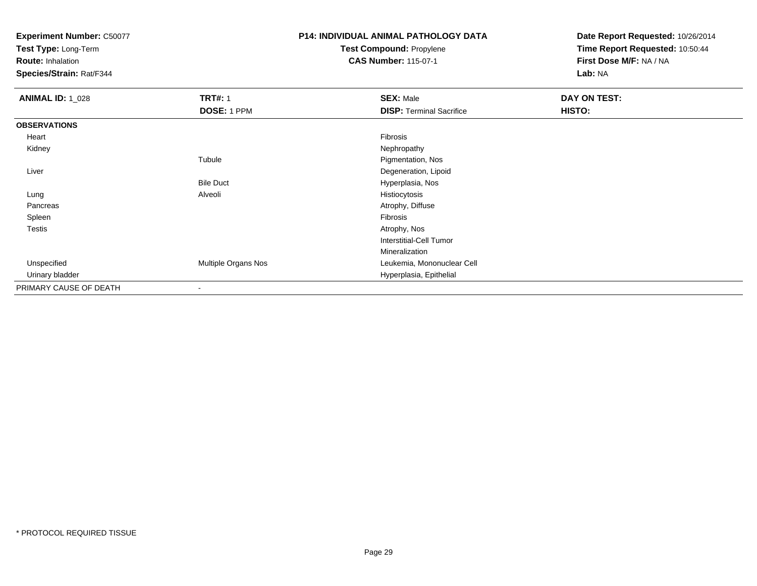**Test Type:** Long-Term

**Route:** Inhalation

**Species/Strain:** Rat/F344

# **P14: INDIVIDUAL ANIMAL PATHOLOGY DATATest Compound:** Propylene

**CAS Number:** 115-07-1

| <b>ANIMAL ID: 1_028</b> | <b>TRT#: 1</b>           | <b>SEX: Male</b>                | DAY ON TEST: |
|-------------------------|--------------------------|---------------------------------|--------------|
|                         | DOSE: 1 PPM              | <b>DISP: Terminal Sacrifice</b> | HISTO:       |
| <b>OBSERVATIONS</b>     |                          |                                 |              |
| Heart                   |                          | Fibrosis                        |              |
| Kidney                  |                          | Nephropathy                     |              |
|                         | Tubule                   | Pigmentation, Nos               |              |
| Liver                   |                          | Degeneration, Lipoid            |              |
|                         | <b>Bile Duct</b>         | Hyperplasia, Nos                |              |
| Lung                    | Alveoli                  | Histiocytosis                   |              |
| Pancreas                |                          | Atrophy, Diffuse                |              |
| Spleen                  |                          | Fibrosis                        |              |
| <b>Testis</b>           |                          | Atrophy, Nos                    |              |
|                         |                          | Interstitial-Cell Tumor         |              |
|                         |                          | Mineralization                  |              |
| Unspecified             | Multiple Organs Nos      | Leukemia, Mononuclear Cell      |              |
| Urinary bladder         |                          | Hyperplasia, Epithelial         |              |
| PRIMARY CAUSE OF DEATH  | $\overline{\phantom{a}}$ |                                 |              |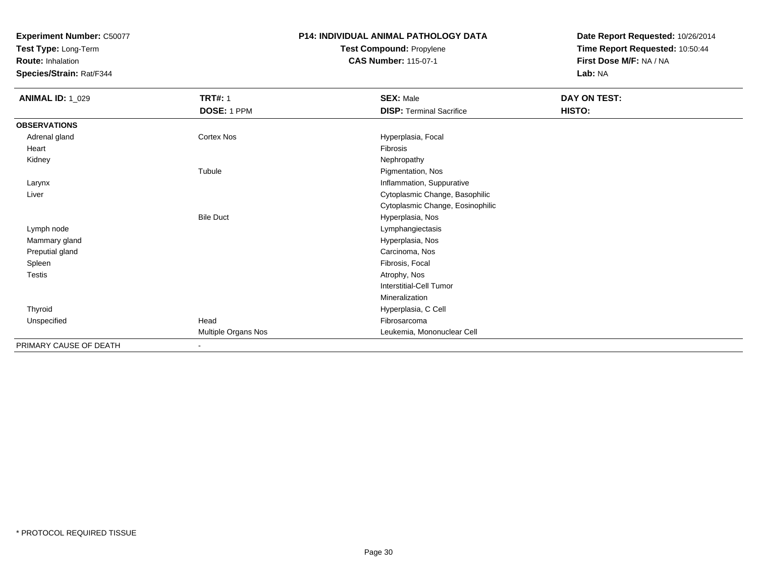**Test Type:** Long-Term

**Route:** Inhalation

**Species/Strain:** Rat/F344

### **P14: INDIVIDUAL ANIMAL PATHOLOGY DATATest Compound:** Propylene**CAS Number:** 115-07-1

| <b>ANIMAL ID: 1_029</b> | <b>TRT#: 1</b>      | <b>SEX: Male</b>                 | DAY ON TEST: |  |
|-------------------------|---------------------|----------------------------------|--------------|--|
|                         | DOSE: 1 PPM         | <b>DISP: Terminal Sacrifice</b>  | HISTO:       |  |
| <b>OBSERVATIONS</b>     |                     |                                  |              |  |
| Adrenal gland           | Cortex Nos          | Hyperplasia, Focal               |              |  |
| Heart                   |                     | <b>Fibrosis</b>                  |              |  |
| Kidney                  |                     | Nephropathy                      |              |  |
|                         | Tubule              | Pigmentation, Nos                |              |  |
| Larynx                  |                     | Inflammation, Suppurative        |              |  |
| Liver                   |                     | Cytoplasmic Change, Basophilic   |              |  |
|                         |                     | Cytoplasmic Change, Eosinophilic |              |  |
|                         | <b>Bile Duct</b>    | Hyperplasia, Nos                 |              |  |
| Lymph node              |                     | Lymphangiectasis                 |              |  |
| Mammary gland           |                     | Hyperplasia, Nos                 |              |  |
| Preputial gland         |                     | Carcinoma, Nos                   |              |  |
| Spleen                  |                     | Fibrosis, Focal                  |              |  |
| <b>Testis</b>           |                     | Atrophy, Nos                     |              |  |
|                         |                     | <b>Interstitial-Cell Tumor</b>   |              |  |
|                         |                     | Mineralization                   |              |  |
| Thyroid                 |                     | Hyperplasia, C Cell              |              |  |
| Unspecified             | Head                | Fibrosarcoma                     |              |  |
|                         | Multiple Organs Nos | Leukemia, Mononuclear Cell       |              |  |
| PRIMARY CAUSE OF DEATH  | $\blacksquare$      |                                  |              |  |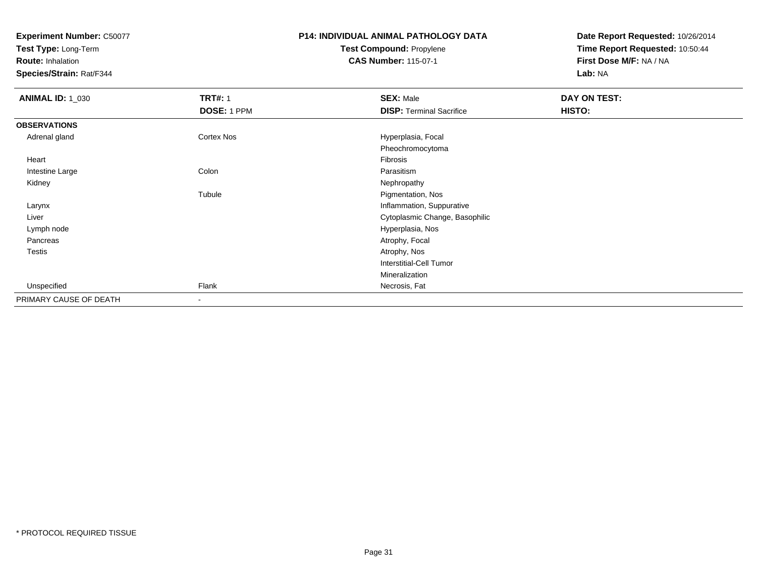**Test Type:** Long-Term

**Route:** Inhalation

**Species/Strain:** Rat/F344

### **P14: INDIVIDUAL ANIMAL PATHOLOGY DATATest Compound:** Propylene**CAS Number:** 115-07-1

| <b>ANIMAL ID: 1_030</b> | <b>TRT#: 1</b>    | <b>SEX: Male</b>                | DAY ON TEST: |  |
|-------------------------|-------------------|---------------------------------|--------------|--|
|                         | DOSE: 1 PPM       | <b>DISP: Terminal Sacrifice</b> | HISTO:       |  |
| <b>OBSERVATIONS</b>     |                   |                                 |              |  |
| Adrenal gland           | <b>Cortex Nos</b> | Hyperplasia, Focal              |              |  |
|                         |                   | Pheochromocytoma                |              |  |
| Heart                   |                   | Fibrosis                        |              |  |
| Intestine Large         | Colon             | Parasitism                      |              |  |
| Kidney                  |                   | Nephropathy                     |              |  |
|                         | Tubule            | Pigmentation, Nos               |              |  |
| Larynx                  |                   | Inflammation, Suppurative       |              |  |
| Liver                   |                   | Cytoplasmic Change, Basophilic  |              |  |
| Lymph node              |                   | Hyperplasia, Nos                |              |  |
| Pancreas                |                   | Atrophy, Focal                  |              |  |
| Testis                  |                   | Atrophy, Nos                    |              |  |
|                         |                   | <b>Interstitial-Cell Tumor</b>  |              |  |
|                         |                   | Mineralization                  |              |  |
| Unspecified             | Flank             | Necrosis, Fat                   |              |  |
| PRIMARY CAUSE OF DEATH  | $\sim$            |                                 |              |  |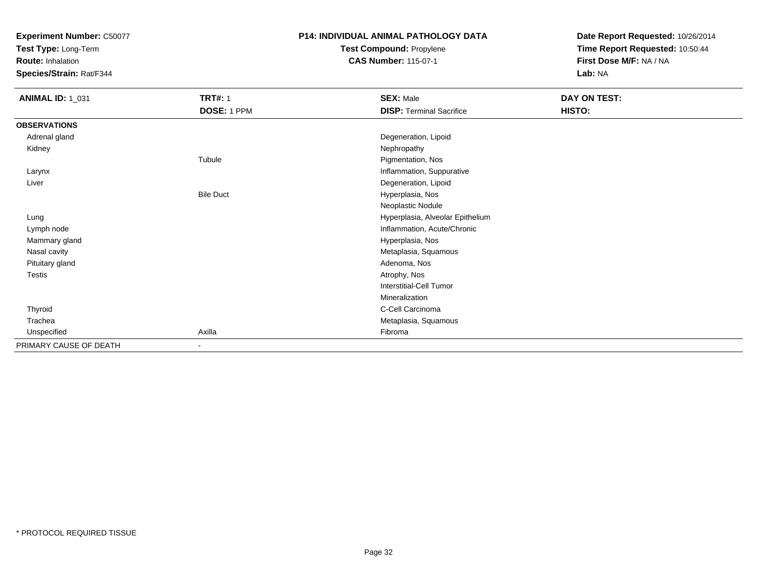**Test Type:** Long-Term

**Route:** Inhalation

**Species/Strain:** Rat/F344

## **P14: INDIVIDUAL ANIMAL PATHOLOGY DATATest Compound:** Propylene

**CAS Number:** 115-07-1

| <b>ANIMAL ID: 1_031</b> | <b>TRT#: 1</b>   | <b>SEX: Male</b>                 | DAY ON TEST: |
|-------------------------|------------------|----------------------------------|--------------|
|                         | DOSE: 1 PPM      | <b>DISP: Terminal Sacrifice</b>  | HISTO:       |
| <b>OBSERVATIONS</b>     |                  |                                  |              |
| Adrenal gland           |                  | Degeneration, Lipoid             |              |
| Kidney                  |                  | Nephropathy                      |              |
|                         | Tubule           | Pigmentation, Nos                |              |
| Larynx                  |                  | Inflammation, Suppurative        |              |
| Liver                   |                  | Degeneration, Lipoid             |              |
|                         | <b>Bile Duct</b> | Hyperplasia, Nos                 |              |
|                         |                  | Neoplastic Nodule                |              |
| Lung                    |                  | Hyperplasia, Alveolar Epithelium |              |
| Lymph node              |                  | Inflammation, Acute/Chronic      |              |
| Mammary gland           |                  | Hyperplasia, Nos                 |              |
| Nasal cavity            |                  | Metaplasia, Squamous             |              |
| Pituitary gland         |                  | Adenoma, Nos                     |              |
| Testis                  |                  | Atrophy, Nos                     |              |
|                         |                  | <b>Interstitial-Cell Tumor</b>   |              |
|                         |                  | Mineralization                   |              |
| Thyroid                 |                  | C-Cell Carcinoma                 |              |
| Trachea                 |                  | Metaplasia, Squamous             |              |
| Unspecified             | Axilla           | Fibroma                          |              |
| PRIMARY CAUSE OF DEATH  | $\sim$           |                                  |              |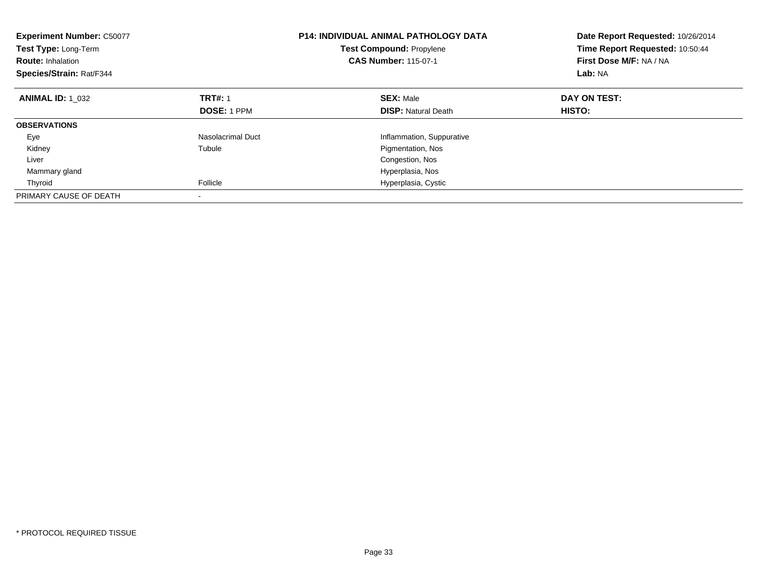| <b>Experiment Number: C50077</b><br>Test Type: Long-Term<br><b>Route: Inhalation</b><br>Species/Strain: Rat/F344 |                    | <b>P14: INDIVIDUAL ANIMAL PATHOLOGY DATA</b><br><b>Test Compound: Propylene</b><br><b>CAS Number: 115-07-1</b> | Date Report Requested: 10/26/2014<br>Time Report Requested: 10:50:44<br>First Dose M/F: NA / NA<br>Lab: NA |
|------------------------------------------------------------------------------------------------------------------|--------------------|----------------------------------------------------------------------------------------------------------------|------------------------------------------------------------------------------------------------------------|
| <b>ANIMAL ID: 1 032</b>                                                                                          | <b>TRT#: 1</b>     | <b>SEX: Male</b>                                                                                               | DAY ON TEST:                                                                                               |
|                                                                                                                  | <b>DOSE: 1 PPM</b> | <b>DISP: Natural Death</b>                                                                                     | HISTO:                                                                                                     |
| <b>OBSERVATIONS</b>                                                                                              |                    |                                                                                                                |                                                                                                            |
| Eye                                                                                                              | Nasolacrimal Duct  | Inflammation, Suppurative                                                                                      |                                                                                                            |
| Kidney                                                                                                           | Tubule             | Pigmentation, Nos                                                                                              |                                                                                                            |
| Liver                                                                                                            |                    | Congestion, Nos                                                                                                |                                                                                                            |
| Mammary gland                                                                                                    |                    | Hyperplasia, Nos                                                                                               |                                                                                                            |
| Thyroid                                                                                                          | Follicle           | Hyperplasia, Cystic                                                                                            |                                                                                                            |
| PRIMARY CAUSE OF DEATH                                                                                           |                    |                                                                                                                |                                                                                                            |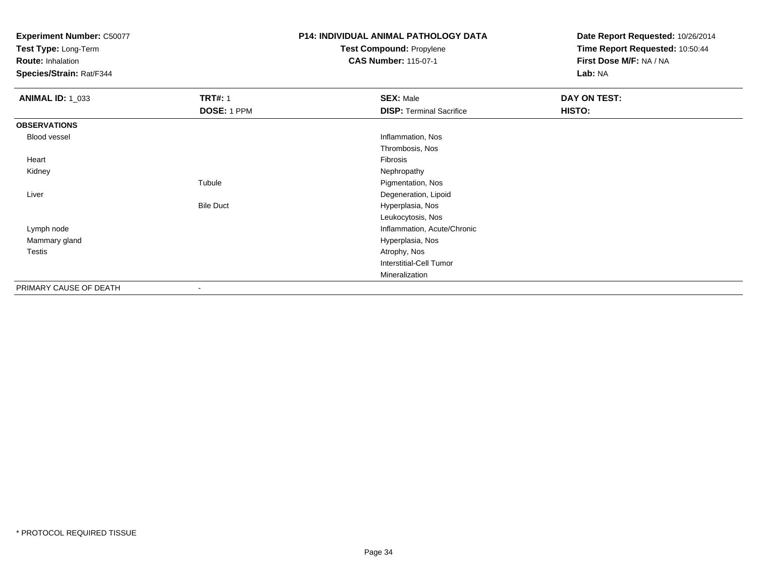**Test Type:** Long-Term

**Route:** Inhalation

**Species/Strain:** Rat/F344

# **P14: INDIVIDUAL ANIMAL PATHOLOGY DATATest Compound:** Propylene

**CAS Number:** 115-07-1

| <b>ANIMAL ID: 1_033</b> | <b>TRT#: 1</b>   | <b>SEX: Male</b>                | DAY ON TEST:  |
|-------------------------|------------------|---------------------------------|---------------|
|                         | DOSE: 1 PPM      | <b>DISP: Terminal Sacrifice</b> | <b>HISTO:</b> |
| <b>OBSERVATIONS</b>     |                  |                                 |               |
| Blood vessel            |                  | Inflammation, Nos               |               |
|                         |                  | Thrombosis, Nos                 |               |
| Heart                   |                  | Fibrosis                        |               |
| Kidney                  |                  | Nephropathy                     |               |
|                         | Tubule           | Pigmentation, Nos               |               |
| Liver                   |                  | Degeneration, Lipoid            |               |
|                         | <b>Bile Duct</b> | Hyperplasia, Nos                |               |
|                         |                  | Leukocytosis, Nos               |               |
| Lymph node              |                  | Inflammation, Acute/Chronic     |               |
| Mammary gland           |                  | Hyperplasia, Nos                |               |
| Testis                  |                  | Atrophy, Nos                    |               |
|                         |                  | Interstitial-Cell Tumor         |               |
|                         |                  | Mineralization                  |               |
| PRIMARY CAUSE OF DEATH  | $\blacksquare$   |                                 |               |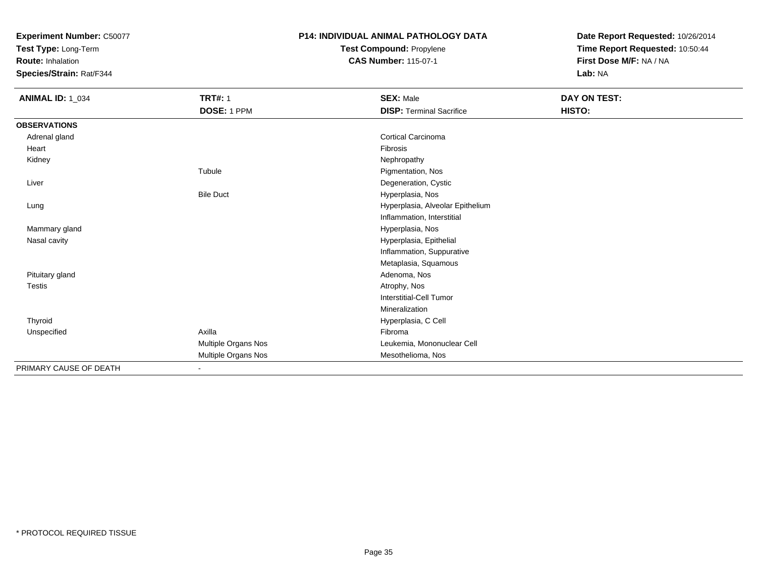**Test Type:** Long-Term

**Route:** Inhalation

**Species/Strain:** Rat/F344

# **P14: INDIVIDUAL ANIMAL PATHOLOGY DATATest Compound:** Propylene

**CAS Number:** 115-07-1

| <b>ANIMAL ID: 1_034</b> | <b>TRT#: 1</b>      | <b>SEX: Male</b>                 | DAY ON TEST: |
|-------------------------|---------------------|----------------------------------|--------------|
|                         | DOSE: 1 PPM         | <b>DISP: Terminal Sacrifice</b>  | HISTO:       |
| <b>OBSERVATIONS</b>     |                     |                                  |              |
| Adrenal gland           |                     | <b>Cortical Carcinoma</b>        |              |
| Heart                   |                     | Fibrosis                         |              |
| Kidney                  |                     | Nephropathy                      |              |
|                         | Tubule              | Pigmentation, Nos                |              |
| Liver                   |                     | Degeneration, Cystic             |              |
|                         | <b>Bile Duct</b>    | Hyperplasia, Nos                 |              |
| Lung                    |                     | Hyperplasia, Alveolar Epithelium |              |
|                         |                     | Inflammation, Interstitial       |              |
| Mammary gland           |                     | Hyperplasia, Nos                 |              |
| Nasal cavity            |                     | Hyperplasia, Epithelial          |              |
|                         |                     | Inflammation, Suppurative        |              |
|                         |                     | Metaplasia, Squamous             |              |
| Pituitary gland         |                     | Adenoma, Nos                     |              |
| Testis                  |                     | Atrophy, Nos                     |              |
|                         |                     | Interstitial-Cell Tumor          |              |
|                         |                     | Mineralization                   |              |
| Thyroid                 |                     | Hyperplasia, C Cell              |              |
| Unspecified             | Axilla              | Fibroma                          |              |
|                         | Multiple Organs Nos | Leukemia, Mononuclear Cell       |              |
|                         | Multiple Organs Nos | Mesothelioma, Nos                |              |
| PRIMARY CAUSE OF DEATH  |                     |                                  |              |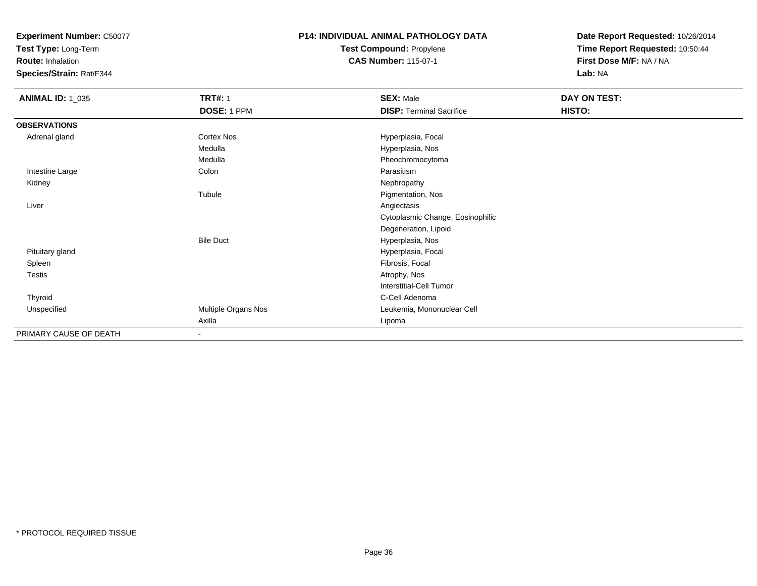**Test Type:** Long-Term

**Route:** Inhalation

**Species/Strain:** Rat/F344

### **P14: INDIVIDUAL ANIMAL PATHOLOGY DATATest Compound:** Propylene**CAS Number:** 115-07-1

| <b>ANIMAL ID: 1_035</b> | <b>TRT#: 1</b><br>DOSE: 1 PPM | <b>SEX: Male</b><br><b>DISP: Terminal Sacrifice</b> | DAY ON TEST:<br>HISTO: |  |
|-------------------------|-------------------------------|-----------------------------------------------------|------------------------|--|
|                         |                               |                                                     |                        |  |
| <b>OBSERVATIONS</b>     |                               |                                                     |                        |  |
| Adrenal gland           | Cortex Nos                    | Hyperplasia, Focal                                  |                        |  |
|                         | Medulla                       | Hyperplasia, Nos                                    |                        |  |
|                         | Medulla                       | Pheochromocytoma                                    |                        |  |
| Intestine Large         | Colon                         | Parasitism                                          |                        |  |
| Kidney                  |                               | Nephropathy                                         |                        |  |
|                         | Tubule                        | Pigmentation, Nos                                   |                        |  |
| Liver                   |                               | Angiectasis                                         |                        |  |
|                         |                               | Cytoplasmic Change, Eosinophilic                    |                        |  |
|                         |                               | Degeneration, Lipoid                                |                        |  |
|                         | <b>Bile Duct</b>              | Hyperplasia, Nos                                    |                        |  |
| Pituitary gland         |                               | Hyperplasia, Focal                                  |                        |  |
| Spleen                  |                               | Fibrosis, Focal                                     |                        |  |
| Testis                  |                               | Atrophy, Nos                                        |                        |  |
|                         |                               | <b>Interstitial-Cell Tumor</b>                      |                        |  |
| Thyroid                 |                               | C-Cell Adenoma                                      |                        |  |
| Unspecified             | Multiple Organs Nos           | Leukemia, Mononuclear Cell                          |                        |  |
|                         | Axilla                        | Lipoma                                              |                        |  |
| PRIMARY CAUSE OF DEATH  |                               |                                                     |                        |  |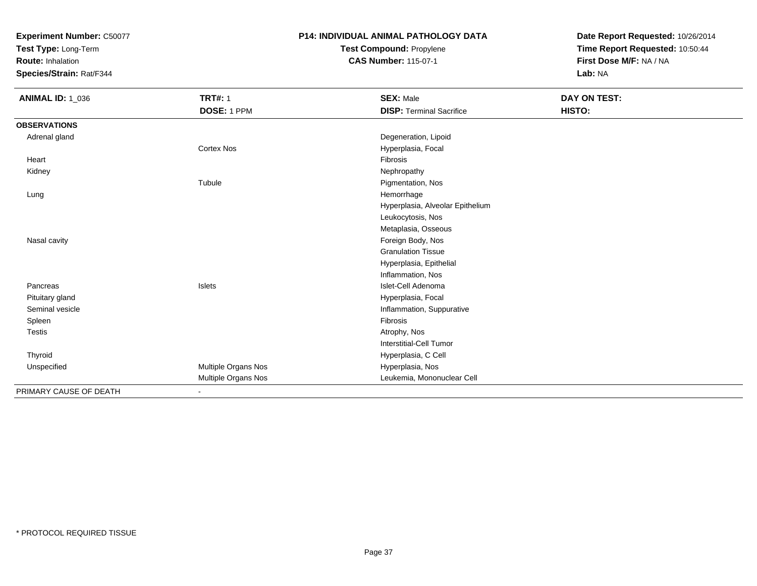**Test Type:** Long-Term

**Route:** Inhalation

**Species/Strain:** Rat/F344

# **P14: INDIVIDUAL ANIMAL PATHOLOGY DATA**

**Test Compound:** Propylene**CAS Number:** 115-07-1

| <b>ANIMAL ID: 1_036</b> | <b>TRT#: 1</b>      | <b>SEX: Male</b>                 | DAY ON TEST: |
|-------------------------|---------------------|----------------------------------|--------------|
|                         | DOSE: 1 PPM         | <b>DISP: Terminal Sacrifice</b>  | HISTO:       |
| <b>OBSERVATIONS</b>     |                     |                                  |              |
| Adrenal gland           |                     | Degeneration, Lipoid             |              |
|                         | Cortex Nos          | Hyperplasia, Focal               |              |
| Heart                   |                     | Fibrosis                         |              |
| Kidney                  |                     | Nephropathy                      |              |
|                         | Tubule              | Pigmentation, Nos                |              |
| Lung                    |                     | Hemorrhage                       |              |
|                         |                     | Hyperplasia, Alveolar Epithelium |              |
|                         |                     | Leukocytosis, Nos                |              |
|                         |                     | Metaplasia, Osseous              |              |
| Nasal cavity            |                     | Foreign Body, Nos                |              |
|                         |                     | <b>Granulation Tissue</b>        |              |
|                         |                     | Hyperplasia, Epithelial          |              |
|                         |                     | Inflammation, Nos                |              |
| Pancreas                | Islets              | Islet-Cell Adenoma               |              |
| Pituitary gland         |                     | Hyperplasia, Focal               |              |
| Seminal vesicle         |                     | Inflammation, Suppurative        |              |
| Spleen                  |                     | Fibrosis                         |              |
| <b>Testis</b>           |                     | Atrophy, Nos                     |              |
|                         |                     | Interstitial-Cell Tumor          |              |
| Thyroid                 |                     | Hyperplasia, C Cell              |              |
| Unspecified             | Multiple Organs Nos | Hyperplasia, Nos                 |              |
|                         | Multiple Organs Nos | Leukemia, Mononuclear Cell       |              |
| PRIMARY CAUSE OF DEATH  | $\blacksquare$      |                                  |              |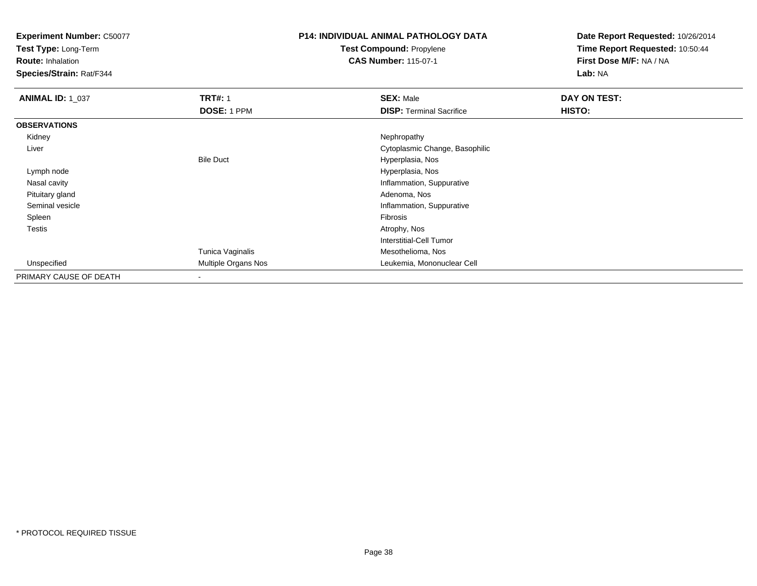**Test Type:** Long-Term

**Route:** Inhalation

**Species/Strain:** Rat/F344

# **P14: INDIVIDUAL ANIMAL PATHOLOGY DATATest Compound:** Propylene

**CAS Number:** 115-07-1

| <b>ANIMAL ID: 1_037</b> | <b>TRT#: 1</b>           | <b>SEX: Male</b>                | DAY ON TEST: |  |
|-------------------------|--------------------------|---------------------------------|--------------|--|
|                         | DOSE: 1 PPM              | <b>DISP: Terminal Sacrifice</b> | HISTO:       |  |
| <b>OBSERVATIONS</b>     |                          |                                 |              |  |
| Kidney                  |                          | Nephropathy                     |              |  |
| Liver                   |                          | Cytoplasmic Change, Basophilic  |              |  |
|                         | <b>Bile Duct</b>         | Hyperplasia, Nos                |              |  |
| Lymph node              |                          | Hyperplasia, Nos                |              |  |
| Nasal cavity            |                          | Inflammation, Suppurative       |              |  |
| Pituitary gland         |                          | Adenoma, Nos                    |              |  |
| Seminal vesicle         |                          | Inflammation, Suppurative       |              |  |
| Spleen                  |                          | Fibrosis                        |              |  |
| <b>Testis</b>           |                          | Atrophy, Nos                    |              |  |
|                         |                          | Interstitial-Cell Tumor         |              |  |
|                         | Tunica Vaginalis         | Mesothelioma, Nos               |              |  |
| Unspecified             | Multiple Organs Nos      | Leukemia, Mononuclear Cell      |              |  |
| PRIMARY CAUSE OF DEATH  | $\overline{\phantom{a}}$ |                                 |              |  |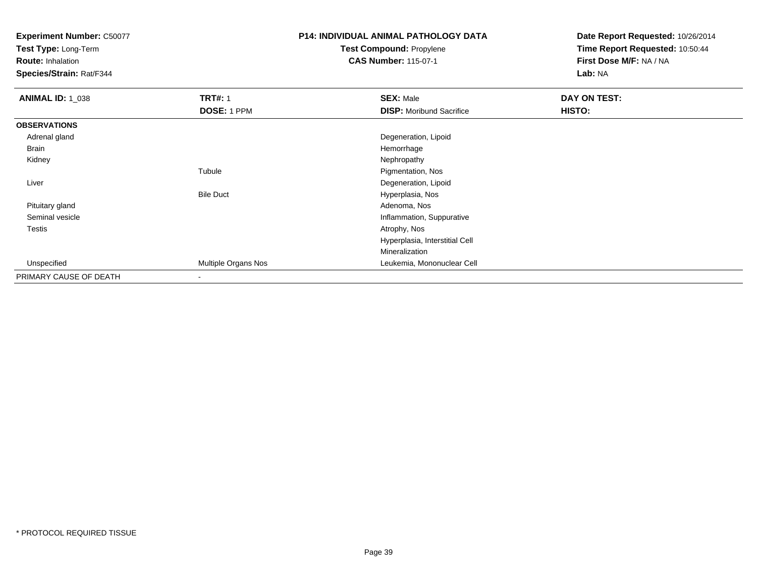**Test Type:** Long-Term

**Route:** Inhalation

**Species/Strain:** Rat/F344

# **P14: INDIVIDUAL ANIMAL PATHOLOGY DATATest Compound:** Propylene

**CAS Number:** 115-07-1

| <b>ANIMAL ID: 1_038</b> | <b>TRT#: 1</b>           | <b>SEX: Male</b>                | DAY ON TEST: |  |
|-------------------------|--------------------------|---------------------------------|--------------|--|
|                         | DOSE: 1 PPM              | <b>DISP:</b> Moribund Sacrifice | HISTO:       |  |
| <b>OBSERVATIONS</b>     |                          |                                 |              |  |
| Adrenal gland           |                          | Degeneration, Lipoid            |              |  |
| Brain                   |                          | Hemorrhage                      |              |  |
| Kidney                  |                          | Nephropathy                     |              |  |
|                         | Tubule                   | Pigmentation, Nos               |              |  |
| Liver                   |                          | Degeneration, Lipoid            |              |  |
|                         | <b>Bile Duct</b>         | Hyperplasia, Nos                |              |  |
| Pituitary gland         |                          | Adenoma, Nos                    |              |  |
| Seminal vesicle         |                          | Inflammation, Suppurative       |              |  |
| Testis                  |                          | Atrophy, Nos                    |              |  |
|                         |                          | Hyperplasia, Interstitial Cell  |              |  |
|                         |                          | Mineralization                  |              |  |
| Unspecified             | Multiple Organs Nos      | Leukemia, Mononuclear Cell      |              |  |
| PRIMARY CAUSE OF DEATH  | $\overline{\phantom{a}}$ |                                 |              |  |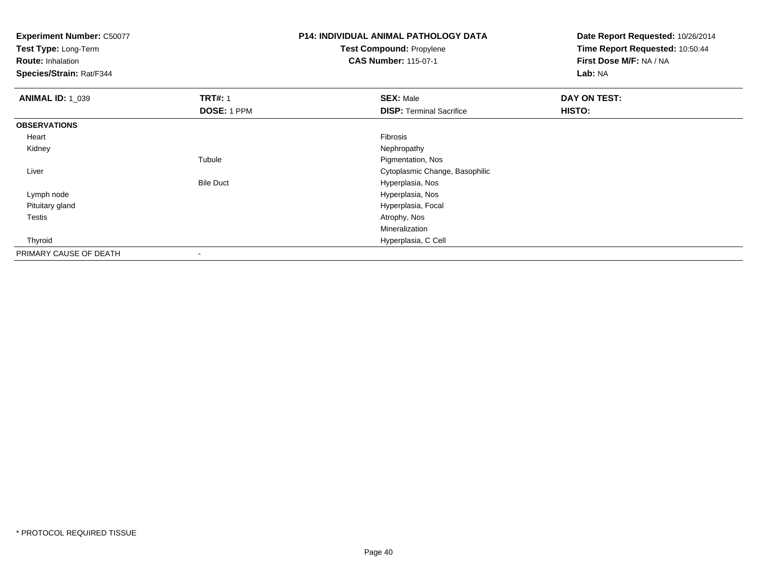**Test Type:** Long-Term

**Route:** Inhalation

**Species/Strain:** Rat/F344

#### **P14: INDIVIDUAL ANIMAL PATHOLOGY DATATest Compound:** Propylene**CAS Number:** 115-07-1

| <b>ANIMAL ID: 1_039</b> | <b>TRT#: 1</b>   | <b>SEX: Male</b>                | DAY ON TEST: |  |
|-------------------------|------------------|---------------------------------|--------------|--|
|                         | DOSE: 1 PPM      | <b>DISP: Terminal Sacrifice</b> | HISTO:       |  |
| <b>OBSERVATIONS</b>     |                  |                                 |              |  |
| Heart                   |                  | Fibrosis                        |              |  |
| Kidney                  |                  | Nephropathy                     |              |  |
|                         | Tubule           | Pigmentation, Nos               |              |  |
| Liver                   |                  | Cytoplasmic Change, Basophilic  |              |  |
|                         | <b>Bile Duct</b> | Hyperplasia, Nos                |              |  |
| Lymph node              |                  | Hyperplasia, Nos                |              |  |
| Pituitary gland         |                  | Hyperplasia, Focal              |              |  |
| Testis                  |                  | Atrophy, Nos                    |              |  |
|                         |                  | Mineralization                  |              |  |
| Thyroid                 |                  | Hyperplasia, C Cell             |              |  |
| PRIMARY CAUSE OF DEATH  |                  |                                 |              |  |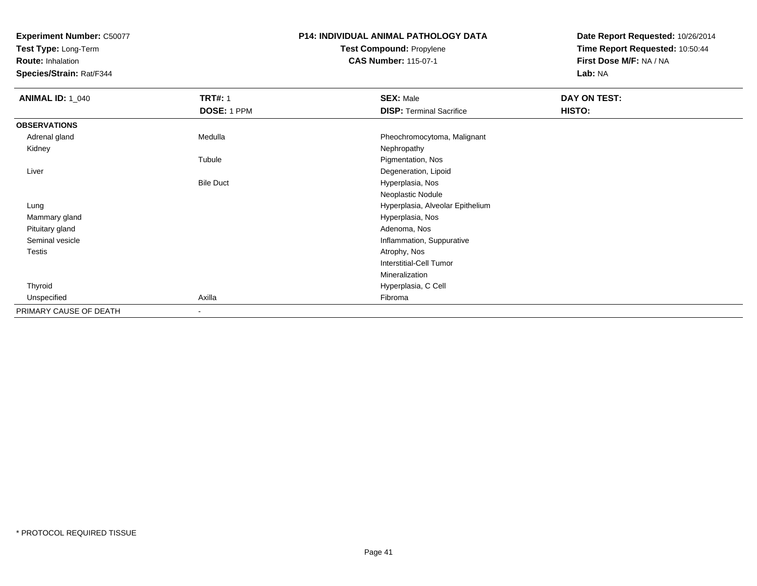**Test Type:** Long-Term

**Route:** Inhalation

**Species/Strain:** Rat/F344

#### **P14: INDIVIDUAL ANIMAL PATHOLOGY DATATest Compound:** Propylene**CAS Number:** 115-07-1

| <b>ANIMAL ID: 1_040</b> | <b>TRT#: 1</b>           | <b>SEX: Male</b>                 | DAY ON TEST: |  |
|-------------------------|--------------------------|----------------------------------|--------------|--|
|                         | DOSE: 1 PPM              | <b>DISP: Terminal Sacrifice</b>  | HISTO:       |  |
| <b>OBSERVATIONS</b>     |                          |                                  |              |  |
| Adrenal gland           | Medulla                  | Pheochromocytoma, Malignant      |              |  |
| Kidney                  |                          | Nephropathy                      |              |  |
|                         | Tubule                   | Pigmentation, Nos                |              |  |
| Liver                   |                          | Degeneration, Lipoid             |              |  |
|                         | <b>Bile Duct</b>         | Hyperplasia, Nos                 |              |  |
|                         |                          | Neoplastic Nodule                |              |  |
| Lung                    |                          | Hyperplasia, Alveolar Epithelium |              |  |
| Mammary gland           |                          | Hyperplasia, Nos                 |              |  |
| Pituitary gland         |                          | Adenoma, Nos                     |              |  |
| Seminal vesicle         |                          | Inflammation, Suppurative        |              |  |
| <b>Testis</b>           |                          | Atrophy, Nos                     |              |  |
|                         |                          | <b>Interstitial-Cell Tumor</b>   |              |  |
|                         |                          | Mineralization                   |              |  |
| Thyroid                 |                          | Hyperplasia, C Cell              |              |  |
| Unspecified             | Axilla                   | Fibroma                          |              |  |
| PRIMARY CAUSE OF DEATH  | $\overline{\phantom{a}}$ |                                  |              |  |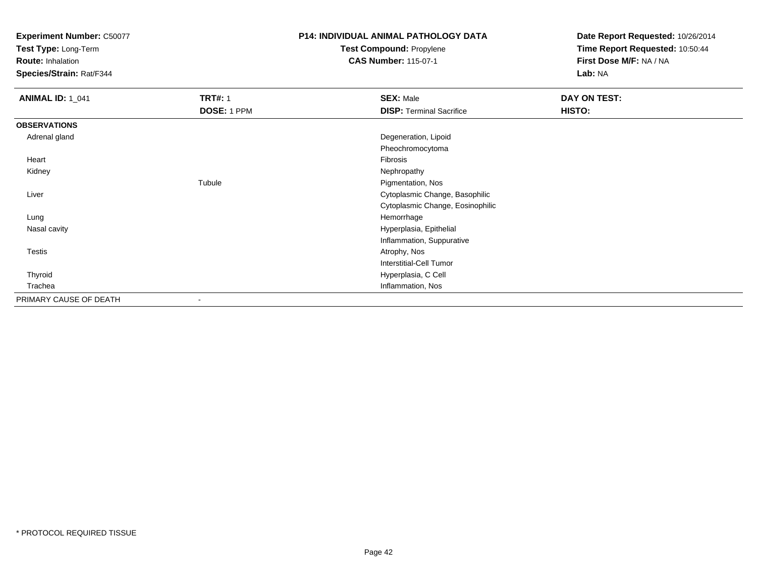**Test Type:** Long-Term

**Route:** Inhalation

**Species/Strain:** Rat/F344

## **P14: INDIVIDUAL ANIMAL PATHOLOGY DATATest Compound:** Propylene

**CAS Number:** 115-07-1

| <b>ANIMAL ID: 1_041</b> | <b>TRT#: 1</b> | <b>SEX: Male</b>                 | DAY ON TEST: |  |
|-------------------------|----------------|----------------------------------|--------------|--|
|                         | DOSE: 1 PPM    | <b>DISP: Terminal Sacrifice</b>  | HISTO:       |  |
| <b>OBSERVATIONS</b>     |                |                                  |              |  |
| Adrenal gland           |                | Degeneration, Lipoid             |              |  |
|                         |                | Pheochromocytoma                 |              |  |
| Heart                   |                | Fibrosis                         |              |  |
| Kidney                  |                | Nephropathy                      |              |  |
|                         | Tubule         | Pigmentation, Nos                |              |  |
| Liver                   |                | Cytoplasmic Change, Basophilic   |              |  |
|                         |                | Cytoplasmic Change, Eosinophilic |              |  |
| Lung                    |                | Hemorrhage                       |              |  |
| Nasal cavity            |                | Hyperplasia, Epithelial          |              |  |
|                         |                | Inflammation, Suppurative        |              |  |
| Testis                  |                | Atrophy, Nos                     |              |  |
|                         |                | <b>Interstitial-Cell Tumor</b>   |              |  |
| Thyroid                 |                | Hyperplasia, C Cell              |              |  |
| Trachea                 |                | Inflammation, Nos                |              |  |
| PRIMARY CAUSE OF DEATH  | $\blacksquare$ |                                  |              |  |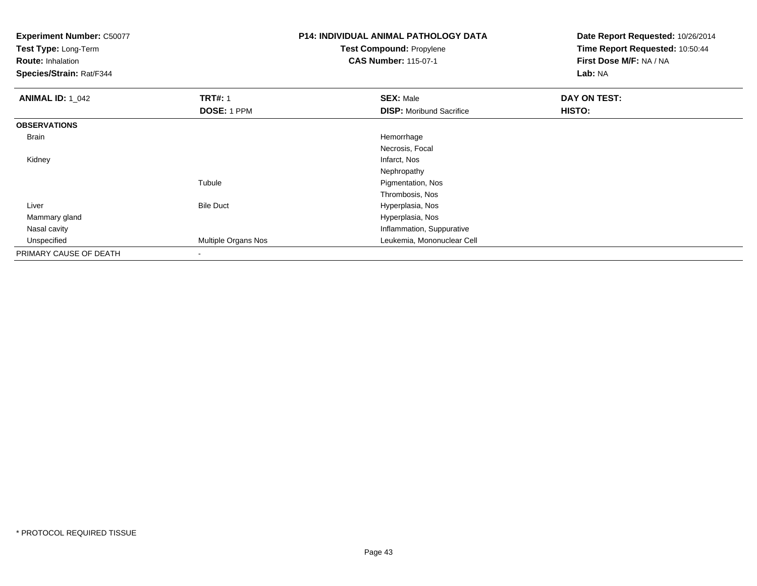**Test Type:** Long-Term

**Route:** Inhalation

**Species/Strain:** Rat/F344

# **P14: INDIVIDUAL ANIMAL PATHOLOGY DATATest Compound:** Propylene

**CAS Number:** 115-07-1

| <b>ANIMAL ID: 1_042</b> | <b>TRT#: 1</b>           | <b>SEX: Male</b>                | DAY ON TEST:  |  |
|-------------------------|--------------------------|---------------------------------|---------------|--|
|                         | DOSE: 1 PPM              | <b>DISP:</b> Moribund Sacrifice | <b>HISTO:</b> |  |
| <b>OBSERVATIONS</b>     |                          |                                 |               |  |
| Brain                   |                          | Hemorrhage                      |               |  |
|                         |                          | Necrosis, Focal                 |               |  |
| Kidney                  |                          | Infarct, Nos                    |               |  |
|                         |                          | Nephropathy                     |               |  |
|                         | Tubule                   | Pigmentation, Nos               |               |  |
|                         |                          | Thrombosis, Nos                 |               |  |
| Liver                   | <b>Bile Duct</b>         | Hyperplasia, Nos                |               |  |
| Mammary gland           |                          | Hyperplasia, Nos                |               |  |
| Nasal cavity            |                          | Inflammation, Suppurative       |               |  |
| Unspecified             | Multiple Organs Nos      | Leukemia, Mononuclear Cell      |               |  |
| PRIMARY CAUSE OF DEATH  | $\overline{\phantom{a}}$ |                                 |               |  |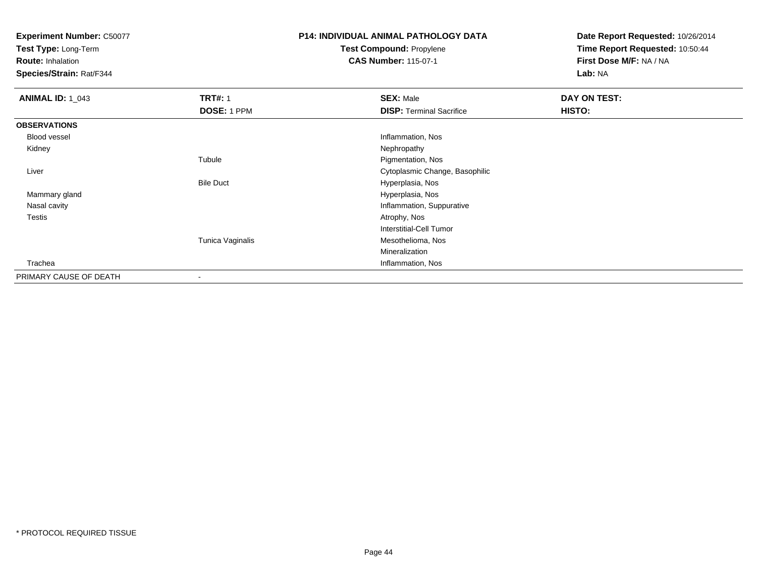**Test Type:** Long-Term

**Route:** Inhalation

**Species/Strain:** Rat/F344

# **P14: INDIVIDUAL ANIMAL PATHOLOGY DATATest Compound:** Propylene

**CAS Number:** 115-07-1

| <b>ANIMAL ID: 1_043</b> | <b>TRT#: 1</b>   | <b>SEX: Male</b>                | DAY ON TEST: |  |
|-------------------------|------------------|---------------------------------|--------------|--|
|                         | DOSE: 1 PPM      | <b>DISP: Terminal Sacrifice</b> | HISTO:       |  |
| <b>OBSERVATIONS</b>     |                  |                                 |              |  |
| Blood vessel            |                  | Inflammation, Nos               |              |  |
| Kidney                  |                  | Nephropathy                     |              |  |
|                         | Tubule           | Pigmentation, Nos               |              |  |
| Liver                   |                  | Cytoplasmic Change, Basophilic  |              |  |
|                         | <b>Bile Duct</b> | Hyperplasia, Nos                |              |  |
| Mammary gland           |                  | Hyperplasia, Nos                |              |  |
| Nasal cavity            |                  | Inflammation, Suppurative       |              |  |
| <b>Testis</b>           |                  | Atrophy, Nos                    |              |  |
|                         |                  | <b>Interstitial-Cell Tumor</b>  |              |  |
|                         | Tunica Vaginalis | Mesothelioma, Nos               |              |  |
|                         |                  | Mineralization                  |              |  |
| Trachea                 |                  | Inflammation, Nos               |              |  |
| PRIMARY CAUSE OF DEATH  |                  |                                 |              |  |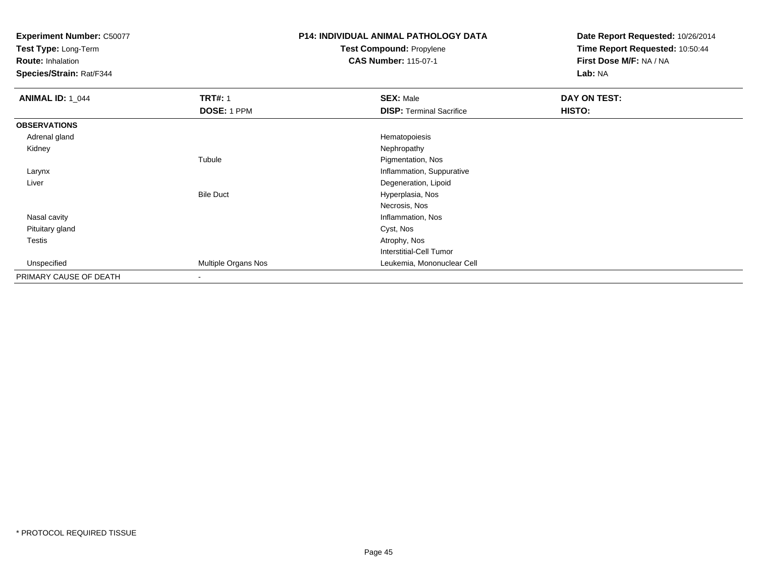**Test Type:** Long-Term

**Route:** Inhalation

**Species/Strain:** Rat/F344

# **P14: INDIVIDUAL ANIMAL PATHOLOGY DATATest Compound:** Propylene

**CAS Number:** 115-07-1

| <b>ANIMAL ID: 1_044</b> | <b>TRT#: 1</b>           | <b>SEX: Male</b>                | DAY ON TEST: |  |
|-------------------------|--------------------------|---------------------------------|--------------|--|
|                         | DOSE: 1 PPM              | <b>DISP: Terminal Sacrifice</b> | HISTO:       |  |
| <b>OBSERVATIONS</b>     |                          |                                 |              |  |
| Adrenal gland           |                          | Hematopoiesis                   |              |  |
| Kidney                  |                          | Nephropathy                     |              |  |
|                         | Tubule                   | Pigmentation, Nos               |              |  |
| Larynx                  |                          | Inflammation, Suppurative       |              |  |
| Liver                   |                          | Degeneration, Lipoid            |              |  |
|                         | <b>Bile Duct</b>         | Hyperplasia, Nos                |              |  |
|                         |                          | Necrosis, Nos                   |              |  |
| Nasal cavity            |                          | Inflammation, Nos               |              |  |
| Pituitary gland         |                          | Cyst, Nos                       |              |  |
| Testis                  |                          | Atrophy, Nos                    |              |  |
|                         |                          | Interstitial-Cell Tumor         |              |  |
| Unspecified             | Multiple Organs Nos      | Leukemia, Mononuclear Cell      |              |  |
| PRIMARY CAUSE OF DEATH  | $\overline{\phantom{a}}$ |                                 |              |  |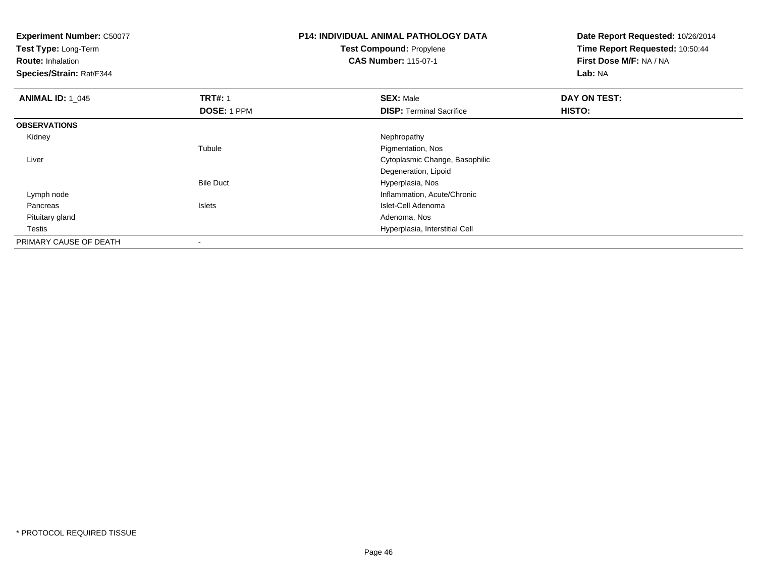**Test Type:** Long-Term

**Route:** Inhalation

**Species/Strain:** Rat/F344

#### **P14: INDIVIDUAL ANIMAL PATHOLOGY DATATest Compound:** Propylene**CAS Number:** 115-07-1

| <b>ANIMAL ID: 1 045</b> | <b>TRT#: 1</b>     | <b>SEX: Male</b>                | DAY ON TEST: |  |
|-------------------------|--------------------|---------------------------------|--------------|--|
|                         | <b>DOSE: 1 PPM</b> | <b>DISP: Terminal Sacrifice</b> | HISTO:       |  |
| <b>OBSERVATIONS</b>     |                    |                                 |              |  |
| Kidney                  |                    | Nephropathy                     |              |  |
|                         | Tubule             | Pigmentation, Nos               |              |  |
| Liver                   |                    | Cytoplasmic Change, Basophilic  |              |  |
|                         |                    | Degeneration, Lipoid            |              |  |
|                         | <b>Bile Duct</b>   | Hyperplasia, Nos                |              |  |
| Lymph node              |                    | Inflammation, Acute/Chronic     |              |  |
| Pancreas                | <b>Islets</b>      | Islet-Cell Adenoma              |              |  |
| Pituitary gland         |                    | Adenoma, Nos                    |              |  |
| Testis                  |                    | Hyperplasia, Interstitial Cell  |              |  |
| PRIMARY CAUSE OF DEATH  |                    |                                 |              |  |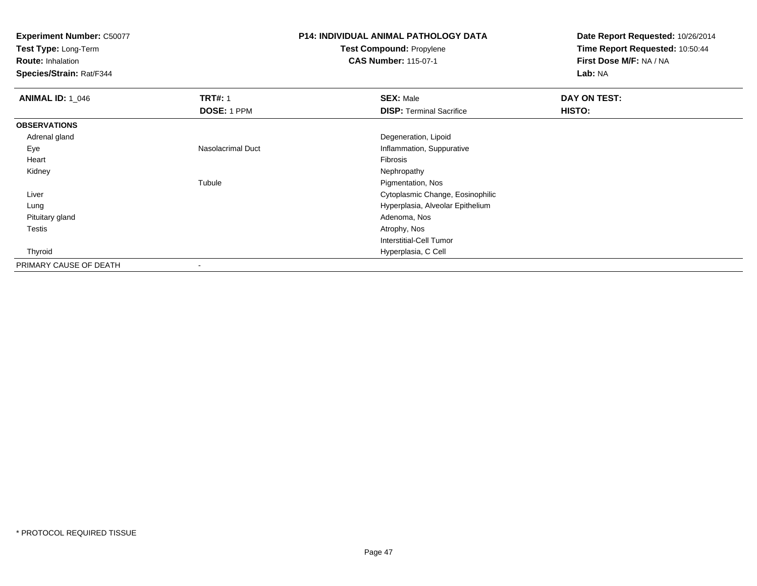**Test Type:** Long-Term

**Route:** Inhalation

**Species/Strain:** Rat/F344

# **P14: INDIVIDUAL ANIMAL PATHOLOGY DATATest Compound:** Propylene

**CAS Number:** 115-07-1

| <b>ANIMAL ID: 1_046</b> | <b>TRT#: 1</b>           | <b>SEX: Male</b>                 | DAY ON TEST: |  |
|-------------------------|--------------------------|----------------------------------|--------------|--|
|                         | DOSE: 1 PPM              | <b>DISP: Terminal Sacrifice</b>  | HISTO:       |  |
| <b>OBSERVATIONS</b>     |                          |                                  |              |  |
| Adrenal gland           |                          | Degeneration, Lipoid             |              |  |
| Eye                     | <b>Nasolacrimal Duct</b> | Inflammation, Suppurative        |              |  |
| Heart                   |                          | Fibrosis                         |              |  |
| Kidney                  |                          | Nephropathy                      |              |  |
|                         | Tubule                   | Pigmentation, Nos                |              |  |
| Liver                   |                          | Cytoplasmic Change, Eosinophilic |              |  |
| Lung                    |                          | Hyperplasia, Alveolar Epithelium |              |  |
| Pituitary gland         |                          | Adenoma, Nos                     |              |  |
| Testis                  |                          | Atrophy, Nos                     |              |  |
|                         |                          | Interstitial-Cell Tumor          |              |  |
| Thyroid                 |                          | Hyperplasia, C Cell              |              |  |
| PRIMARY CAUSE OF DEATH  | -                        |                                  |              |  |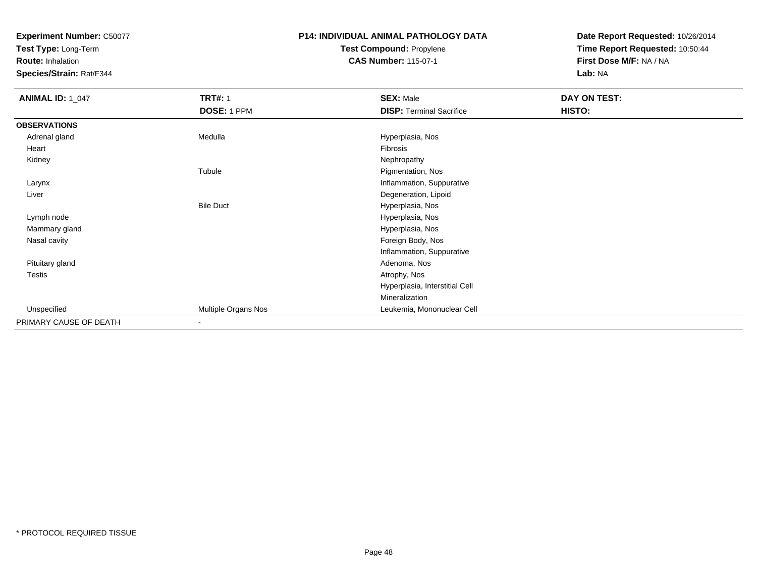**Test Type:** Long-Term

**Route:** Inhalation

**Species/Strain:** Rat/F344

#### **P14: INDIVIDUAL ANIMAL PATHOLOGY DATATest Compound:** Propylene**CAS Number:** 115-07-1

| <b>ANIMAL ID: 1_047</b> | <b>TRT#: 1</b>           | <b>SEX: Male</b>                | DAY ON TEST: |  |
|-------------------------|--------------------------|---------------------------------|--------------|--|
|                         | DOSE: 1 PPM              | <b>DISP: Terminal Sacrifice</b> | HISTO:       |  |
| <b>OBSERVATIONS</b>     |                          |                                 |              |  |
| Adrenal gland           | Medulla                  | Hyperplasia, Nos                |              |  |
| Heart                   |                          | Fibrosis                        |              |  |
| Kidney                  |                          | Nephropathy                     |              |  |
|                         | Tubule                   | Pigmentation, Nos               |              |  |
| Larynx                  |                          | Inflammation, Suppurative       |              |  |
| Liver                   |                          | Degeneration, Lipoid            |              |  |
|                         | <b>Bile Duct</b>         | Hyperplasia, Nos                |              |  |
| Lymph node              |                          | Hyperplasia, Nos                |              |  |
| Mammary gland           |                          | Hyperplasia, Nos                |              |  |
| Nasal cavity            |                          | Foreign Body, Nos               |              |  |
|                         |                          | Inflammation, Suppurative       |              |  |
| Pituitary gland         |                          | Adenoma, Nos                    |              |  |
| <b>Testis</b>           |                          | Atrophy, Nos                    |              |  |
|                         |                          | Hyperplasia, Interstitial Cell  |              |  |
|                         |                          | Mineralization                  |              |  |
| Unspecified             | Multiple Organs Nos      | Leukemia, Mononuclear Cell      |              |  |
| PRIMARY CAUSE OF DEATH  | $\overline{\phantom{a}}$ |                                 |              |  |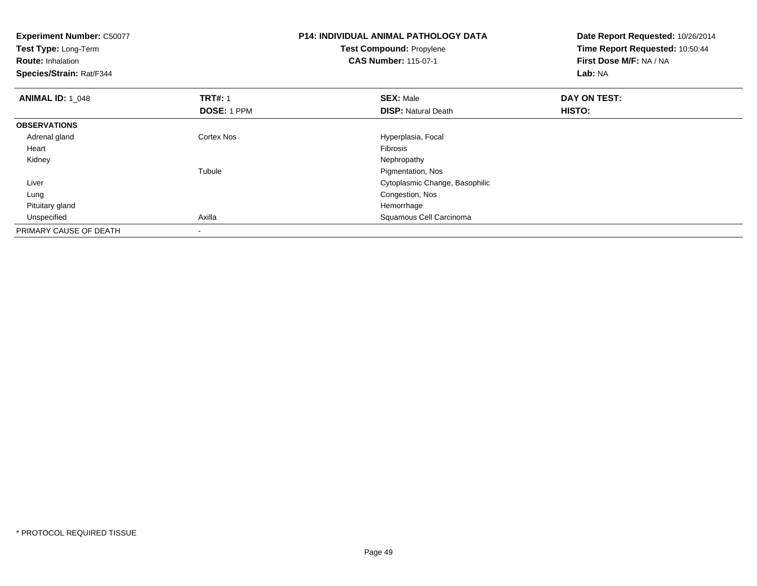| <b>Experiment Number: C50077</b><br>Test Type: Long-Term |                | <b>P14: INDIVIDUAL ANIMAL PATHOLOGY DATA</b> | Date Report Requested: 10/26/2014<br>Time Report Requested: 10:50:44 |  |
|----------------------------------------------------------|----------------|----------------------------------------------|----------------------------------------------------------------------|--|
|                                                          |                | Test Compound: Propylene                     |                                                                      |  |
| <b>Route: Inhalation</b>                                 |                | <b>CAS Number: 115-07-1</b>                  | First Dose M/F: NA / NA                                              |  |
| Species/Strain: Rat/F344                                 |                |                                              | Lab: NA                                                              |  |
| <b>ANIMAL ID: 1_048</b>                                  | <b>TRT#: 1</b> | <b>SEX: Male</b>                             | DAY ON TEST:                                                         |  |
|                                                          | DOSE: 1 PPM    | <b>DISP: Natural Death</b>                   | HISTO:                                                               |  |
| <b>OBSERVATIONS</b>                                      |                |                                              |                                                                      |  |
| Adrenal gland                                            | Cortex Nos     | Hyperplasia, Focal                           |                                                                      |  |
| Heart                                                    |                | <b>Fibrosis</b>                              |                                                                      |  |
| Kidney                                                   |                | Nephropathy                                  |                                                                      |  |
|                                                          | Tubule         | Pigmentation, Nos                            |                                                                      |  |
| Liver                                                    |                | Cytoplasmic Change, Basophilic               |                                                                      |  |
| Lung                                                     |                | Congestion, Nos                              |                                                                      |  |
| Pituitary gland                                          |                | Hemorrhage                                   |                                                                      |  |
| Unspecified                                              | Axilla         | Squamous Cell Carcinoma                      |                                                                      |  |
| PRIMARY CAUSE OF DEATH                                   |                |                                              |                                                                      |  |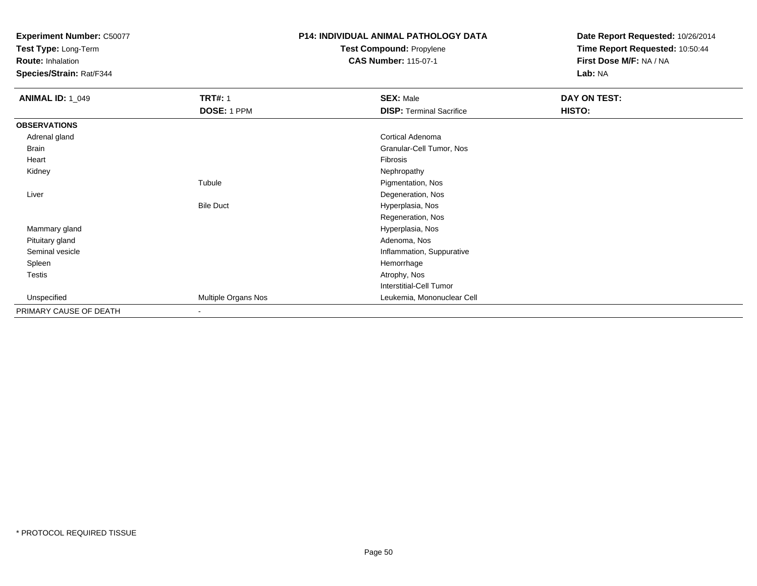**Test Type:** Long-Term

**Route:** Inhalation

**Species/Strain:** Rat/F344

# **P14: INDIVIDUAL ANIMAL PATHOLOGY DATATest Compound:** Propylene

**CAS Number:** 115-07-1

| <b>ANIMAL ID: 1_049</b> | <b>TRT#: 1</b>      | <b>SEX: Male</b>                | DAY ON TEST: |
|-------------------------|---------------------|---------------------------------|--------------|
|                         | DOSE: 1 PPM         | <b>DISP: Terminal Sacrifice</b> | HISTO:       |
| <b>OBSERVATIONS</b>     |                     |                                 |              |
| Adrenal gland           |                     | Cortical Adenoma                |              |
| <b>Brain</b>            |                     | Granular-Cell Tumor, Nos        |              |
| Heart                   |                     | Fibrosis                        |              |
| Kidney                  |                     | Nephropathy                     |              |
|                         | Tubule              | Pigmentation, Nos               |              |
| Liver                   |                     | Degeneration, Nos               |              |
|                         | <b>Bile Duct</b>    | Hyperplasia, Nos                |              |
|                         |                     | Regeneration, Nos               |              |
| Mammary gland           |                     | Hyperplasia, Nos                |              |
| Pituitary gland         |                     | Adenoma, Nos                    |              |
| Seminal vesicle         |                     | Inflammation, Suppurative       |              |
| Spleen                  |                     | Hemorrhage                      |              |
| Testis                  |                     | Atrophy, Nos                    |              |
|                         |                     | <b>Interstitial-Cell Tumor</b>  |              |
| Unspecified             | Multiple Organs Nos | Leukemia, Mononuclear Cell      |              |
| PRIMARY CAUSE OF DEATH  | $\blacksquare$      |                                 |              |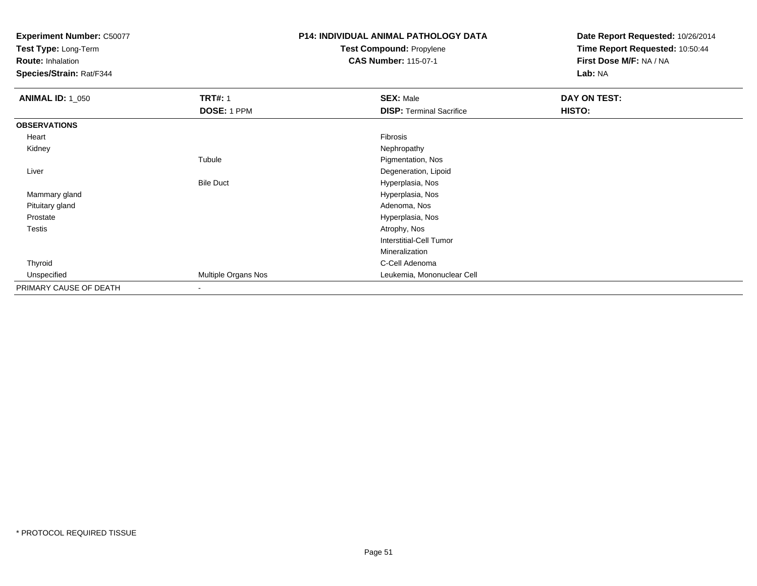**Test Type:** Long-Term

**Route:** Inhalation

**Species/Strain:** Rat/F344

# **P14: INDIVIDUAL ANIMAL PATHOLOGY DATATest Compound:** Propylene

**CAS Number:** 115-07-1

| <b>ANIMAL ID: 1_050</b> | <b>TRT#: 1</b>      | <b>SEX: Male</b>                | DAY ON TEST: |  |
|-------------------------|---------------------|---------------------------------|--------------|--|
|                         | DOSE: 1 PPM         | <b>DISP: Terminal Sacrifice</b> | HISTO:       |  |
| <b>OBSERVATIONS</b>     |                     |                                 |              |  |
| Heart                   |                     | Fibrosis                        |              |  |
| Kidney                  |                     | Nephropathy                     |              |  |
|                         | Tubule              | Pigmentation, Nos               |              |  |
| Liver                   |                     | Degeneration, Lipoid            |              |  |
|                         | <b>Bile Duct</b>    | Hyperplasia, Nos                |              |  |
| Mammary gland           |                     | Hyperplasia, Nos                |              |  |
| Pituitary gland         |                     | Adenoma, Nos                    |              |  |
| Prostate                |                     | Hyperplasia, Nos                |              |  |
| Testis                  |                     | Atrophy, Nos                    |              |  |
|                         |                     | <b>Interstitial-Cell Tumor</b>  |              |  |
|                         |                     | Mineralization                  |              |  |
| Thyroid                 |                     | C-Cell Adenoma                  |              |  |
| Unspecified             | Multiple Organs Nos | Leukemia, Mononuclear Cell      |              |  |
| PRIMARY CAUSE OF DEATH  |                     |                                 |              |  |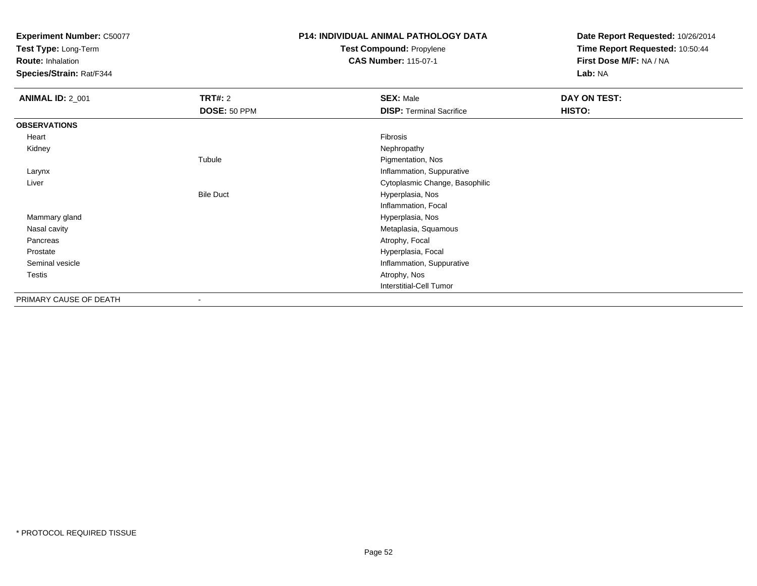**Test Type:** Long-Term

**Route:** Inhalation

**Species/Strain:** Rat/F344

## **P14: INDIVIDUAL ANIMAL PATHOLOGY DATATest Compound:** Propylene

**CAS Number:** 115-07-1

| <b>ANIMAL ID: 2_001</b> | <b>TRT#: 2</b>   | <b>SEX: Male</b>                | DAY ON TEST: |  |
|-------------------------|------------------|---------------------------------|--------------|--|
|                         | DOSE: 50 PPM     | <b>DISP: Terminal Sacrifice</b> | HISTO:       |  |
| <b>OBSERVATIONS</b>     |                  |                                 |              |  |
| Heart                   |                  | Fibrosis                        |              |  |
| Kidney                  |                  | Nephropathy                     |              |  |
|                         | Tubule           | Pigmentation, Nos               |              |  |
| Larynx                  |                  | Inflammation, Suppurative       |              |  |
| Liver                   |                  | Cytoplasmic Change, Basophilic  |              |  |
|                         | <b>Bile Duct</b> | Hyperplasia, Nos                |              |  |
|                         |                  | Inflammation, Focal             |              |  |
| Mammary gland           |                  | Hyperplasia, Nos                |              |  |
| Nasal cavity            |                  | Metaplasia, Squamous            |              |  |
| Pancreas                |                  | Atrophy, Focal                  |              |  |
| Prostate                |                  | Hyperplasia, Focal              |              |  |
| Seminal vesicle         |                  | Inflammation, Suppurative       |              |  |
| Testis                  |                  | Atrophy, Nos                    |              |  |
|                         |                  | <b>Interstitial-Cell Tumor</b>  |              |  |
| PRIMARY CAUSE OF DEATH  | ٠                |                                 |              |  |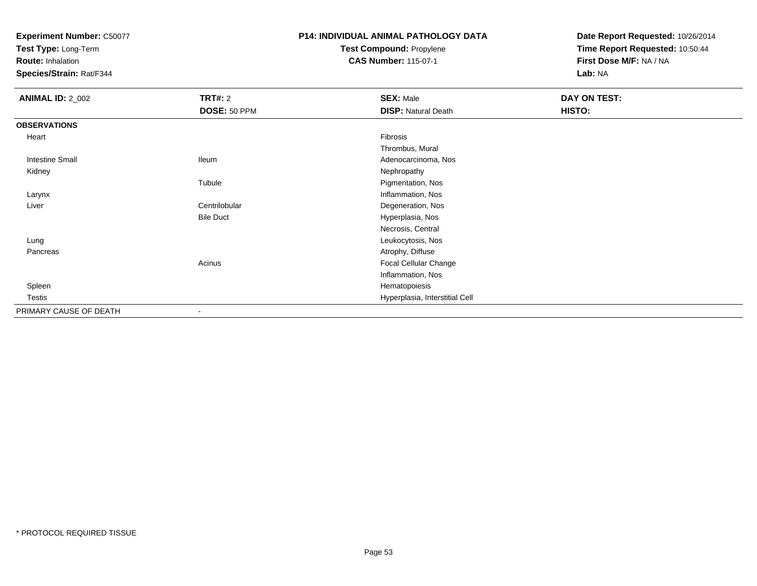**Test Type:** Long-Term

**Route:** Inhalation

**Species/Strain:** Rat/F344

# **P14: INDIVIDUAL ANIMAL PATHOLOGY DATATest Compound:** Propylene

**CAS Number:** 115-07-1

| <b>ANIMAL ID: 2_002</b> | <b>TRT#: 2</b>           | <b>SEX: Male</b>               | DAY ON TEST: |
|-------------------------|--------------------------|--------------------------------|--------------|
|                         | DOSE: 50 PPM             | <b>DISP: Natural Death</b>     | HISTO:       |
| <b>OBSERVATIONS</b>     |                          |                                |              |
| Heart                   |                          | Fibrosis                       |              |
|                         |                          | Thrombus, Mural                |              |
| <b>Intestine Small</b>  | lleum                    | Adenocarcinoma, Nos            |              |
| Kidney                  |                          | Nephropathy                    |              |
|                         | Tubule                   | Pigmentation, Nos              |              |
| Larynx                  |                          | Inflammation, Nos              |              |
| Liver                   | Centrilobular            | Degeneration, Nos              |              |
|                         | <b>Bile Duct</b>         | Hyperplasia, Nos               |              |
|                         |                          | Necrosis, Central              |              |
| Lung                    |                          | Leukocytosis, Nos              |              |
| Pancreas                |                          | Atrophy, Diffuse               |              |
|                         | Acinus                   | Focal Cellular Change          |              |
|                         |                          | Inflammation, Nos              |              |
| Spleen                  |                          | Hematopoiesis                  |              |
| Testis                  |                          | Hyperplasia, Interstitial Cell |              |
| PRIMARY CAUSE OF DEATH  | $\overline{\phantom{a}}$ |                                |              |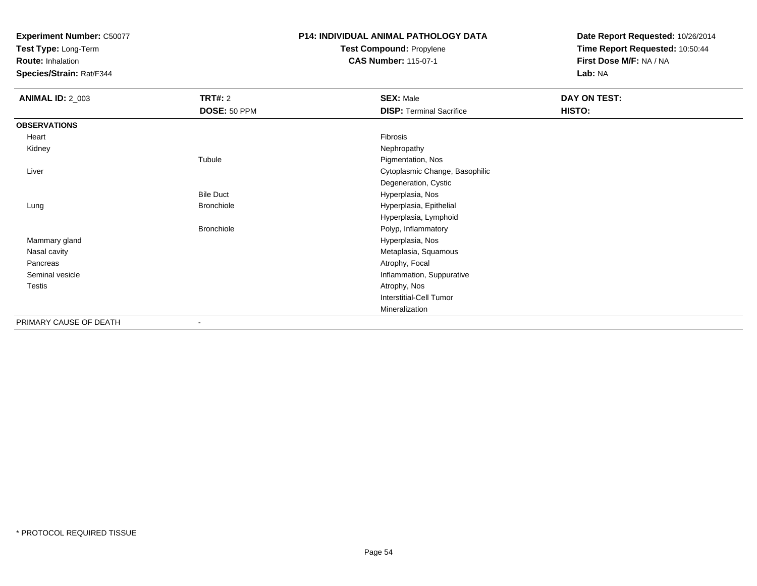**Test Type:** Long-Term

**Route:** Inhalation

**Species/Strain:** Rat/F344

## **P14: INDIVIDUAL ANIMAL PATHOLOGY DATATest Compound:** Propylene

**CAS Number:** 115-07-1

| <b>ANIMAL ID: 2_003</b> | <b>TRT#: 2</b>    | <b>SEX: Male</b>                | DAY ON TEST: |  |
|-------------------------|-------------------|---------------------------------|--------------|--|
|                         | DOSE: 50 PPM      | <b>DISP: Terminal Sacrifice</b> | HISTO:       |  |
| <b>OBSERVATIONS</b>     |                   |                                 |              |  |
| Heart                   |                   | Fibrosis                        |              |  |
| Kidney                  |                   | Nephropathy                     |              |  |
|                         | Tubule            | Pigmentation, Nos               |              |  |
| Liver                   |                   | Cytoplasmic Change, Basophilic  |              |  |
|                         |                   | Degeneration, Cystic            |              |  |
|                         | <b>Bile Duct</b>  | Hyperplasia, Nos                |              |  |
| Lung                    | <b>Bronchiole</b> | Hyperplasia, Epithelial         |              |  |
|                         |                   | Hyperplasia, Lymphoid           |              |  |
|                         | <b>Bronchiole</b> | Polyp, Inflammatory             |              |  |
| Mammary gland           |                   | Hyperplasia, Nos                |              |  |
| Nasal cavity            |                   | Metaplasia, Squamous            |              |  |
| Pancreas                |                   | Atrophy, Focal                  |              |  |
| Seminal vesicle         |                   | Inflammation, Suppurative       |              |  |
| Testis                  |                   | Atrophy, Nos                    |              |  |
|                         |                   | Interstitial-Cell Tumor         |              |  |
|                         |                   | Mineralization                  |              |  |
| PRIMARY CAUSE OF DEATH  | ۰                 |                                 |              |  |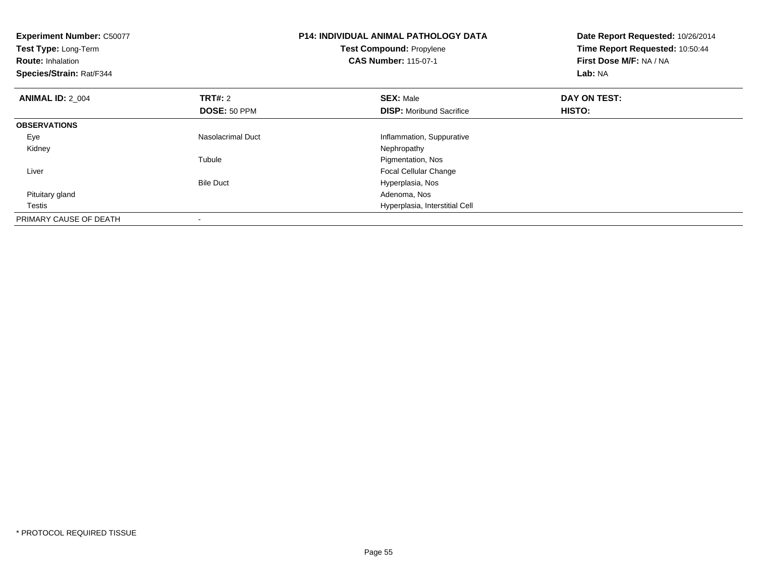| <b>Experiment Number: C50077</b><br><b>Test Type: Long-Term</b><br><b>Route: Inhalation</b><br>Species/Strain: Rat/F344 |                                | <b>P14: INDIVIDUAL ANIMAL PATHOLOGY DATA</b><br><b>Test Compound: Propylene</b><br><b>CAS Number: 115-07-1</b> | Date Report Requested: 10/26/2014<br>Time Report Requested: 10:50:44<br>First Dose M/F: NA / NA<br>Lab: NA |
|-------------------------------------------------------------------------------------------------------------------------|--------------------------------|----------------------------------------------------------------------------------------------------------------|------------------------------------------------------------------------------------------------------------|
| <b>ANIMAL ID: 2 004</b>                                                                                                 | <b>TRT#: 2</b><br>DOSE: 50 PPM | <b>SEX: Male</b><br><b>DISP:</b> Moribund Sacrifice                                                            | DAY ON TEST:<br>HISTO:                                                                                     |
| <b>OBSERVATIONS</b>                                                                                                     |                                |                                                                                                                |                                                                                                            |
| Eye                                                                                                                     | Nasolacrimal Duct              | Inflammation, Suppurative                                                                                      |                                                                                                            |
| Kidney                                                                                                                  |                                | Nephropathy                                                                                                    |                                                                                                            |
|                                                                                                                         | Tubule                         | Pigmentation, Nos                                                                                              |                                                                                                            |
| Liver                                                                                                                   |                                | <b>Focal Cellular Change</b>                                                                                   |                                                                                                            |
|                                                                                                                         | <b>Bile Duct</b>               | Hyperplasia, Nos                                                                                               |                                                                                                            |
| Pituitary gland                                                                                                         |                                | Adenoma, Nos                                                                                                   |                                                                                                            |
| Testis                                                                                                                  |                                | Hyperplasia, Interstitial Cell                                                                                 |                                                                                                            |
| PRIMARY CAUSE OF DEATH                                                                                                  |                                |                                                                                                                |                                                                                                            |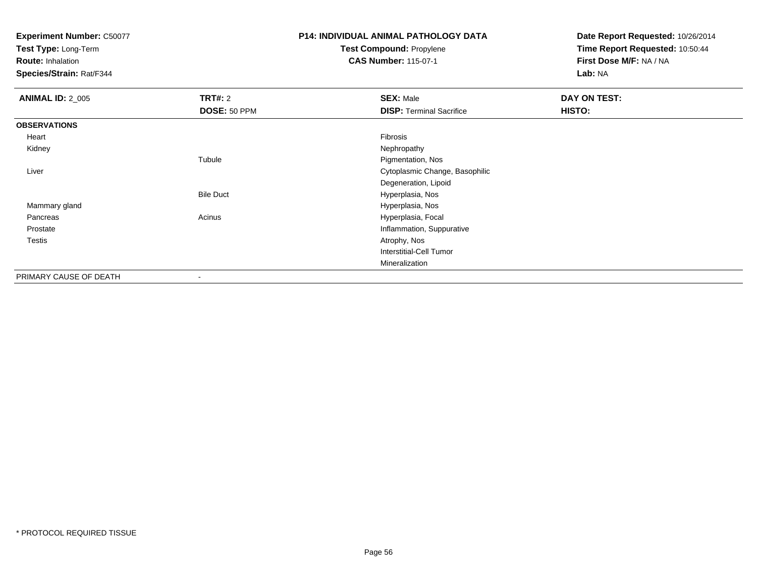**Test Type:** Long-Term

**Route:** Inhalation

**Species/Strain:** Rat/F344

## **P14: INDIVIDUAL ANIMAL PATHOLOGY DATATest Compound:** Propylene

**CAS Number:** 115-07-1

| <b>ANIMAL ID: 2_005</b> | TRT#: 2                  | <b>SEX: Male</b>                | DAY ON TEST: |
|-------------------------|--------------------------|---------------------------------|--------------|
|                         | DOSE: 50 PPM             | <b>DISP: Terminal Sacrifice</b> | HISTO:       |
| <b>OBSERVATIONS</b>     |                          |                                 |              |
| Heart                   |                          | Fibrosis                        |              |
| Kidney                  |                          | Nephropathy                     |              |
|                         | Tubule                   | Pigmentation, Nos               |              |
| Liver                   |                          | Cytoplasmic Change, Basophilic  |              |
|                         |                          | Degeneration, Lipoid            |              |
|                         | <b>Bile Duct</b>         | Hyperplasia, Nos                |              |
| Mammary gland           |                          | Hyperplasia, Nos                |              |
| Pancreas                | Acinus                   | Hyperplasia, Focal              |              |
| Prostate                |                          | Inflammation, Suppurative       |              |
| Testis                  |                          | Atrophy, Nos                    |              |
|                         |                          | <b>Interstitial-Cell Tumor</b>  |              |
|                         |                          | Mineralization                  |              |
| PRIMARY CAUSE OF DEATH  | $\overline{\phantom{a}}$ |                                 |              |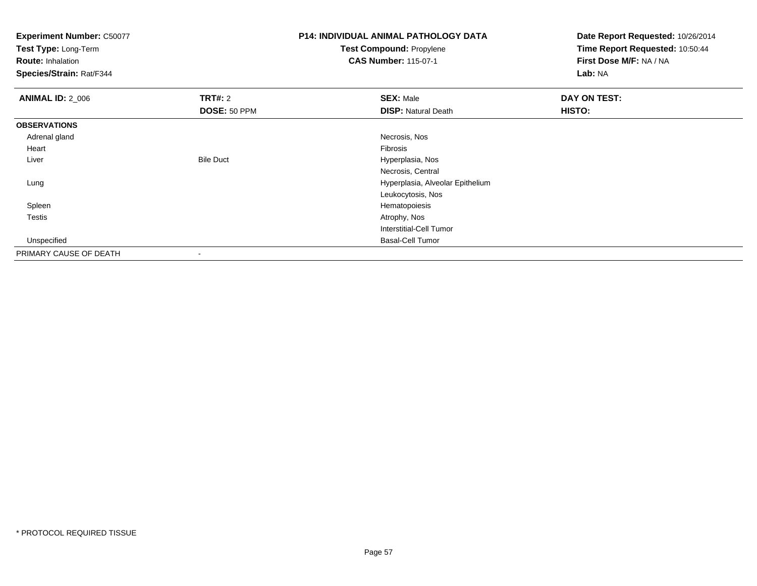**Test Type:** Long-Term

**Route:** Inhalation

**Species/Strain:** Rat/F344

# **P14: INDIVIDUAL ANIMAL PATHOLOGY DATATest Compound:** Propylene

**CAS Number:** 115-07-1

| <b>ANIMAL ID: 2_006</b> | TRT#: 2          | <b>SEX: Male</b>                 | DAY ON TEST: |
|-------------------------|------------------|----------------------------------|--------------|
|                         | DOSE: 50 PPM     | <b>DISP: Natural Death</b>       | HISTO:       |
| <b>OBSERVATIONS</b>     |                  |                                  |              |
| Adrenal gland           |                  | Necrosis, Nos                    |              |
| Heart                   |                  | Fibrosis                         |              |
| Liver                   | <b>Bile Duct</b> | Hyperplasia, Nos                 |              |
|                         |                  | Necrosis, Central                |              |
| Lung                    |                  | Hyperplasia, Alveolar Epithelium |              |
|                         |                  | Leukocytosis, Nos                |              |
| Spleen                  |                  | Hematopoiesis                    |              |
| <b>Testis</b>           |                  | Atrophy, Nos                     |              |
|                         |                  | Interstitial-Cell Tumor          |              |
| Unspecified             |                  | <b>Basal-Cell Tumor</b>          |              |
| PRIMARY CAUSE OF DEATH  | $\,$             |                                  |              |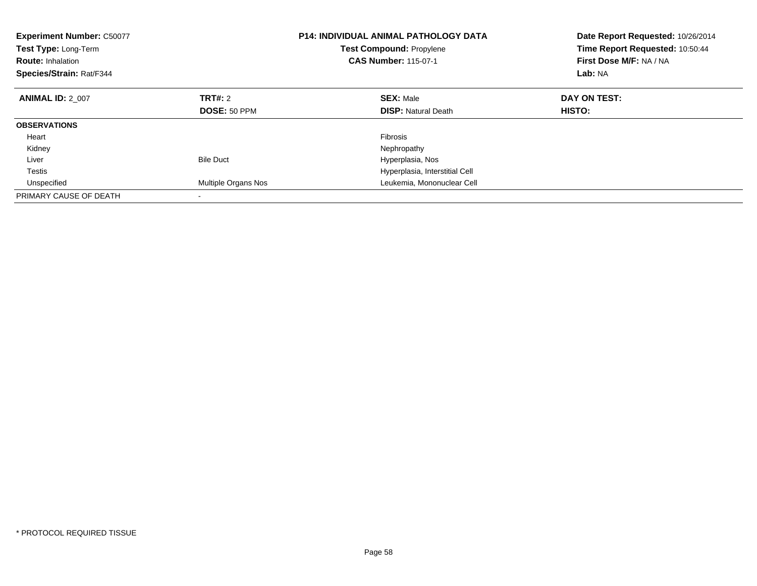| <b>Experiment Number: C50077</b><br>Test Type: Long-Term<br><b>Route: Inhalation</b><br>Species/Strain: Rat/F344 |                     | <b>P14: INDIVIDUAL ANIMAL PATHOLOGY DATA</b><br><b>Test Compound: Propylene</b><br><b>CAS Number: 115-07-1</b> | Date Report Requested: 10/26/2014<br>Time Report Requested: 10:50:44<br>First Dose M/F: NA / NA<br>Lab: NA |
|------------------------------------------------------------------------------------------------------------------|---------------------|----------------------------------------------------------------------------------------------------------------|------------------------------------------------------------------------------------------------------------|
| <b>ANIMAL ID: 2 007</b>                                                                                          | TRT#: 2             | <b>SEX: Male</b>                                                                                               | DAY ON TEST:                                                                                               |
|                                                                                                                  | DOSE: 50 PPM        | <b>DISP: Natural Death</b>                                                                                     | HISTO:                                                                                                     |
| <b>OBSERVATIONS</b>                                                                                              |                     |                                                                                                                |                                                                                                            |
| Heart                                                                                                            |                     | <b>Fibrosis</b>                                                                                                |                                                                                                            |
| Kidney                                                                                                           |                     | Nephropathy                                                                                                    |                                                                                                            |
| Liver                                                                                                            | <b>Bile Duct</b>    | Hyperplasia, Nos                                                                                               |                                                                                                            |
| <b>Testis</b>                                                                                                    |                     | Hyperplasia, Interstitial Cell                                                                                 |                                                                                                            |
| Unspecified                                                                                                      | Multiple Organs Nos | Leukemia, Mononuclear Cell                                                                                     |                                                                                                            |
| PRIMARY CAUSE OF DEATH                                                                                           |                     |                                                                                                                |                                                                                                            |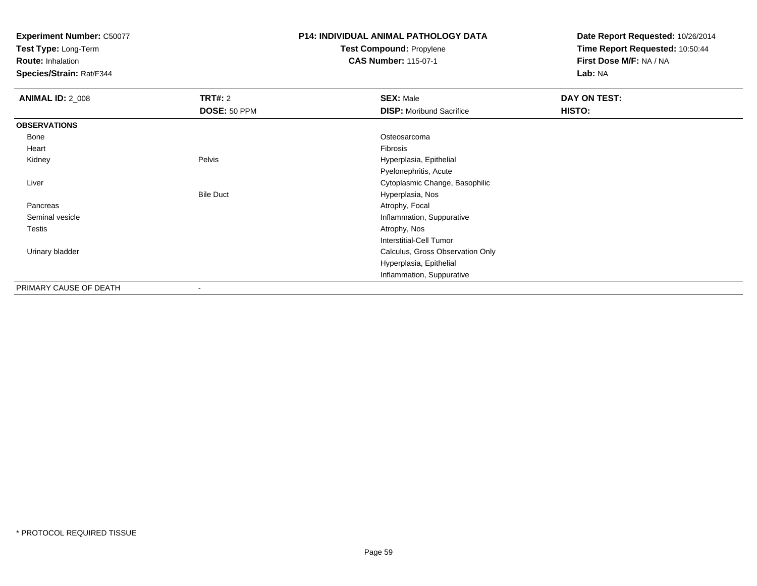**Test Type:** Long-Term

**Route:** Inhalation

**Species/Strain:** Rat/F344

## **P14: INDIVIDUAL ANIMAL PATHOLOGY DATATest Compound:** Propylene

**CAS Number:** 115-07-1

| <b>ANIMAL ID: 2_008</b> | <b>TRT#: 2</b>   | <b>SEX: Male</b>                 | DAY ON TEST: |
|-------------------------|------------------|----------------------------------|--------------|
|                         | DOSE: 50 PPM     | <b>DISP:</b> Moribund Sacrifice  | HISTO:       |
| <b>OBSERVATIONS</b>     |                  |                                  |              |
| Bone                    |                  | Osteosarcoma                     |              |
| Heart                   |                  | Fibrosis                         |              |
| Kidney                  | Pelvis           | Hyperplasia, Epithelial          |              |
|                         |                  | Pyelonephritis, Acute            |              |
| Liver                   |                  | Cytoplasmic Change, Basophilic   |              |
|                         | <b>Bile Duct</b> | Hyperplasia, Nos                 |              |
| Pancreas                |                  | Atrophy, Focal                   |              |
| Seminal vesicle         |                  | Inflammation, Suppurative        |              |
| Testis                  |                  | Atrophy, Nos                     |              |
|                         |                  | Interstitial-Cell Tumor          |              |
| Urinary bladder         |                  | Calculus, Gross Observation Only |              |
|                         |                  | Hyperplasia, Epithelial          |              |
|                         |                  | Inflammation, Suppurative        |              |
| PRIMARY CAUSE OF DEATH  | ۰                |                                  |              |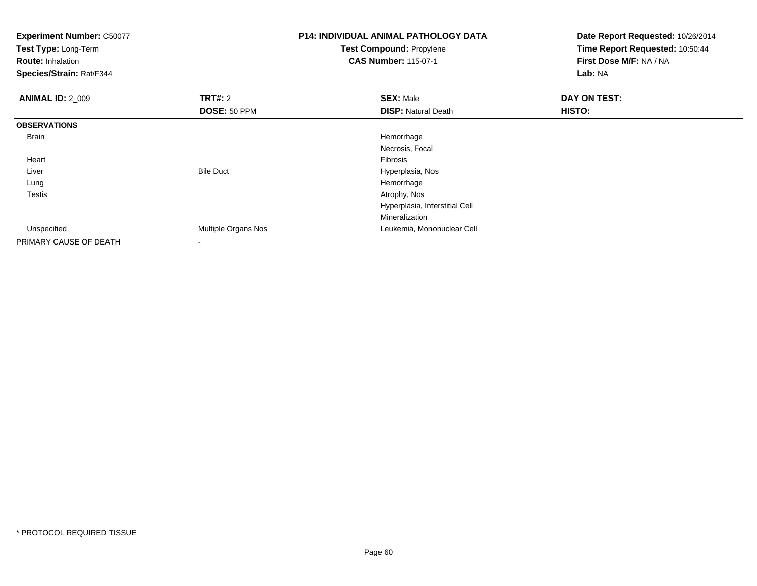| <b>Experiment Number: C50077</b><br>Test Type: Long-Term<br><b>Route: Inhalation</b><br>Species/Strain: Rat/F344 |                     | <b>P14: INDIVIDUAL ANIMAL PATHOLOGY DATA</b><br>Test Compound: Propylene<br><b>CAS Number: 115-07-1</b> | Date Report Requested: 10/26/2014<br>Time Report Requested: 10:50:44<br>First Dose M/F: NA / NA<br>Lab: NA |
|------------------------------------------------------------------------------------------------------------------|---------------------|---------------------------------------------------------------------------------------------------------|------------------------------------------------------------------------------------------------------------|
| <b>ANIMAL ID: 2_009</b>                                                                                          | <b>TRT#: 2</b>      | <b>SEX: Male</b>                                                                                        | DAY ON TEST:                                                                                               |
|                                                                                                                  | DOSE: 50 PPM        | <b>DISP: Natural Death</b>                                                                              | HISTO:                                                                                                     |
| <b>OBSERVATIONS</b>                                                                                              |                     |                                                                                                         |                                                                                                            |
| Brain                                                                                                            |                     | Hemorrhage                                                                                              |                                                                                                            |
|                                                                                                                  |                     | Necrosis, Focal                                                                                         |                                                                                                            |
| Heart                                                                                                            |                     | <b>Fibrosis</b>                                                                                         |                                                                                                            |
| Liver                                                                                                            | <b>Bile Duct</b>    | Hyperplasia, Nos                                                                                        |                                                                                                            |
| Lung                                                                                                             |                     | Hemorrhage                                                                                              |                                                                                                            |
| Testis                                                                                                           |                     | Atrophy, Nos                                                                                            |                                                                                                            |
|                                                                                                                  |                     | Hyperplasia, Interstitial Cell                                                                          |                                                                                                            |
|                                                                                                                  |                     | Mineralization                                                                                          |                                                                                                            |
| Unspecified                                                                                                      | Multiple Organs Nos | Leukemia, Mononuclear Cell                                                                              |                                                                                                            |
| PRIMARY CAUSE OF DEATH                                                                                           |                     |                                                                                                         |                                                                                                            |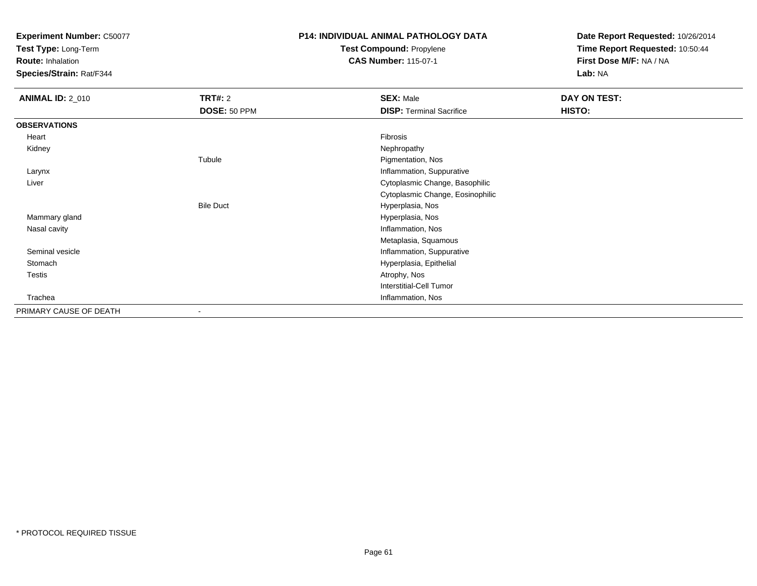**Test Type:** Long-Term

**Route:** Inhalation

**Species/Strain:** Rat/F344

## **P14: INDIVIDUAL ANIMAL PATHOLOGY DATATest Compound:** Propylene

**CAS Number:** 115-07-1

| <b>ANIMAL ID: 2_010</b> | <b>TRT#: 2</b>   | <b>SEX: Male</b>                 | DAY ON TEST: |
|-------------------------|------------------|----------------------------------|--------------|
|                         | DOSE: 50 PPM     | <b>DISP: Terminal Sacrifice</b>  | HISTO:       |
| <b>OBSERVATIONS</b>     |                  |                                  |              |
| Heart                   |                  | Fibrosis                         |              |
| Kidney                  |                  | Nephropathy                      |              |
|                         | Tubule           | Pigmentation, Nos                |              |
| Larynx                  |                  | Inflammation, Suppurative        |              |
| Liver                   |                  | Cytoplasmic Change, Basophilic   |              |
|                         |                  | Cytoplasmic Change, Eosinophilic |              |
|                         | <b>Bile Duct</b> | Hyperplasia, Nos                 |              |
| Mammary gland           |                  | Hyperplasia, Nos                 |              |
| Nasal cavity            |                  | Inflammation, Nos                |              |
|                         |                  | Metaplasia, Squamous             |              |
| Seminal vesicle         |                  | Inflammation, Suppurative        |              |
| Stomach                 |                  | Hyperplasia, Epithelial          |              |
| Testis                  |                  | Atrophy, Nos                     |              |
|                         |                  | <b>Interstitial-Cell Tumor</b>   |              |
| Trachea                 |                  | Inflammation, Nos                |              |
| PRIMARY CAUSE OF DEATH  |                  |                                  |              |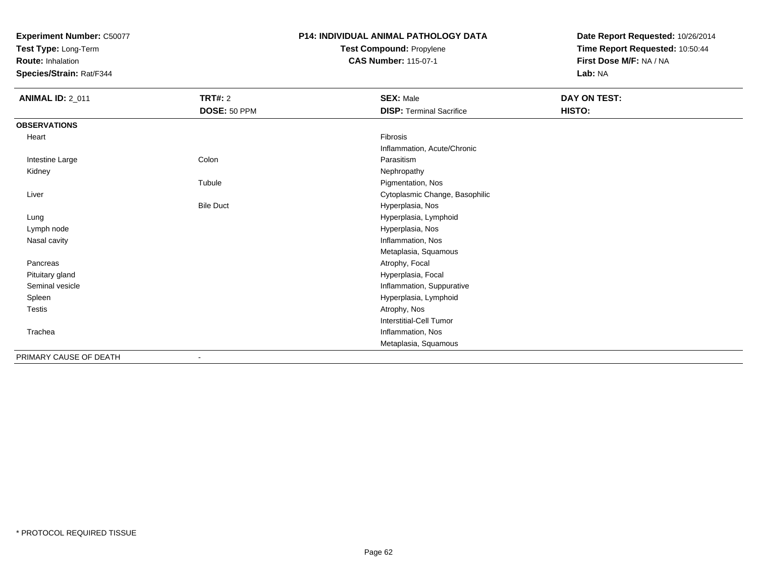**Test Type:** Long-Term

**Route:** Inhalation

**Species/Strain:** Rat/F344

## **P14: INDIVIDUAL ANIMAL PATHOLOGY DATATest Compound:** Propylene

**CAS Number:** 115-07-1

| <b>ANIMAL ID: 2_011</b> | <b>TRT#: 2</b>   | <b>SEX: Male</b>                | DAY ON TEST: |  |
|-------------------------|------------------|---------------------------------|--------------|--|
|                         | DOSE: 50 PPM     | <b>DISP: Terminal Sacrifice</b> | HISTO:       |  |
| <b>OBSERVATIONS</b>     |                  |                                 |              |  |
| Heart                   |                  | Fibrosis                        |              |  |
|                         |                  | Inflammation, Acute/Chronic     |              |  |
| Intestine Large         | Colon            | Parasitism                      |              |  |
| Kidney                  |                  | Nephropathy                     |              |  |
|                         | Tubule           | Pigmentation, Nos               |              |  |
| Liver                   |                  | Cytoplasmic Change, Basophilic  |              |  |
|                         | <b>Bile Duct</b> | Hyperplasia, Nos                |              |  |
| Lung                    |                  | Hyperplasia, Lymphoid           |              |  |
| Lymph node              |                  | Hyperplasia, Nos                |              |  |
| Nasal cavity            |                  | Inflammation, Nos               |              |  |
|                         |                  | Metaplasia, Squamous            |              |  |
| Pancreas                |                  | Atrophy, Focal                  |              |  |
| Pituitary gland         |                  | Hyperplasia, Focal              |              |  |
| Seminal vesicle         |                  | Inflammation, Suppurative       |              |  |
| Spleen                  |                  | Hyperplasia, Lymphoid           |              |  |
| Testis                  |                  | Atrophy, Nos                    |              |  |
|                         |                  | <b>Interstitial-Cell Tumor</b>  |              |  |
| Trachea                 |                  | Inflammation, Nos               |              |  |
|                         |                  | Metaplasia, Squamous            |              |  |
| PRIMARY CAUSE OF DEATH  |                  |                                 |              |  |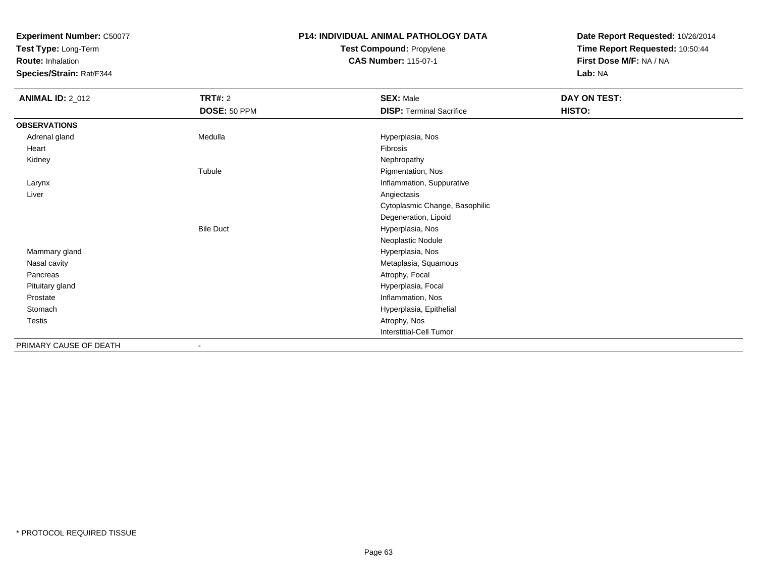**Test Type:** Long-Term

**Route:** Inhalation

**Species/Strain:** Rat/F344

## **P14: INDIVIDUAL ANIMAL PATHOLOGY DATATest Compound:** Propylene

**CAS Number:** 115-07-1

| <b>ANIMAL ID: 2_012</b> | <b>TRT#: 2</b>           | <b>SEX: Male</b>                | DAY ON TEST: |
|-------------------------|--------------------------|---------------------------------|--------------|
|                         | DOSE: 50 PPM             | <b>DISP: Terminal Sacrifice</b> | HISTO:       |
| <b>OBSERVATIONS</b>     |                          |                                 |              |
| Adrenal gland           | Medulla                  | Hyperplasia, Nos                |              |
| Heart                   |                          | Fibrosis                        |              |
| Kidney                  |                          | Nephropathy                     |              |
|                         | Tubule                   | Pigmentation, Nos               |              |
| Larynx                  |                          | Inflammation, Suppurative       |              |
| Liver                   |                          | Angiectasis                     |              |
|                         |                          | Cytoplasmic Change, Basophilic  |              |
|                         |                          | Degeneration, Lipoid            |              |
|                         | <b>Bile Duct</b>         | Hyperplasia, Nos                |              |
|                         |                          | Neoplastic Nodule               |              |
| Mammary gland           |                          | Hyperplasia, Nos                |              |
| Nasal cavity            |                          | Metaplasia, Squamous            |              |
| Pancreas                |                          | Atrophy, Focal                  |              |
| Pituitary gland         |                          | Hyperplasia, Focal              |              |
| Prostate                |                          | Inflammation, Nos               |              |
| Stomach                 |                          | Hyperplasia, Epithelial         |              |
| Testis                  |                          | Atrophy, Nos                    |              |
|                         |                          | <b>Interstitial-Cell Tumor</b>  |              |
| PRIMARY CAUSE OF DEATH  | $\overline{\phantom{a}}$ |                                 |              |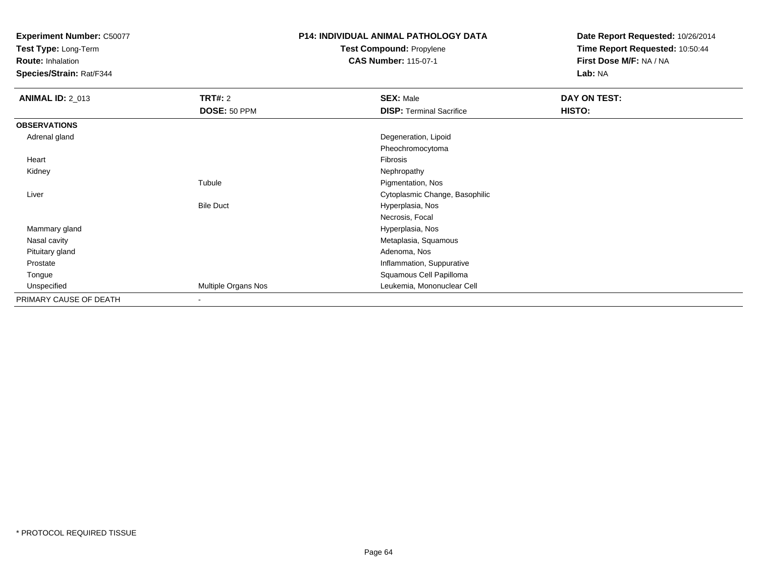**Test Type:** Long-Term

**Route:** Inhalation

**Species/Strain:** Rat/F344

# **P14: INDIVIDUAL ANIMAL PATHOLOGY DATATest Compound:** Propylene

**CAS Number:** 115-07-1

| <b>ANIMAL ID: 2_013</b> | <b>TRT#: 2</b>      | <b>SEX: Male</b>                | DAY ON TEST: |  |
|-------------------------|---------------------|---------------------------------|--------------|--|
|                         | DOSE: 50 PPM        | <b>DISP: Terminal Sacrifice</b> | HISTO:       |  |
| <b>OBSERVATIONS</b>     |                     |                                 |              |  |
| Adrenal gland           |                     | Degeneration, Lipoid            |              |  |
|                         |                     | Pheochromocytoma                |              |  |
| Heart                   |                     | Fibrosis                        |              |  |
| Kidney                  |                     | Nephropathy                     |              |  |
|                         | Tubule              | Pigmentation, Nos               |              |  |
| Liver                   |                     | Cytoplasmic Change, Basophilic  |              |  |
|                         | <b>Bile Duct</b>    | Hyperplasia, Nos                |              |  |
|                         |                     | Necrosis, Focal                 |              |  |
| Mammary gland           |                     | Hyperplasia, Nos                |              |  |
| Nasal cavity            |                     | Metaplasia, Squamous            |              |  |
| Pituitary gland         |                     | Adenoma, Nos                    |              |  |
| Prostate                |                     | Inflammation, Suppurative       |              |  |
| Tongue                  |                     | Squamous Cell Papilloma         |              |  |
| Unspecified             | Multiple Organs Nos | Leukemia, Mononuclear Cell      |              |  |
| PRIMARY CAUSE OF DEATH  | ٠                   |                                 |              |  |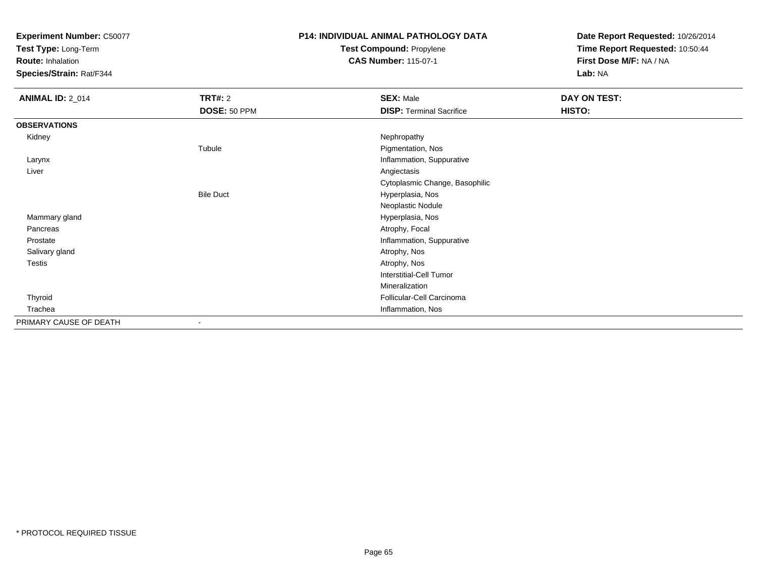**Test Type:** Long-Term

**Route:** Inhalation

**Species/Strain:** Rat/F344

## **P14: INDIVIDUAL ANIMAL PATHOLOGY DATATest Compound:** Propylene

**CAS Number:** 115-07-1

| <b>ANIMAL ID: 2_014</b> | <b>TRT#: 2</b>   | <b>SEX: Male</b>                | DAY ON TEST: |  |
|-------------------------|------------------|---------------------------------|--------------|--|
|                         | DOSE: 50 PPM     | <b>DISP: Terminal Sacrifice</b> | HISTO:       |  |
| <b>OBSERVATIONS</b>     |                  |                                 |              |  |
| Kidney                  |                  | Nephropathy                     |              |  |
|                         | Tubule           | Pigmentation, Nos               |              |  |
| Larynx                  |                  | Inflammation, Suppurative       |              |  |
| Liver                   |                  | Angiectasis                     |              |  |
|                         |                  | Cytoplasmic Change, Basophilic  |              |  |
|                         | <b>Bile Duct</b> | Hyperplasia, Nos                |              |  |
|                         |                  | Neoplastic Nodule               |              |  |
| Mammary gland           |                  | Hyperplasia, Nos                |              |  |
| Pancreas                |                  | Atrophy, Focal                  |              |  |
| Prostate                |                  | Inflammation, Suppurative       |              |  |
| Salivary gland          |                  | Atrophy, Nos                    |              |  |
| Testis                  |                  | Atrophy, Nos                    |              |  |
|                         |                  | Interstitial-Cell Tumor         |              |  |
|                         |                  | Mineralization                  |              |  |
| Thyroid                 |                  | Follicular-Cell Carcinoma       |              |  |
| Trachea                 |                  | Inflammation, Nos               |              |  |
| PRIMARY CAUSE OF DEATH  | -                |                                 |              |  |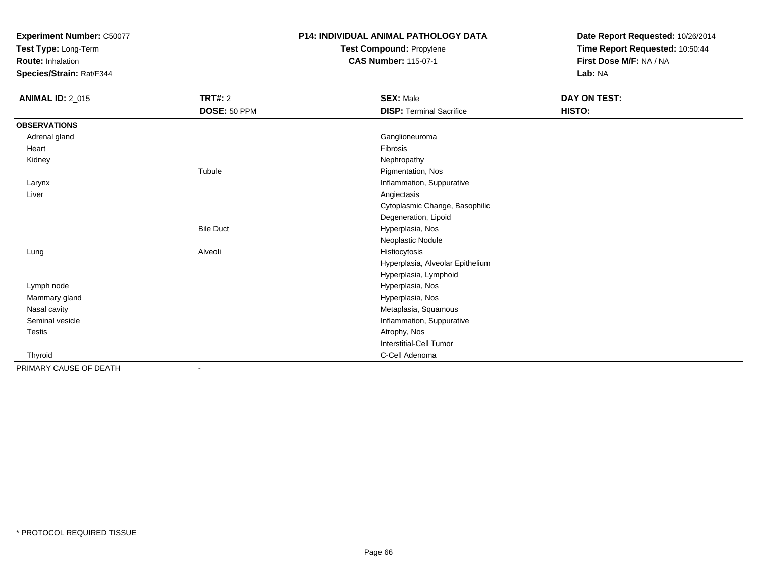**Test Type:** Long-Term

**Route:** Inhalation

**Species/Strain:** Rat/F344

# **P14: INDIVIDUAL ANIMAL PATHOLOGY DATATest Compound:** Propylene

**CAS Number:** 115-07-1

| <b>ANIMAL ID: 2_015</b> | <b>TRT#: 2</b>   | <b>SEX: Male</b>                 | DAY ON TEST: |  |
|-------------------------|------------------|----------------------------------|--------------|--|
|                         | DOSE: 50 PPM     | <b>DISP: Terminal Sacrifice</b>  | HISTO:       |  |
| <b>OBSERVATIONS</b>     |                  |                                  |              |  |
| Adrenal gland           |                  | Ganglioneuroma                   |              |  |
| Heart                   |                  | Fibrosis                         |              |  |
| Kidney                  |                  | Nephropathy                      |              |  |
|                         | Tubule           | Pigmentation, Nos                |              |  |
| Larynx                  |                  | Inflammation, Suppurative        |              |  |
| Liver                   |                  | Angiectasis                      |              |  |
|                         |                  | Cytoplasmic Change, Basophilic   |              |  |
|                         |                  | Degeneration, Lipoid             |              |  |
|                         | <b>Bile Duct</b> | Hyperplasia, Nos                 |              |  |
|                         |                  | Neoplastic Nodule                |              |  |
| Lung                    | Alveoli          | Histiocytosis                    |              |  |
|                         |                  | Hyperplasia, Alveolar Epithelium |              |  |
|                         |                  | Hyperplasia, Lymphoid            |              |  |
| Lymph node              |                  | Hyperplasia, Nos                 |              |  |
| Mammary gland           |                  | Hyperplasia, Nos                 |              |  |
| Nasal cavity            |                  | Metaplasia, Squamous             |              |  |
| Seminal vesicle         |                  | Inflammation, Suppurative        |              |  |
| Testis                  |                  | Atrophy, Nos                     |              |  |
|                         |                  | <b>Interstitial-Cell Tumor</b>   |              |  |
| Thyroid                 |                  | C-Cell Adenoma                   |              |  |
| PRIMARY CAUSE OF DEATH  |                  |                                  |              |  |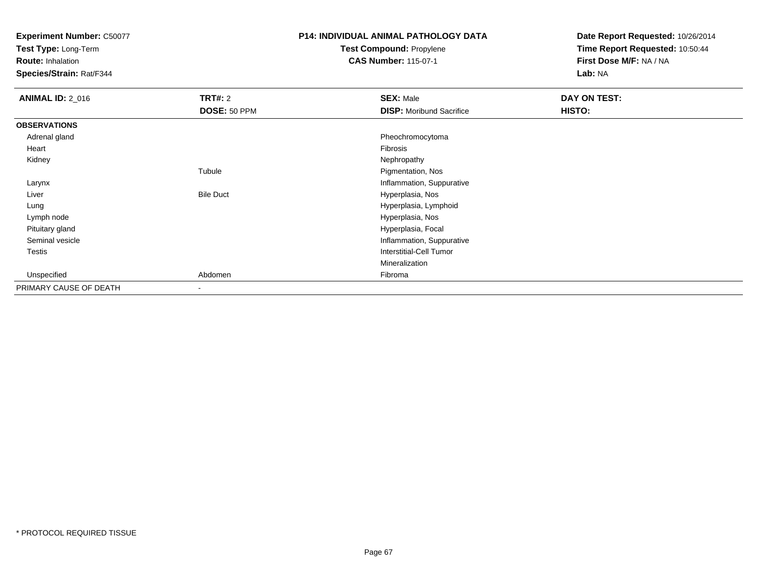**Test Type:** Long-Term

**Route:** Inhalation

**Species/Strain:** Rat/F344

# **P14: INDIVIDUAL ANIMAL PATHOLOGY DATATest Compound:** Propylene

**CAS Number:** 115-07-1

| <b>ANIMAL ID: 2_016</b> | <b>TRT#: 2</b><br>DOSE: 50 PPM | <b>SEX: Male</b><br><b>DISP:</b> Moribund Sacrifice | DAY ON TEST:<br>HISTO: |
|-------------------------|--------------------------------|-----------------------------------------------------|------------------------|
| <b>OBSERVATIONS</b>     |                                |                                                     |                        |
| Adrenal gland           |                                | Pheochromocytoma                                    |                        |
| Heart                   |                                | Fibrosis                                            |                        |
| Kidney                  |                                | Nephropathy                                         |                        |
|                         | Tubule                         | Pigmentation, Nos                                   |                        |
| Larynx                  |                                | Inflammation, Suppurative                           |                        |
| Liver                   | <b>Bile Duct</b>               | Hyperplasia, Nos                                    |                        |
| Lung                    |                                | Hyperplasia, Lymphoid                               |                        |
| Lymph node              |                                | Hyperplasia, Nos                                    |                        |
| Pituitary gland         |                                | Hyperplasia, Focal                                  |                        |
| Seminal vesicle         |                                | Inflammation, Suppurative                           |                        |
| Testis                  |                                | <b>Interstitial-Cell Tumor</b>                      |                        |
|                         |                                | Mineralization                                      |                        |
| Unspecified             | Abdomen                        | Fibroma                                             |                        |
| PRIMARY CAUSE OF DEATH  | $\overline{\phantom{a}}$       |                                                     |                        |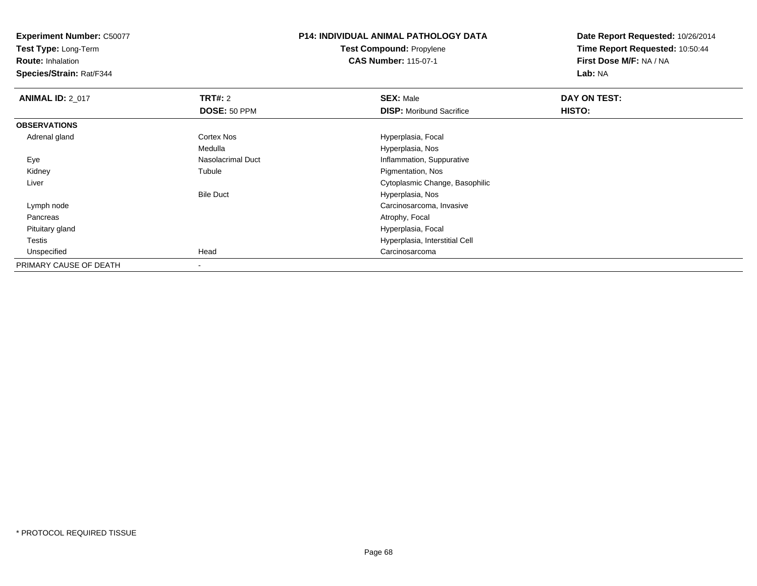**Test Type:** Long-Term

**Route:** Inhalation

**Species/Strain:** Rat/F344

#### **P14: INDIVIDUAL ANIMAL PATHOLOGY DATATest Compound:** Propylene**CAS Number:** 115-07-1

| <b>ANIMAL ID: 2_017</b> | TRT#: 2             | <b>SEX: Male</b>                | DAY ON TEST: |  |
|-------------------------|---------------------|---------------------------------|--------------|--|
|                         | <b>DOSE: 50 PPM</b> | <b>DISP:</b> Moribund Sacrifice | HISTO:       |  |
| <b>OBSERVATIONS</b>     |                     |                                 |              |  |
| Adrenal gland           | <b>Cortex Nos</b>   | Hyperplasia, Focal              |              |  |
|                         | Medulla             | Hyperplasia, Nos                |              |  |
| Eye                     | Nasolacrimal Duct   | Inflammation, Suppurative       |              |  |
| Kidney                  | Tubule              | Pigmentation, Nos               |              |  |
| Liver                   |                     | Cytoplasmic Change, Basophilic  |              |  |
|                         | <b>Bile Duct</b>    | Hyperplasia, Nos                |              |  |
| Lymph node              |                     | Carcinosarcoma, Invasive        |              |  |
| Pancreas                |                     | Atrophy, Focal                  |              |  |
| Pituitary gland         |                     | Hyperplasia, Focal              |              |  |
| Testis                  |                     | Hyperplasia, Interstitial Cell  |              |  |
| Unspecified             | Head                | Carcinosarcoma                  |              |  |
| PRIMARY CAUSE OF DEATH  |                     |                                 |              |  |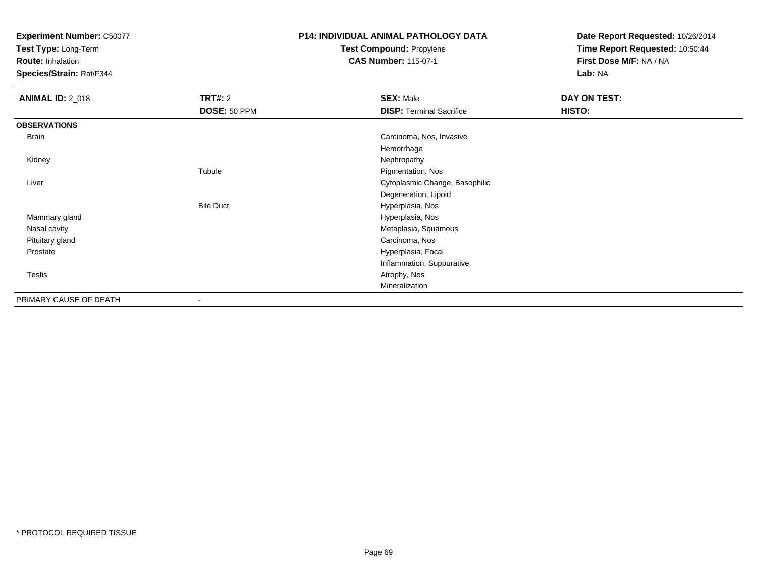**Test Type:** Long-Term

**Route:** Inhalation

**Species/Strain:** Rat/F344

# **P14: INDIVIDUAL ANIMAL PATHOLOGY DATATest Compound:** Propylene

**CAS Number:** 115-07-1

| <b>ANIMAL ID: 2_018</b> | TRT#: 2          | <b>SEX: Male</b>                | DAY ON TEST: |
|-------------------------|------------------|---------------------------------|--------------|
|                         | DOSE: 50 PPM     | <b>DISP: Terminal Sacrifice</b> | HISTO:       |
| <b>OBSERVATIONS</b>     |                  |                                 |              |
| Brain                   |                  | Carcinoma, Nos, Invasive        |              |
|                         |                  | Hemorrhage                      |              |
| Kidney                  |                  | Nephropathy                     |              |
|                         | Tubule           | Pigmentation, Nos               |              |
| Liver                   |                  | Cytoplasmic Change, Basophilic  |              |
|                         |                  | Degeneration, Lipoid            |              |
|                         | <b>Bile Duct</b> | Hyperplasia, Nos                |              |
| Mammary gland           |                  | Hyperplasia, Nos                |              |
| Nasal cavity            |                  | Metaplasia, Squamous            |              |
| Pituitary gland         |                  | Carcinoma, Nos                  |              |
| Prostate                |                  | Hyperplasia, Focal              |              |
|                         |                  | Inflammation, Suppurative       |              |
| Testis                  |                  | Atrophy, Nos                    |              |
|                         |                  | Mineralization                  |              |
| PRIMARY CAUSE OF DEATH  | ٠                |                                 |              |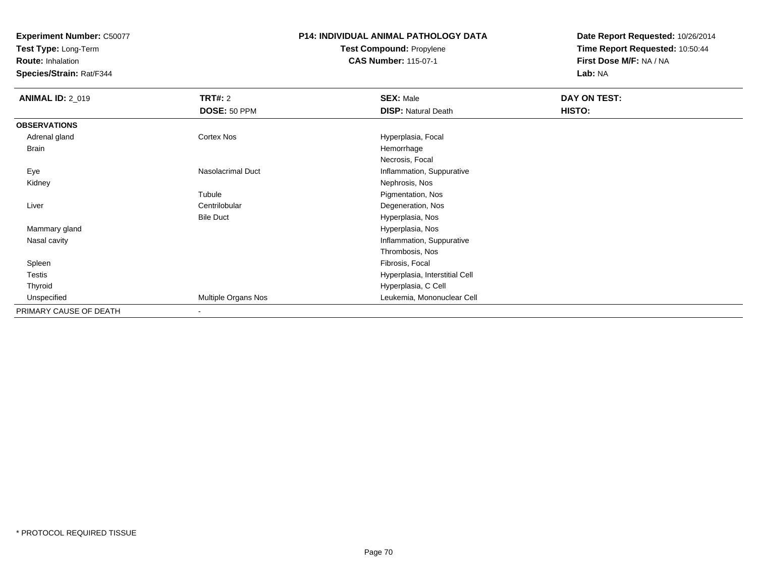**Test Type:** Long-Term

**Route:** Inhalation

**Species/Strain:** Rat/F344

# **P14: INDIVIDUAL ANIMAL PATHOLOGY DATATest Compound:** Propylene

**CAS Number:** 115-07-1

| <b>ANIMAL ID: 2_019</b> | <b>TRT#: 2</b>      | <b>SEX: Male</b>               | DAY ON TEST: |
|-------------------------|---------------------|--------------------------------|--------------|
|                         | DOSE: 50 PPM        | <b>DISP: Natural Death</b>     | HISTO:       |
| <b>OBSERVATIONS</b>     |                     |                                |              |
| Adrenal gland           | Cortex Nos          | Hyperplasia, Focal             |              |
| Brain                   |                     | Hemorrhage                     |              |
|                         |                     | Necrosis, Focal                |              |
| Eye                     | Nasolacrimal Duct   | Inflammation, Suppurative      |              |
| Kidney                  |                     | Nephrosis, Nos                 |              |
|                         | Tubule              | Pigmentation, Nos              |              |
| Liver                   | Centrilobular       | Degeneration, Nos              |              |
|                         | <b>Bile Duct</b>    | Hyperplasia, Nos               |              |
| Mammary gland           |                     | Hyperplasia, Nos               |              |
| Nasal cavity            |                     | Inflammation, Suppurative      |              |
|                         |                     | Thrombosis, Nos                |              |
| Spleen                  |                     | Fibrosis, Focal                |              |
| Testis                  |                     | Hyperplasia, Interstitial Cell |              |
| Thyroid                 |                     | Hyperplasia, C Cell            |              |
| Unspecified             | Multiple Organs Nos | Leukemia, Mononuclear Cell     |              |
| PRIMARY CAUSE OF DEATH  | $\blacksquare$      |                                |              |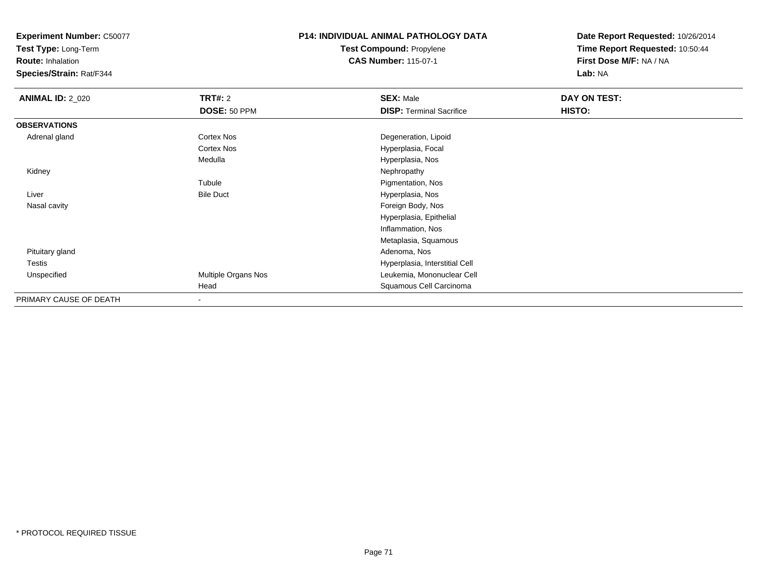**Test Type:** Long-Term

**Route:** Inhalation

**Species/Strain:** Rat/F344

#### **P14: INDIVIDUAL ANIMAL PATHOLOGY DATATest Compound:** Propylene**CAS Number:** 115-07-1

| <b>ANIMAL ID: 2_020</b> | <b>TRT#: 2</b>      | <b>SEX: Male</b>                | DAY ON TEST: |  |
|-------------------------|---------------------|---------------------------------|--------------|--|
|                         | DOSE: 50 PPM        | <b>DISP: Terminal Sacrifice</b> | HISTO:       |  |
| <b>OBSERVATIONS</b>     |                     |                                 |              |  |
| Adrenal gland           | Cortex Nos          | Degeneration, Lipoid            |              |  |
|                         | Cortex Nos          | Hyperplasia, Focal              |              |  |
|                         | Medulla             | Hyperplasia, Nos                |              |  |
| Kidney                  |                     | Nephropathy                     |              |  |
|                         | Tubule              | Pigmentation, Nos               |              |  |
| Liver                   | <b>Bile Duct</b>    | Hyperplasia, Nos                |              |  |
| Nasal cavity            |                     | Foreign Body, Nos               |              |  |
|                         |                     | Hyperplasia, Epithelial         |              |  |
|                         |                     | Inflammation, Nos               |              |  |
|                         |                     | Metaplasia, Squamous            |              |  |
| Pituitary gland         |                     | Adenoma, Nos                    |              |  |
| Testis                  |                     | Hyperplasia, Interstitial Cell  |              |  |
| Unspecified             | Multiple Organs Nos | Leukemia, Mononuclear Cell      |              |  |
|                         | Head                | Squamous Cell Carcinoma         |              |  |
| PRIMARY CAUSE OF DEATH  | $\blacksquare$      |                                 |              |  |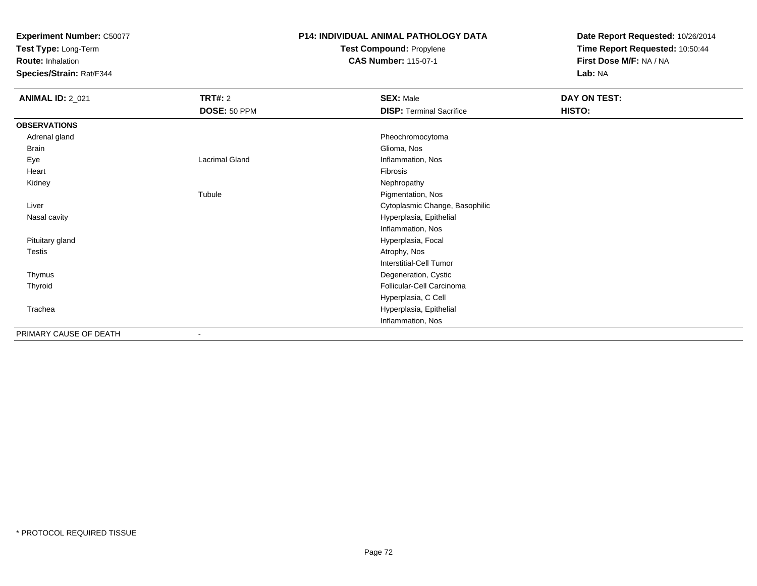**Test Type:** Long-Term

**Route:** Inhalation

**Species/Strain:** Rat/F344

## **P14: INDIVIDUAL ANIMAL PATHOLOGY DATATest Compound:** Propylene

**CAS Number:** 115-07-1

| <b>ANIMAL ID: 2_021</b> | <b>TRT#: 2</b>        | <b>SEX: Male</b>                | DAY ON TEST: |  |
|-------------------------|-----------------------|---------------------------------|--------------|--|
|                         | DOSE: 50 PPM          | <b>DISP: Terminal Sacrifice</b> | HISTO:       |  |
| <b>OBSERVATIONS</b>     |                       |                                 |              |  |
| Adrenal gland           |                       | Pheochromocytoma                |              |  |
| <b>Brain</b>            |                       | Glioma, Nos                     |              |  |
| Eye                     | <b>Lacrimal Gland</b> | Inflammation, Nos               |              |  |
| Heart                   |                       | Fibrosis                        |              |  |
| Kidney                  |                       | Nephropathy                     |              |  |
|                         | Tubule                | Pigmentation, Nos               |              |  |
| Liver                   |                       | Cytoplasmic Change, Basophilic  |              |  |
| Nasal cavity            |                       | Hyperplasia, Epithelial         |              |  |
|                         |                       | Inflammation, Nos               |              |  |
| Pituitary gland         |                       | Hyperplasia, Focal              |              |  |
| Testis                  |                       | Atrophy, Nos                    |              |  |
|                         |                       | Interstitial-Cell Tumor         |              |  |
| Thymus                  |                       | Degeneration, Cystic            |              |  |
| Thyroid                 |                       | Follicular-Cell Carcinoma       |              |  |
|                         |                       | Hyperplasia, C Cell             |              |  |
| Trachea                 |                       | Hyperplasia, Epithelial         |              |  |
|                         |                       | Inflammation, Nos               |              |  |
| PRIMARY CAUSE OF DEATH  | ۰                     |                                 |              |  |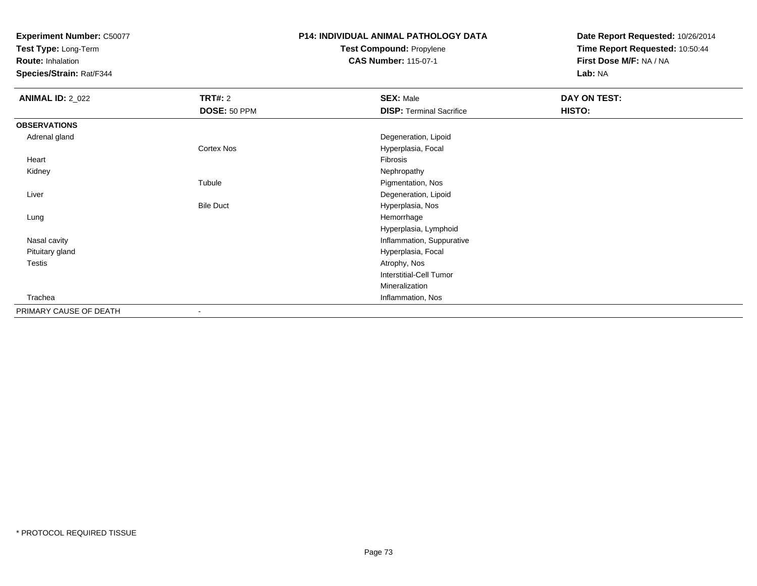**Test Type:** Long-Term

**Route:** Inhalation

**Species/Strain:** Rat/F344

# **P14: INDIVIDUAL ANIMAL PATHOLOGY DATATest Compound:** Propylene

**CAS Number:** 115-07-1

| <b>ANIMAL ID: 2_022</b> | <b>TRT#:</b> 2           | <b>SEX: Male</b>                | DAY ON TEST: |  |
|-------------------------|--------------------------|---------------------------------|--------------|--|
|                         | DOSE: 50 PPM             | <b>DISP: Terminal Sacrifice</b> | HISTO:       |  |
| <b>OBSERVATIONS</b>     |                          |                                 |              |  |
| Adrenal gland           |                          | Degeneration, Lipoid            |              |  |
|                         | <b>Cortex Nos</b>        | Hyperplasia, Focal              |              |  |
| Heart                   |                          | Fibrosis                        |              |  |
| Kidney                  |                          | Nephropathy                     |              |  |
|                         | Tubule                   | Pigmentation, Nos               |              |  |
| Liver                   |                          | Degeneration, Lipoid            |              |  |
|                         | <b>Bile Duct</b>         | Hyperplasia, Nos                |              |  |
| Lung                    |                          | Hemorrhage                      |              |  |
|                         |                          | Hyperplasia, Lymphoid           |              |  |
| Nasal cavity            |                          | Inflammation, Suppurative       |              |  |
| Pituitary gland         |                          | Hyperplasia, Focal              |              |  |
| <b>Testis</b>           |                          | Atrophy, Nos                    |              |  |
|                         |                          | Interstitial-Cell Tumor         |              |  |
|                         |                          | Mineralization                  |              |  |
| Trachea                 |                          | Inflammation, Nos               |              |  |
| PRIMARY CAUSE OF DEATH  | $\overline{\phantom{a}}$ |                                 |              |  |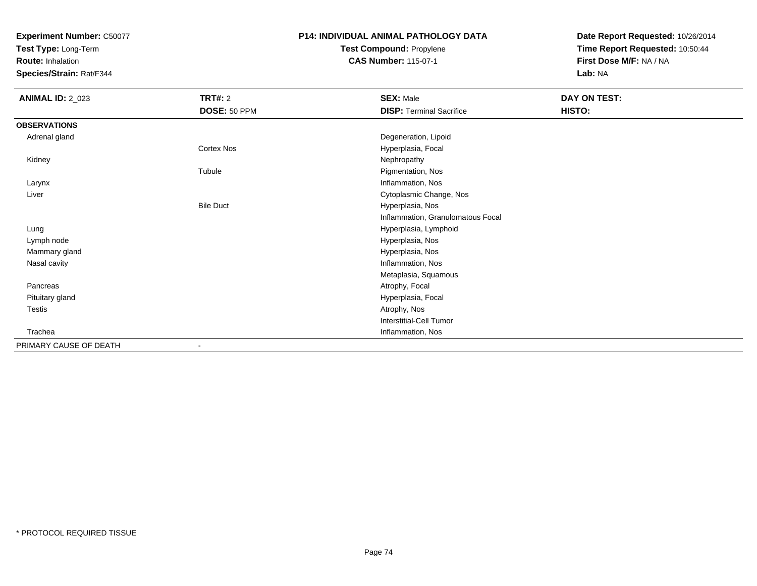**Test Type:** Long-Term

**Route:** Inhalation

**Species/Strain:** Rat/F344

## **P14: INDIVIDUAL ANIMAL PATHOLOGY DATATest Compound:** Propylene

**CAS Number:** 115-07-1

| <b>ANIMAL ID: 2_023</b> | <b>TRT#: 2</b>    | <b>SEX: Male</b>                  | DAY ON TEST: |
|-------------------------|-------------------|-----------------------------------|--------------|
|                         | DOSE: 50 PPM      | <b>DISP: Terminal Sacrifice</b>   | HISTO:       |
| <b>OBSERVATIONS</b>     |                   |                                   |              |
| Adrenal gland           |                   | Degeneration, Lipoid              |              |
|                         | <b>Cortex Nos</b> | Hyperplasia, Focal                |              |
| Kidney                  |                   | Nephropathy                       |              |
|                         | Tubule            | Pigmentation, Nos                 |              |
| Larynx                  |                   | Inflammation, Nos                 |              |
| Liver                   |                   | Cytoplasmic Change, Nos           |              |
|                         | <b>Bile Duct</b>  | Hyperplasia, Nos                  |              |
|                         |                   | Inflammation, Granulomatous Focal |              |
| Lung                    |                   | Hyperplasia, Lymphoid             |              |
| Lymph node              |                   | Hyperplasia, Nos                  |              |
| Mammary gland           |                   | Hyperplasia, Nos                  |              |
| Nasal cavity            |                   | Inflammation, Nos                 |              |
|                         |                   | Metaplasia, Squamous              |              |
| Pancreas                |                   | Atrophy, Focal                    |              |
| Pituitary gland         |                   | Hyperplasia, Focal                |              |
| Testis                  |                   | Atrophy, Nos                      |              |
|                         |                   | <b>Interstitial-Cell Tumor</b>    |              |
| Trachea                 |                   | Inflammation, Nos                 |              |
| PRIMARY CAUSE OF DEATH  |                   |                                   |              |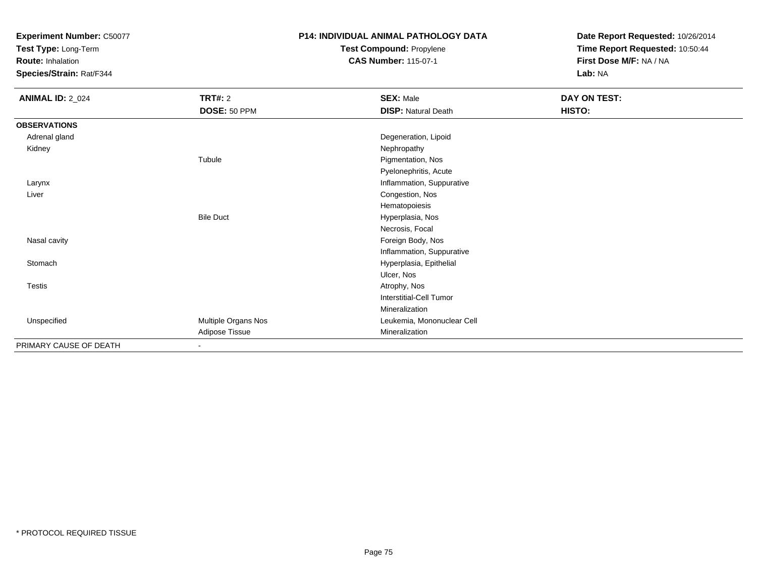**Test Type:** Long-Term

**Route:** Inhalation

**Species/Strain:** Rat/F344

# **P14: INDIVIDUAL ANIMAL PATHOLOGY DATATest Compound:** Propylene

**CAS Number:** 115-07-1

| <b>ANIMAL ID: 2_024</b> | <b>TRT#: 2</b><br>DOSE: 50 PPM | <b>SEX: Male</b><br><b>DISP: Natural Death</b> | DAY ON TEST:<br>HISTO: |
|-------------------------|--------------------------------|------------------------------------------------|------------------------|
| <b>OBSERVATIONS</b>     |                                |                                                |                        |
| Adrenal gland           |                                | Degeneration, Lipoid                           |                        |
| Kidney                  |                                | Nephropathy                                    |                        |
|                         | Tubule                         | Pigmentation, Nos                              |                        |
|                         |                                | Pyelonephritis, Acute                          |                        |
| Larynx                  |                                | Inflammation, Suppurative                      |                        |
| Liver                   |                                | Congestion, Nos                                |                        |
|                         |                                | Hematopoiesis                                  |                        |
|                         | <b>Bile Duct</b>               | Hyperplasia, Nos                               |                        |
|                         |                                | Necrosis, Focal                                |                        |
| Nasal cavity            |                                | Foreign Body, Nos                              |                        |
|                         |                                | Inflammation, Suppurative                      |                        |
| Stomach                 |                                | Hyperplasia, Epithelial                        |                        |
|                         |                                | Ulcer, Nos                                     |                        |
| Testis                  |                                | Atrophy, Nos                                   |                        |
|                         |                                | Interstitial-Cell Tumor                        |                        |
|                         |                                | Mineralization                                 |                        |
| Unspecified             | Multiple Organs Nos            | Leukemia, Mononuclear Cell                     |                        |
|                         | Adipose Tissue                 | Mineralization                                 |                        |
| PRIMARY CAUSE OF DEATH  | ٠                              |                                                |                        |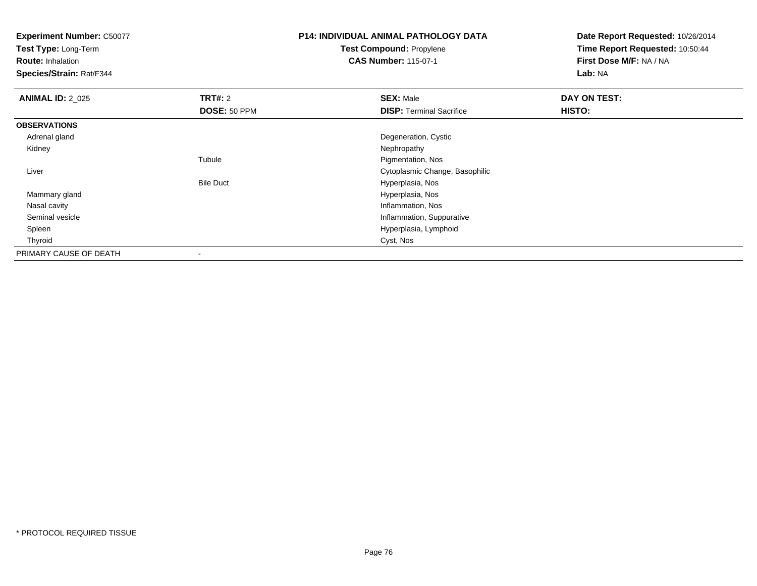**Test Type:** Long-Term

**Route:** Inhalation

**Species/Strain:** Rat/F344

## **P14: INDIVIDUAL ANIMAL PATHOLOGY DATATest Compound:** Propylene**CAS Number:** 115-07-1

| <b>ANIMAL ID: 2 025</b> | TRT#: 2          | <b>SEX: Male</b>                | DAY ON TEST: |  |
|-------------------------|------------------|---------------------------------|--------------|--|
|                         | DOSE: 50 PPM     | <b>DISP: Terminal Sacrifice</b> | HISTO:       |  |
| <b>OBSERVATIONS</b>     |                  |                                 |              |  |
| Adrenal gland           |                  | Degeneration, Cystic            |              |  |
| Kidney                  |                  | Nephropathy                     |              |  |
|                         | Tubule           | Pigmentation, Nos               |              |  |
| Liver                   |                  | Cytoplasmic Change, Basophilic  |              |  |
|                         | <b>Bile Duct</b> | Hyperplasia, Nos                |              |  |
| Mammary gland           |                  | Hyperplasia, Nos                |              |  |
| Nasal cavity            |                  | Inflammation, Nos               |              |  |
| Seminal vesicle         |                  | Inflammation, Suppurative       |              |  |
| Spleen                  |                  | Hyperplasia, Lymphoid           |              |  |
| Thyroid                 |                  | Cyst, Nos                       |              |  |
| PRIMARY CAUSE OF DEATH  |                  |                                 |              |  |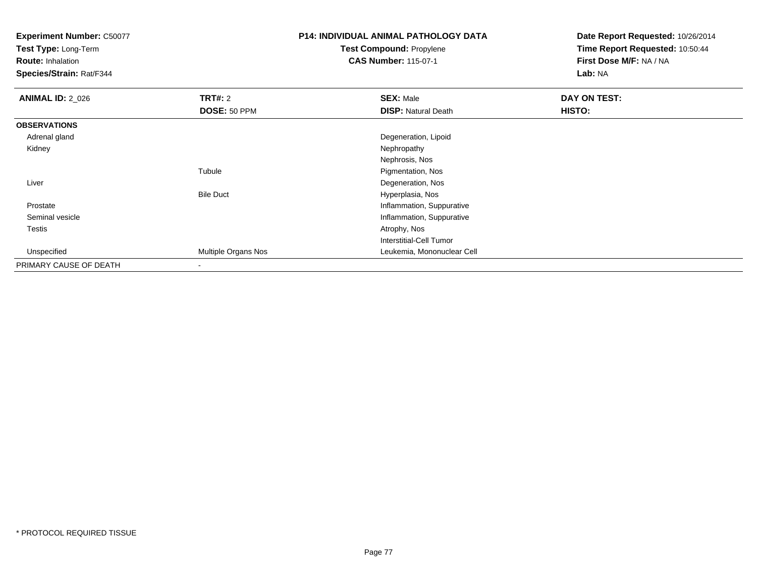**Test Type:** Long-Term

**Route:** Inhalation

**Species/Strain:** Rat/F344

# **P14: INDIVIDUAL ANIMAL PATHOLOGY DATATest Compound:** Propylene

**CAS Number:** 115-07-1

| <b>ANIMAL ID: 2_026</b> | TRT#: 2             | <b>SEX: Male</b>           | DAY ON TEST: |
|-------------------------|---------------------|----------------------------|--------------|
|                         | DOSE: 50 PPM        | <b>DISP: Natural Death</b> | HISTO:       |
| <b>OBSERVATIONS</b>     |                     |                            |              |
| Adrenal gland           |                     | Degeneration, Lipoid       |              |
| Kidney                  |                     | Nephropathy                |              |
|                         |                     | Nephrosis, Nos             |              |
|                         | Tubule              | Pigmentation, Nos          |              |
| Liver                   |                     | Degeneration, Nos          |              |
|                         | <b>Bile Duct</b>    | Hyperplasia, Nos           |              |
| Prostate                |                     | Inflammation, Suppurative  |              |
| Seminal vesicle         |                     | Inflammation, Suppurative  |              |
| Testis                  |                     | Atrophy, Nos               |              |
|                         |                     | Interstitial-Cell Tumor    |              |
| Unspecified             | Multiple Organs Nos | Leukemia, Mononuclear Cell |              |
| PRIMARY CAUSE OF DEATH  |                     |                            |              |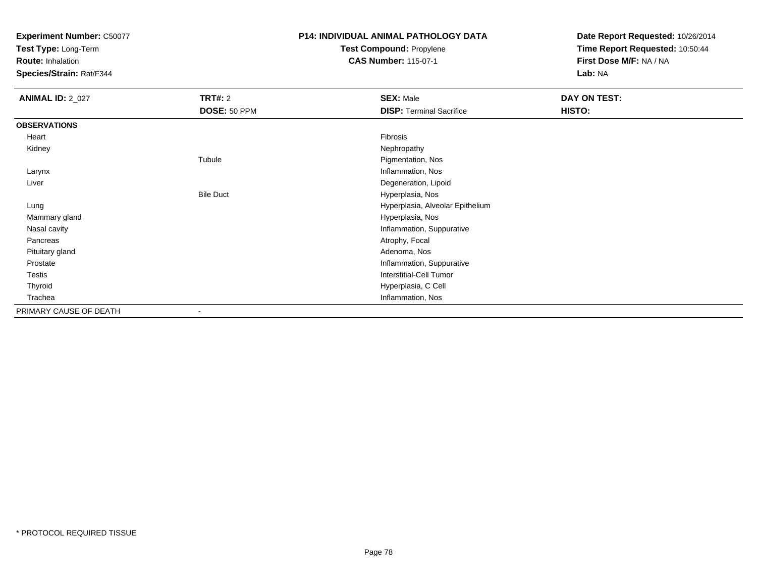**Test Type:** Long-Term

**Route:** Inhalation

**Species/Strain:** Rat/F344

# **P14: INDIVIDUAL ANIMAL PATHOLOGY DATATest Compound:** Propylene

**CAS Number:** 115-07-1

| <b>ANIMAL ID: 2_027</b> | <b>TRT#: 2</b>   | <b>SEX: Male</b>                 | DAY ON TEST: |
|-------------------------|------------------|----------------------------------|--------------|
|                         | DOSE: 50 PPM     | <b>DISP: Terminal Sacrifice</b>  | HISTO:       |
| <b>OBSERVATIONS</b>     |                  |                                  |              |
| Heart                   |                  | Fibrosis                         |              |
| Kidney                  |                  | Nephropathy                      |              |
|                         | Tubule           | Pigmentation, Nos                |              |
| Larynx                  |                  | Inflammation, Nos                |              |
| Liver                   |                  | Degeneration, Lipoid             |              |
|                         | <b>Bile Duct</b> | Hyperplasia, Nos                 |              |
| Lung                    |                  | Hyperplasia, Alveolar Epithelium |              |
| Mammary gland           |                  | Hyperplasia, Nos                 |              |
| Nasal cavity            |                  | Inflammation, Suppurative        |              |
| Pancreas                |                  | Atrophy, Focal                   |              |
| Pituitary gland         |                  | Adenoma, Nos                     |              |
| Prostate                |                  | Inflammation, Suppurative        |              |
| Testis                  |                  | Interstitial-Cell Tumor          |              |
| Thyroid                 |                  | Hyperplasia, C Cell              |              |
| Trachea                 |                  | Inflammation, Nos                |              |
| PRIMARY CAUSE OF DEATH  | $\blacksquare$   |                                  |              |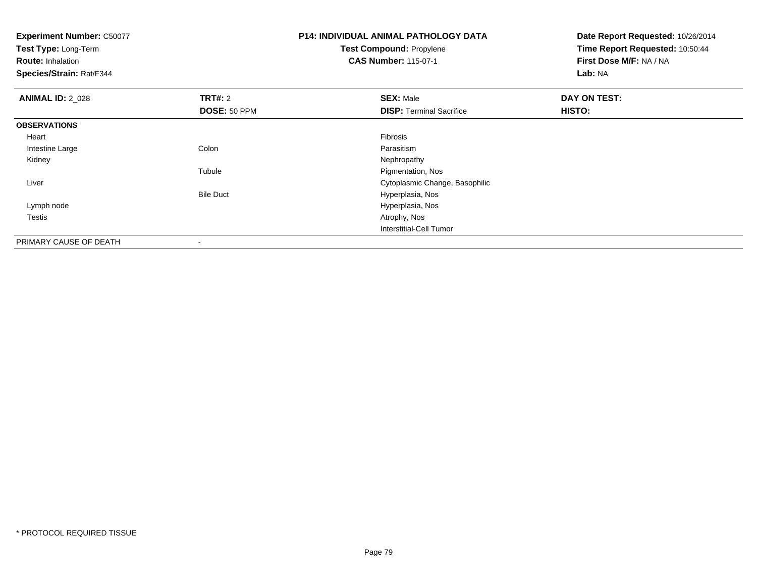**Test Type:** Long-Term

**Route:** Inhalation

**Species/Strain:** Rat/F344

## **P14: INDIVIDUAL ANIMAL PATHOLOGY DATATest Compound:** Propylene**CAS Number:** 115-07-1

| <b>ANIMAL ID: 2_028</b> | TRT#: 2                  | <b>SEX: Male</b>                | DAY ON TEST: |  |
|-------------------------|--------------------------|---------------------------------|--------------|--|
|                         | DOSE: 50 PPM             | <b>DISP: Terminal Sacrifice</b> | HISTO:       |  |
| <b>OBSERVATIONS</b>     |                          |                                 |              |  |
| Heart                   |                          | Fibrosis                        |              |  |
| Intestine Large         | Colon                    | Parasitism                      |              |  |
| Kidney                  |                          | Nephropathy                     |              |  |
|                         | Tubule                   | Pigmentation, Nos               |              |  |
| Liver                   |                          | Cytoplasmic Change, Basophilic  |              |  |
|                         | <b>Bile Duct</b>         | Hyperplasia, Nos                |              |  |
| Lymph node              |                          | Hyperplasia, Nos                |              |  |
| Testis                  |                          | Atrophy, Nos                    |              |  |
|                         |                          | Interstitial-Cell Tumor         |              |  |
| PRIMARY CAUSE OF DEATH  | $\overline{\phantom{a}}$ |                                 |              |  |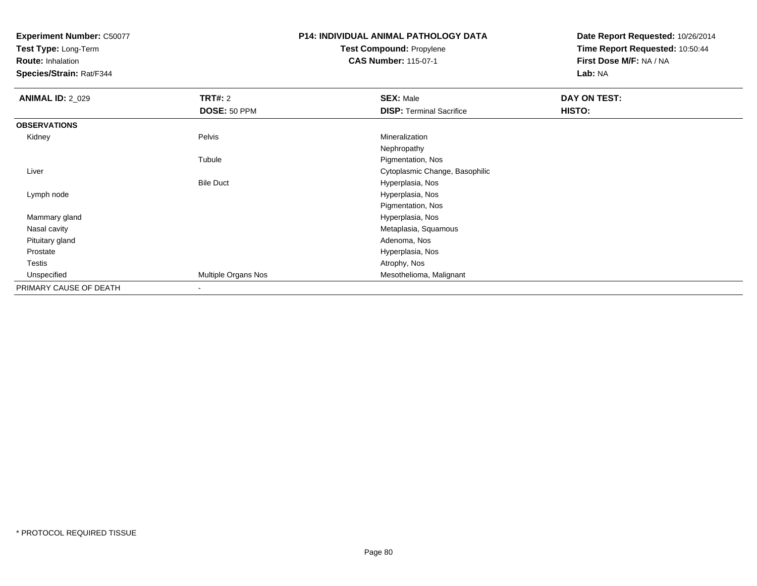**Test Type:** Long-Term

**Route:** Inhalation

**Species/Strain:** Rat/F344

## **P14: INDIVIDUAL ANIMAL PATHOLOGY DATATest Compound:** Propylene**CAS Number:** 115-07-1

| <b>ANIMAL ID: 2_029</b> | <b>TRT#: 2</b>      | <b>SEX: Male</b>                | <b>DAY ON TEST:</b> |  |
|-------------------------|---------------------|---------------------------------|---------------------|--|
|                         | DOSE: 50 PPM        | <b>DISP: Terminal Sacrifice</b> | HISTO:              |  |
| <b>OBSERVATIONS</b>     |                     |                                 |                     |  |
| Kidney                  | Pelvis              | Mineralization                  |                     |  |
|                         |                     | Nephropathy                     |                     |  |
|                         | Tubule              | Pigmentation, Nos               |                     |  |
| Liver                   |                     | Cytoplasmic Change, Basophilic  |                     |  |
|                         | <b>Bile Duct</b>    | Hyperplasia, Nos                |                     |  |
| Lymph node              |                     | Hyperplasia, Nos                |                     |  |
|                         |                     | Pigmentation, Nos               |                     |  |
| Mammary gland           |                     | Hyperplasia, Nos                |                     |  |
| Nasal cavity            |                     | Metaplasia, Squamous            |                     |  |
| Pituitary gland         |                     | Adenoma, Nos                    |                     |  |
| Prostate                |                     | Hyperplasia, Nos                |                     |  |
| <b>Testis</b>           |                     | Atrophy, Nos                    |                     |  |
| Unspecified             | Multiple Organs Nos | Mesothelioma, Malignant         |                     |  |
| PRIMARY CAUSE OF DEATH  | $\,$ $\,$           |                                 |                     |  |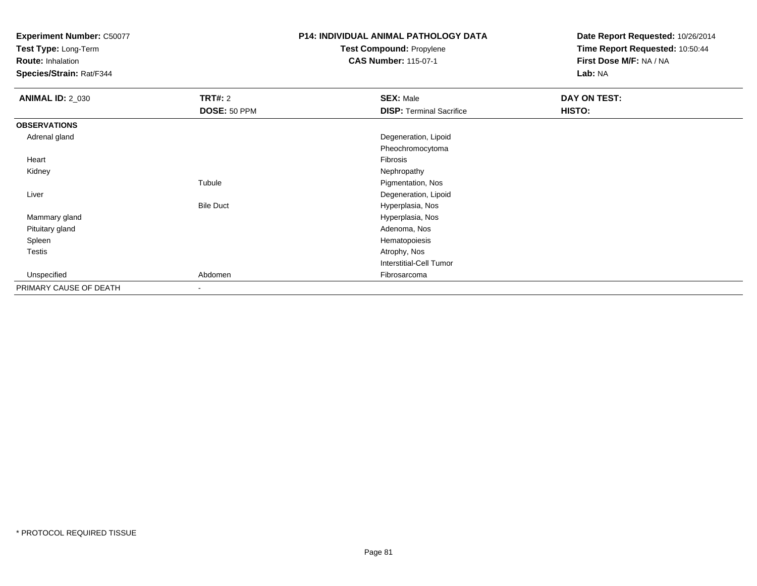**Test Type:** Long-Term

**Route:** Inhalation

**Species/Strain:** Rat/F344

# **P14: INDIVIDUAL ANIMAL PATHOLOGY DATATest Compound:** Propylene

**CAS Number:** 115-07-1

| <b>ANIMAL ID: 2_030</b> | <b>TRT#: 2</b>   | <b>SEX: Male</b>                | <b>DAY ON TEST:</b> |
|-------------------------|------------------|---------------------------------|---------------------|
|                         | DOSE: 50 PPM     | <b>DISP: Terminal Sacrifice</b> | HISTO:              |
| <b>OBSERVATIONS</b>     |                  |                                 |                     |
| Adrenal gland           |                  | Degeneration, Lipoid            |                     |
|                         |                  | Pheochromocytoma                |                     |
| Heart                   |                  | Fibrosis                        |                     |
| Kidney                  |                  | Nephropathy                     |                     |
|                         | Tubule           | Pigmentation, Nos               |                     |
| Liver                   |                  | Degeneration, Lipoid            |                     |
|                         | <b>Bile Duct</b> | Hyperplasia, Nos                |                     |
| Mammary gland           |                  | Hyperplasia, Nos                |                     |
| Pituitary gland         |                  | Adenoma, Nos                    |                     |
| Spleen                  |                  | Hematopoiesis                   |                     |
| Testis                  |                  | Atrophy, Nos                    |                     |
|                         |                  | Interstitial-Cell Tumor         |                     |
| Unspecified             | Abdomen          | Fibrosarcoma                    |                     |
| PRIMARY CAUSE OF DEATH  | ۰                |                                 |                     |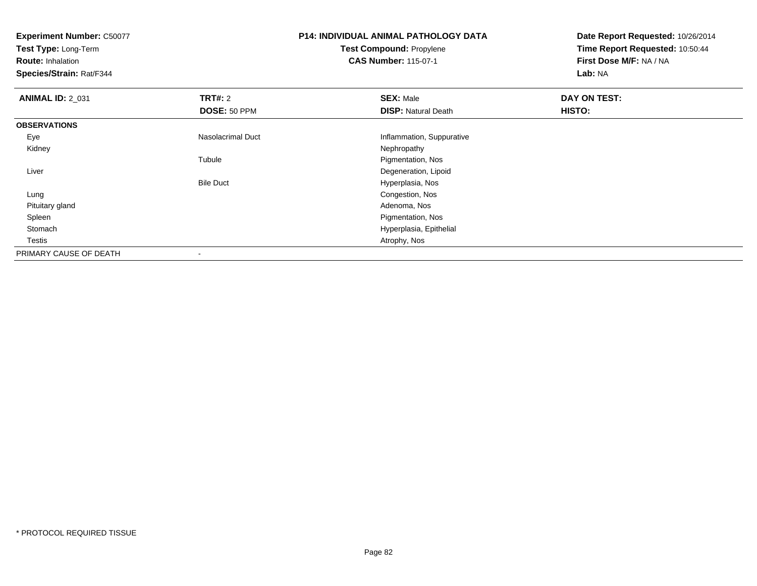**Test Type:** Long-Term

**Route:** Inhalation

**Species/Strain:** Rat/F344

## **P14: INDIVIDUAL ANIMAL PATHOLOGY DATATest Compound:** Propylene**CAS Number:** 115-07-1

| <b>ANIMAL ID: 2_031</b> | TRT#: 2           | <b>SEX: Male</b>           | DAY ON TEST: |  |
|-------------------------|-------------------|----------------------------|--------------|--|
|                         | DOSE: 50 PPM      | <b>DISP: Natural Death</b> | HISTO:       |  |
| <b>OBSERVATIONS</b>     |                   |                            |              |  |
| Eye                     | Nasolacrimal Duct | Inflammation, Suppurative  |              |  |
| Kidney                  |                   | Nephropathy                |              |  |
|                         | Tubule            | Pigmentation, Nos          |              |  |
| Liver                   |                   | Degeneration, Lipoid       |              |  |
|                         | <b>Bile Duct</b>  | Hyperplasia, Nos           |              |  |
| Lung                    |                   | Congestion, Nos            |              |  |
| Pituitary gland         |                   | Adenoma, Nos               |              |  |
| Spleen                  |                   | Pigmentation, Nos          |              |  |
| Stomach                 |                   | Hyperplasia, Epithelial    |              |  |
| Testis                  |                   | Atrophy, Nos               |              |  |
| PRIMARY CAUSE OF DEATH  | $\,$ $\,$         |                            |              |  |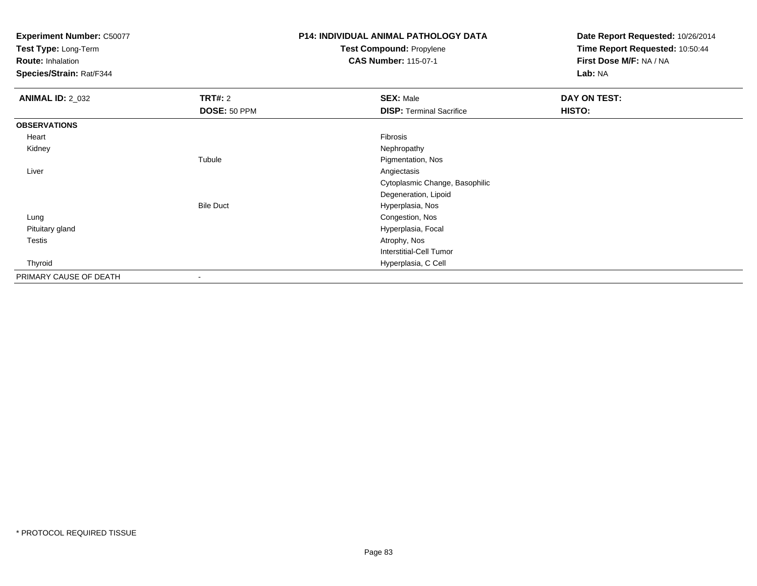**Test Type:** Long-Term

**Route:** Inhalation

**Species/Strain:** Rat/F344

# **P14: INDIVIDUAL ANIMAL PATHOLOGY DATATest Compound:** Propylene

**CAS Number:** 115-07-1

| <b>ANIMAL ID: 2_032</b> | TRT#: 2                  | <b>SEX: Male</b>                | DAY ON TEST: |
|-------------------------|--------------------------|---------------------------------|--------------|
|                         | DOSE: 50 PPM             | <b>DISP: Terminal Sacrifice</b> | HISTO:       |
| <b>OBSERVATIONS</b>     |                          |                                 |              |
| Heart                   |                          | Fibrosis                        |              |
| Kidney                  |                          | Nephropathy                     |              |
|                         | Tubule                   | Pigmentation, Nos               |              |
| Liver                   |                          | Angiectasis                     |              |
|                         |                          | Cytoplasmic Change, Basophilic  |              |
|                         |                          | Degeneration, Lipoid            |              |
|                         | <b>Bile Duct</b>         | Hyperplasia, Nos                |              |
| Lung                    |                          | Congestion, Nos                 |              |
| Pituitary gland         |                          | Hyperplasia, Focal              |              |
| Testis                  |                          | Atrophy, Nos                    |              |
|                         |                          | <b>Interstitial-Cell Tumor</b>  |              |
| Thyroid                 |                          | Hyperplasia, C Cell             |              |
| PRIMARY CAUSE OF DEATH  | $\overline{\phantom{a}}$ |                                 |              |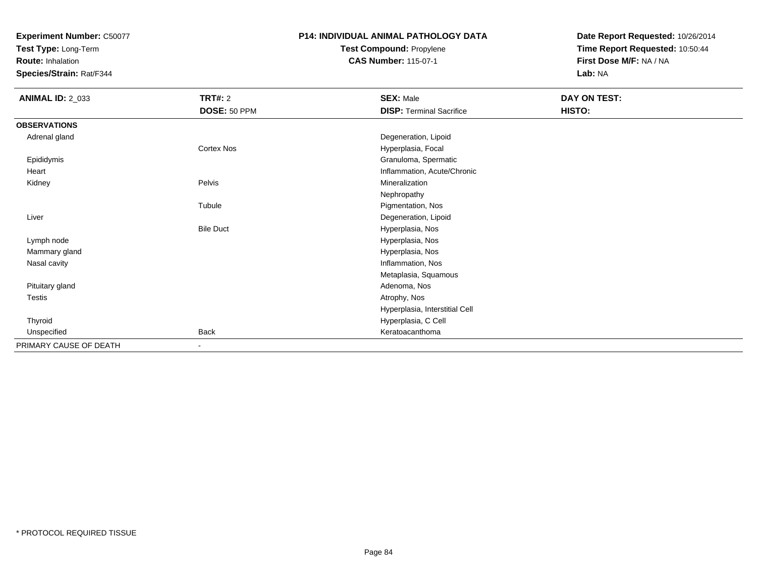**Test Type:** Long-Term

**Route:** Inhalation

**Species/Strain:** Rat/F344

## **P14: INDIVIDUAL ANIMAL PATHOLOGY DATATest Compound:** Propylene

**CAS Number:** 115-07-1

| <b>ANIMAL ID: 2_033</b> | <b>TRT#: 2</b>   | <b>SEX: Male</b>                | DAY ON TEST: |
|-------------------------|------------------|---------------------------------|--------------|
|                         | DOSE: 50 PPM     | <b>DISP: Terminal Sacrifice</b> | HISTO:       |
| <b>OBSERVATIONS</b>     |                  |                                 |              |
| Adrenal gland           |                  | Degeneration, Lipoid            |              |
|                         | Cortex Nos       | Hyperplasia, Focal              |              |
| Epididymis              |                  | Granuloma, Spermatic            |              |
| Heart                   |                  | Inflammation, Acute/Chronic     |              |
| Kidney                  | Pelvis           | Mineralization                  |              |
|                         |                  | Nephropathy                     |              |
|                         | Tubule           | Pigmentation, Nos               |              |
| Liver                   |                  | Degeneration, Lipoid            |              |
|                         | <b>Bile Duct</b> | Hyperplasia, Nos                |              |
| Lymph node              |                  | Hyperplasia, Nos                |              |
| Mammary gland           |                  | Hyperplasia, Nos                |              |
| Nasal cavity            |                  | Inflammation, Nos               |              |
|                         |                  | Metaplasia, Squamous            |              |
| Pituitary gland         |                  | Adenoma, Nos                    |              |
| Testis                  |                  | Atrophy, Nos                    |              |
|                         |                  | Hyperplasia, Interstitial Cell  |              |
| Thyroid                 |                  | Hyperplasia, C Cell             |              |
| Unspecified             | <b>Back</b>      | Keratoacanthoma                 |              |
| PRIMARY CAUSE OF DEATH  | $\sim$           |                                 |              |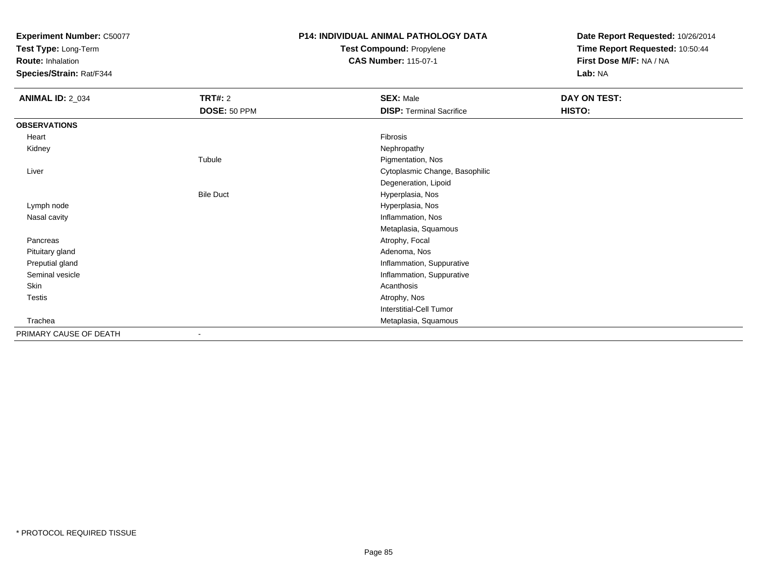**Test Type:** Long-Term

**Route:** Inhalation

**Species/Strain:** Rat/F344

# **P14: INDIVIDUAL ANIMAL PATHOLOGY DATATest Compound:** Propylene

**CAS Number:** 115-07-1

| <b>ANIMAL ID: 2_034</b> | <b>TRT#: 2</b>   | <b>SEX: Male</b>                | DAY ON TEST: |  |
|-------------------------|------------------|---------------------------------|--------------|--|
|                         | DOSE: 50 PPM     | <b>DISP: Terminal Sacrifice</b> | HISTO:       |  |
| <b>OBSERVATIONS</b>     |                  |                                 |              |  |
| Heart                   |                  | Fibrosis                        |              |  |
| Kidney                  |                  | Nephropathy                     |              |  |
|                         | Tubule           | Pigmentation, Nos               |              |  |
| Liver                   |                  | Cytoplasmic Change, Basophilic  |              |  |
|                         |                  | Degeneration, Lipoid            |              |  |
|                         | <b>Bile Duct</b> | Hyperplasia, Nos                |              |  |
| Lymph node              |                  | Hyperplasia, Nos                |              |  |
| Nasal cavity            |                  | Inflammation, Nos               |              |  |
|                         |                  | Metaplasia, Squamous            |              |  |
| Pancreas                |                  | Atrophy, Focal                  |              |  |
| Pituitary gland         |                  | Adenoma, Nos                    |              |  |
| Preputial gland         |                  | Inflammation, Suppurative       |              |  |
| Seminal vesicle         |                  | Inflammation, Suppurative       |              |  |
| Skin                    |                  | Acanthosis                      |              |  |
| Testis                  |                  | Atrophy, Nos                    |              |  |
|                         |                  | Interstitial-Cell Tumor         |              |  |
| Trachea                 |                  | Metaplasia, Squamous            |              |  |
| PRIMARY CAUSE OF DEATH  | $\blacksquare$   |                                 |              |  |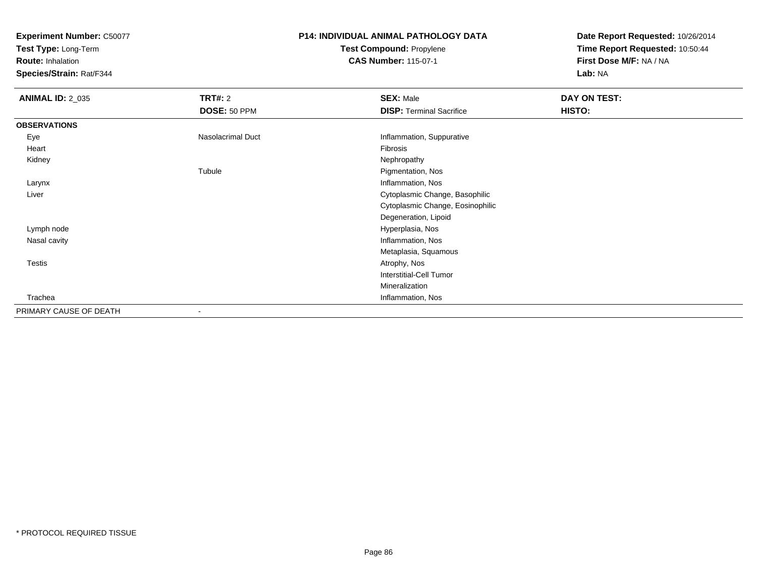**Test Type:** Long-Term

**Route:** Inhalation

**Species/Strain:** Rat/F344

# **P14: INDIVIDUAL ANIMAL PATHOLOGY DATATest Compound:** Propylene

**CAS Number:** 115-07-1

| <b>ANIMAL ID: 2_035</b> | <b>TRT#: 2</b>    | <b>SEX: Male</b>                 | DAY ON TEST: |  |
|-------------------------|-------------------|----------------------------------|--------------|--|
|                         | DOSE: 50 PPM      | <b>DISP: Terminal Sacrifice</b>  | HISTO:       |  |
| <b>OBSERVATIONS</b>     |                   |                                  |              |  |
| Eye                     | Nasolacrimal Duct | Inflammation, Suppurative        |              |  |
| Heart                   |                   | Fibrosis                         |              |  |
| Kidney                  |                   | Nephropathy                      |              |  |
|                         | Tubule            | Pigmentation, Nos                |              |  |
| Larynx                  |                   | Inflammation, Nos                |              |  |
| Liver                   |                   | Cytoplasmic Change, Basophilic   |              |  |
|                         |                   | Cytoplasmic Change, Eosinophilic |              |  |
|                         |                   | Degeneration, Lipoid             |              |  |
| Lymph node              |                   | Hyperplasia, Nos                 |              |  |
| Nasal cavity            |                   | Inflammation, Nos                |              |  |
|                         |                   | Metaplasia, Squamous             |              |  |
| <b>Testis</b>           |                   | Atrophy, Nos                     |              |  |
|                         |                   | Interstitial-Cell Tumor          |              |  |
|                         |                   | Mineralization                   |              |  |
| Trachea                 |                   | Inflammation, Nos                |              |  |
| PRIMARY CAUSE OF DEATH  |                   |                                  |              |  |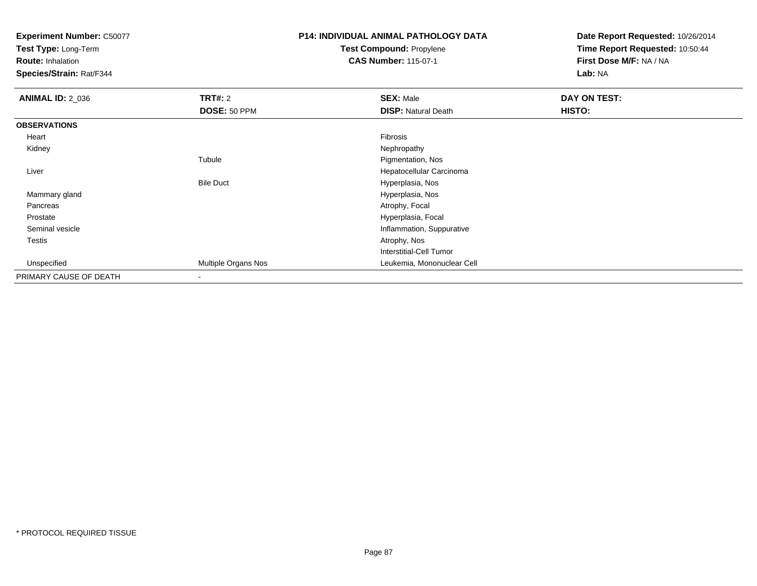**Test Type:** Long-Term

**Route:** Inhalation

**Species/Strain:** Rat/F344

# **P14: INDIVIDUAL ANIMAL PATHOLOGY DATATest Compound:** Propylene

**CAS Number:** 115-07-1

| <b>ANIMAL ID: 2 036</b> | TRT#: 2             | <b>SEX: Male</b>           | <b>DAY ON TEST:</b> |
|-------------------------|---------------------|----------------------------|---------------------|
|                         | DOSE: 50 PPM        | <b>DISP: Natural Death</b> | HISTO:              |
| <b>OBSERVATIONS</b>     |                     |                            |                     |
| Heart                   |                     | Fibrosis                   |                     |
| Kidney                  |                     | Nephropathy                |                     |
|                         | Tubule              | Pigmentation, Nos          |                     |
| Liver                   |                     | Hepatocellular Carcinoma   |                     |
|                         | <b>Bile Duct</b>    | Hyperplasia, Nos           |                     |
| Mammary gland           |                     | Hyperplasia, Nos           |                     |
| Pancreas                |                     | Atrophy, Focal             |                     |
| Prostate                |                     | Hyperplasia, Focal         |                     |
| Seminal vesicle         |                     | Inflammation, Suppurative  |                     |
| <b>Testis</b>           |                     | Atrophy, Nos               |                     |
|                         |                     | Interstitial-Cell Tumor    |                     |
| Unspecified             | Multiple Organs Nos | Leukemia, Mononuclear Cell |                     |
| PRIMARY CAUSE OF DEATH  |                     |                            |                     |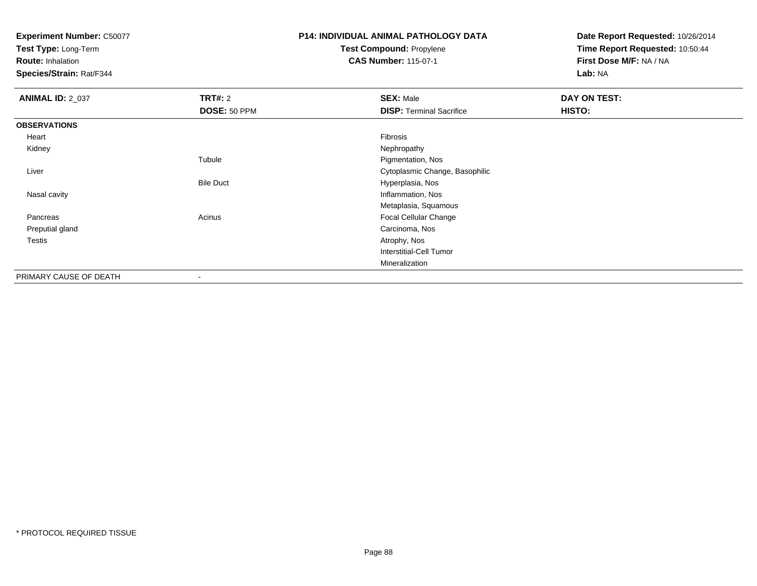**Test Type:** Long-Term

**Route:** Inhalation

**Species/Strain:** Rat/F344

## **P14: INDIVIDUAL ANIMAL PATHOLOGY DATATest Compound:** Propylene

**CAS Number:** 115-07-1

| <b>ANIMAL ID: 2_037</b> | TRT#: 2          | <b>SEX: Male</b>                | DAY ON TEST: |  |
|-------------------------|------------------|---------------------------------|--------------|--|
|                         | DOSE: 50 PPM     | <b>DISP: Terminal Sacrifice</b> | HISTO:       |  |
| <b>OBSERVATIONS</b>     |                  |                                 |              |  |
| Heart                   |                  | Fibrosis                        |              |  |
| Kidney                  |                  | Nephropathy                     |              |  |
|                         | Tubule           | Pigmentation, Nos               |              |  |
| Liver                   |                  | Cytoplasmic Change, Basophilic  |              |  |
|                         | <b>Bile Duct</b> | Hyperplasia, Nos                |              |  |
| Nasal cavity            |                  | Inflammation, Nos               |              |  |
|                         |                  | Metaplasia, Squamous            |              |  |
| Pancreas                | Acinus           | Focal Cellular Change           |              |  |
| Preputial gland         |                  | Carcinoma, Nos                  |              |  |
| <b>Testis</b>           |                  | Atrophy, Nos                    |              |  |
|                         |                  | Interstitial-Cell Tumor         |              |  |
|                         |                  | Mineralization                  |              |  |
| PRIMARY CAUSE OF DEATH  | $\blacksquare$   |                                 |              |  |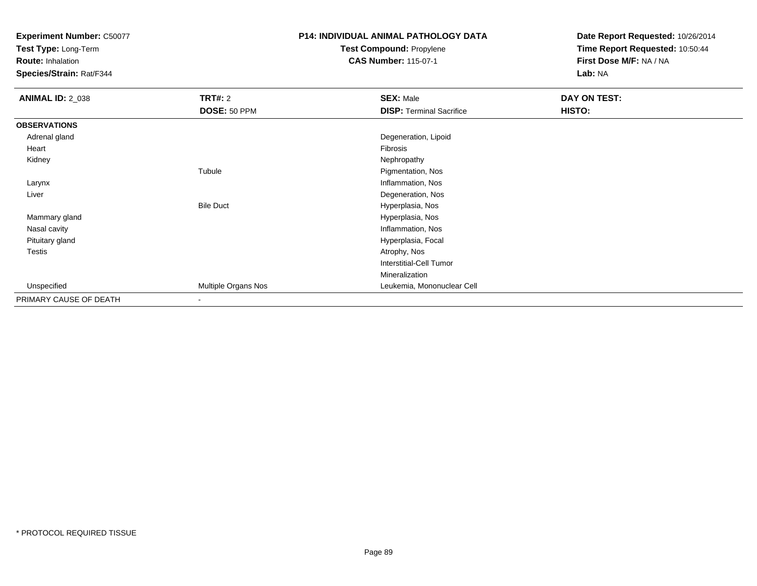**Test Type:** Long-Term

**Route:** Inhalation

**Species/Strain:** Rat/F344

# **P14: INDIVIDUAL ANIMAL PATHOLOGY DATATest Compound:** Propylene

**CAS Number:** 115-07-1

| <b>ANIMAL ID: 2_038</b> | <b>TRT#: 2</b>           | <b>SEX: Male</b>                | DAY ON TEST: |  |
|-------------------------|--------------------------|---------------------------------|--------------|--|
|                         | DOSE: 50 PPM             | <b>DISP: Terminal Sacrifice</b> | HISTO:       |  |
| <b>OBSERVATIONS</b>     |                          |                                 |              |  |
| Adrenal gland           |                          | Degeneration, Lipoid            |              |  |
| Heart                   |                          | Fibrosis                        |              |  |
| Kidney                  |                          | Nephropathy                     |              |  |
|                         | Tubule                   | Pigmentation, Nos               |              |  |
| Larynx                  |                          | Inflammation, Nos               |              |  |
| Liver                   |                          | Degeneration, Nos               |              |  |
|                         | <b>Bile Duct</b>         | Hyperplasia, Nos                |              |  |
| Mammary gland           |                          | Hyperplasia, Nos                |              |  |
| Nasal cavity            |                          | Inflammation, Nos               |              |  |
| Pituitary gland         |                          | Hyperplasia, Focal              |              |  |
| Testis                  |                          | Atrophy, Nos                    |              |  |
|                         |                          | <b>Interstitial-Cell Tumor</b>  |              |  |
|                         |                          | Mineralization                  |              |  |
| Unspecified             | Multiple Organs Nos      | Leukemia, Mononuclear Cell      |              |  |
| PRIMARY CAUSE OF DEATH  | $\overline{\phantom{a}}$ |                                 |              |  |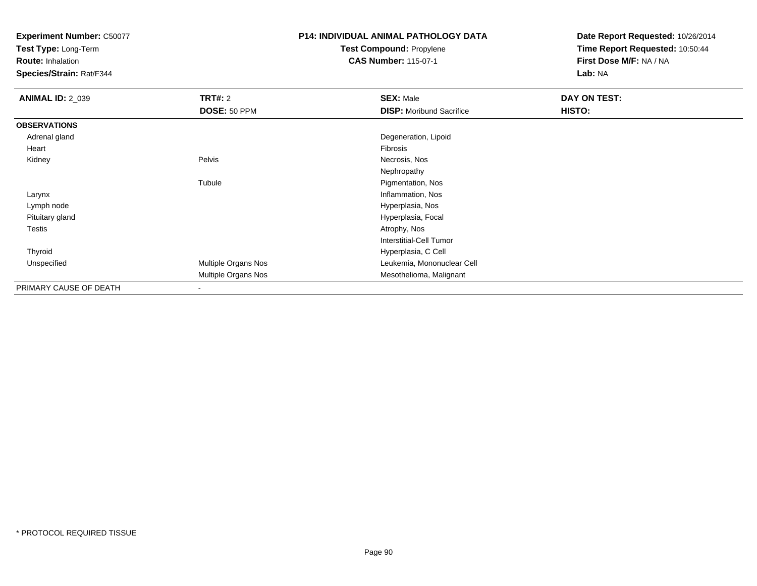**Test Type:** Long-Term

**Route:** Inhalation

**Species/Strain:** Rat/F344

# **P14: INDIVIDUAL ANIMAL PATHOLOGY DATATest Compound:** Propylene

**CAS Number:** 115-07-1

| <b>ANIMAL ID: 2_039</b> | <b>TRT#: 2</b>      | <b>SEX: Male</b>                | DAY ON TEST: |
|-------------------------|---------------------|---------------------------------|--------------|
|                         | DOSE: 50 PPM        | <b>DISP:</b> Moribund Sacrifice | HISTO:       |
| <b>OBSERVATIONS</b>     |                     |                                 |              |
| Adrenal gland           |                     | Degeneration, Lipoid            |              |
| Heart                   |                     | Fibrosis                        |              |
| Kidney                  | Pelvis              | Necrosis, Nos                   |              |
|                         |                     | Nephropathy                     |              |
|                         | Tubule              | Pigmentation, Nos               |              |
| Larynx                  |                     | Inflammation, Nos               |              |
| Lymph node              |                     | Hyperplasia, Nos                |              |
| Pituitary gland         |                     | Hyperplasia, Focal              |              |
| <b>Testis</b>           |                     | Atrophy, Nos                    |              |
|                         |                     | <b>Interstitial-Cell Tumor</b>  |              |
| Thyroid                 |                     | Hyperplasia, C Cell             |              |
| Unspecified             | Multiple Organs Nos | Leukemia, Mononuclear Cell      |              |
|                         | Multiple Organs Nos | Mesothelioma, Malignant         |              |
| PRIMARY CAUSE OF DEATH  | -                   |                                 |              |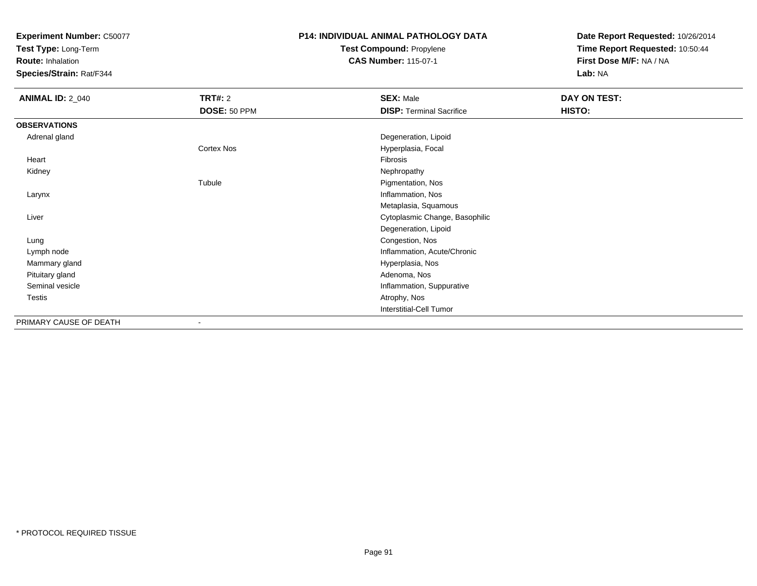**Test Type:** Long-Term

**Route:** Inhalation

**Species/Strain:** Rat/F344

# **P14: INDIVIDUAL ANIMAL PATHOLOGY DATATest Compound:** Propylene

**CAS Number:** 115-07-1

| <b>ANIMAL ID: 2_040</b> | <b>TRT#: 2</b> | <b>SEX: Male</b>                | DAY ON TEST: |  |
|-------------------------|----------------|---------------------------------|--------------|--|
|                         | DOSE: 50 PPM   | <b>DISP: Terminal Sacrifice</b> | HISTO:       |  |
| <b>OBSERVATIONS</b>     |                |                                 |              |  |
| Adrenal gland           |                | Degeneration, Lipoid            |              |  |
|                         | Cortex Nos     | Hyperplasia, Focal              |              |  |
| Heart                   |                | Fibrosis                        |              |  |
| Kidney                  |                | Nephropathy                     |              |  |
|                         | Tubule         | Pigmentation, Nos               |              |  |
| Larynx                  |                | Inflammation, Nos               |              |  |
|                         |                | Metaplasia, Squamous            |              |  |
| Liver                   |                | Cytoplasmic Change, Basophilic  |              |  |
|                         |                | Degeneration, Lipoid            |              |  |
| Lung                    |                | Congestion, Nos                 |              |  |
| Lymph node              |                | Inflammation, Acute/Chronic     |              |  |
| Mammary gland           |                | Hyperplasia, Nos                |              |  |
| Pituitary gland         |                | Adenoma, Nos                    |              |  |
| Seminal vesicle         |                | Inflammation, Suppurative       |              |  |
| <b>Testis</b>           |                | Atrophy, Nos                    |              |  |
|                         |                | Interstitial-Cell Tumor         |              |  |
| PRIMARY CAUSE OF DEATH  |                |                                 |              |  |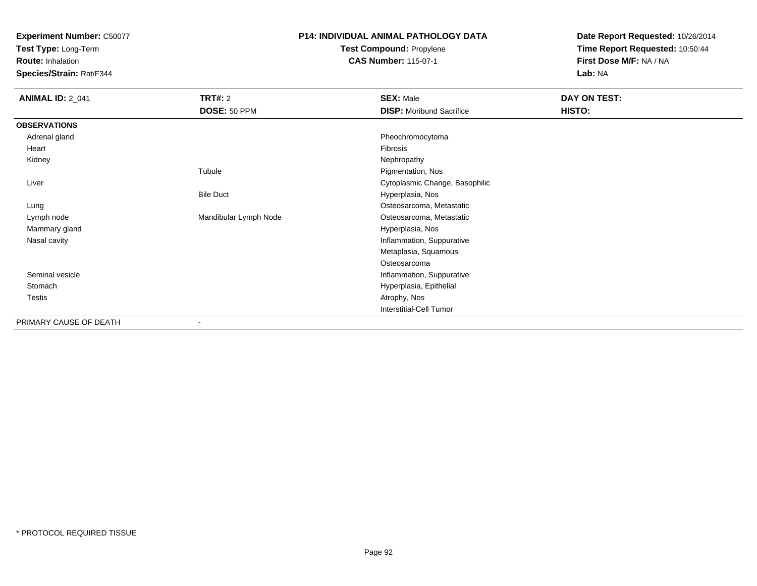**Test Type:** Long-Term

**Route:** Inhalation

**Species/Strain:** Rat/F344

## **P14: INDIVIDUAL ANIMAL PATHOLOGY DATATest Compound:** Propylene

**CAS Number:** 115-07-1

| <b>ANIMAL ID: 2_041</b> | <b>TRT#: 2</b>        | <b>SEX: Male</b>                | DAY ON TEST: |  |
|-------------------------|-----------------------|---------------------------------|--------------|--|
|                         | DOSE: 50 PPM          | <b>DISP:</b> Moribund Sacrifice | HISTO:       |  |
| <b>OBSERVATIONS</b>     |                       |                                 |              |  |
| Adrenal gland           |                       | Pheochromocytoma                |              |  |
| Heart                   |                       | Fibrosis                        |              |  |
| Kidney                  |                       | Nephropathy                     |              |  |
|                         | Tubule                | Pigmentation, Nos               |              |  |
| Liver                   |                       | Cytoplasmic Change, Basophilic  |              |  |
|                         | <b>Bile Duct</b>      | Hyperplasia, Nos                |              |  |
| Lung                    |                       | Osteosarcoma, Metastatic        |              |  |
| Lymph node              | Mandibular Lymph Node | Osteosarcoma, Metastatic        |              |  |
| Mammary gland           |                       | Hyperplasia, Nos                |              |  |
| Nasal cavity            |                       | Inflammation, Suppurative       |              |  |
|                         |                       | Metaplasia, Squamous            |              |  |
|                         |                       | Osteosarcoma                    |              |  |
| Seminal vesicle         |                       | Inflammation, Suppurative       |              |  |
| Stomach                 |                       | Hyperplasia, Epithelial         |              |  |
| Testis                  |                       | Atrophy, Nos                    |              |  |
|                         |                       | <b>Interstitial-Cell Tumor</b>  |              |  |
| PRIMARY CAUSE OF DEATH  |                       |                                 |              |  |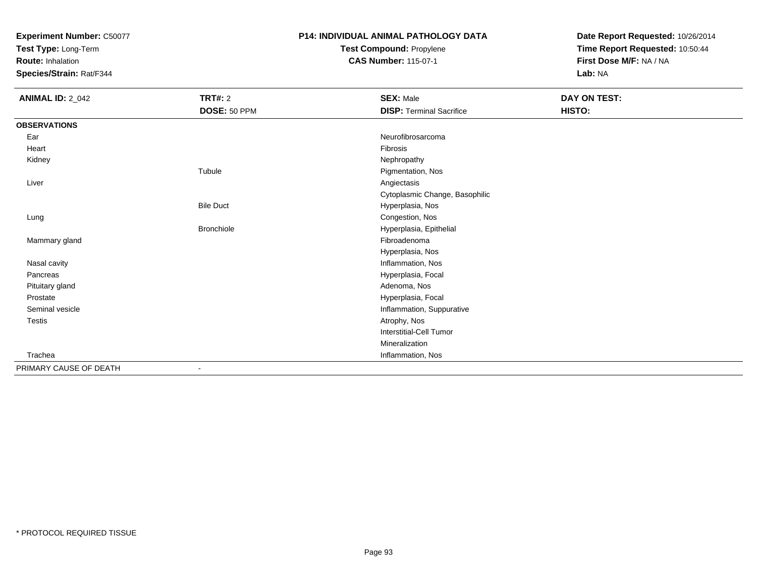**Test Type:** Long-Term

**Route:** Inhalation

**Species/Strain:** Rat/F344

# **P14: INDIVIDUAL ANIMAL PATHOLOGY DATATest Compound:** Propylene

**CAS Number:** 115-07-1

| <b>ANIMAL ID: 2_042</b> | <b>TRT#: 2</b>    | <b>SEX: Male</b>                | DAY ON TEST: |
|-------------------------|-------------------|---------------------------------|--------------|
|                         | DOSE: 50 PPM      | <b>DISP: Terminal Sacrifice</b> | HISTO:       |
| <b>OBSERVATIONS</b>     |                   |                                 |              |
| Ear                     |                   | Neurofibrosarcoma               |              |
| Heart                   |                   | Fibrosis                        |              |
| Kidney                  |                   | Nephropathy                     |              |
|                         | Tubule            | Pigmentation, Nos               |              |
| Liver                   |                   | Angiectasis                     |              |
|                         |                   | Cytoplasmic Change, Basophilic  |              |
|                         | <b>Bile Duct</b>  | Hyperplasia, Nos                |              |
| Lung                    |                   | Congestion, Nos                 |              |
|                         | <b>Bronchiole</b> | Hyperplasia, Epithelial         |              |
| Mammary gland           |                   | Fibroadenoma                    |              |
|                         |                   | Hyperplasia, Nos                |              |
| Nasal cavity            |                   | Inflammation, Nos               |              |
| Pancreas                |                   | Hyperplasia, Focal              |              |
| Pituitary gland         |                   | Adenoma, Nos                    |              |
| Prostate                |                   | Hyperplasia, Focal              |              |
| Seminal vesicle         |                   | Inflammation, Suppurative       |              |
| <b>Testis</b>           |                   | Atrophy, Nos                    |              |
|                         |                   | Interstitial-Cell Tumor         |              |
|                         |                   | Mineralization                  |              |
| Trachea                 |                   | Inflammation, Nos               |              |
| PRIMARY CAUSE OF DEATH  | ٠                 |                                 |              |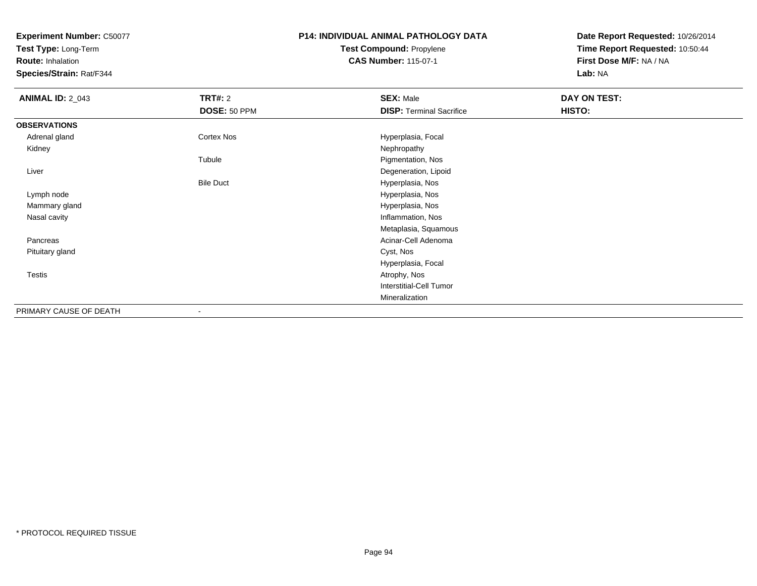**Test Type:** Long-Term

**Route:** Inhalation

**Species/Strain:** Rat/F344

# **P14: INDIVIDUAL ANIMAL PATHOLOGY DATATest Compound:** Propylene

**CAS Number:** 115-07-1

| <b>ANIMAL ID: 2_043</b> | <b>TRT#: 2</b>   | <b>SEX: Male</b>                | DAY ON TEST: |  |
|-------------------------|------------------|---------------------------------|--------------|--|
|                         | DOSE: 50 PPM     | <b>DISP: Terminal Sacrifice</b> | HISTO:       |  |
| <b>OBSERVATIONS</b>     |                  |                                 |              |  |
| Adrenal gland           | Cortex Nos       | Hyperplasia, Focal              |              |  |
| Kidney                  |                  | Nephropathy                     |              |  |
|                         | Tubule           | Pigmentation, Nos               |              |  |
| Liver                   |                  | Degeneration, Lipoid            |              |  |
|                         | <b>Bile Duct</b> | Hyperplasia, Nos                |              |  |
| Lymph node              |                  | Hyperplasia, Nos                |              |  |
| Mammary gland           |                  | Hyperplasia, Nos                |              |  |
| Nasal cavity            |                  | Inflammation, Nos               |              |  |
|                         |                  | Metaplasia, Squamous            |              |  |
| Pancreas                |                  | Acinar-Cell Adenoma             |              |  |
| Pituitary gland         |                  | Cyst, Nos                       |              |  |
|                         |                  | Hyperplasia, Focal              |              |  |
| <b>Testis</b>           |                  | Atrophy, Nos                    |              |  |
|                         |                  | Interstitial-Cell Tumor         |              |  |
|                         |                  | Mineralization                  |              |  |
| PRIMARY CAUSE OF DEATH  | $\blacksquare$   |                                 |              |  |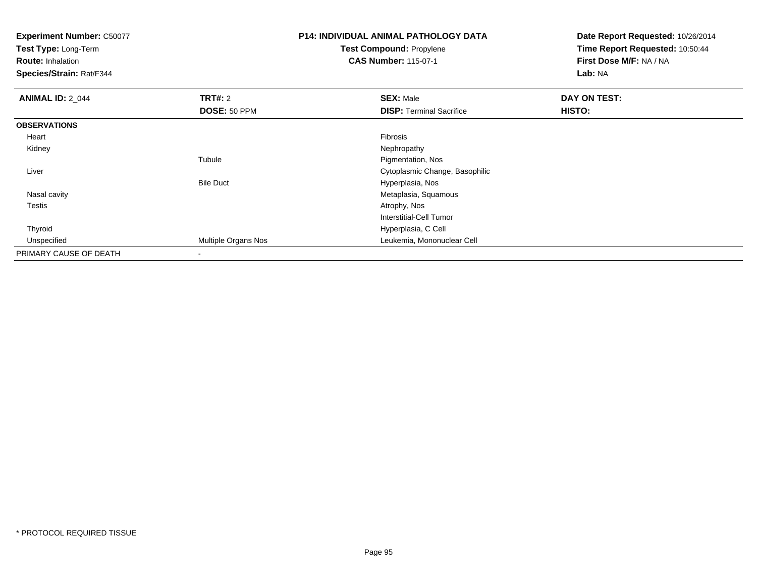**Test Type:** Long-Term

**Route:** Inhalation

**Species/Strain:** Rat/F344

## **P14: INDIVIDUAL ANIMAL PATHOLOGY DATATest Compound:** Propylene**CAS Number:** 115-07-1

| <b>ANIMAL ID: 2_044</b> | TRT#: 2             | <b>SEX: Male</b>                | DAY ON TEST: |  |
|-------------------------|---------------------|---------------------------------|--------------|--|
|                         | DOSE: 50 PPM        | <b>DISP: Terminal Sacrifice</b> | HISTO:       |  |
| <b>OBSERVATIONS</b>     |                     |                                 |              |  |
| Heart                   |                     | Fibrosis                        |              |  |
| Kidney                  |                     | Nephropathy                     |              |  |
|                         | Tubule              | Pigmentation, Nos               |              |  |
| Liver                   |                     | Cytoplasmic Change, Basophilic  |              |  |
|                         | <b>Bile Duct</b>    | Hyperplasia, Nos                |              |  |
| Nasal cavity            |                     | Metaplasia, Squamous            |              |  |
| <b>Testis</b>           |                     | Atrophy, Nos                    |              |  |
|                         |                     | Interstitial-Cell Tumor         |              |  |
| Thyroid                 |                     | Hyperplasia, C Cell             |              |  |
| Unspecified             | Multiple Organs Nos | Leukemia, Mononuclear Cell      |              |  |
| PRIMARY CAUSE OF DEATH  |                     |                                 |              |  |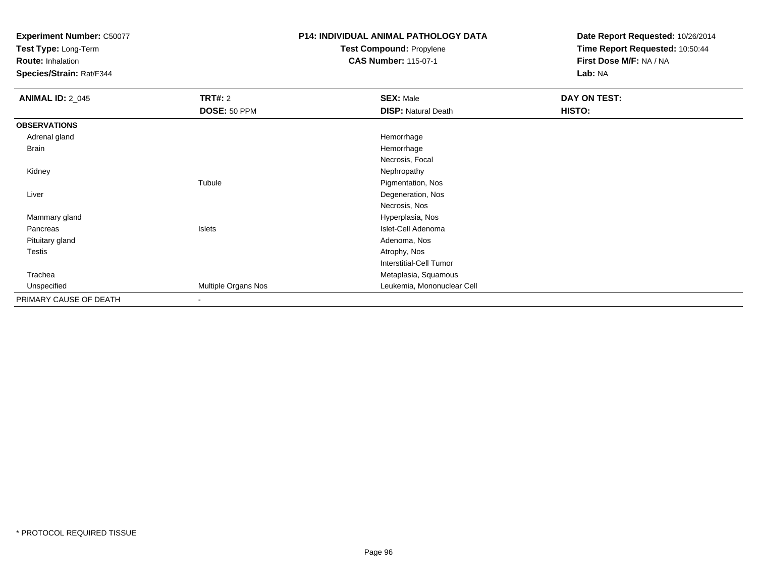**Test Type:** Long-Term

**Route:** Inhalation

**Species/Strain:** Rat/F344

# **P14: INDIVIDUAL ANIMAL PATHOLOGY DATA**

**Test Compound:** Propylene**CAS Number:** 115-07-1

| <b>ANIMAL ID: 2_045</b> | TRT#: 2             | <b>SEX: Male</b>           | DAY ON TEST: |
|-------------------------|---------------------|----------------------------|--------------|
|                         | DOSE: 50 PPM        | <b>DISP: Natural Death</b> | HISTO:       |
| <b>OBSERVATIONS</b>     |                     |                            |              |
| Adrenal gland           |                     | Hemorrhage                 |              |
| <b>Brain</b>            |                     | Hemorrhage                 |              |
|                         |                     | Necrosis, Focal            |              |
| Kidney                  |                     | Nephropathy                |              |
|                         | Tubule              | Pigmentation, Nos          |              |
| Liver                   |                     | Degeneration, Nos          |              |
|                         |                     | Necrosis, Nos              |              |
| Mammary gland           |                     | Hyperplasia, Nos           |              |
| Pancreas                | Islets              | Islet-Cell Adenoma         |              |
| Pituitary gland         |                     | Adenoma, Nos               |              |
| Testis                  |                     | Atrophy, Nos               |              |
|                         |                     | Interstitial-Cell Tumor    |              |
| Trachea                 |                     | Metaplasia, Squamous       |              |
| Unspecified             | Multiple Organs Nos | Leukemia, Mononuclear Cell |              |
| PRIMARY CAUSE OF DEATH  | ۰                   |                            |              |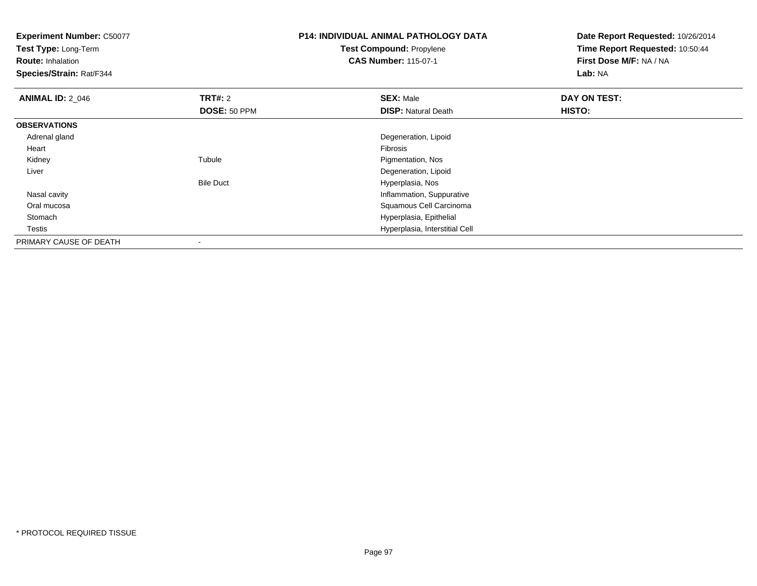**Test Type:** Long-Term

**Route:** Inhalation

**Species/Strain:** Rat/F344

# **P14: INDIVIDUAL ANIMAL PATHOLOGY DATATest Compound:** Propylene

**CAS Number:** 115-07-1

| <b>ANIMAL ID: 2_046</b> | TRT#: 2          | <b>SEX: Male</b>               | DAY ON TEST: |  |
|-------------------------|------------------|--------------------------------|--------------|--|
|                         | DOSE: 50 PPM     | <b>DISP: Natural Death</b>     | HISTO:       |  |
| <b>OBSERVATIONS</b>     |                  |                                |              |  |
| Adrenal gland           |                  | Degeneration, Lipoid           |              |  |
| Heart                   |                  | Fibrosis                       |              |  |
| Kidney                  | Tubule           | Pigmentation, Nos              |              |  |
| Liver                   |                  | Degeneration, Lipoid           |              |  |
|                         | <b>Bile Duct</b> | Hyperplasia, Nos               |              |  |
| Nasal cavity            |                  | Inflammation, Suppurative      |              |  |
| Oral mucosa             |                  | Squamous Cell Carcinoma        |              |  |
| Stomach                 |                  | Hyperplasia, Epithelial        |              |  |
| <b>Testis</b>           |                  | Hyperplasia, Interstitial Cell |              |  |
| PRIMARY CAUSE OF DEATH  |                  |                                |              |  |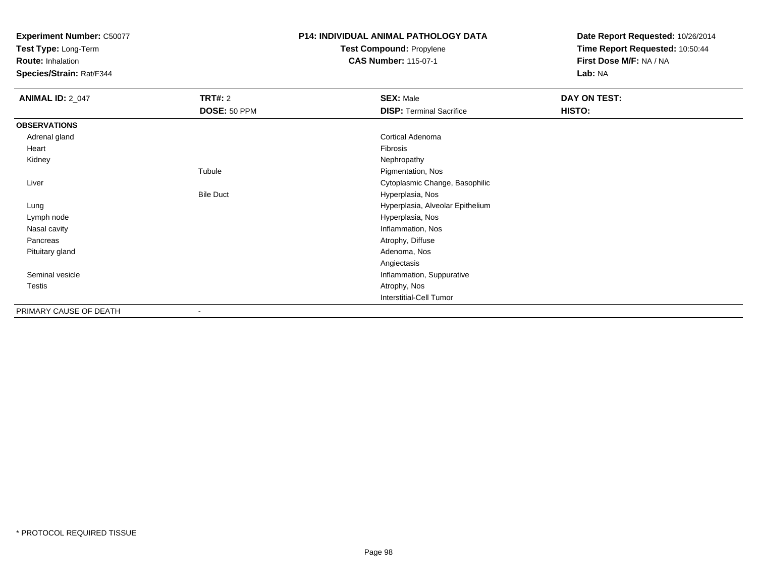**Test Type:** Long-Term

**Route:** Inhalation

**Species/Strain:** Rat/F344

# **P14: INDIVIDUAL ANIMAL PATHOLOGY DATATest Compound:** Propylene

**CAS Number:** 115-07-1

| <b>ANIMAL ID: 2_047</b> | <b>TRT#: 2</b>   | <b>SEX: Male</b>                 | DAY ON TEST: |
|-------------------------|------------------|----------------------------------|--------------|
|                         | DOSE: 50 PPM     | <b>DISP: Terminal Sacrifice</b>  | HISTO:       |
| <b>OBSERVATIONS</b>     |                  |                                  |              |
| Adrenal gland           |                  | Cortical Adenoma                 |              |
| Heart                   |                  | Fibrosis                         |              |
| Kidney                  |                  | Nephropathy                      |              |
|                         | Tubule           | Pigmentation, Nos                |              |
| Liver                   |                  | Cytoplasmic Change, Basophilic   |              |
|                         | <b>Bile Duct</b> | Hyperplasia, Nos                 |              |
| Lung                    |                  | Hyperplasia, Alveolar Epithelium |              |
| Lymph node              |                  | Hyperplasia, Nos                 |              |
| Nasal cavity            |                  | Inflammation, Nos                |              |
| Pancreas                |                  | Atrophy, Diffuse                 |              |
| Pituitary gland         |                  | Adenoma, Nos                     |              |
|                         |                  | Angiectasis                      |              |
| Seminal vesicle         |                  | Inflammation, Suppurative        |              |
| Testis                  |                  | Atrophy, Nos                     |              |
|                         |                  | <b>Interstitial-Cell Tumor</b>   |              |
| PRIMARY CAUSE OF DEATH  |                  |                                  |              |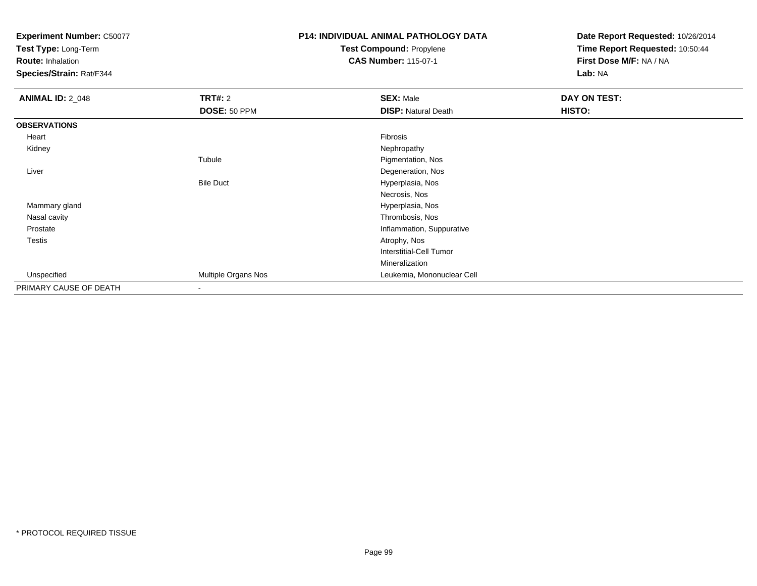**Test Type:** Long-Term

**Route:** Inhalation

**Species/Strain:** Rat/F344

# **P14: INDIVIDUAL ANIMAL PATHOLOGY DATATest Compound:** Propylene

**CAS Number:** 115-07-1

| <b>ANIMAL ID: 2_048</b> | TRT#: 2                  | <b>SEX: Male</b>           | DAY ON TEST: |
|-------------------------|--------------------------|----------------------------|--------------|
|                         | DOSE: 50 PPM             | <b>DISP: Natural Death</b> | HISTO:       |
| <b>OBSERVATIONS</b>     |                          |                            |              |
| Heart                   |                          | Fibrosis                   |              |
| Kidney                  |                          | Nephropathy                |              |
|                         | Tubule                   | Pigmentation, Nos          |              |
| Liver                   |                          | Degeneration, Nos          |              |
|                         | <b>Bile Duct</b>         | Hyperplasia, Nos           |              |
|                         |                          | Necrosis, Nos              |              |
| Mammary gland           |                          | Hyperplasia, Nos           |              |
| Nasal cavity            |                          | Thrombosis, Nos            |              |
| Prostate                |                          | Inflammation, Suppurative  |              |
| Testis                  |                          | Atrophy, Nos               |              |
|                         |                          | Interstitial-Cell Tumor    |              |
|                         |                          | Mineralization             |              |
| Unspecified             | Multiple Organs Nos      | Leukemia, Mononuclear Cell |              |
| PRIMARY CAUSE OF DEATH  | $\overline{\phantom{a}}$ |                            |              |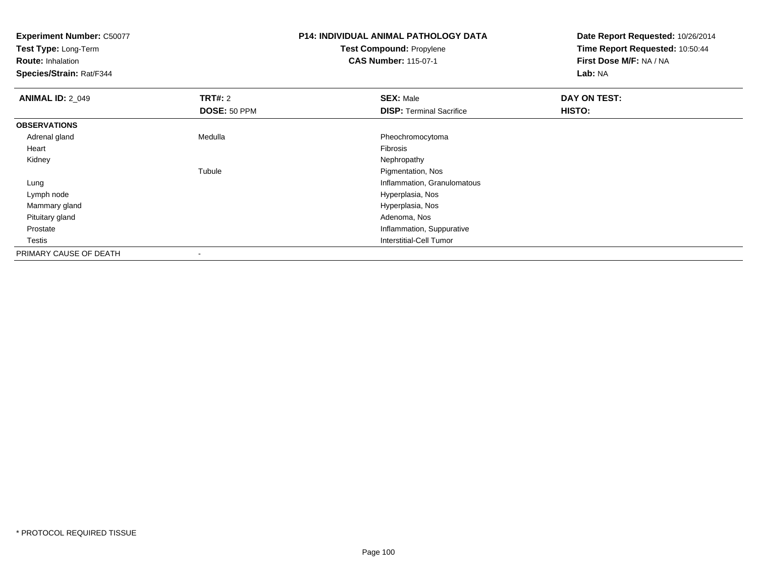**Test Type:** Long-Term

**Route:** Inhalation

**Species/Strain:** Rat/F344

## **P14: INDIVIDUAL ANIMAL PATHOLOGY DATATest Compound:** Propylene**CAS Number:** 115-07-1

| <b>ANIMAL ID: 2 049</b> | TRT#: 2      | <b>SEX: Male</b>                | DAY ON TEST: |  |
|-------------------------|--------------|---------------------------------|--------------|--|
|                         | DOSE: 50 PPM | <b>DISP: Terminal Sacrifice</b> | HISTO:       |  |
| <b>OBSERVATIONS</b>     |              |                                 |              |  |
| Adrenal gland           | Medulla      | Pheochromocytoma                |              |  |
| Heart                   |              | Fibrosis                        |              |  |
| Kidney                  |              | Nephropathy                     |              |  |
|                         | Tubule       | Pigmentation, Nos               |              |  |
| Lung                    |              | Inflammation, Granulomatous     |              |  |
| Lymph node              |              | Hyperplasia, Nos                |              |  |
| Mammary gland           |              | Hyperplasia, Nos                |              |  |
| Pituitary gland         |              | Adenoma, Nos                    |              |  |
| Prostate                |              | Inflammation, Suppurative       |              |  |
| Testis                  |              | <b>Interstitial-Cell Tumor</b>  |              |  |
| PRIMARY CAUSE OF DEATH  |              |                                 |              |  |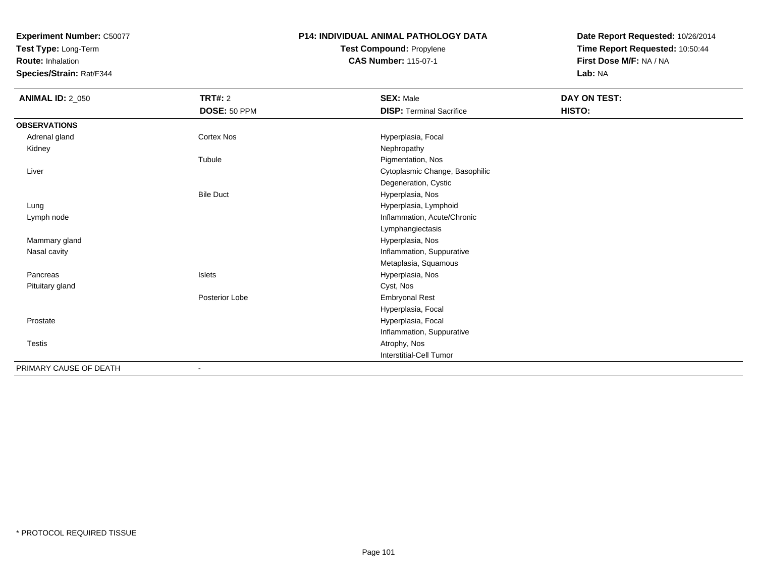**Test Type:** Long-Term

**Route:** Inhalation

**Species/Strain:** Rat/F344

## **P14: INDIVIDUAL ANIMAL PATHOLOGY DATATest Compound:** Propylene**CAS Number:** 115-07-1

| <b>ANIMAL ID: 2_050</b> | <b>TRT#: 2</b>   | <b>SEX: Male</b>                | DAY ON TEST: |
|-------------------------|------------------|---------------------------------|--------------|
|                         | DOSE: 50 PPM     | <b>DISP: Terminal Sacrifice</b> | HISTO:       |
| <b>OBSERVATIONS</b>     |                  |                                 |              |
| Adrenal gland           | Cortex Nos       | Hyperplasia, Focal              |              |
| Kidney                  |                  | Nephropathy                     |              |
|                         | Tubule           | Pigmentation, Nos               |              |
| Liver                   |                  | Cytoplasmic Change, Basophilic  |              |
|                         |                  | Degeneration, Cystic            |              |
|                         | <b>Bile Duct</b> | Hyperplasia, Nos                |              |
| Lung                    |                  | Hyperplasia, Lymphoid           |              |
| Lymph node              |                  | Inflammation, Acute/Chronic     |              |
|                         |                  | Lymphangiectasis                |              |
| Mammary gland           |                  | Hyperplasia, Nos                |              |
| Nasal cavity            |                  | Inflammation, Suppurative       |              |
|                         |                  | Metaplasia, Squamous            |              |
| Pancreas                | <b>Islets</b>    | Hyperplasia, Nos                |              |
| Pituitary gland         |                  | Cyst, Nos                       |              |
|                         | Posterior Lobe   | <b>Embryonal Rest</b>           |              |
|                         |                  | Hyperplasia, Focal              |              |
| Prostate                |                  | Hyperplasia, Focal              |              |
|                         |                  | Inflammation, Suppurative       |              |
| <b>Testis</b>           |                  | Atrophy, Nos                    |              |
|                         |                  | Interstitial-Cell Tumor         |              |
| PRIMARY CAUSE OF DEATH  |                  |                                 |              |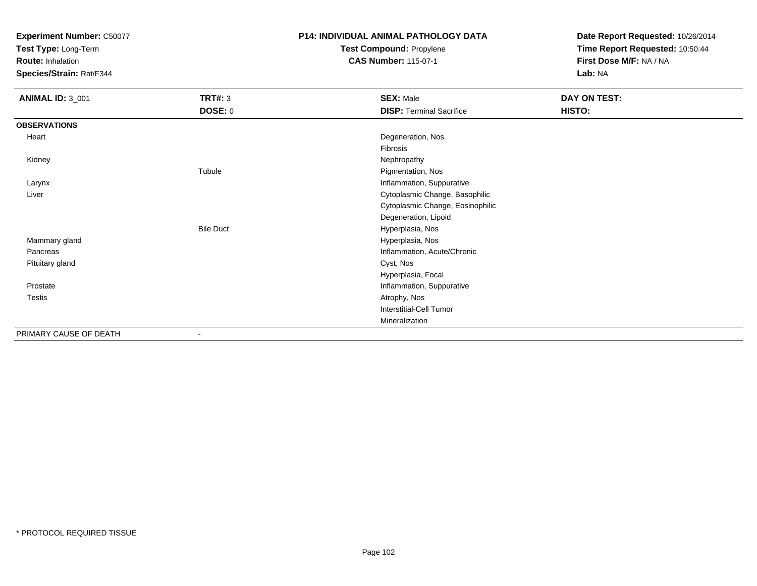**Test Type:** Long-Term

**Route:** Inhalation

**Species/Strain:** Rat/F344

# **P14: INDIVIDUAL ANIMAL PATHOLOGY DATATest Compound:** Propylene

**CAS Number:** 115-07-1

| <b>ANIMAL ID: 3_001</b> | <b>TRT#: 3</b>   | <b>SEX: Male</b>                 | DAY ON TEST: |
|-------------------------|------------------|----------------------------------|--------------|
|                         | <b>DOSE: 0</b>   | <b>DISP: Terminal Sacrifice</b>  | HISTO:       |
| <b>OBSERVATIONS</b>     |                  |                                  |              |
| Heart                   |                  | Degeneration, Nos                |              |
|                         |                  | Fibrosis                         |              |
| Kidney                  |                  | Nephropathy                      |              |
|                         | Tubule           | Pigmentation, Nos                |              |
| Larynx                  |                  | Inflammation, Suppurative        |              |
| Liver                   |                  | Cytoplasmic Change, Basophilic   |              |
|                         |                  | Cytoplasmic Change, Eosinophilic |              |
|                         |                  | Degeneration, Lipoid             |              |
|                         | <b>Bile Duct</b> | Hyperplasia, Nos                 |              |
| Mammary gland           |                  | Hyperplasia, Nos                 |              |
| Pancreas                |                  | Inflammation, Acute/Chronic      |              |
| Pituitary gland         |                  | Cyst, Nos                        |              |
|                         |                  | Hyperplasia, Focal               |              |
| Prostate                |                  | Inflammation, Suppurative        |              |
| Testis                  |                  | Atrophy, Nos                     |              |
|                         |                  | Interstitial-Cell Tumor          |              |
|                         |                  | Mineralization                   |              |
| PRIMARY CAUSE OF DEATH  |                  |                                  |              |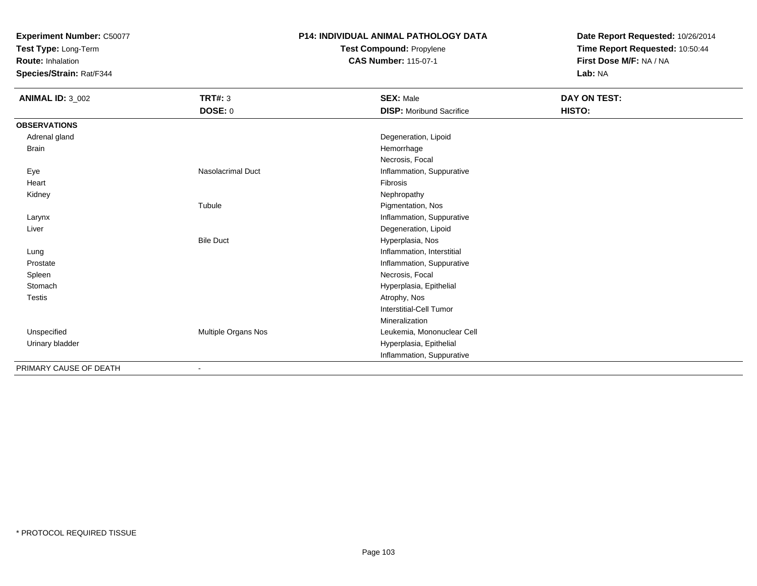**Test Type:** Long-Term

**Route:** Inhalation

**Species/Strain:** Rat/F344

## **P14: INDIVIDUAL ANIMAL PATHOLOGY DATATest Compound:** Propylene

**CAS Number:** 115-07-1

| <b>ANIMAL ID: 3_002</b> | <b>TRT#: 3</b>           | <b>SEX: Male</b>                | DAY ON TEST: |
|-------------------------|--------------------------|---------------------------------|--------------|
|                         | <b>DOSE: 0</b>           | <b>DISP:</b> Moribund Sacrifice | HISTO:       |
| <b>OBSERVATIONS</b>     |                          |                                 |              |
| Adrenal gland           |                          | Degeneration, Lipoid            |              |
| Brain                   |                          | Hemorrhage                      |              |
|                         |                          | Necrosis, Focal                 |              |
| Eye                     | <b>Nasolacrimal Duct</b> | Inflammation, Suppurative       |              |
| Heart                   |                          | Fibrosis                        |              |
| Kidney                  |                          | Nephropathy                     |              |
|                         | Tubule                   | Pigmentation, Nos               |              |
| Larynx                  |                          | Inflammation, Suppurative       |              |
| Liver                   |                          | Degeneration, Lipoid            |              |
|                         | <b>Bile Duct</b>         | Hyperplasia, Nos                |              |
| Lung                    |                          | Inflammation, Interstitial      |              |
| Prostate                |                          | Inflammation, Suppurative       |              |
| Spleen                  |                          | Necrosis, Focal                 |              |
| Stomach                 |                          | Hyperplasia, Epithelial         |              |
| <b>Testis</b>           |                          | Atrophy, Nos                    |              |
|                         |                          | Interstitial-Cell Tumor         |              |
|                         |                          | Mineralization                  |              |
| Unspecified             | Multiple Organs Nos      | Leukemia, Mononuclear Cell      |              |
| Urinary bladder         |                          | Hyperplasia, Epithelial         |              |
|                         |                          | Inflammation, Suppurative       |              |
| PRIMARY CAUSE OF DEATH  | ٠                        |                                 |              |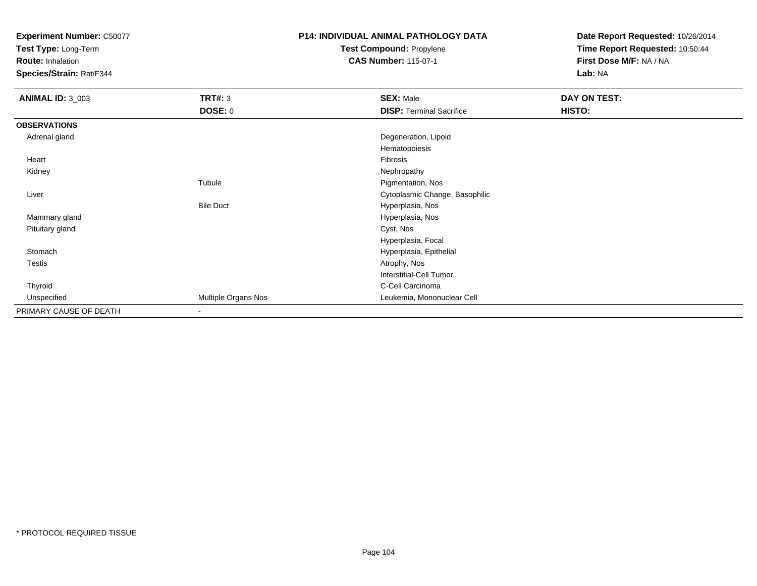**Test Type:** Long-Term

**Route:** Inhalation

**Species/Strain:** Rat/F344

# **P14: INDIVIDUAL ANIMAL PATHOLOGY DATATest Compound:** Propylene

**CAS Number:** 115-07-1

| <b>ANIMAL ID: 3_003</b> | <b>TRT#: 3</b>           | <b>SEX: Male</b>                | <b>DAY ON TEST:</b> |
|-------------------------|--------------------------|---------------------------------|---------------------|
|                         | <b>DOSE: 0</b>           | <b>DISP: Terminal Sacrifice</b> | HISTO:              |
| <b>OBSERVATIONS</b>     |                          |                                 |                     |
| Adrenal gland           |                          | Degeneration, Lipoid            |                     |
|                         |                          | Hematopoiesis                   |                     |
| Heart                   |                          | Fibrosis                        |                     |
| Kidney                  |                          | Nephropathy                     |                     |
|                         | Tubule                   | Pigmentation, Nos               |                     |
| Liver                   |                          | Cytoplasmic Change, Basophilic  |                     |
|                         | <b>Bile Duct</b>         | Hyperplasia, Nos                |                     |
| Mammary gland           |                          | Hyperplasia, Nos                |                     |
| Pituitary gland         |                          | Cyst, Nos                       |                     |
|                         |                          | Hyperplasia, Focal              |                     |
| Stomach                 |                          | Hyperplasia, Epithelial         |                     |
| <b>Testis</b>           |                          | Atrophy, Nos                    |                     |
|                         |                          | Interstitial-Cell Tumor         |                     |
| Thyroid                 |                          | C-Cell Carcinoma                |                     |
| Unspecified             | Multiple Organs Nos      | Leukemia, Mononuclear Cell      |                     |
| PRIMARY CAUSE OF DEATH  | $\overline{\phantom{a}}$ |                                 |                     |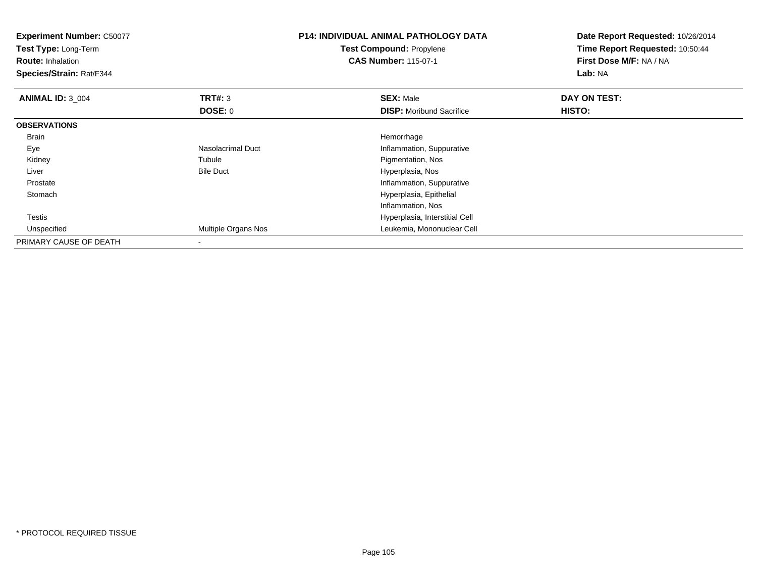| <b>Experiment Number: C50077</b><br>Test Type: Long-Term<br><b>Route: Inhalation</b><br>Species/Strain: Rat/F344 |                     | <b>P14: INDIVIDUAL ANIMAL PATHOLOGY DATA</b><br>Test Compound: Propylene<br><b>CAS Number: 115-07-1</b> | Date Report Requested: 10/26/2014<br>Time Report Requested: 10:50:44<br>First Dose M/F: NA / NA<br>Lab: NA |
|------------------------------------------------------------------------------------------------------------------|---------------------|---------------------------------------------------------------------------------------------------------|------------------------------------------------------------------------------------------------------------|
| <b>ANIMAL ID: 3 004</b>                                                                                          | <b>TRT#: 3</b>      | <b>SEX: Male</b>                                                                                        | DAY ON TEST:                                                                                               |
|                                                                                                                  | DOSE: 0             | <b>DISP:</b> Moribund Sacrifice                                                                         | HISTO:                                                                                                     |
| <b>OBSERVATIONS</b>                                                                                              |                     |                                                                                                         |                                                                                                            |
| Brain                                                                                                            |                     | Hemorrhage                                                                                              |                                                                                                            |
| Eye                                                                                                              | Nasolacrimal Duct   | Inflammation, Suppurative                                                                               |                                                                                                            |
| Kidney                                                                                                           | Tubule              | Pigmentation, Nos                                                                                       |                                                                                                            |
| Liver                                                                                                            | <b>Bile Duct</b>    | Hyperplasia, Nos                                                                                        |                                                                                                            |
| Prostate                                                                                                         |                     | Inflammation, Suppurative                                                                               |                                                                                                            |
| Stomach                                                                                                          |                     | Hyperplasia, Epithelial                                                                                 |                                                                                                            |
|                                                                                                                  |                     | Inflammation, Nos                                                                                       |                                                                                                            |
| <b>Testis</b>                                                                                                    |                     | Hyperplasia, Interstitial Cell                                                                          |                                                                                                            |
| Unspecified                                                                                                      | Multiple Organs Nos | Leukemia, Mononuclear Cell                                                                              |                                                                                                            |
| PRIMARY CAUSE OF DEATH                                                                                           |                     |                                                                                                         |                                                                                                            |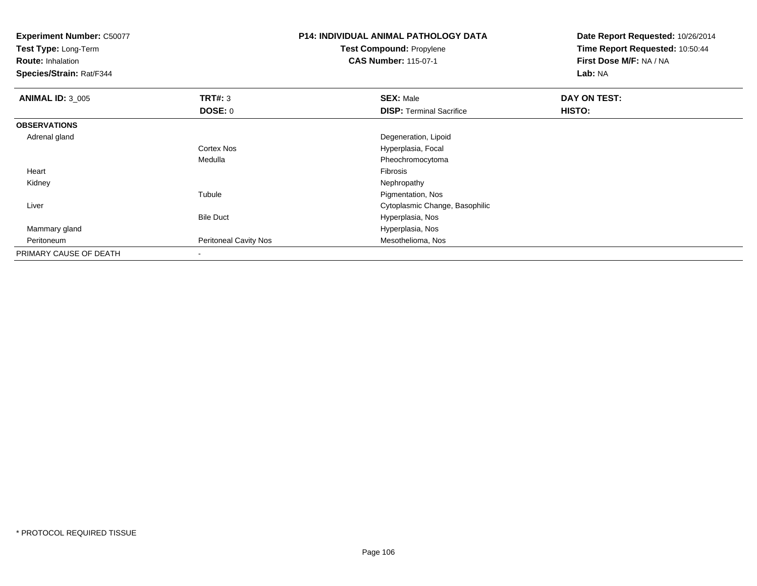**Test Type:** Long-Term

**Route:** Inhalation

**Species/Strain:** Rat/F344

# **P14: INDIVIDUAL ANIMAL PATHOLOGY DATATest Compound:** Propylene

**CAS Number:** 115-07-1

| <b>ANIMAL ID: 3 005</b> | TRT#: 3                      | <b>SEX: Male</b>                | DAY ON TEST: |  |
|-------------------------|------------------------------|---------------------------------|--------------|--|
|                         | <b>DOSE: 0</b>               | <b>DISP: Terminal Sacrifice</b> | HISTO:       |  |
| <b>OBSERVATIONS</b>     |                              |                                 |              |  |
| Adrenal gland           |                              | Degeneration, Lipoid            |              |  |
|                         | <b>Cortex Nos</b>            | Hyperplasia, Focal              |              |  |
|                         | Medulla                      | Pheochromocytoma                |              |  |
| Heart                   |                              | Fibrosis                        |              |  |
| Kidney                  |                              | Nephropathy                     |              |  |
|                         | Tubule                       | Pigmentation, Nos               |              |  |
| Liver                   |                              | Cytoplasmic Change, Basophilic  |              |  |
|                         | <b>Bile Duct</b>             | Hyperplasia, Nos                |              |  |
| Mammary gland           |                              | Hyperplasia, Nos                |              |  |
| Peritoneum              | <b>Peritoneal Cavity Nos</b> | Mesothelioma, Nos               |              |  |
| PRIMARY CAUSE OF DEATH  | $\,$                         |                                 |              |  |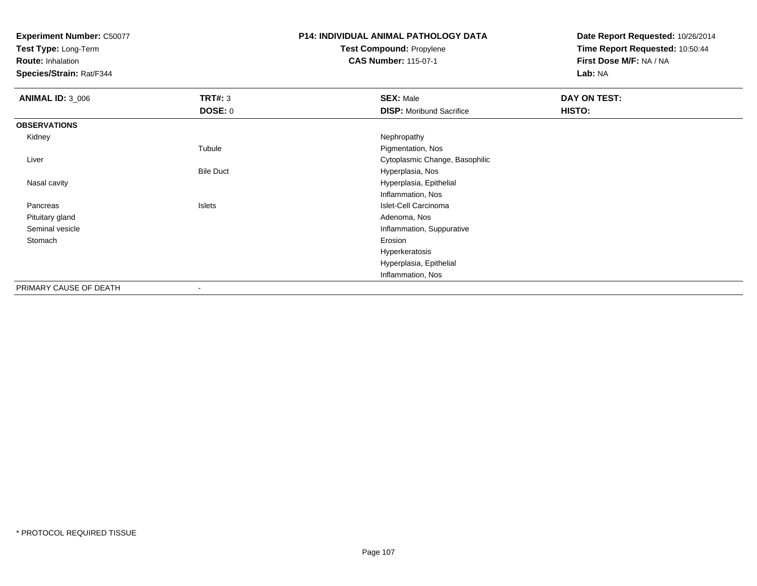**Test Type:** Long-Term

**Route:** Inhalation

**Species/Strain:** Rat/F344

# **P14: INDIVIDUAL ANIMAL PATHOLOGY DATATest Compound:** Propylene

**CAS Number:** 115-07-1

| <b>ANIMAL ID: 3_006</b> | <b>TRT#: 3</b>           | <b>SEX: Male</b>                | DAY ON TEST: |  |
|-------------------------|--------------------------|---------------------------------|--------------|--|
|                         | <b>DOSE: 0</b>           | <b>DISP:</b> Moribund Sacrifice | HISTO:       |  |
| <b>OBSERVATIONS</b>     |                          |                                 |              |  |
| Kidney                  |                          | Nephropathy                     |              |  |
|                         | Tubule                   | Pigmentation, Nos               |              |  |
| Liver                   |                          | Cytoplasmic Change, Basophilic  |              |  |
|                         | <b>Bile Duct</b>         | Hyperplasia, Nos                |              |  |
| Nasal cavity            |                          | Hyperplasia, Epithelial         |              |  |
|                         |                          | Inflammation, Nos               |              |  |
| Pancreas                | Islets                   | Islet-Cell Carcinoma            |              |  |
| Pituitary gland         |                          | Adenoma, Nos                    |              |  |
| Seminal vesicle         |                          | Inflammation, Suppurative       |              |  |
| Stomach                 |                          | Erosion                         |              |  |
|                         |                          | Hyperkeratosis                  |              |  |
|                         |                          | Hyperplasia, Epithelial         |              |  |
|                         |                          | Inflammation, Nos               |              |  |
| PRIMARY CAUSE OF DEATH  | $\overline{\phantom{a}}$ |                                 |              |  |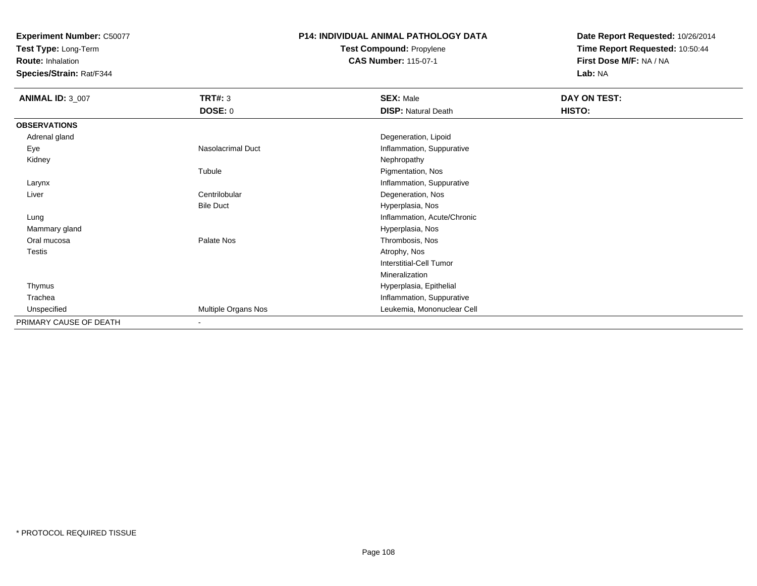**Test Type:** Long-Term

**Route:** Inhalation

**Species/Strain:** Rat/F344

# **P14: INDIVIDUAL ANIMAL PATHOLOGY DATATest Compound:** Propylene

**CAS Number:** 115-07-1

| <b>ANIMAL ID: 3_007</b> | <b>TRT#: 3</b>           | <b>SEX: Male</b>            | DAY ON TEST: |  |
|-------------------------|--------------------------|-----------------------------|--------------|--|
|                         | <b>DOSE: 0</b>           | <b>DISP: Natural Death</b>  | HISTO:       |  |
| <b>OBSERVATIONS</b>     |                          |                             |              |  |
| Adrenal gland           |                          | Degeneration, Lipoid        |              |  |
| Eye                     | <b>Nasolacrimal Duct</b> | Inflammation, Suppurative   |              |  |
| Kidney                  |                          | Nephropathy                 |              |  |
|                         | Tubule                   | Pigmentation, Nos           |              |  |
| Larynx                  |                          | Inflammation, Suppurative   |              |  |
| Liver                   | Centrilobular            | Degeneration, Nos           |              |  |
|                         | <b>Bile Duct</b>         | Hyperplasia, Nos            |              |  |
| Lung                    |                          | Inflammation, Acute/Chronic |              |  |
| Mammary gland           |                          | Hyperplasia, Nos            |              |  |
| Oral mucosa             | Palate Nos               | Thrombosis, Nos             |              |  |
| <b>Testis</b>           |                          | Atrophy, Nos                |              |  |
|                         |                          | Interstitial-Cell Tumor     |              |  |
|                         |                          | Mineralization              |              |  |
| Thymus                  |                          | Hyperplasia, Epithelial     |              |  |
| Trachea                 |                          | Inflammation, Suppurative   |              |  |
| Unspecified             | Multiple Organs Nos      | Leukemia, Mononuclear Cell  |              |  |
| PRIMARY CAUSE OF DEATH  | $\blacksquare$           |                             |              |  |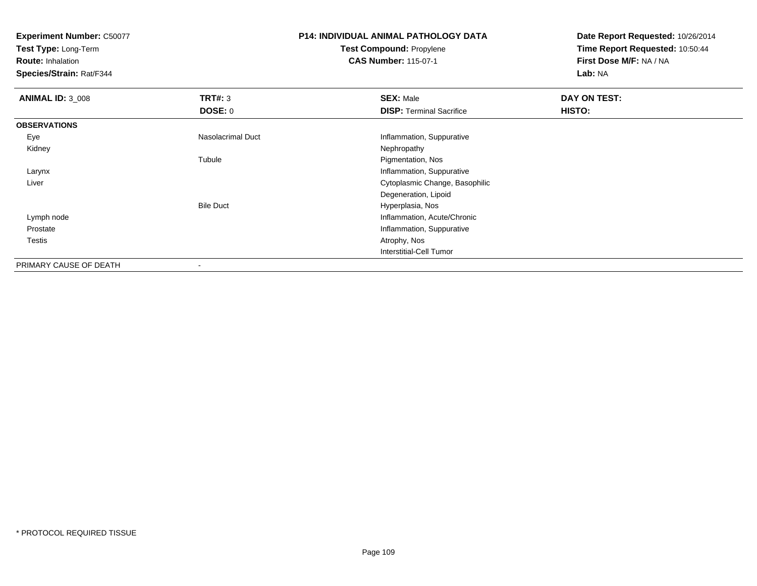**Test Type:** Long-Term

**Route:** Inhalation

**Species/Strain:** Rat/F344

### **P14: INDIVIDUAL ANIMAL PATHOLOGY DATATest Compound:** Propylene**CAS Number:** 115-07-1

| <b>ANIMAL ID: 3_008</b> | TRT#: 3           | <b>SEX: Male</b>                | DAY ON TEST: |  |
|-------------------------|-------------------|---------------------------------|--------------|--|
|                         | <b>DOSE: 0</b>    | <b>DISP: Terminal Sacrifice</b> | HISTO:       |  |
| <b>OBSERVATIONS</b>     |                   |                                 |              |  |
| Eye                     | Nasolacrimal Duct | Inflammation, Suppurative       |              |  |
| Kidney                  |                   | Nephropathy                     |              |  |
|                         | Tubule            | Pigmentation, Nos               |              |  |
| Larynx                  |                   | Inflammation, Suppurative       |              |  |
| Liver                   |                   | Cytoplasmic Change, Basophilic  |              |  |
|                         |                   | Degeneration, Lipoid            |              |  |
|                         | <b>Bile Duct</b>  | Hyperplasia, Nos                |              |  |
| Lymph node              |                   | Inflammation, Acute/Chronic     |              |  |
| Prostate                |                   | Inflammation, Suppurative       |              |  |
| Testis                  |                   | Atrophy, Nos                    |              |  |
|                         |                   | <b>Interstitial-Cell Tumor</b>  |              |  |
| PRIMARY CAUSE OF DEATH  |                   |                                 |              |  |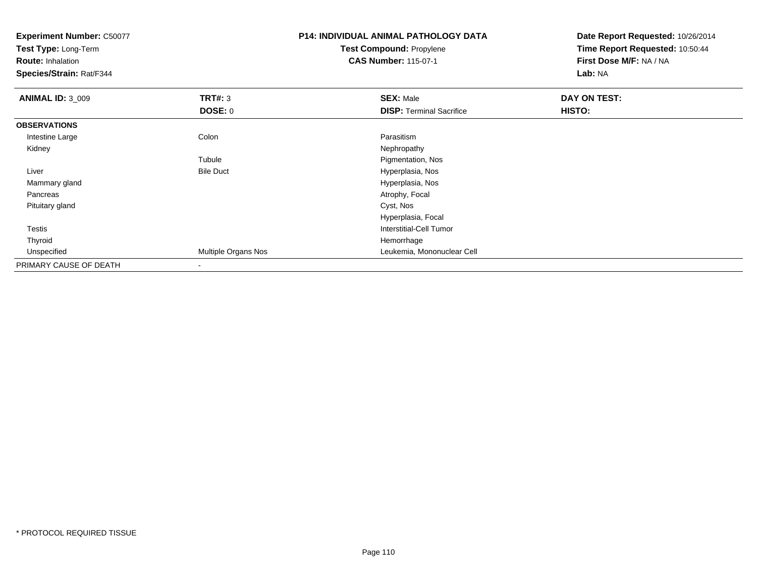**Experiment Number:** C50077**Test Type:** Long-Term**Route:** Inhalation **Species/Strain:** Rat/F344**P14: INDIVIDUAL ANIMAL PATHOLOGY DATATest Compound:** Propylene**CAS Number:** 115-07-1**Date Report Requested:** 10/26/2014**Time Report Requested:** 10:50:44**First Dose M/F:** NA / NA**Lab:** NA**ANIMAL ID:** 3\_009**9 SEX:** Male **DAY ON TEST: DAY ON TEST: DOSE:** 0**DISP:** Terminal Sacrifice **HISTO: OBSERVATIONS** Intestine Largee and the Colon Colon Colon Colon and the Parasitism Nephropathy Kidneyy the control of the control of the control of the control of the control of the control of the control of the control of the control of the control of the control of the control of the control of the control of the contro TubuleTubule The Contract of the Pigmentation, Nos<br>
Bile Duct The Contract of the Pigmentation, Nos LiverHyperplasia, Nos d and the contract of the contract of the contract of the contract of the Hyperplasia, Nos Mammary gland Pancreas Atrophy, Focal Pituitary gland Cyst, Nos Hyperplasia, Focal Testis Interstitial-Cell Tumor Thyroidd and the control of the control of the control of the control of the control of the control of the control of the control of the control of the control of the control of the control of the control of the control of the co Unspecified Multiple Organs Nos Leukemia, Mononuclear Cell PRIMARY CAUSE OF DEATH-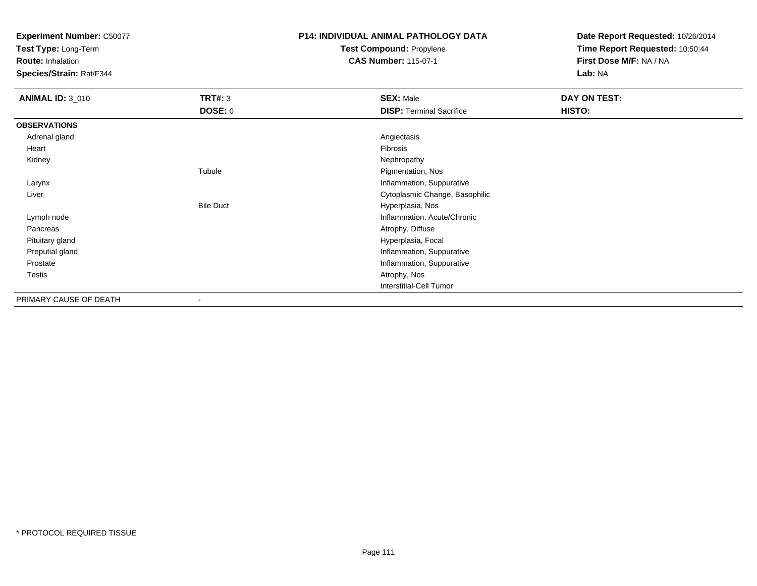**Test Type:** Long-Term

**Route:** Inhalation

**Species/Strain:** Rat/F344

### **P14: INDIVIDUAL ANIMAL PATHOLOGY DATATest Compound:** Propylene

**CAS Number:** 115-07-1

| <b>ANIMAL ID: 3_010</b> | <b>TRT#: 3</b>           | <b>SEX: Male</b>                | DAY ON TEST: |  |
|-------------------------|--------------------------|---------------------------------|--------------|--|
|                         | DOSE: 0                  | <b>DISP: Terminal Sacrifice</b> | HISTO:       |  |
| <b>OBSERVATIONS</b>     |                          |                                 |              |  |
| Adrenal gland           |                          | Angiectasis                     |              |  |
| Heart                   |                          | Fibrosis                        |              |  |
| Kidney                  |                          | Nephropathy                     |              |  |
|                         | Tubule                   | Pigmentation, Nos               |              |  |
| Larynx                  |                          | Inflammation, Suppurative       |              |  |
| Liver                   |                          | Cytoplasmic Change, Basophilic  |              |  |
|                         | <b>Bile Duct</b>         | Hyperplasia, Nos                |              |  |
| Lymph node              |                          | Inflammation, Acute/Chronic     |              |  |
| Pancreas                |                          | Atrophy, Diffuse                |              |  |
| Pituitary gland         |                          | Hyperplasia, Focal              |              |  |
| Preputial gland         |                          | Inflammation, Suppurative       |              |  |
| Prostate                |                          | Inflammation, Suppurative       |              |  |
| Testis                  |                          | Atrophy, Nos                    |              |  |
|                         |                          | <b>Interstitial-Cell Tumor</b>  |              |  |
| PRIMARY CAUSE OF DEATH  | $\overline{\phantom{a}}$ |                                 |              |  |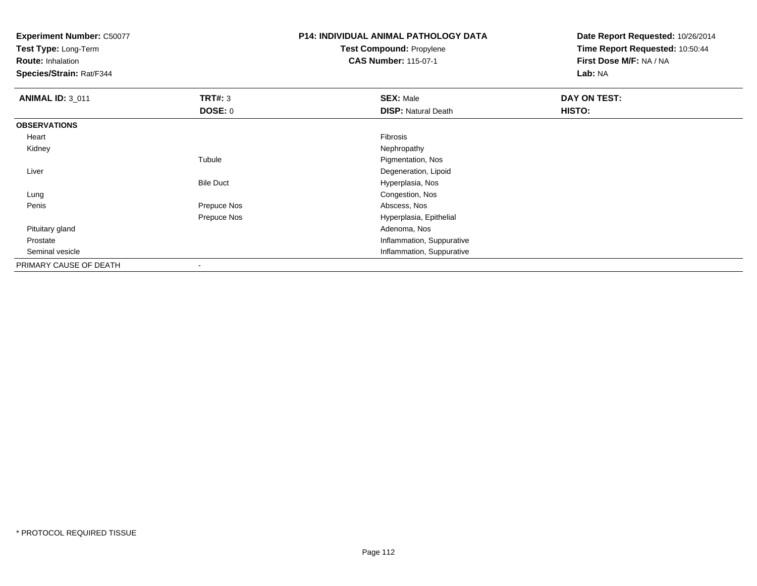**Test Type:** Long-Term

**Route:** Inhalation

**Species/Strain:** Rat/F344

# **P14: INDIVIDUAL ANIMAL PATHOLOGY DATATest Compound:** Propylene

**CAS Number:** 115-07-1

| <b>ANIMAL ID: 3 011</b> | TRT#: 3          | <b>SEX: Male</b>           | DAY ON TEST: |
|-------------------------|------------------|----------------------------|--------------|
|                         | <b>DOSE: 0</b>   | <b>DISP: Natural Death</b> | HISTO:       |
| <b>OBSERVATIONS</b>     |                  |                            |              |
| Heart                   |                  | Fibrosis                   |              |
| Kidney                  |                  | Nephropathy                |              |
|                         | Tubule           | Pigmentation, Nos          |              |
| Liver                   |                  | Degeneration, Lipoid       |              |
|                         | <b>Bile Duct</b> | Hyperplasia, Nos           |              |
| Lung                    |                  | Congestion, Nos            |              |
| Penis                   | Prepuce Nos      | Abscess, Nos               |              |
|                         | Prepuce Nos      | Hyperplasia, Epithelial    |              |
| Pituitary gland         |                  | Adenoma, Nos               |              |
| Prostate                |                  | Inflammation, Suppurative  |              |
| Seminal vesicle         |                  | Inflammation, Suppurative  |              |
| PRIMARY CAUSE OF DEATH  | $\blacksquare$   |                            |              |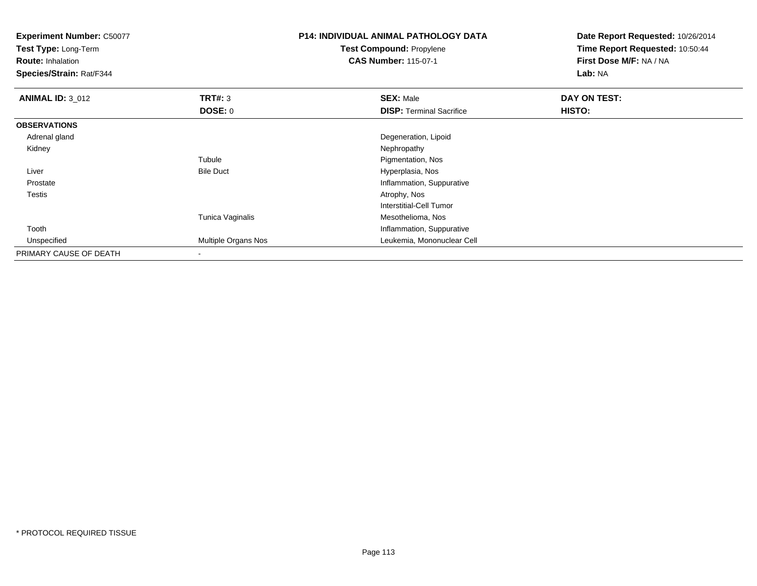**Test Type:** Long-Term

**Route:** Inhalation

**Species/Strain:** Rat/F344

### **P14: INDIVIDUAL ANIMAL PATHOLOGY DATATest Compound:** Propylene**CAS Number:** 115-07-1

| <b>ANIMAL ID: 3 012</b> | TRT#: 3             | <b>SEX: Male</b>                | DAY ON TEST: |  |
|-------------------------|---------------------|---------------------------------|--------------|--|
|                         | <b>DOSE: 0</b>      | <b>DISP: Terminal Sacrifice</b> | HISTO:       |  |
| <b>OBSERVATIONS</b>     |                     |                                 |              |  |
| Adrenal gland           |                     | Degeneration, Lipoid            |              |  |
| Kidney                  |                     | Nephropathy                     |              |  |
|                         | Tubule              | Pigmentation, Nos               |              |  |
| Liver                   | <b>Bile Duct</b>    | Hyperplasia, Nos                |              |  |
| Prostate                |                     | Inflammation, Suppurative       |              |  |
| <b>Testis</b>           |                     | Atrophy, Nos                    |              |  |
|                         |                     | Interstitial-Cell Tumor         |              |  |
|                         | Tunica Vaginalis    | Mesothelioma, Nos               |              |  |
| Tooth                   |                     | Inflammation, Suppurative       |              |  |
| Unspecified             | Multiple Organs Nos | Leukemia, Mononuclear Cell      |              |  |
| PRIMARY CAUSE OF DEATH  |                     |                                 |              |  |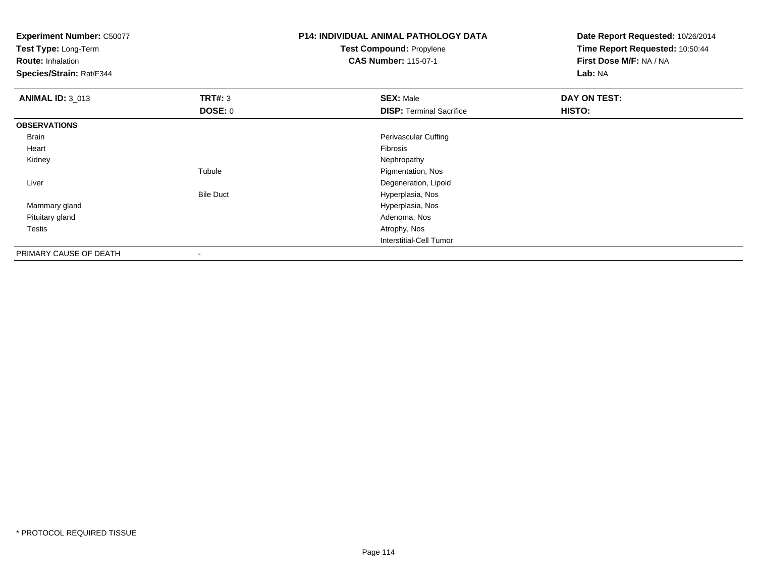**Test Type:** Long-Term

**Route:** Inhalation

**Species/Strain:** Rat/F344

### **P14: INDIVIDUAL ANIMAL PATHOLOGY DATATest Compound:** Propylene**CAS Number:** 115-07-1

| <b>ANIMAL ID: 3 013</b> | TRT#: 3                  | <b>SEX: Male</b>                | DAY ON TEST:  |  |
|-------------------------|--------------------------|---------------------------------|---------------|--|
|                         | <b>DOSE: 0</b>           | <b>DISP: Terminal Sacrifice</b> | <b>HISTO:</b> |  |
| <b>OBSERVATIONS</b>     |                          |                                 |               |  |
| Brain                   |                          | Perivascular Cuffing            |               |  |
| Heart                   |                          | Fibrosis                        |               |  |
| Kidney                  |                          | Nephropathy                     |               |  |
|                         | Tubule                   | Pigmentation, Nos               |               |  |
| Liver                   |                          | Degeneration, Lipoid            |               |  |
|                         | <b>Bile Duct</b>         | Hyperplasia, Nos                |               |  |
| Mammary gland           |                          | Hyperplasia, Nos                |               |  |
| Pituitary gland         |                          | Adenoma, Nos                    |               |  |
| <b>Testis</b>           |                          | Atrophy, Nos                    |               |  |
|                         |                          | Interstitial-Cell Tumor         |               |  |
| PRIMARY CAUSE OF DEATH  | $\overline{\phantom{a}}$ |                                 |               |  |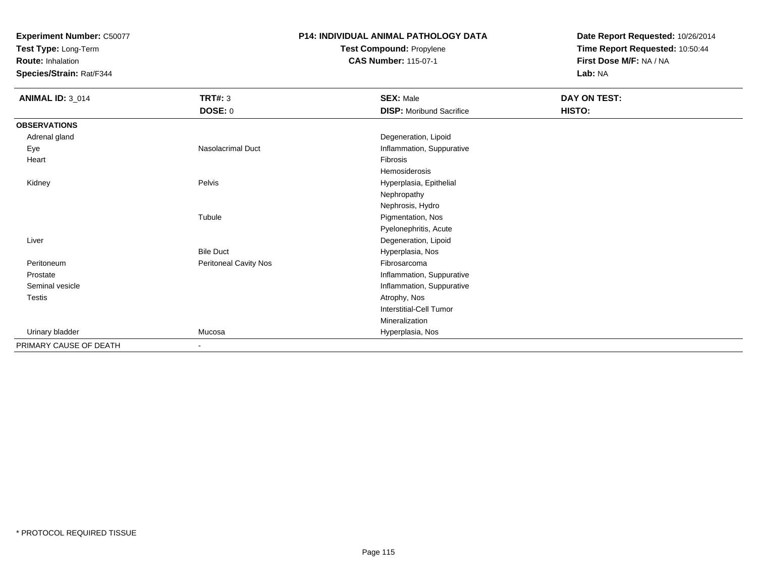**Test Type:** Long-Term

**Route:** Inhalation

**Species/Strain:** Rat/F344

# **P14: INDIVIDUAL ANIMAL PATHOLOGY DATATest Compound:** Propylene

**CAS Number:** 115-07-1

| <b>ANIMAL ID: 3_014</b> | <b>TRT#: 3</b>        | <b>SEX: Male</b>                | DAY ON TEST: |  |
|-------------------------|-----------------------|---------------------------------|--------------|--|
|                         | <b>DOSE: 0</b>        | <b>DISP:</b> Moribund Sacrifice | HISTO:       |  |
| <b>OBSERVATIONS</b>     |                       |                                 |              |  |
| Adrenal gland           |                       | Degeneration, Lipoid            |              |  |
| Eye                     | Nasolacrimal Duct     | Inflammation, Suppurative       |              |  |
| Heart                   |                       | Fibrosis                        |              |  |
|                         |                       | Hemosiderosis                   |              |  |
| Kidney                  | Pelvis                | Hyperplasia, Epithelial         |              |  |
|                         |                       | Nephropathy                     |              |  |
|                         |                       | Nephrosis, Hydro                |              |  |
|                         | Tubule                | Pigmentation, Nos               |              |  |
|                         |                       | Pyelonephritis, Acute           |              |  |
| Liver                   |                       | Degeneration, Lipoid            |              |  |
|                         | <b>Bile Duct</b>      | Hyperplasia, Nos                |              |  |
| Peritoneum              | Peritoneal Cavity Nos | Fibrosarcoma                    |              |  |
| Prostate                |                       | Inflammation, Suppurative       |              |  |
| Seminal vesicle         |                       | Inflammation, Suppurative       |              |  |
| Testis                  |                       | Atrophy, Nos                    |              |  |
|                         |                       | <b>Interstitial-Cell Tumor</b>  |              |  |
|                         |                       | Mineralization                  |              |  |
| Urinary bladder         | Mucosa                | Hyperplasia, Nos                |              |  |
| PRIMARY CAUSE OF DEATH  | $\blacksquare$        |                                 |              |  |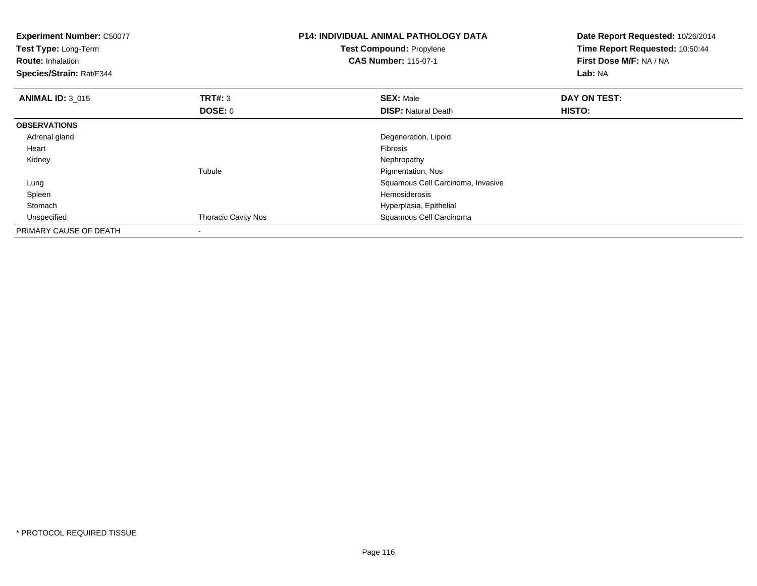| <b>Experiment Number: C50077</b><br>Test Type: Long-Term<br><b>Route: Inhalation</b><br>Species/Strain: Rat/F344 |                            | <b>P14: INDIVIDUAL ANIMAL PATHOLOGY DATA</b><br>Test Compound: Propylene<br><b>CAS Number: 115-07-1</b> | Date Report Requested: 10/26/2014<br>Time Report Requested: 10:50:44<br>First Dose M/F: NA / NA<br>Lab: NA |
|------------------------------------------------------------------------------------------------------------------|----------------------------|---------------------------------------------------------------------------------------------------------|------------------------------------------------------------------------------------------------------------|
| <b>ANIMAL ID: 3 015</b>                                                                                          | <b>TRT#: 3</b>             | <b>SEX: Male</b>                                                                                        | DAY ON TEST:                                                                                               |
|                                                                                                                  | DOSE: 0                    | <b>DISP:</b> Natural Death                                                                              | HISTO:                                                                                                     |
| <b>OBSERVATIONS</b>                                                                                              |                            |                                                                                                         |                                                                                                            |
| Adrenal gland                                                                                                    |                            | Degeneration, Lipoid                                                                                    |                                                                                                            |
| Heart                                                                                                            |                            | <b>Fibrosis</b>                                                                                         |                                                                                                            |
| Kidney                                                                                                           |                            | Nephropathy                                                                                             |                                                                                                            |
|                                                                                                                  | Tubule                     | Pigmentation, Nos                                                                                       |                                                                                                            |
| Lung                                                                                                             |                            | Squamous Cell Carcinoma, Invasive                                                                       |                                                                                                            |
| Spleen                                                                                                           |                            | Hemosiderosis                                                                                           |                                                                                                            |
| Stomach                                                                                                          |                            | Hyperplasia, Epithelial                                                                                 |                                                                                                            |
| Unspecified                                                                                                      | <b>Thoracic Cavity Nos</b> | Squamous Cell Carcinoma                                                                                 |                                                                                                            |
| PRIMARY CAUSE OF DEATH                                                                                           |                            |                                                                                                         |                                                                                                            |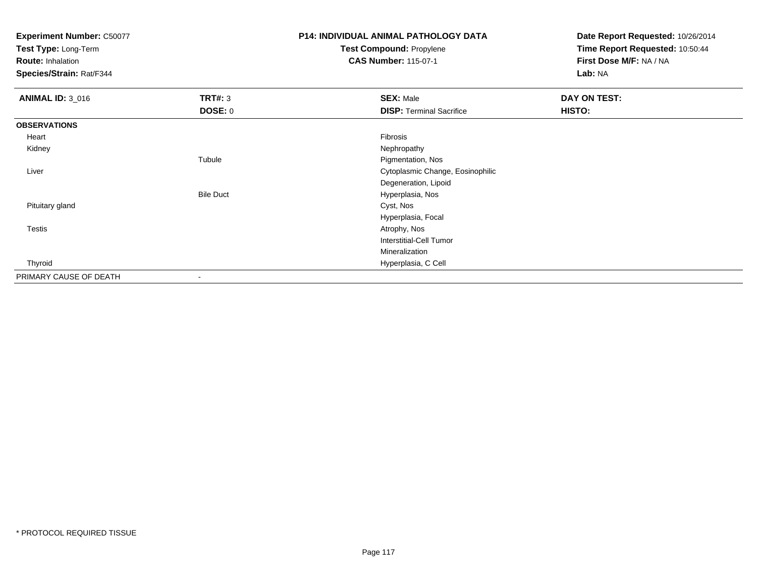**Test Type:** Long-Term

**Route:** Inhalation

**Species/Strain:** Rat/F344

# **P14: INDIVIDUAL ANIMAL PATHOLOGY DATATest Compound:** Propylene

**CAS Number:** 115-07-1

| <b>ANIMAL ID: 3_016</b> | TRT#: 3                  | <b>SEX: Male</b>                 | DAY ON TEST: |
|-------------------------|--------------------------|----------------------------------|--------------|
|                         | <b>DOSE: 0</b>           | <b>DISP: Terminal Sacrifice</b>  | HISTO:       |
| <b>OBSERVATIONS</b>     |                          |                                  |              |
| Heart                   |                          | Fibrosis                         |              |
| Kidney                  |                          | Nephropathy                      |              |
|                         | Tubule                   | Pigmentation, Nos                |              |
| Liver                   |                          | Cytoplasmic Change, Eosinophilic |              |
|                         |                          | Degeneration, Lipoid             |              |
|                         | <b>Bile Duct</b>         | Hyperplasia, Nos                 |              |
| Pituitary gland         |                          | Cyst, Nos                        |              |
|                         |                          | Hyperplasia, Focal               |              |
| <b>Testis</b>           |                          | Atrophy, Nos                     |              |
|                         |                          | <b>Interstitial-Cell Tumor</b>   |              |
|                         |                          | Mineralization                   |              |
| Thyroid                 |                          | Hyperplasia, C Cell              |              |
| PRIMARY CAUSE OF DEATH  | $\overline{\phantom{a}}$ |                                  |              |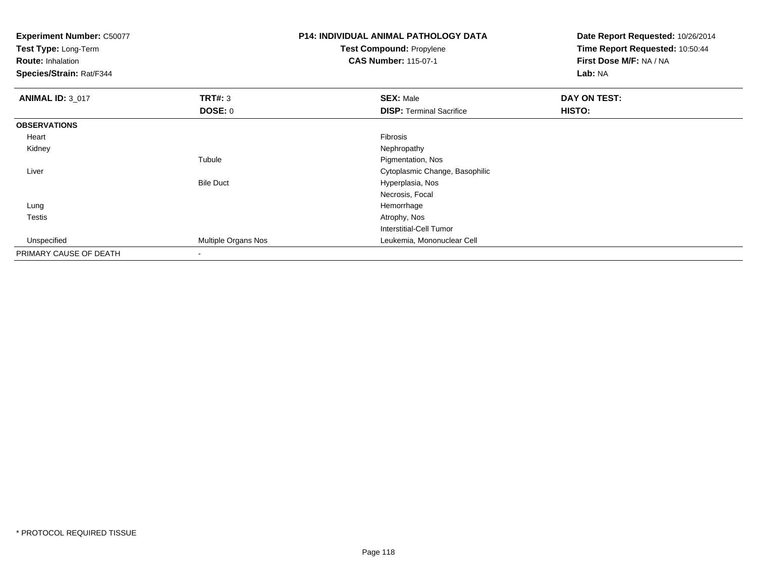**Experiment Number:** C50077**Test Type:** Long-Term**Route:** Inhalation **Species/Strain:** Rat/F344**P14: INDIVIDUAL ANIMAL PATHOLOGY DATATest Compound:** Propylene**CAS Number:** 115-07-1**Date Report Requested:** 10/26/2014**Time Report Requested:** 10:50:44**First Dose M/F:** NA / NA**Lab:** NA**ANIMAL ID: 3 017 TRT#:** <sup>3</sup> **SEX:** Male **DAY ON TEST: DOSE:** 0**DISP:** Terminal Sacrifice **HISTO: OBSERVATIONS** Heartt de la constitución de la constitución de la constitución de la constitución de la constitución de la constitución Nephropathy Kidneyy the control of the control of the control of the control of the control of the control of the control of the control of the control of the control of the control of the control of the control of the control of the contro Tubule Pigmentation, Nos Liver Cytoplasmic Change, BasophilicBile Duct Hyperplasia, Nos Necrosis, Focal Lungg and the state of the state of the state of the state of the state of the state of the state of the state of the state of the state of the state of the state of the state of the state of the state of the state of the stat Testiss and the contract of the contract of the contract of the contract of the contract of the contract of the contract of the contract of the contract of the contract of the contract of the contract of the contract of the cont Interstitial-Cell Tumor Unspecified Multiple Organs Nos Leukemia, Mononuclear Cell PRIMARY CAUSE OF DEATH-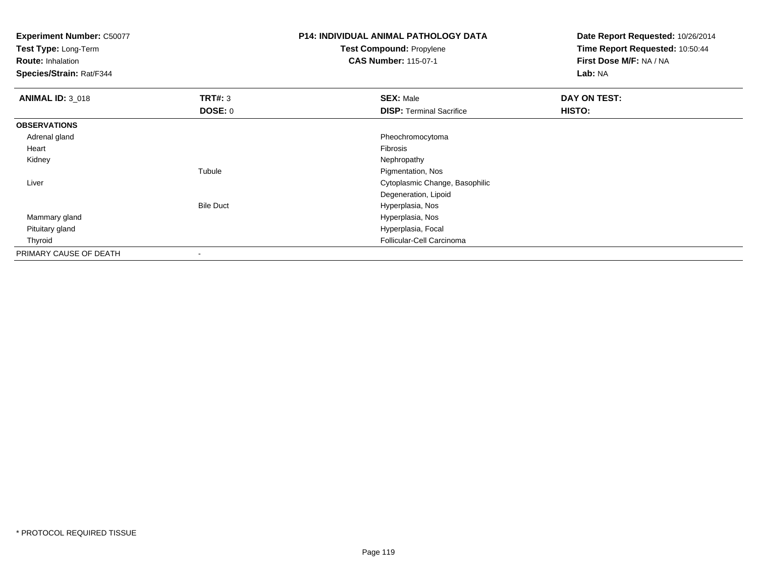**Test Type:** Long-Term

**Route:** Inhalation

**Species/Strain:** Rat/F344

### **P14: INDIVIDUAL ANIMAL PATHOLOGY DATATest Compound:** Propylene**CAS Number:** 115-07-1

| <b>ANIMAL ID: 3_018</b> | <b>TRT#: 3</b>   | <b>SEX: Male</b>                | <b>DAY ON TEST:</b> |  |
|-------------------------|------------------|---------------------------------|---------------------|--|
|                         | <b>DOSE: 0</b>   | <b>DISP: Terminal Sacrifice</b> | HISTO:              |  |
| <b>OBSERVATIONS</b>     |                  |                                 |                     |  |
| Adrenal gland           |                  | Pheochromocytoma                |                     |  |
| Heart                   |                  | Fibrosis                        |                     |  |
| Kidney                  |                  | Nephropathy                     |                     |  |
|                         | Tubule           | Pigmentation, Nos               |                     |  |
| Liver                   |                  | Cytoplasmic Change, Basophilic  |                     |  |
|                         |                  | Degeneration, Lipoid            |                     |  |
|                         | <b>Bile Duct</b> | Hyperplasia, Nos                |                     |  |
| Mammary gland           |                  | Hyperplasia, Nos                |                     |  |
| Pituitary gland         |                  | Hyperplasia, Focal              |                     |  |
| Thyroid                 |                  | Follicular-Cell Carcinoma       |                     |  |
| PRIMARY CAUSE OF DEATH  |                  |                                 |                     |  |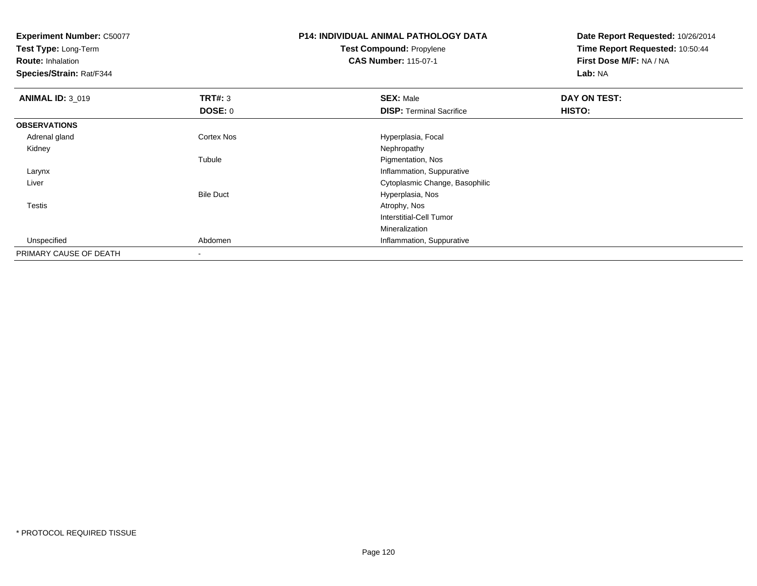**Test Type:** Long-Term

**Route:** Inhalation

**Species/Strain:** Rat/F344

### **P14: INDIVIDUAL ANIMAL PATHOLOGY DATATest Compound:** Propylene**CAS Number:** 115-07-1

| <b>ANIMAL ID: 3_019</b> | TRT#: 3           | <b>SEX: Male</b>                | DAY ON TEST: |  |
|-------------------------|-------------------|---------------------------------|--------------|--|
|                         | DOSE: 0           | <b>DISP: Terminal Sacrifice</b> | HISTO:       |  |
| <b>OBSERVATIONS</b>     |                   |                                 |              |  |
| Adrenal gland           | <b>Cortex Nos</b> | Hyperplasia, Focal              |              |  |
| Kidney                  |                   | Nephropathy                     |              |  |
|                         | Tubule            | Pigmentation, Nos               |              |  |
| Larynx                  |                   | Inflammation, Suppurative       |              |  |
| Liver                   |                   | Cytoplasmic Change, Basophilic  |              |  |
|                         | <b>Bile Duct</b>  | Hyperplasia, Nos                |              |  |
| Testis                  |                   | Atrophy, Nos                    |              |  |
|                         |                   | Interstitial-Cell Tumor         |              |  |
|                         |                   | Mineralization                  |              |  |
| Unspecified             | Abdomen           | Inflammation, Suppurative       |              |  |
| PRIMARY CAUSE OF DEATH  | $\blacksquare$    |                                 |              |  |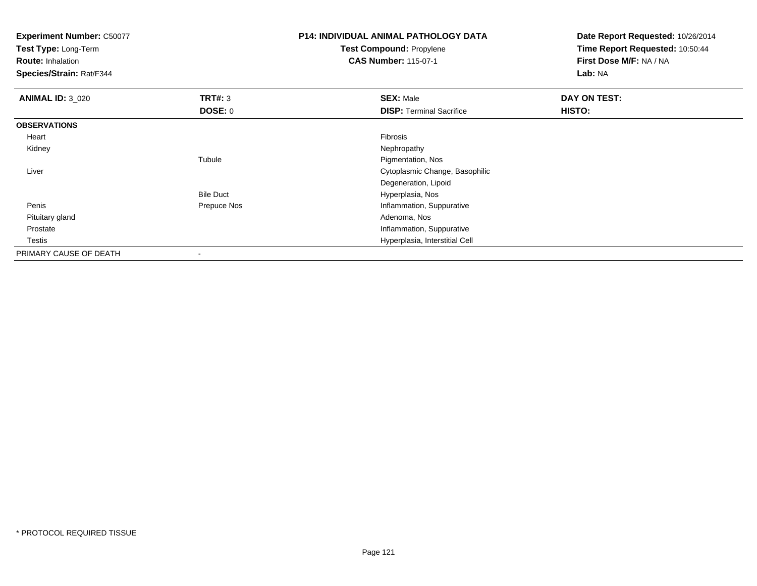**Experiment Number:** C50077**Test Type:** Long-Term**Route:** Inhalation **Species/Strain:** Rat/F344**P14: INDIVIDUAL ANIMAL PATHOLOGY DATATest Compound:** Propylene**CAS Number:** 115-07-1**Date Report Requested:** 10/26/2014**Time Report Requested:** 10:50:44**First Dose M/F:** NA / NA**Lab:** NA**ANIMAL ID:** 3\_020**C DAY ON TEST: TRT#:** 3 **SEX:** Male **SEX:** Male **DOSE:** 0**DISP:** Terminal Sacrifice **HISTO: OBSERVATIONS** Heartt de la constitución de la constitución de la constitución de la constitución de la constitución de la constitución Nephropathy Kidneyy the control of the control of the control of the control of the control of the control of the control of the control of the control of the control of the control of the control of the control of the control of the contro Tubule Pigmentation, Nos Liver Cytoplasmic Change, BasophilicDegeneration, LipoidBile Duct Hyperplasia, Noss and the Prepuce Nos and the Prepuce Nos and the Inflammation, Suppurative Penis Pituitary glandd and the control of the control of the control of the control of the control of the control of the control of the control of the control of the control of the control of the control of the control of the control of the co Prostate Inflammation, Suppurative Testis Hyperplasia, Interstitial Cell PRIMARY CAUSE OF DEATH-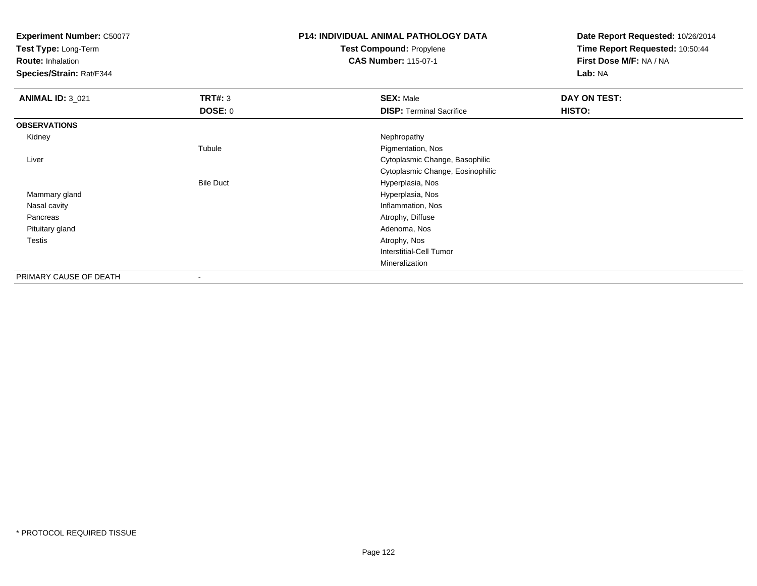**Test Type:** Long-Term

**Route:** Inhalation

**Species/Strain:** Rat/F344

### **P14: INDIVIDUAL ANIMAL PATHOLOGY DATATest Compound:** Propylene

**CAS Number:** 115-07-1

| <b>ANIMAL ID: 3_021</b> | TRT#: 3          | <b>SEX: Male</b>                 | DAY ON TEST:  |
|-------------------------|------------------|----------------------------------|---------------|
|                         | <b>DOSE: 0</b>   | <b>DISP: Terminal Sacrifice</b>  | <b>HISTO:</b> |
| <b>OBSERVATIONS</b>     |                  |                                  |               |
| Kidney                  |                  | Nephropathy                      |               |
|                         | Tubule           | Pigmentation, Nos                |               |
| Liver                   |                  | Cytoplasmic Change, Basophilic   |               |
|                         |                  | Cytoplasmic Change, Eosinophilic |               |
|                         | <b>Bile Duct</b> | Hyperplasia, Nos                 |               |
| Mammary gland           |                  | Hyperplasia, Nos                 |               |
| Nasal cavity            |                  | Inflammation, Nos                |               |
| Pancreas                |                  | Atrophy, Diffuse                 |               |
| Pituitary gland         |                  | Adenoma, Nos                     |               |
| Testis                  |                  | Atrophy, Nos                     |               |
|                         |                  | <b>Interstitial-Cell Tumor</b>   |               |
|                         |                  | Mineralization                   |               |
| PRIMARY CAUSE OF DEATH  |                  |                                  |               |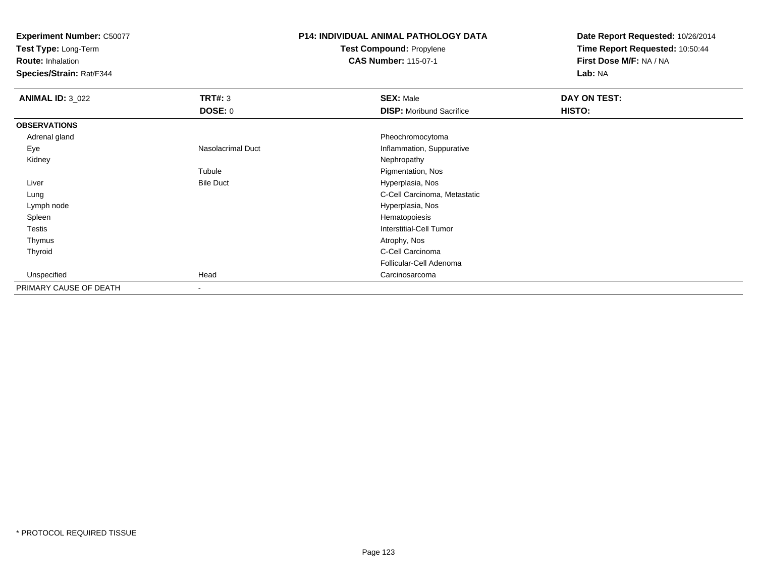**Test Type:** Long-Term

**Route:** Inhalation

**Species/Strain:** Rat/F344

# **P14: INDIVIDUAL ANIMAL PATHOLOGY DATATest Compound:** Propylene

**CAS Number:** 115-07-1

| <b>ANIMAL ID: 3_022</b> | <b>TRT#: 3</b>           | <b>SEX: Male</b>                | DAY ON TEST: |  |
|-------------------------|--------------------------|---------------------------------|--------------|--|
|                         | <b>DOSE: 0</b>           | <b>DISP:</b> Moribund Sacrifice | HISTO:       |  |
| <b>OBSERVATIONS</b>     |                          |                                 |              |  |
| Adrenal gland           |                          | Pheochromocytoma                |              |  |
| Eye                     | <b>Nasolacrimal Duct</b> | Inflammation, Suppurative       |              |  |
| Kidney                  |                          | Nephropathy                     |              |  |
|                         | Tubule                   | Pigmentation, Nos               |              |  |
| Liver                   | <b>Bile Duct</b>         | Hyperplasia, Nos                |              |  |
| Lung                    |                          | C-Cell Carcinoma, Metastatic    |              |  |
| Lymph node              |                          | Hyperplasia, Nos                |              |  |
| Spleen                  |                          | Hematopoiesis                   |              |  |
| Testis                  |                          | Interstitial-Cell Tumor         |              |  |
| Thymus                  |                          | Atrophy, Nos                    |              |  |
| Thyroid                 |                          | C-Cell Carcinoma                |              |  |
|                         |                          | Follicular-Cell Adenoma         |              |  |
| Unspecified             | Head                     | Carcinosarcoma                  |              |  |
| PRIMARY CAUSE OF DEATH  | $\overline{\phantom{a}}$ |                                 |              |  |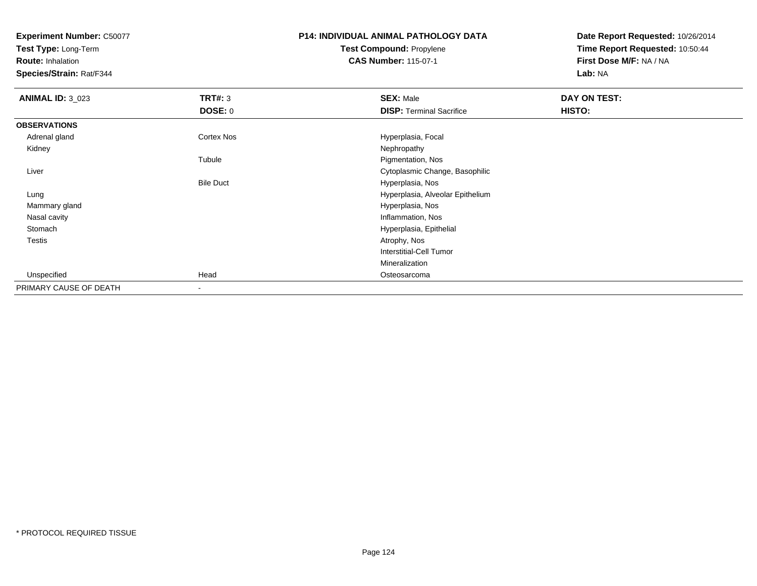**Test Type:** Long-Term

**Route:** Inhalation

**Species/Strain:** Rat/F344

### **P14: INDIVIDUAL ANIMAL PATHOLOGY DATATest Compound:** Propylene**CAS Number:** 115-07-1

| <b>ANIMAL ID: 3_023</b> | <b>TRT#: 3</b>   | <b>SEX: Male</b>                 | DAY ON TEST: |  |
|-------------------------|------------------|----------------------------------|--------------|--|
|                         | <b>DOSE: 0</b>   | <b>DISP: Terminal Sacrifice</b>  | HISTO:       |  |
| <b>OBSERVATIONS</b>     |                  |                                  |              |  |
| Adrenal gland           | Cortex Nos       | Hyperplasia, Focal               |              |  |
| Kidney                  |                  | Nephropathy                      |              |  |
|                         | Tubule           | Pigmentation, Nos                |              |  |
| Liver                   |                  | Cytoplasmic Change, Basophilic   |              |  |
|                         | <b>Bile Duct</b> | Hyperplasia, Nos                 |              |  |
| Lung                    |                  | Hyperplasia, Alveolar Epithelium |              |  |
| Mammary gland           |                  | Hyperplasia, Nos                 |              |  |
| Nasal cavity            |                  | Inflammation, Nos                |              |  |
| Stomach                 |                  | Hyperplasia, Epithelial          |              |  |
| Testis                  |                  | Atrophy, Nos                     |              |  |
|                         |                  | <b>Interstitial-Cell Tumor</b>   |              |  |
|                         |                  | Mineralization                   |              |  |
| Unspecified             | Head             | Osteosarcoma                     |              |  |
| PRIMARY CAUSE OF DEATH  | $\blacksquare$   |                                  |              |  |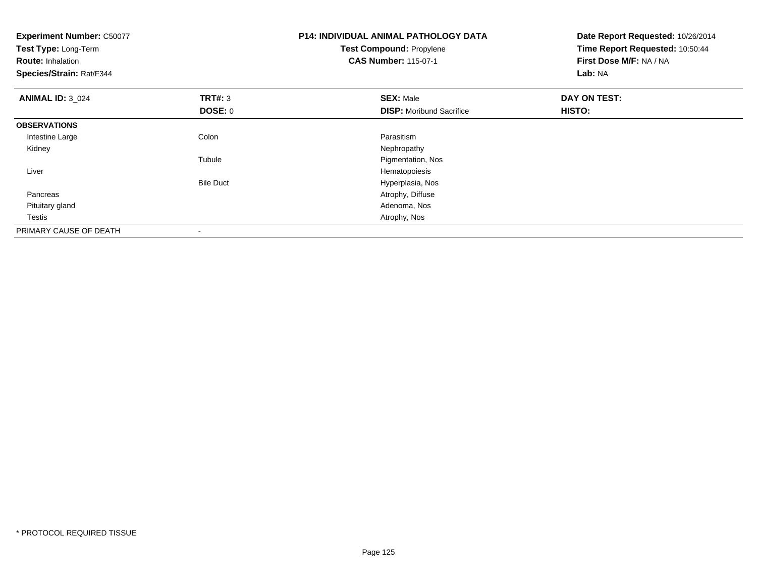| <b>Experiment Number: C50077</b><br>Test Type: Long-Term<br><b>Route: Inhalation</b><br>Species/Strain: Rat/F344 |                          | <b>P14: INDIVIDUAL ANIMAL PATHOLOGY DATA</b><br><b>Test Compound: Propylene</b><br><b>CAS Number: 115-07-1</b> | Date Report Requested: 10/26/2014<br>Time Report Requested: 10:50:44<br>First Dose M/F: NA / NA<br>Lab: NA |
|------------------------------------------------------------------------------------------------------------------|--------------------------|----------------------------------------------------------------------------------------------------------------|------------------------------------------------------------------------------------------------------------|
| <b>ANIMAL ID: 3 024</b>                                                                                          | <b>TRT#: 3</b>           | <b>SEX: Male</b>                                                                                               | DAY ON TEST:                                                                                               |
|                                                                                                                  | <b>DOSE: 0</b>           | <b>DISP:</b> Moribund Sacrifice                                                                                | HISTO:                                                                                                     |
| <b>OBSERVATIONS</b>                                                                                              |                          |                                                                                                                |                                                                                                            |
| Intestine Large                                                                                                  | Colon                    | Parasitism                                                                                                     |                                                                                                            |
| Kidney                                                                                                           |                          | Nephropathy                                                                                                    |                                                                                                            |
|                                                                                                                  | Tubule                   | Pigmentation, Nos                                                                                              |                                                                                                            |
| Liver                                                                                                            |                          | Hematopoiesis                                                                                                  |                                                                                                            |
|                                                                                                                  | <b>Bile Duct</b>         | Hyperplasia, Nos                                                                                               |                                                                                                            |
| Pancreas                                                                                                         |                          | Atrophy, Diffuse                                                                                               |                                                                                                            |
| Pituitary gland                                                                                                  |                          | Adenoma, Nos                                                                                                   |                                                                                                            |
| Testis                                                                                                           |                          | Atrophy, Nos                                                                                                   |                                                                                                            |
| PRIMARY CAUSE OF DEATH                                                                                           | $\overline{\phantom{a}}$ |                                                                                                                |                                                                                                            |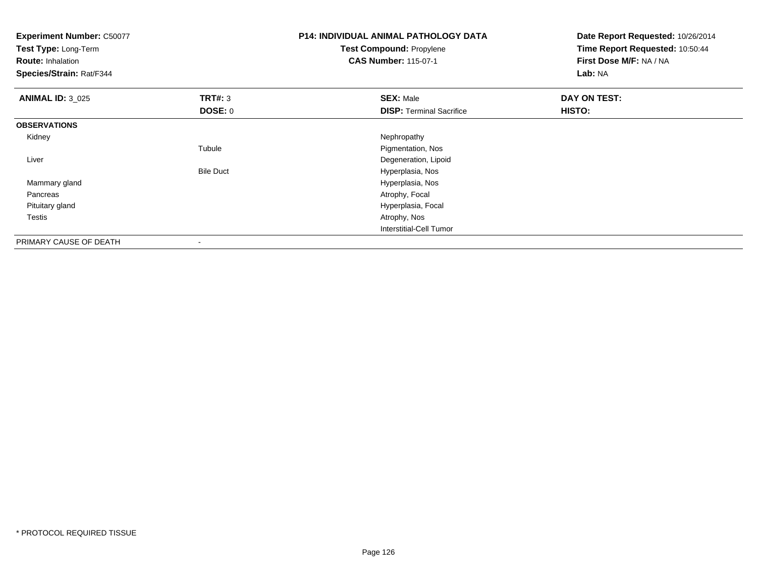| <b>Experiment Number: C50077</b><br>Test Type: Long-Term<br><b>Route: Inhalation</b><br>Species/Strain: Rat/F344 |                          | <b>P14: INDIVIDUAL ANIMAL PATHOLOGY DATA</b><br><b>Test Compound: Propylene</b><br><b>CAS Number: 115-07-1</b> | Date Report Requested: 10/26/2014<br>Time Report Requested: 10:50:44<br>First Dose M/F: NA / NA<br>Lab: NA |
|------------------------------------------------------------------------------------------------------------------|--------------------------|----------------------------------------------------------------------------------------------------------------|------------------------------------------------------------------------------------------------------------|
| <b>ANIMAL ID: 3 025</b>                                                                                          | TRT#: 3                  | <b>SEX: Male</b>                                                                                               | DAY ON TEST:                                                                                               |
|                                                                                                                  | <b>DOSE: 0</b>           | <b>DISP: Terminal Sacrifice</b>                                                                                | HISTO:                                                                                                     |
| <b>OBSERVATIONS</b>                                                                                              |                          |                                                                                                                |                                                                                                            |
| Kidney                                                                                                           |                          | Nephropathy                                                                                                    |                                                                                                            |
|                                                                                                                  | Tubule                   | Pigmentation, Nos                                                                                              |                                                                                                            |
| Liver                                                                                                            |                          | Degeneration, Lipoid                                                                                           |                                                                                                            |
|                                                                                                                  | <b>Bile Duct</b>         | Hyperplasia, Nos                                                                                               |                                                                                                            |
| Mammary gland                                                                                                    |                          | Hyperplasia, Nos                                                                                               |                                                                                                            |
| Pancreas                                                                                                         |                          | Atrophy, Focal                                                                                                 |                                                                                                            |
| Pituitary gland                                                                                                  |                          | Hyperplasia, Focal                                                                                             |                                                                                                            |
| Testis                                                                                                           |                          | Atrophy, Nos                                                                                                   |                                                                                                            |
|                                                                                                                  |                          | <b>Interstitial-Cell Tumor</b>                                                                                 |                                                                                                            |
| PRIMARY CAUSE OF DEATH                                                                                           | $\overline{\phantom{a}}$ |                                                                                                                |                                                                                                            |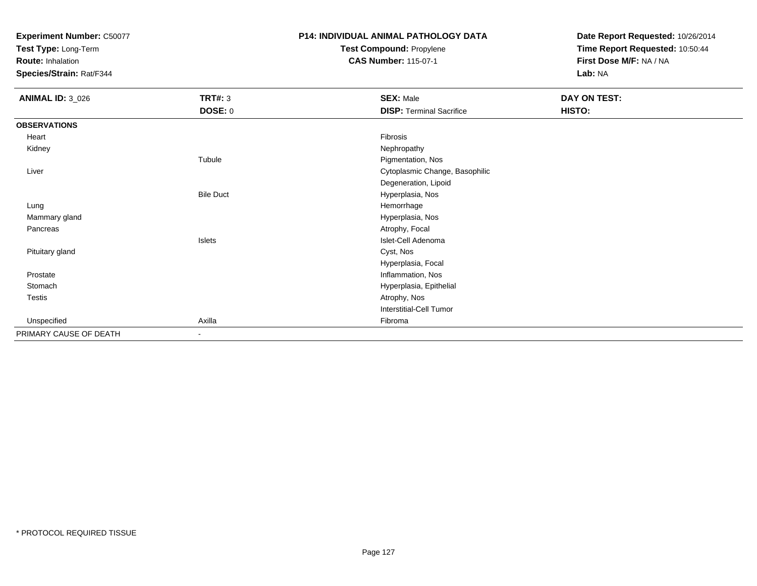**Test Type:** Long-Term

**Route:** Inhalation

**Species/Strain:** Rat/F344

### **P14: INDIVIDUAL ANIMAL PATHOLOGY DATATest Compound:** Propylene

**CAS Number:** 115-07-1

| <b>ANIMAL ID: 3_026</b> | <b>TRT#: 3</b>   | <b>SEX: Male</b>                | DAY ON TEST: |  |
|-------------------------|------------------|---------------------------------|--------------|--|
|                         | <b>DOSE: 0</b>   | <b>DISP: Terminal Sacrifice</b> | HISTO:       |  |
| <b>OBSERVATIONS</b>     |                  |                                 |              |  |
| Heart                   |                  | Fibrosis                        |              |  |
| Kidney                  |                  | Nephropathy                     |              |  |
|                         | Tubule           | Pigmentation, Nos               |              |  |
| Liver                   |                  | Cytoplasmic Change, Basophilic  |              |  |
|                         |                  | Degeneration, Lipoid            |              |  |
|                         | <b>Bile Duct</b> | Hyperplasia, Nos                |              |  |
| Lung                    |                  | Hemorrhage                      |              |  |
| Mammary gland           |                  | Hyperplasia, Nos                |              |  |
| Pancreas                |                  | Atrophy, Focal                  |              |  |
|                         | <b>Islets</b>    | Islet-Cell Adenoma              |              |  |
| Pituitary gland         |                  | Cyst, Nos                       |              |  |
|                         |                  | Hyperplasia, Focal              |              |  |
| Prostate                |                  | Inflammation, Nos               |              |  |
| Stomach                 |                  | Hyperplasia, Epithelial         |              |  |
| Testis                  |                  | Atrophy, Nos                    |              |  |
|                         |                  | Interstitial-Cell Tumor         |              |  |
| Unspecified             | Axilla           | Fibroma                         |              |  |
| PRIMARY CAUSE OF DEATH  | $\sim$           |                                 |              |  |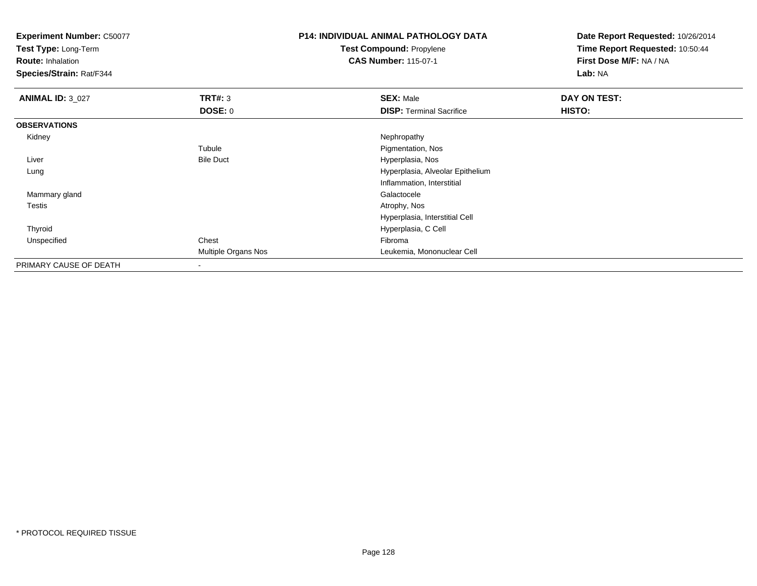**Test Type:** Long-Term

**Route:** Inhalation

**Species/Strain:** Rat/F344

# **P14: INDIVIDUAL ANIMAL PATHOLOGY DATATest Compound:** Propylene

**CAS Number:** 115-07-1

| <b>ANIMAL ID: 3_027</b> | TRT#: 3             | <b>SEX: Male</b>                 | DAY ON TEST: |
|-------------------------|---------------------|----------------------------------|--------------|
|                         | <b>DOSE: 0</b>      | <b>DISP: Terminal Sacrifice</b>  | HISTO:       |
| <b>OBSERVATIONS</b>     |                     |                                  |              |
| Kidney                  |                     | Nephropathy                      |              |
|                         | Tubule              | Pigmentation, Nos                |              |
| Liver                   | <b>Bile Duct</b>    | Hyperplasia, Nos                 |              |
| Lung                    |                     | Hyperplasia, Alveolar Epithelium |              |
|                         |                     | Inflammation, Interstitial       |              |
| Mammary gland           |                     | Galactocele                      |              |
| <b>Testis</b>           |                     | Atrophy, Nos                     |              |
|                         |                     | Hyperplasia, Interstitial Cell   |              |
| Thyroid                 |                     | Hyperplasia, C Cell              |              |
| Unspecified             | Chest               | Fibroma                          |              |
|                         | Multiple Organs Nos | Leukemia, Mononuclear Cell       |              |
| PRIMARY CAUSE OF DEATH  | $\blacksquare$      |                                  |              |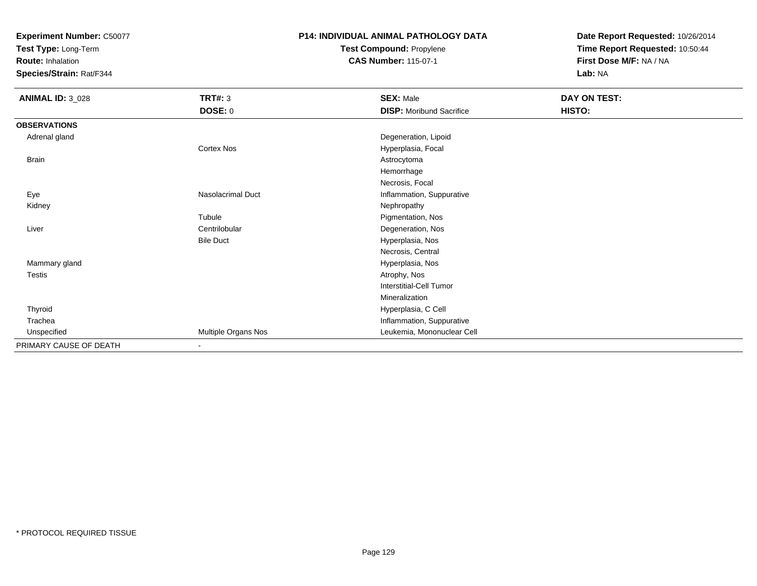**Test Type:** Long-Term

**Route:** Inhalation

**Species/Strain:** Rat/F344

# **P14: INDIVIDUAL ANIMAL PATHOLOGY DATATest Compound:** Propylene

**CAS Number:** 115-07-1

| <b>ANIMAL ID: 3_028</b> | <b>TRT#: 3</b>           | <b>SEX: Male</b>                | DAY ON TEST: |
|-------------------------|--------------------------|---------------------------------|--------------|
|                         | DOSE: 0                  | <b>DISP: Moribund Sacrifice</b> | HISTO:       |
| <b>OBSERVATIONS</b>     |                          |                                 |              |
| Adrenal gland           |                          | Degeneration, Lipoid            |              |
|                         | Cortex Nos               | Hyperplasia, Focal              |              |
| Brain                   |                          | Astrocytoma                     |              |
|                         |                          | Hemorrhage                      |              |
|                         |                          | Necrosis, Focal                 |              |
| Eye                     | Nasolacrimal Duct        | Inflammation, Suppurative       |              |
| Kidney                  |                          | Nephropathy                     |              |
|                         | Tubule                   | Pigmentation, Nos               |              |
| Liver                   | Centrilobular            | Degeneration, Nos               |              |
|                         | <b>Bile Duct</b>         | Hyperplasia, Nos                |              |
|                         |                          | Necrosis, Central               |              |
| Mammary gland           |                          | Hyperplasia, Nos                |              |
| Testis                  |                          | Atrophy, Nos                    |              |
|                         |                          | Interstitial-Cell Tumor         |              |
|                         |                          | Mineralization                  |              |
| Thyroid                 |                          | Hyperplasia, C Cell             |              |
| Trachea                 |                          | Inflammation, Suppurative       |              |
| Unspecified             | Multiple Organs Nos      | Leukemia, Mononuclear Cell      |              |
| PRIMARY CAUSE OF DEATH  | $\overline{\phantom{a}}$ |                                 |              |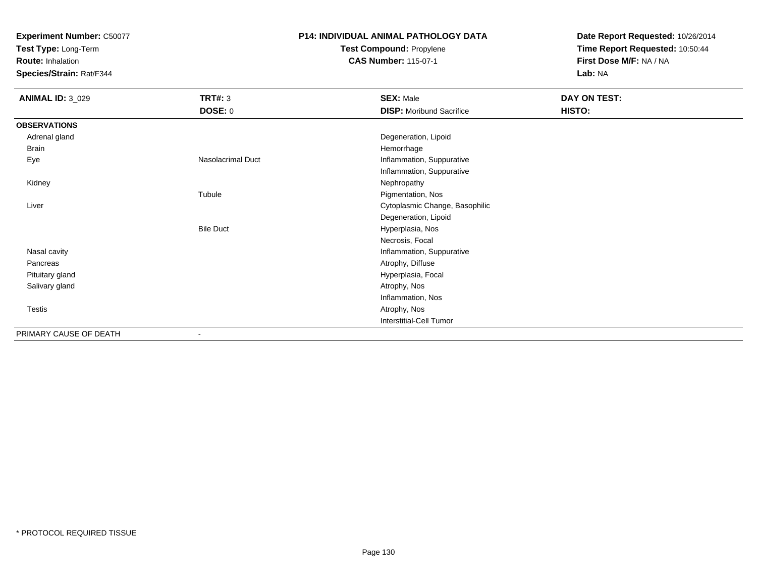**Test Type:** Long-Term

**Route:** Inhalation

**Species/Strain:** Rat/F344

# **P14: INDIVIDUAL ANIMAL PATHOLOGY DATATest Compound:** Propylene

**CAS Number:** 115-07-1

| <b>ANIMAL ID: 3_029</b> | <b>TRT#: 3</b>    | <b>SEX: Male</b>                | DAY ON TEST: |  |
|-------------------------|-------------------|---------------------------------|--------------|--|
|                         | <b>DOSE: 0</b>    | <b>DISP:</b> Moribund Sacrifice | HISTO:       |  |
| <b>OBSERVATIONS</b>     |                   |                                 |              |  |
| Adrenal gland           |                   | Degeneration, Lipoid            |              |  |
| Brain                   |                   | Hemorrhage                      |              |  |
| Eye                     | Nasolacrimal Duct | Inflammation, Suppurative       |              |  |
|                         |                   | Inflammation, Suppurative       |              |  |
| Kidney                  |                   | Nephropathy                     |              |  |
|                         | Tubule            | Pigmentation, Nos               |              |  |
| Liver                   |                   | Cytoplasmic Change, Basophilic  |              |  |
|                         |                   | Degeneration, Lipoid            |              |  |
|                         | <b>Bile Duct</b>  | Hyperplasia, Nos                |              |  |
|                         |                   | Necrosis, Focal                 |              |  |
| Nasal cavity            |                   | Inflammation, Suppurative       |              |  |
| Pancreas                |                   | Atrophy, Diffuse                |              |  |
| Pituitary gland         |                   | Hyperplasia, Focal              |              |  |
| Salivary gland          |                   | Atrophy, Nos                    |              |  |
|                         |                   | Inflammation, Nos               |              |  |
| Testis                  |                   | Atrophy, Nos                    |              |  |
|                         |                   | Interstitial-Cell Tumor         |              |  |
| PRIMARY CAUSE OF DEATH  | $\blacksquare$    |                                 |              |  |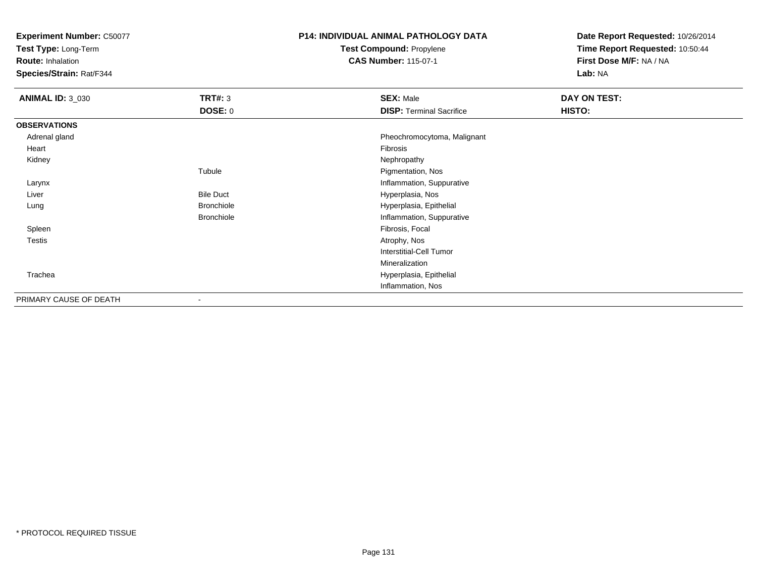**Test Type:** Long-Term

**Route:** Inhalation

**Species/Strain:** Rat/F344

# **P14: INDIVIDUAL ANIMAL PATHOLOGY DATATest Compound:** Propylene

**CAS Number:** 115-07-1

| <b>ANIMAL ID: 3_030</b> | <b>TRT#: 3</b>           | <b>SEX: Male</b>                | DAY ON TEST: |
|-------------------------|--------------------------|---------------------------------|--------------|
|                         | <b>DOSE: 0</b>           | <b>DISP: Terminal Sacrifice</b> | HISTO:       |
| <b>OBSERVATIONS</b>     |                          |                                 |              |
| Adrenal gland           |                          | Pheochromocytoma, Malignant     |              |
| Heart                   |                          | Fibrosis                        |              |
| Kidney                  |                          | Nephropathy                     |              |
|                         | Tubule                   | Pigmentation, Nos               |              |
| Larynx                  |                          | Inflammation, Suppurative       |              |
| Liver                   | <b>Bile Duct</b>         | Hyperplasia, Nos                |              |
| Lung                    | <b>Bronchiole</b>        | Hyperplasia, Epithelial         |              |
|                         | <b>Bronchiole</b>        | Inflammation, Suppurative       |              |
| Spleen                  |                          | Fibrosis, Focal                 |              |
| Testis                  |                          | Atrophy, Nos                    |              |
|                         |                          | Interstitial-Cell Tumor         |              |
|                         |                          | Mineralization                  |              |
| Trachea                 |                          | Hyperplasia, Epithelial         |              |
|                         |                          | Inflammation, Nos               |              |
| PRIMARY CAUSE OF DEATH  | $\overline{\phantom{a}}$ |                                 |              |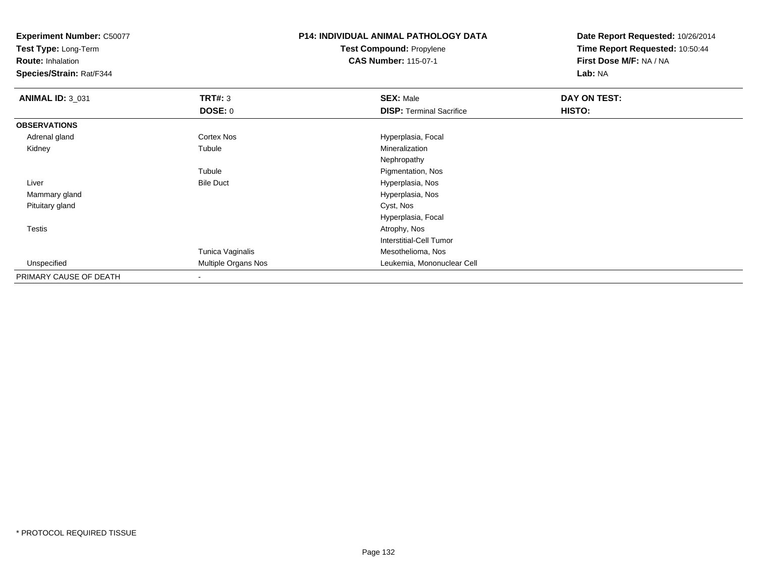**Test Type:** Long-Term

**Route:** Inhalation

**Species/Strain:** Rat/F344

### **P14: INDIVIDUAL ANIMAL PATHOLOGY DATATest Compound:** Propylene**CAS Number:** 115-07-1

| <b>ANIMAL ID: 3_031</b> | TRT#: 3             | <b>SEX: Male</b>                | <b>DAY ON TEST:</b> |  |
|-------------------------|---------------------|---------------------------------|---------------------|--|
|                         | <b>DOSE: 0</b>      | <b>DISP:</b> Terminal Sacrifice | HISTO:              |  |
| <b>OBSERVATIONS</b>     |                     |                                 |                     |  |
| Adrenal gland           | Cortex Nos          | Hyperplasia, Focal              |                     |  |
| Kidney                  | Tubule              | Mineralization                  |                     |  |
|                         |                     | Nephropathy                     |                     |  |
|                         | Tubule              | Pigmentation, Nos               |                     |  |
| Liver                   | <b>Bile Duct</b>    | Hyperplasia, Nos                |                     |  |
| Mammary gland           |                     | Hyperplasia, Nos                |                     |  |
| Pituitary gland         |                     | Cyst, Nos                       |                     |  |
|                         |                     | Hyperplasia, Focal              |                     |  |
| <b>Testis</b>           |                     | Atrophy, Nos                    |                     |  |
|                         |                     | <b>Interstitial-Cell Tumor</b>  |                     |  |
|                         | Tunica Vaginalis    | Mesothelioma, Nos               |                     |  |
| Unspecified             | Multiple Organs Nos | Leukemia, Mononuclear Cell      |                     |  |
| PRIMARY CAUSE OF DEATH  |                     |                                 |                     |  |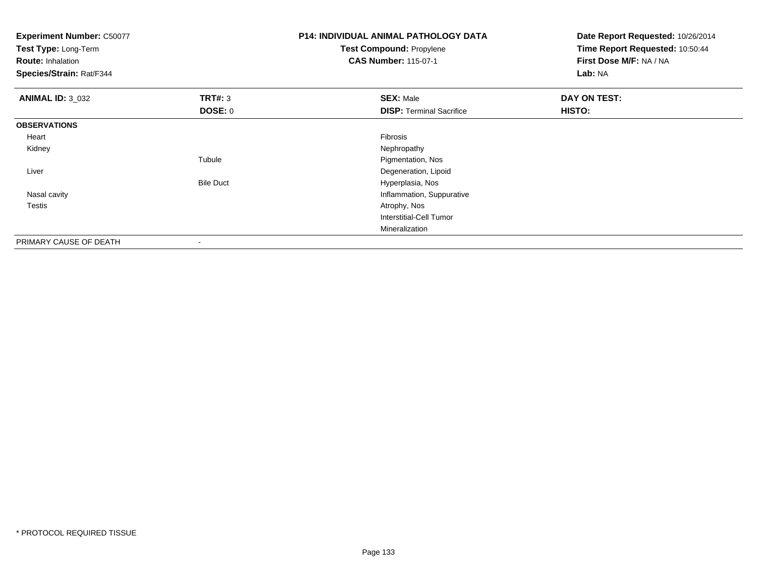| <b>Experiment Number: C50077</b><br>Test Type: Long-Term<br><b>Route: Inhalation</b><br>Species/Strain: Rat/F344 |                  | <b>P14: INDIVIDUAL ANIMAL PATHOLOGY DATA</b><br><b>Test Compound: Propylene</b><br><b>CAS Number: 115-07-1</b> | Date Report Requested: 10/26/2014<br>Time Report Requested: 10:50:44<br>First Dose M/F: NA / NA<br>Lab: NA |
|------------------------------------------------------------------------------------------------------------------|------------------|----------------------------------------------------------------------------------------------------------------|------------------------------------------------------------------------------------------------------------|
| <b>ANIMAL ID: 3_032</b>                                                                                          | <b>TRT#: 3</b>   | <b>SEX: Male</b>                                                                                               | DAY ON TEST:                                                                                               |
|                                                                                                                  | <b>DOSE: 0</b>   | <b>DISP: Terminal Sacrifice</b>                                                                                | HISTO:                                                                                                     |
| <b>OBSERVATIONS</b>                                                                                              |                  |                                                                                                                |                                                                                                            |
| Heart                                                                                                            |                  | Fibrosis                                                                                                       |                                                                                                            |
| Kidney                                                                                                           |                  | Nephropathy                                                                                                    |                                                                                                            |
|                                                                                                                  | Tubule           | Pigmentation, Nos                                                                                              |                                                                                                            |
| Liver                                                                                                            |                  | Degeneration, Lipoid                                                                                           |                                                                                                            |
|                                                                                                                  | <b>Bile Duct</b> | Hyperplasia, Nos                                                                                               |                                                                                                            |
| Nasal cavity                                                                                                     |                  | Inflammation, Suppurative                                                                                      |                                                                                                            |
| Testis                                                                                                           |                  | Atrophy, Nos                                                                                                   |                                                                                                            |
|                                                                                                                  |                  | Interstitial-Cell Tumor                                                                                        |                                                                                                            |
|                                                                                                                  |                  | Mineralization                                                                                                 |                                                                                                            |
| PRIMARY CAUSE OF DEATH                                                                                           |                  |                                                                                                                |                                                                                                            |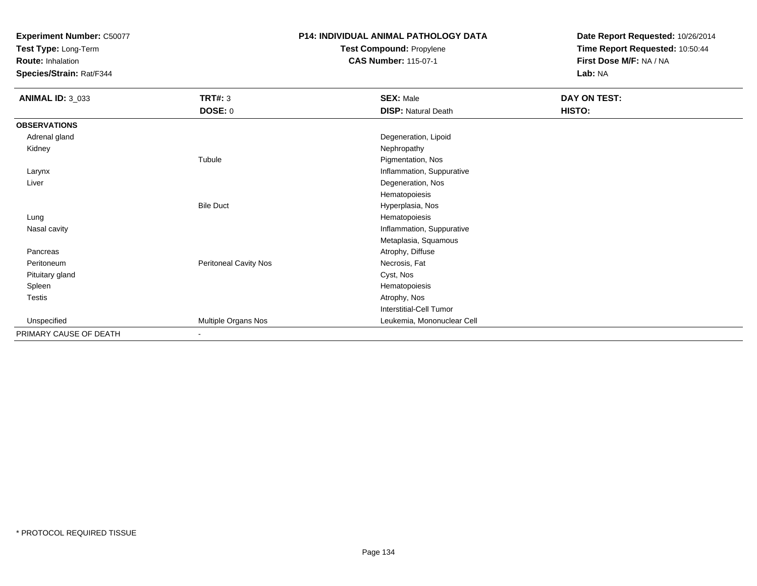**Test Type:** Long-Term

**Route:** Inhalation

**Species/Strain:** Rat/F344

# **P14: INDIVIDUAL ANIMAL PATHOLOGY DATATest Compound:** Propylene

**CAS Number:** 115-07-1

| <b>ANIMAL ID: 3_033</b> | <b>TRT#: 3</b>        | <b>SEX: Male</b>           | DAY ON TEST: |  |
|-------------------------|-----------------------|----------------------------|--------------|--|
|                         | <b>DOSE: 0</b>        | <b>DISP: Natural Death</b> | HISTO:       |  |
| <b>OBSERVATIONS</b>     |                       |                            |              |  |
| Adrenal gland           |                       | Degeneration, Lipoid       |              |  |
| Kidney                  |                       | Nephropathy                |              |  |
|                         | Tubule                | Pigmentation, Nos          |              |  |
| Larynx                  |                       | Inflammation, Suppurative  |              |  |
| Liver                   |                       | Degeneration, Nos          |              |  |
|                         |                       | Hematopoiesis              |              |  |
|                         | <b>Bile Duct</b>      | Hyperplasia, Nos           |              |  |
| Lung                    |                       | Hematopoiesis              |              |  |
| Nasal cavity            |                       | Inflammation, Suppurative  |              |  |
|                         |                       | Metaplasia, Squamous       |              |  |
| Pancreas                |                       | Atrophy, Diffuse           |              |  |
| Peritoneum              | Peritoneal Cavity Nos | Necrosis, Fat              |              |  |
| Pituitary gland         |                       | Cyst, Nos                  |              |  |
| Spleen                  |                       | Hematopoiesis              |              |  |
| Testis                  |                       | Atrophy, Nos               |              |  |
|                         |                       | Interstitial-Cell Tumor    |              |  |
| Unspecified             | Multiple Organs Nos   | Leukemia, Mononuclear Cell |              |  |
| PRIMARY CAUSE OF DEATH  | $\blacksquare$        |                            |              |  |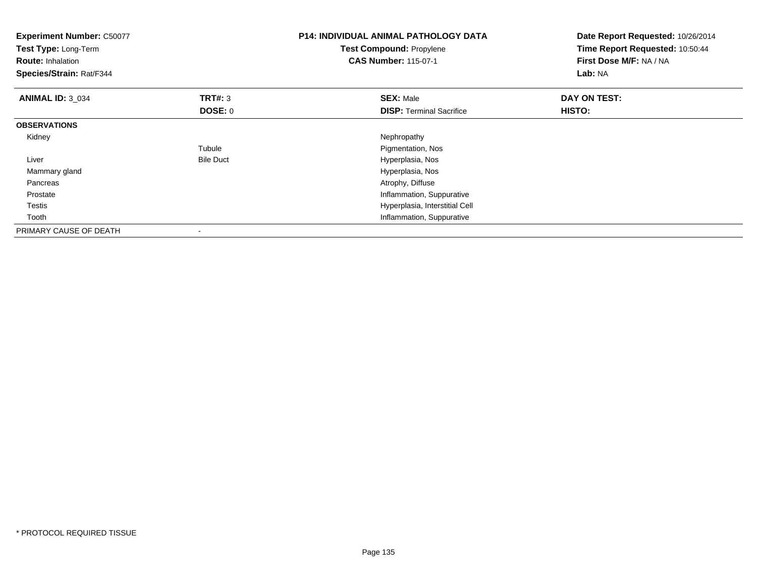| <b>Experiment Number: C50077</b><br>Test Type: Long-Term<br><b>Route: Inhalation</b><br>Species/Strain: Rat/F344 |                  | <b>P14: INDIVIDUAL ANIMAL PATHOLOGY DATA</b><br>Test Compound: Propylene<br><b>CAS Number: 115-07-1</b> | Date Report Requested: 10/26/2014<br>Time Report Requested: 10:50:44<br>First Dose M/F: NA / NA<br>Lab: NA |
|------------------------------------------------------------------------------------------------------------------|------------------|---------------------------------------------------------------------------------------------------------|------------------------------------------------------------------------------------------------------------|
| <b>ANIMAL ID: 3_034</b>                                                                                          | <b>TRT#:</b> 3   | <b>SEX: Male</b>                                                                                        | DAY ON TEST:                                                                                               |
|                                                                                                                  | DOSE: 0          | <b>DISP: Terminal Sacrifice</b>                                                                         | <b>HISTO:</b>                                                                                              |
| <b>OBSERVATIONS</b>                                                                                              |                  |                                                                                                         |                                                                                                            |
| Kidney                                                                                                           |                  | Nephropathy                                                                                             |                                                                                                            |
|                                                                                                                  | Tubule           | Pigmentation, Nos                                                                                       |                                                                                                            |
| Liver                                                                                                            | <b>Bile Duct</b> | Hyperplasia, Nos                                                                                        |                                                                                                            |
| Mammary gland                                                                                                    |                  | Hyperplasia, Nos                                                                                        |                                                                                                            |
| Pancreas                                                                                                         |                  | Atrophy, Diffuse                                                                                        |                                                                                                            |
| Prostate                                                                                                         |                  | Inflammation, Suppurative                                                                               |                                                                                                            |
| Testis                                                                                                           |                  | Hyperplasia, Interstitial Cell                                                                          |                                                                                                            |
| Tooth                                                                                                            |                  | Inflammation, Suppurative                                                                               |                                                                                                            |
| PRIMARY CAUSE OF DEATH                                                                                           |                  |                                                                                                         |                                                                                                            |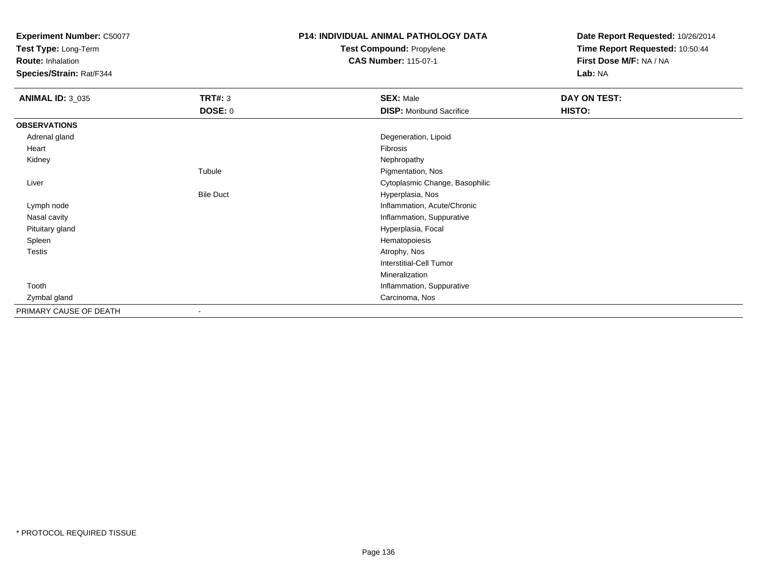**Test Type:** Long-Term

**Route:** Inhalation

**Species/Strain:** Rat/F344

# **P14: INDIVIDUAL ANIMAL PATHOLOGY DATATest Compound:** Propylene

**CAS Number:** 115-07-1

| <b>ANIMAL ID: 3_035</b> | <b>TRT#: 3</b>           | <b>SEX: Male</b>                | DAY ON TEST: |
|-------------------------|--------------------------|---------------------------------|--------------|
|                         | DOSE: 0                  | <b>DISP:</b> Moribund Sacrifice | HISTO:       |
| <b>OBSERVATIONS</b>     |                          |                                 |              |
| Adrenal gland           |                          | Degeneration, Lipoid            |              |
| Heart                   |                          | Fibrosis                        |              |
| Kidney                  |                          | Nephropathy                     |              |
|                         | Tubule                   | Pigmentation, Nos               |              |
| Liver                   |                          | Cytoplasmic Change, Basophilic  |              |
|                         | <b>Bile Duct</b>         | Hyperplasia, Nos                |              |
| Lymph node              |                          | Inflammation, Acute/Chronic     |              |
| Nasal cavity            |                          | Inflammation, Suppurative       |              |
| Pituitary gland         |                          | Hyperplasia, Focal              |              |
| Spleen                  |                          | Hematopoiesis                   |              |
| <b>Testis</b>           |                          | Atrophy, Nos                    |              |
|                         |                          | <b>Interstitial-Cell Tumor</b>  |              |
|                         |                          | Mineralization                  |              |
| Tooth                   |                          | Inflammation, Suppurative       |              |
| Zymbal gland            |                          | Carcinoma, Nos                  |              |
| PRIMARY CAUSE OF DEATH  | $\overline{\phantom{a}}$ |                                 |              |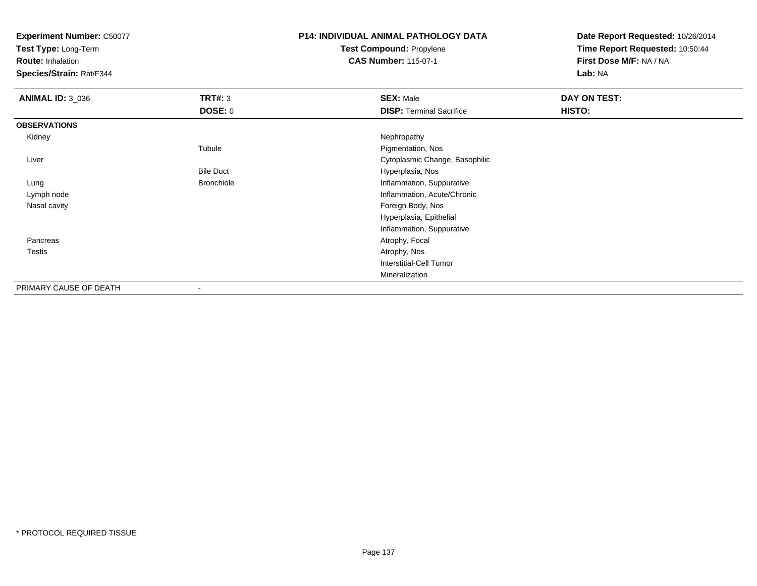**Test Type:** Long-Term

**Route:** Inhalation

**Species/Strain:** Rat/F344

# **P14: INDIVIDUAL ANIMAL PATHOLOGY DATATest Compound:** Propylene

**CAS Number:** 115-07-1

| <b>ANIMAL ID: 3_036</b> | TRT#: 3                  | <b>SEX: Male</b>                | DAY ON TEST: |  |
|-------------------------|--------------------------|---------------------------------|--------------|--|
|                         | <b>DOSE: 0</b>           | <b>DISP: Terminal Sacrifice</b> | HISTO:       |  |
| <b>OBSERVATIONS</b>     |                          |                                 |              |  |
| Kidney                  |                          | Nephropathy                     |              |  |
|                         | Tubule                   | Pigmentation, Nos               |              |  |
| Liver                   |                          | Cytoplasmic Change, Basophilic  |              |  |
|                         | <b>Bile Duct</b>         | Hyperplasia, Nos                |              |  |
| Lung                    | <b>Bronchiole</b>        | Inflammation, Suppurative       |              |  |
| Lymph node              |                          | Inflammation, Acute/Chronic     |              |  |
| Nasal cavity            |                          | Foreign Body, Nos               |              |  |
|                         |                          | Hyperplasia, Epithelial         |              |  |
|                         |                          | Inflammation, Suppurative       |              |  |
| Pancreas                |                          | Atrophy, Focal                  |              |  |
| Testis                  |                          | Atrophy, Nos                    |              |  |
|                         |                          | Interstitial-Cell Tumor         |              |  |
|                         |                          | Mineralization                  |              |  |
| PRIMARY CAUSE OF DEATH  | $\overline{\phantom{a}}$ |                                 |              |  |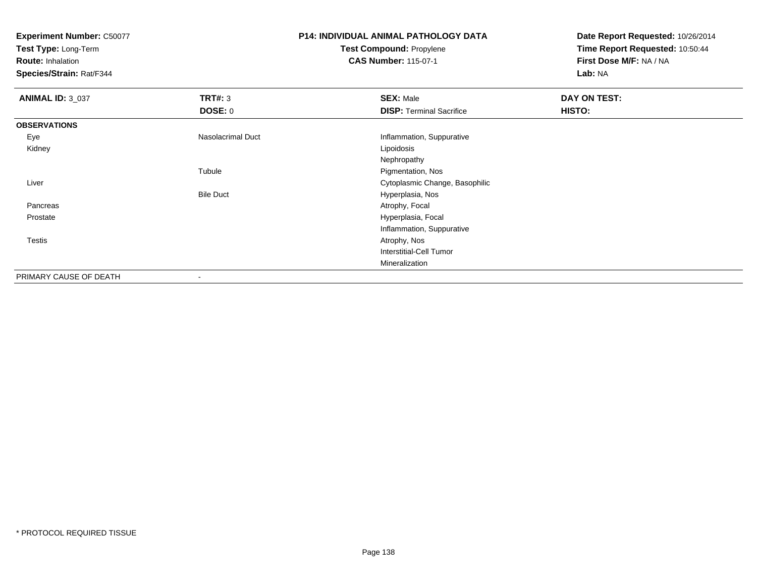**Test Type:** Long-Term

**Route:** Inhalation

**Species/Strain:** Rat/F344

### **P14: INDIVIDUAL ANIMAL PATHOLOGY DATATest Compound:** Propylene**CAS Number:** 115-07-1

| <b>ANIMAL ID: 3_037</b> | TRT#: 3           | <b>SEX: Male</b>                | <b>DAY ON TEST:</b> |  |
|-------------------------|-------------------|---------------------------------|---------------------|--|
|                         | <b>DOSE: 0</b>    | <b>DISP: Terminal Sacrifice</b> | HISTO:              |  |
| <b>OBSERVATIONS</b>     |                   |                                 |                     |  |
| Eye                     | Nasolacrimal Duct | Inflammation, Suppurative       |                     |  |
| Kidney                  |                   | Lipoidosis                      |                     |  |
|                         |                   | Nephropathy                     |                     |  |
|                         | Tubule            | Pigmentation, Nos               |                     |  |
| Liver                   |                   | Cytoplasmic Change, Basophilic  |                     |  |
|                         | <b>Bile Duct</b>  | Hyperplasia, Nos                |                     |  |
| Pancreas                |                   | Atrophy, Focal                  |                     |  |
| Prostate                |                   | Hyperplasia, Focal              |                     |  |
|                         |                   | Inflammation, Suppurative       |                     |  |
| Testis                  |                   | Atrophy, Nos                    |                     |  |
|                         |                   | Interstitial-Cell Tumor         |                     |  |
|                         |                   | Mineralization                  |                     |  |
| PRIMARY CAUSE OF DEATH  |                   |                                 |                     |  |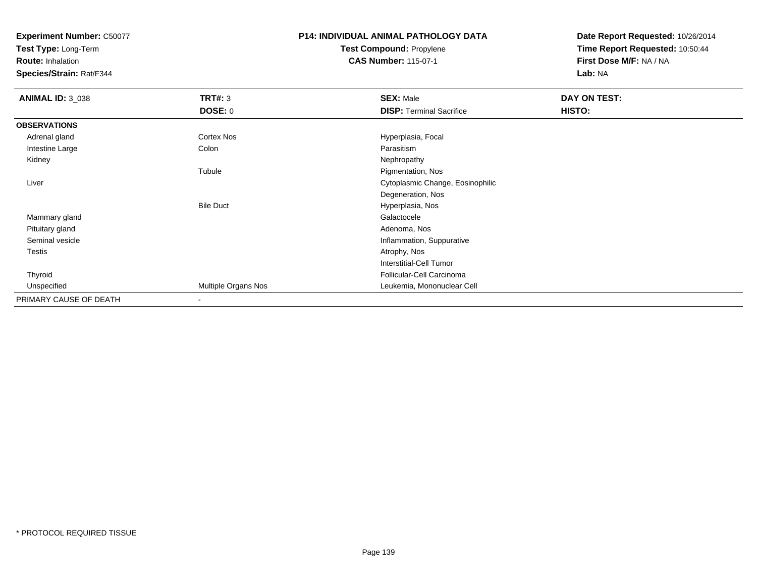**Test Type:** Long-Term

**Route:** Inhalation

**Species/Strain:** Rat/F344

### **P14: INDIVIDUAL ANIMAL PATHOLOGY DATATest Compound:** Propylene**CAS Number:** 115-07-1

| <b>ANIMAL ID: 3_038</b> | <b>TRT#: 3</b>      | <b>SEX: Male</b>                 | DAY ON TEST: |  |
|-------------------------|---------------------|----------------------------------|--------------|--|
|                         | <b>DOSE: 0</b>      | <b>DISP: Terminal Sacrifice</b>  | HISTO:       |  |
| <b>OBSERVATIONS</b>     |                     |                                  |              |  |
| Adrenal gland           | Cortex Nos          | Hyperplasia, Focal               |              |  |
| Intestine Large         | Colon               | Parasitism                       |              |  |
| Kidney                  |                     | Nephropathy                      |              |  |
|                         | Tubule              | Pigmentation, Nos                |              |  |
| Liver                   |                     | Cytoplasmic Change, Eosinophilic |              |  |
|                         |                     | Degeneration, Nos                |              |  |
|                         | <b>Bile Duct</b>    | Hyperplasia, Nos                 |              |  |
| Mammary gland           |                     | Galactocele                      |              |  |
| Pituitary gland         |                     | Adenoma, Nos                     |              |  |
| Seminal vesicle         |                     | Inflammation, Suppurative        |              |  |
| Testis                  |                     | Atrophy, Nos                     |              |  |
|                         |                     | <b>Interstitial-Cell Tumor</b>   |              |  |
| Thyroid                 |                     | Follicular-Cell Carcinoma        |              |  |
| Unspecified             | Multiple Organs Nos | Leukemia, Mononuclear Cell       |              |  |
| PRIMARY CAUSE OF DEATH  |                     |                                  |              |  |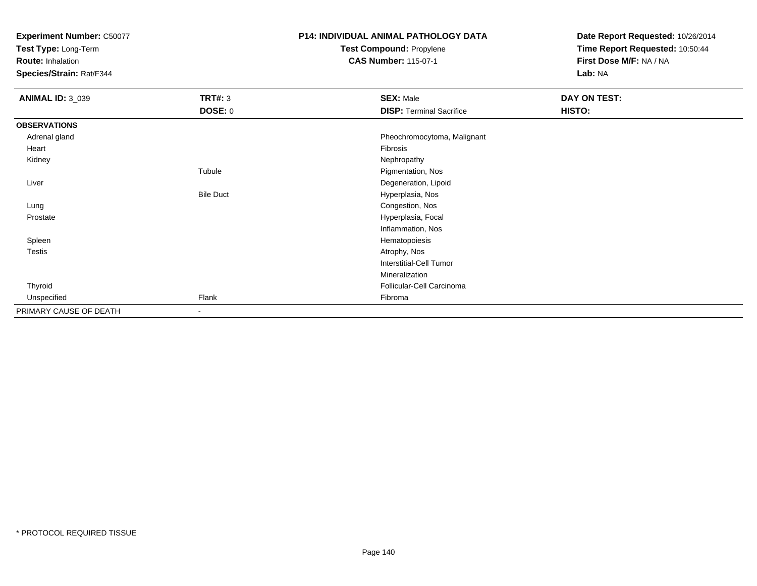**Test Type:** Long-Term

**Route:** Inhalation

**Species/Strain:** Rat/F344

# **P14: INDIVIDUAL ANIMAL PATHOLOGY DATATest Compound:** Propylene

**CAS Number:** 115-07-1

| <b>ANIMAL ID: 3_039</b> | <b>TRT#: 3</b>           | <b>SEX: Male</b>                | DAY ON TEST: |  |
|-------------------------|--------------------------|---------------------------------|--------------|--|
|                         | <b>DOSE: 0</b>           | <b>DISP: Terminal Sacrifice</b> | HISTO:       |  |
| <b>OBSERVATIONS</b>     |                          |                                 |              |  |
| Adrenal gland           |                          | Pheochromocytoma, Malignant     |              |  |
| Heart                   |                          | Fibrosis                        |              |  |
| Kidney                  |                          | Nephropathy                     |              |  |
|                         | Tubule                   | Pigmentation, Nos               |              |  |
| Liver                   |                          | Degeneration, Lipoid            |              |  |
|                         | <b>Bile Duct</b>         | Hyperplasia, Nos                |              |  |
| Lung                    |                          | Congestion, Nos                 |              |  |
| Prostate                |                          | Hyperplasia, Focal              |              |  |
|                         |                          | Inflammation, Nos               |              |  |
| Spleen                  |                          | Hematopoiesis                   |              |  |
| Testis                  |                          | Atrophy, Nos                    |              |  |
|                         |                          | <b>Interstitial-Cell Tumor</b>  |              |  |
|                         |                          | Mineralization                  |              |  |
| Thyroid                 |                          | Follicular-Cell Carcinoma       |              |  |
| Unspecified             | Flank                    | Fibroma                         |              |  |
| PRIMARY CAUSE OF DEATH  | $\overline{\phantom{a}}$ |                                 |              |  |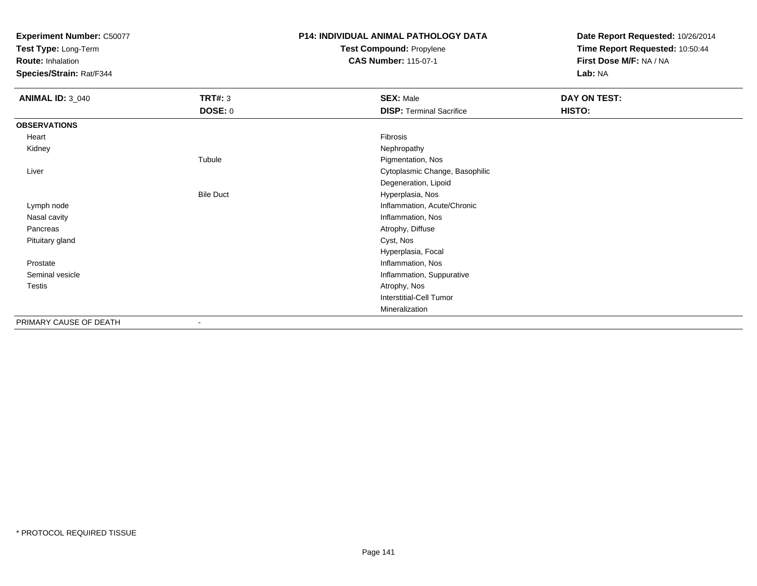**Test Type:** Long-Term

**Route:** Inhalation

**Species/Strain:** Rat/F344

### **P14: INDIVIDUAL ANIMAL PATHOLOGY DATATest Compound:** Propylene

**CAS Number:** 115-07-1

| <b>ANIMAL ID: 3_040</b> | <b>TRT#: 3</b>   | <b>SEX: Male</b>                | DAY ON TEST: |
|-------------------------|------------------|---------------------------------|--------------|
|                         | <b>DOSE: 0</b>   | <b>DISP: Terminal Sacrifice</b> | HISTO:       |
| <b>OBSERVATIONS</b>     |                  |                                 |              |
| Heart                   |                  | Fibrosis                        |              |
| Kidney                  |                  | Nephropathy                     |              |
|                         | Tubule           | Pigmentation, Nos               |              |
| Liver                   |                  | Cytoplasmic Change, Basophilic  |              |
|                         |                  | Degeneration, Lipoid            |              |
|                         | <b>Bile Duct</b> | Hyperplasia, Nos                |              |
| Lymph node              |                  | Inflammation, Acute/Chronic     |              |
| Nasal cavity            |                  | Inflammation, Nos               |              |
| Pancreas                |                  | Atrophy, Diffuse                |              |
| Pituitary gland         |                  | Cyst, Nos                       |              |
|                         |                  | Hyperplasia, Focal              |              |
| Prostate                |                  | Inflammation, Nos               |              |
| Seminal vesicle         |                  | Inflammation, Suppurative       |              |
| Testis                  |                  | Atrophy, Nos                    |              |
|                         |                  | <b>Interstitial-Cell Tumor</b>  |              |
|                         |                  | Mineralization                  |              |
| PRIMARY CAUSE OF DEATH  |                  |                                 |              |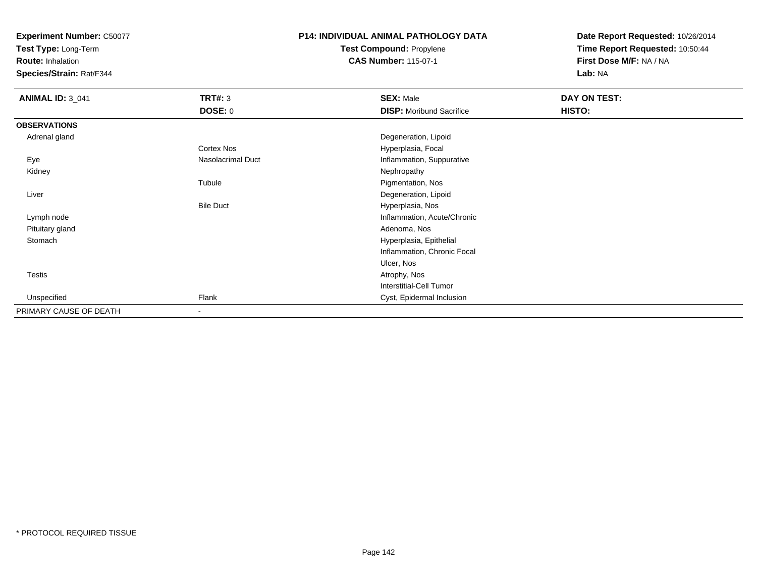**Test Type:** Long-Term

**Route:** Inhalation

**Species/Strain:** Rat/F344

# **P14: INDIVIDUAL ANIMAL PATHOLOGY DATATest Compound:** Propylene

**CAS Number:** 115-07-1

| <b>ANIMAL ID: 3_041</b> | <b>TRT#: 3</b>    | <b>SEX: Male</b>                | <b>DAY ON TEST:</b> |  |
|-------------------------|-------------------|---------------------------------|---------------------|--|
|                         | <b>DOSE: 0</b>    | <b>DISP:</b> Moribund Sacrifice | HISTO:              |  |
| <b>OBSERVATIONS</b>     |                   |                                 |                     |  |
| Adrenal gland           |                   | Degeneration, Lipoid            |                     |  |
|                         | Cortex Nos        | Hyperplasia, Focal              |                     |  |
| Eye                     | Nasolacrimal Duct | Inflammation, Suppurative       |                     |  |
| Kidney                  |                   | Nephropathy                     |                     |  |
|                         | Tubule            | Pigmentation, Nos               |                     |  |
| Liver                   |                   | Degeneration, Lipoid            |                     |  |
|                         | <b>Bile Duct</b>  | Hyperplasia, Nos                |                     |  |
| Lymph node              |                   | Inflammation, Acute/Chronic     |                     |  |
| Pituitary gland         |                   | Adenoma, Nos                    |                     |  |
| Stomach                 |                   | Hyperplasia, Epithelial         |                     |  |
|                         |                   | Inflammation, Chronic Focal     |                     |  |
|                         |                   | Ulcer, Nos                      |                     |  |
| Testis                  |                   | Atrophy, Nos                    |                     |  |
|                         |                   | Interstitial-Cell Tumor         |                     |  |
| Unspecified             | Flank             | Cyst, Epidermal Inclusion       |                     |  |
| PRIMARY CAUSE OF DEATH  | $\blacksquare$    |                                 |                     |  |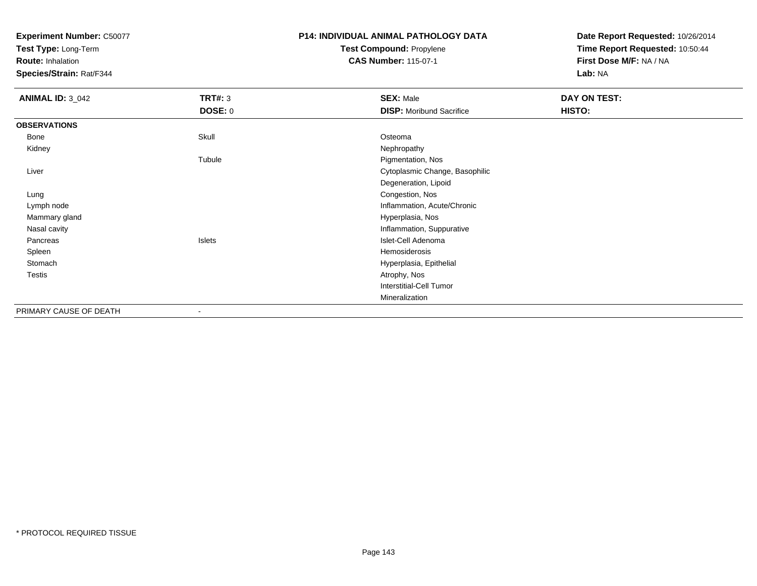**Test Type:** Long-Term

**Route:** Inhalation

**Species/Strain:** Rat/F344

### **P14: INDIVIDUAL ANIMAL PATHOLOGY DATATest Compound:** Propylene**CAS Number:** 115-07-1

| <b>ANIMAL ID: 3_042</b> | <b>TRT#: 3</b> | <b>SEX: Male</b>                | DAY ON TEST: |  |
|-------------------------|----------------|---------------------------------|--------------|--|
|                         | <b>DOSE: 0</b> | <b>DISP: Moribund Sacrifice</b> | HISTO:       |  |
| <b>OBSERVATIONS</b>     |                |                                 |              |  |
| Bone                    | Skull          | Osteoma                         |              |  |
| Kidney                  |                | Nephropathy                     |              |  |
|                         | Tubule         | Pigmentation, Nos               |              |  |
| Liver                   |                | Cytoplasmic Change, Basophilic  |              |  |
|                         |                | Degeneration, Lipoid            |              |  |
| Lung                    |                | Congestion, Nos                 |              |  |
| Lymph node              |                | Inflammation, Acute/Chronic     |              |  |
| Mammary gland           |                | Hyperplasia, Nos                |              |  |
| Nasal cavity            |                | Inflammation, Suppurative       |              |  |
| Pancreas                | Islets         | Islet-Cell Adenoma              |              |  |
| Spleen                  |                | Hemosiderosis                   |              |  |
| Stomach                 |                | Hyperplasia, Epithelial         |              |  |
| <b>Testis</b>           |                | Atrophy, Nos                    |              |  |
|                         |                | Interstitial-Cell Tumor         |              |  |
|                         |                | Mineralization                  |              |  |
| PRIMARY CAUSE OF DEATH  | ٠              |                                 |              |  |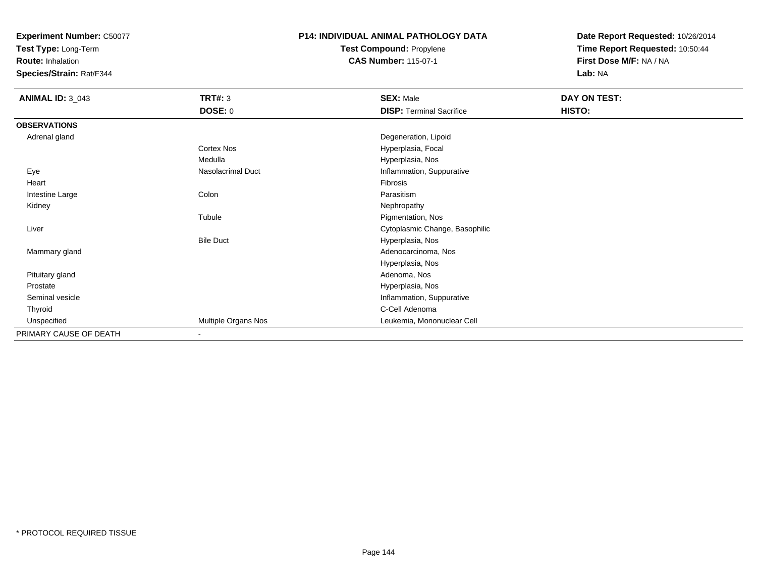**Test Type:** Long-Term

**Route:** Inhalation

**Species/Strain:** Rat/F344

# **P14: INDIVIDUAL ANIMAL PATHOLOGY DATATest Compound:** Propylene

**CAS Number:** 115-07-1

| <b>ANIMAL ID: 3_043</b> | <b>TRT#: 3</b>      | <b>SEX: Male</b>                | DAY ON TEST: |
|-------------------------|---------------------|---------------------------------|--------------|
|                         | <b>DOSE: 0</b>      | <b>DISP: Terminal Sacrifice</b> | HISTO:       |
| <b>OBSERVATIONS</b>     |                     |                                 |              |
| Adrenal gland           |                     | Degeneration, Lipoid            |              |
|                         | Cortex Nos          | Hyperplasia, Focal              |              |
|                         | Medulla             | Hyperplasia, Nos                |              |
| Eye                     | Nasolacrimal Duct   | Inflammation, Suppurative       |              |
| Heart                   |                     | Fibrosis                        |              |
| Intestine Large         | Colon               | Parasitism                      |              |
| Kidney                  |                     | Nephropathy                     |              |
|                         | Tubule              | Pigmentation, Nos               |              |
| Liver                   |                     | Cytoplasmic Change, Basophilic  |              |
|                         | <b>Bile Duct</b>    | Hyperplasia, Nos                |              |
| Mammary gland           |                     | Adenocarcinoma, Nos             |              |
|                         |                     | Hyperplasia, Nos                |              |
| Pituitary gland         |                     | Adenoma, Nos                    |              |
| Prostate                |                     | Hyperplasia, Nos                |              |
| Seminal vesicle         |                     | Inflammation, Suppurative       |              |
| Thyroid                 |                     | C-Cell Adenoma                  |              |
| Unspecified             | Multiple Organs Nos | Leukemia, Mononuclear Cell      |              |
| PRIMARY CAUSE OF DEATH  | $\blacksquare$      |                                 |              |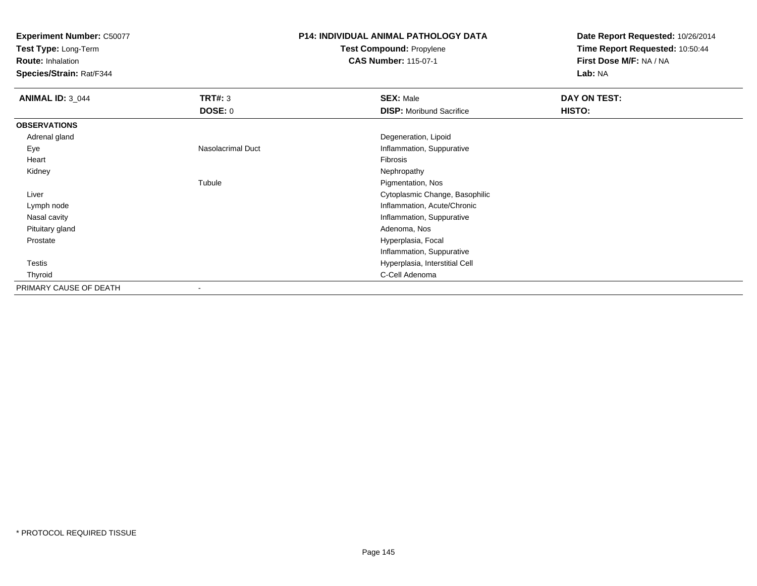**Test Type:** Long-Term

**Route:** Inhalation

**Species/Strain:** Rat/F344

# **P14: INDIVIDUAL ANIMAL PATHOLOGY DATATest Compound:** Propylene

**CAS Number:** 115-07-1

**Date Report Requested:** 10/26/2014**Time Report Requested:** 10:50:44**First Dose M/F:** NA / NA**Lab:** NA

| <b>ANIMAL ID: 3_044</b> | <b>TRT#: 3</b>    | <b>SEX: Male</b>                | DAY ON TEST: |  |
|-------------------------|-------------------|---------------------------------|--------------|--|
|                         | <b>DOSE: 0</b>    | <b>DISP:</b> Moribund Sacrifice | HISTO:       |  |
| <b>OBSERVATIONS</b>     |                   |                                 |              |  |
| Adrenal gland           |                   | Degeneration, Lipoid            |              |  |
| Eye                     | Nasolacrimal Duct | Inflammation, Suppurative       |              |  |
| Heart                   |                   | Fibrosis                        |              |  |
| Kidney                  |                   | Nephropathy                     |              |  |
|                         | Tubule            | Pigmentation, Nos               |              |  |
| Liver                   |                   | Cytoplasmic Change, Basophilic  |              |  |
| Lymph node              |                   | Inflammation, Acute/Chronic     |              |  |
| Nasal cavity            |                   | Inflammation, Suppurative       |              |  |
| Pituitary gland         |                   | Adenoma, Nos                    |              |  |
| Prostate                |                   | Hyperplasia, Focal              |              |  |
|                         |                   | Inflammation, Suppurative       |              |  |
| <b>Testis</b>           |                   | Hyperplasia, Interstitial Cell  |              |  |
| Thyroid                 |                   | C-Cell Adenoma                  |              |  |
| PRIMARY CAUSE OF DEATH  | -                 |                                 |              |  |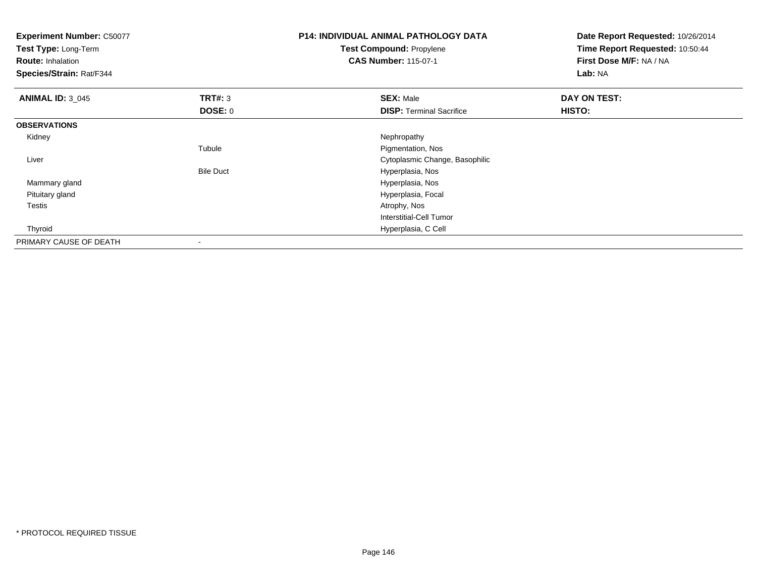| <b>Experiment Number: C50077</b><br>Test Type: Long-Term<br><b>Route: Inhalation</b><br>Species/Strain: Rat/F344 |                  | <b>P14: INDIVIDUAL ANIMAL PATHOLOGY DATA</b><br><b>Test Compound: Propylene</b><br><b>CAS Number: 115-07-1</b> | Date Report Requested: 10/26/2014<br>Time Report Requested: 10:50:44<br>First Dose M/F: NA / NA<br>Lab: NA |  |
|------------------------------------------------------------------------------------------------------------------|------------------|----------------------------------------------------------------------------------------------------------------|------------------------------------------------------------------------------------------------------------|--|
| <b>ANIMAL ID: 3_045</b>                                                                                          | TRT#: 3          | <b>SEX: Male</b>                                                                                               | DAY ON TEST:                                                                                               |  |
|                                                                                                                  | <b>DOSE: 0</b>   | <b>DISP: Terminal Sacrifice</b>                                                                                | HISTO:                                                                                                     |  |
| <b>OBSERVATIONS</b>                                                                                              |                  |                                                                                                                |                                                                                                            |  |
| Kidney                                                                                                           |                  | Nephropathy                                                                                                    |                                                                                                            |  |
|                                                                                                                  | Tubule           | Pigmentation, Nos                                                                                              |                                                                                                            |  |
| Liver                                                                                                            |                  | Cytoplasmic Change, Basophilic                                                                                 |                                                                                                            |  |
|                                                                                                                  | <b>Bile Duct</b> | Hyperplasia, Nos                                                                                               |                                                                                                            |  |
| Mammary gland                                                                                                    |                  | Hyperplasia, Nos                                                                                               |                                                                                                            |  |
| Pituitary gland                                                                                                  |                  | Hyperplasia, Focal                                                                                             |                                                                                                            |  |
| Testis                                                                                                           |                  | Atrophy, Nos                                                                                                   |                                                                                                            |  |
|                                                                                                                  |                  | Interstitial-Cell Tumor                                                                                        |                                                                                                            |  |
| Thyroid                                                                                                          |                  | Hyperplasia, C Cell                                                                                            |                                                                                                            |  |
| PRIMARY CAUSE OF DEATH                                                                                           |                  |                                                                                                                |                                                                                                            |  |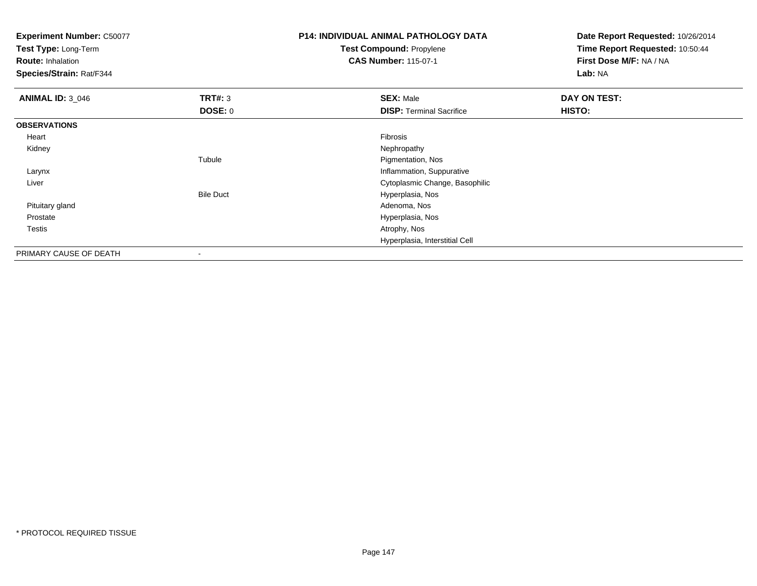**Test Type:** Long-Term

**Route:** Inhalation

**Species/Strain:** Rat/F344

# **P14: INDIVIDUAL ANIMAL PATHOLOGY DATATest Compound:** Propylene

**CAS Number:** 115-07-1

**Date Report Requested:** 10/26/2014**Time Report Requested:** 10:50:44**First Dose M/F:** NA / NA**Lab:** NA

| <b>ANIMAL ID: 3_046</b> | <b>TRT#: 3</b>   | <b>SEX: Male</b>                | DAY ON TEST: |
|-------------------------|------------------|---------------------------------|--------------|
|                         | <b>DOSE: 0</b>   | <b>DISP: Terminal Sacrifice</b> | HISTO:       |
| <b>OBSERVATIONS</b>     |                  |                                 |              |
| Heart                   |                  | Fibrosis                        |              |
| Kidney                  |                  | Nephropathy                     |              |
|                         | Tubule           | Pigmentation, Nos               |              |
| Larynx                  |                  | Inflammation, Suppurative       |              |
| Liver                   |                  | Cytoplasmic Change, Basophilic  |              |
|                         | <b>Bile Duct</b> | Hyperplasia, Nos                |              |
| Pituitary gland         |                  | Adenoma, Nos                    |              |
| Prostate                |                  | Hyperplasia, Nos                |              |
| <b>Testis</b>           |                  | Atrophy, Nos                    |              |
|                         |                  | Hyperplasia, Interstitial Cell  |              |
| PRIMARY CAUSE OF DEATH  | ٠                |                                 |              |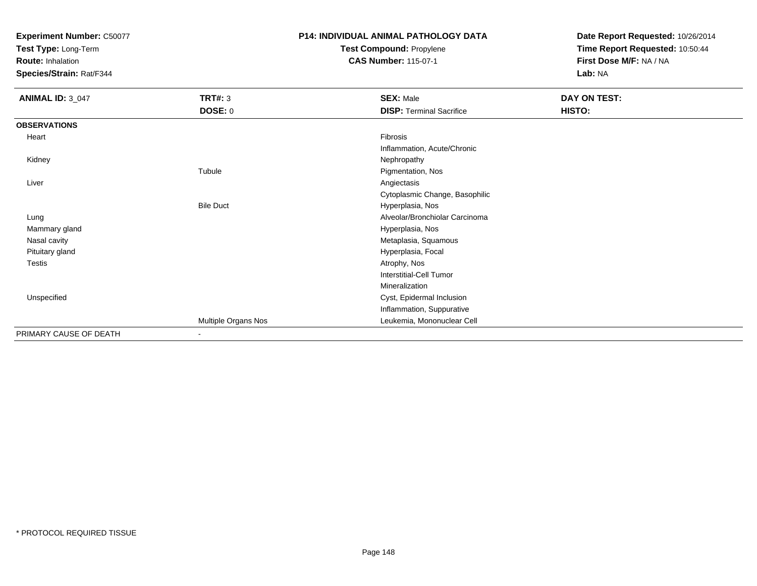**Test Type:** Long-Term

**Route:** Inhalation

**Species/Strain:** Rat/F344

# **P14: INDIVIDUAL ANIMAL PATHOLOGY DATATest Compound:** Propylene

**CAS Number:** 115-07-1

**Date Report Requested:** 10/26/2014**Time Report Requested:** 10:50:44**First Dose M/F:** NA / NA**Lab:** NA

| <b>ANIMAL ID: 3_047</b> | <b>TRT#: 3</b>      | <b>SEX: Male</b>                | DAY ON TEST: |  |
|-------------------------|---------------------|---------------------------------|--------------|--|
|                         | DOSE: 0             | <b>DISP: Terminal Sacrifice</b> | HISTO:       |  |
| <b>OBSERVATIONS</b>     |                     |                                 |              |  |
| Heart                   |                     | Fibrosis                        |              |  |
|                         |                     | Inflammation, Acute/Chronic     |              |  |
| Kidney                  |                     | Nephropathy                     |              |  |
|                         | Tubule              | Pigmentation, Nos               |              |  |
| Liver                   |                     | Angiectasis                     |              |  |
|                         |                     | Cytoplasmic Change, Basophilic  |              |  |
|                         | <b>Bile Duct</b>    | Hyperplasia, Nos                |              |  |
| Lung                    |                     | Alveolar/Bronchiolar Carcinoma  |              |  |
| Mammary gland           |                     | Hyperplasia, Nos                |              |  |
| Nasal cavity            |                     | Metaplasia, Squamous            |              |  |
| Pituitary gland         |                     | Hyperplasia, Focal              |              |  |
| Testis                  |                     | Atrophy, Nos                    |              |  |
|                         |                     | <b>Interstitial-Cell Tumor</b>  |              |  |
|                         |                     | Mineralization                  |              |  |
| Unspecified             |                     | Cyst, Epidermal Inclusion       |              |  |
|                         |                     | Inflammation, Suppurative       |              |  |
|                         | Multiple Organs Nos | Leukemia, Mononuclear Cell      |              |  |
| PRIMARY CAUSE OF DEATH  | Ξ.                  |                                 |              |  |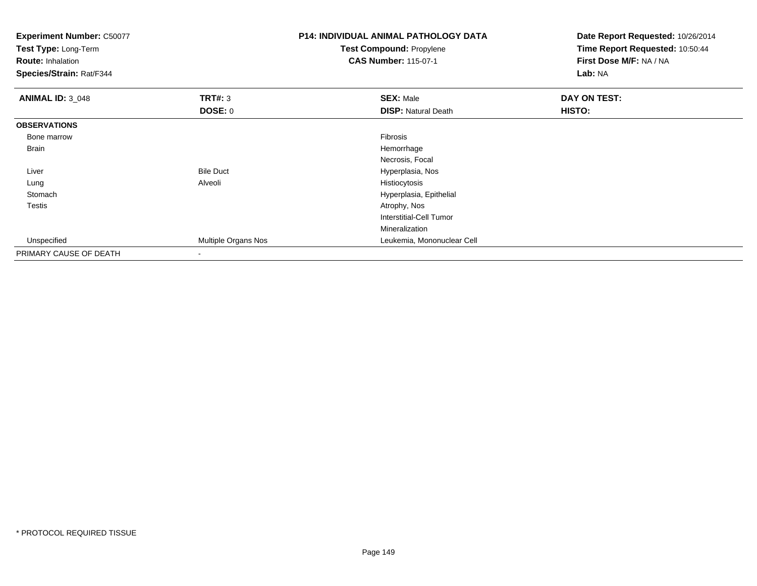| <b>Experiment Number: C50077</b><br>Test Type: Long-Term<br><b>Route: Inhalation</b><br>Species/Strain: Rat/F344 |                     | <b>P14: INDIVIDUAL ANIMAL PATHOLOGY DATA</b><br>Test Compound: Propylene<br><b>CAS Number: 115-07-1</b> | Date Report Requested: 10/26/2014<br>Time Report Requested: 10:50:44<br>First Dose M/F: NA / NA<br>Lab: NA |  |
|------------------------------------------------------------------------------------------------------------------|---------------------|---------------------------------------------------------------------------------------------------------|------------------------------------------------------------------------------------------------------------|--|
| <b>ANIMAL ID: 3_048</b>                                                                                          | <b>TRT#: 3</b>      | <b>SEX: Male</b>                                                                                        | DAY ON TEST:                                                                                               |  |
|                                                                                                                  | <b>DOSE: 0</b>      | <b>DISP: Natural Death</b>                                                                              | <b>HISTO:</b>                                                                                              |  |
| <b>OBSERVATIONS</b>                                                                                              |                     |                                                                                                         |                                                                                                            |  |
| Bone marrow                                                                                                      |                     | <b>Fibrosis</b>                                                                                         |                                                                                                            |  |
| Brain                                                                                                            |                     | Hemorrhage                                                                                              |                                                                                                            |  |
|                                                                                                                  |                     | Necrosis, Focal                                                                                         |                                                                                                            |  |
| Liver                                                                                                            | <b>Bile Duct</b>    | Hyperplasia, Nos                                                                                        |                                                                                                            |  |
| Lung                                                                                                             | Alveoli             | Histiocytosis                                                                                           |                                                                                                            |  |
| Stomach                                                                                                          |                     | Hyperplasia, Epithelial                                                                                 |                                                                                                            |  |
| <b>Testis</b>                                                                                                    |                     | Atrophy, Nos                                                                                            |                                                                                                            |  |
|                                                                                                                  |                     | Interstitial-Cell Tumor                                                                                 |                                                                                                            |  |
|                                                                                                                  |                     | Mineralization                                                                                          |                                                                                                            |  |
| Unspecified                                                                                                      | Multiple Organs Nos | Leukemia, Mononuclear Cell                                                                              |                                                                                                            |  |
| PRIMARY CAUSE OF DEATH                                                                                           |                     |                                                                                                         |                                                                                                            |  |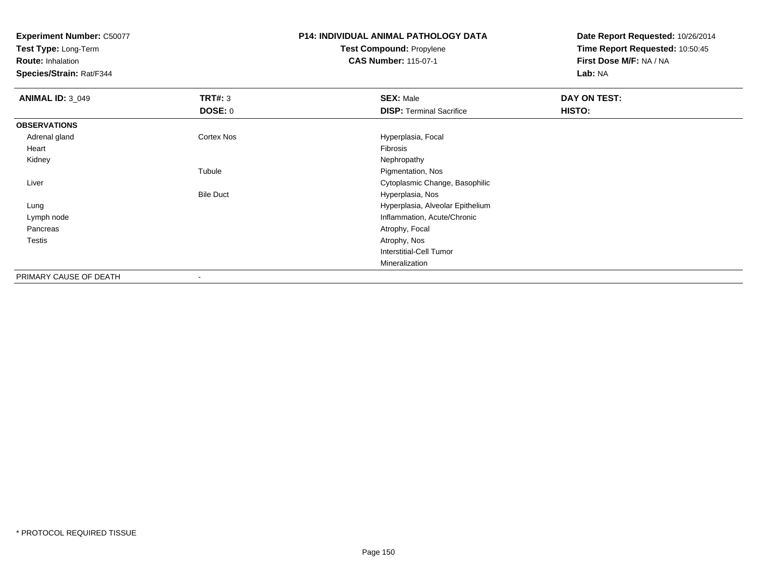**Test Type:** Long-Term

**Route:** Inhalation

**Species/Strain:** Rat/F344

## **P14: INDIVIDUAL ANIMAL PATHOLOGY DATATest Compound:** Propylene**CAS Number:** 115-07-1

**Date Report Requested:** 10/26/2014**Time Report Requested:** 10:50:45**First Dose M/F:** NA / NA**Lab:** NA

| <b>ANIMAL ID: 3_049</b> | TRT#: 3           | <b>SEX: Male</b>                 | DAY ON TEST: |  |
|-------------------------|-------------------|----------------------------------|--------------|--|
|                         | <b>DOSE: 0</b>    | <b>DISP: Terminal Sacrifice</b>  | HISTO:       |  |
| <b>OBSERVATIONS</b>     |                   |                                  |              |  |
| Adrenal gland           | <b>Cortex Nos</b> | Hyperplasia, Focal               |              |  |
| Heart                   |                   | Fibrosis                         |              |  |
| Kidney                  |                   | Nephropathy                      |              |  |
|                         | Tubule            | Pigmentation, Nos                |              |  |
| Liver                   |                   | Cytoplasmic Change, Basophilic   |              |  |
|                         | <b>Bile Duct</b>  | Hyperplasia, Nos                 |              |  |
| Lung                    |                   | Hyperplasia, Alveolar Epithelium |              |  |
| Lymph node              |                   | Inflammation, Acute/Chronic      |              |  |
| Pancreas                |                   | Atrophy, Focal                   |              |  |
| <b>Testis</b>           |                   | Atrophy, Nos                     |              |  |
|                         |                   | Interstitial-Cell Tumor          |              |  |
|                         |                   | Mineralization                   |              |  |
| PRIMARY CAUSE OF DEATH  | $\blacksquare$    |                                  |              |  |